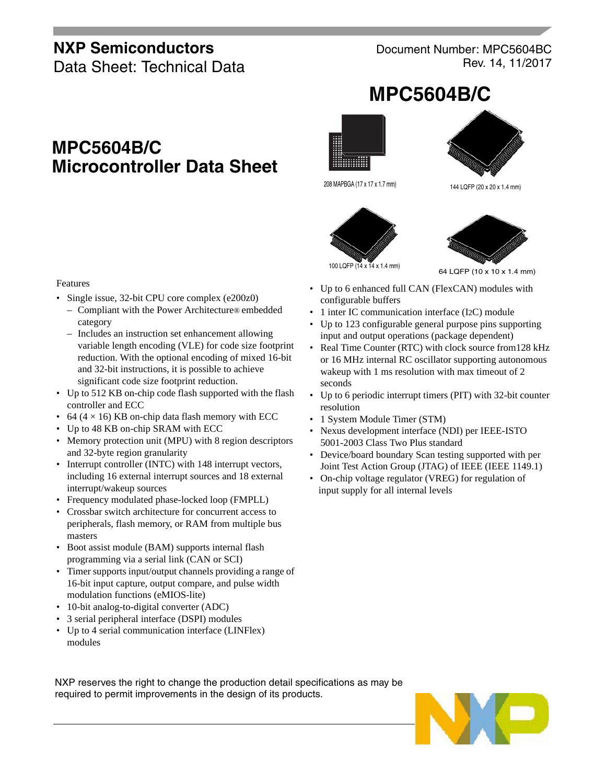### **NXP Semiconductors**

Data Sheet: Technical Data

Document Number: MPC5604BC Rev. 14, 11/2017

**MPC5604B/C**

# **MPC5604B/C Microcontroller Data Sheet**







144 LQFP (20 x 20 x 1.4 mm)





64 LQFP (10 x 10 x 1.4 mm)

- Up to 6 enhanced full CAN (FlexCAN) modules with configurable buffers
- 1 inter IC communication interface (I2C) module
- Up to 123 configurable general purpose pins supporting input and output operations (package dependent)
- Real Time Counter (RTC) with clock source from128 kHz or 16 MHz internal RC oscillator supporting autonomous wakeup with 1 ms resolution with max timeout of 2 seconds
- Up to 6 periodic interrupt timers (PIT) with 32-bit counter resolution
- 1 System Module Timer (STM)
- Nexus development interface (NDI) per IEEE-ISTO 5001-2003 Class Two Plus standard
- Device/board boundary Scan testing supported with per Joint Test Action Group (JTAG) of IEEE (IEEE 1149.1)
- On-chip voltage regulator (VREG) for regulation of input supply for all internal levels

#### Features

- Single issue, 32-bit CPU core complex (e200z0)
	- Compliant with the Power Architecture® embedded category
	- Includes an instruction set enhancement allowing variable length encoding (VLE) for code size footprint reduction. With the optional encoding of mixed 16-bit and 32-bit instructions, it is possible to achieve significant code size footprint reduction.
- Up to 512 KB on-chip code flash supported with the flash controller and ECC
- 64 ( $4 \times 16$ ) KB on-chip data flash memory with ECC
- Up to 48 KB on-chip SRAM with ECC
- Memory protection unit (MPU) with 8 region descriptors and 32-byte region granularity
- Interrupt controller (INTC) with 148 interrupt vectors, including 16 external interrupt sources and 18 external interrupt/wakeup sources
- Frequency modulated phase-locked loop (FMPLL)
- Crossbar switch architecture for concurrent access to peripherals, flash memory, or RAM from multiple bus masters
- Boot assist module (BAM) supports internal flash programming via a serial link (CAN or SCI)
- Timer supports input/output channels providing a range of 16-bit input capture, output compare, and pulse width modulation functions (eMIOS-lite)
- 10-bit analog-to-digital converter (ADC)
- 3 serial peripheral interface (DSPI) modules
- Up to 4 serial communication interface (LINFlex) modules

NXP reserves the right to change the production detail specifications as may be required to permit improvements in the design of its products.

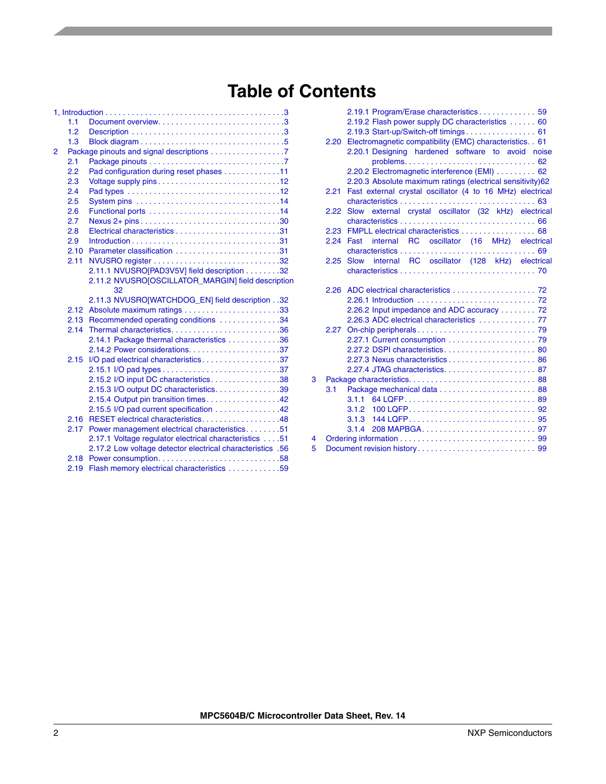# **Table of Contents**

|   | 1.1  |                                                            |
|---|------|------------------------------------------------------------|
|   | 1.2  |                                                            |
|   | 1.3  |                                                            |
| 2 |      | Package pinouts and signal descriptions 7                  |
|   | 2.1  |                                                            |
|   | 2.2  | Pad configuration during reset phases 11                   |
|   | 2.3  |                                                            |
|   | 2.4  |                                                            |
|   | 2.5  |                                                            |
|   | 2.6  |                                                            |
|   | 2.7  |                                                            |
|   | 2.8  |                                                            |
|   | 2.9  |                                                            |
|   | 2.10 |                                                            |
|   | 2.11 |                                                            |
|   |      | 2.11.1 NVUSRO[PAD3V5V] field description 32                |
|   |      | 2.11.2 NVUSRO[OSCILLATOR_MARGIN] field description         |
|   |      | 32                                                         |
|   |      | 2.11.3 NVUSRO[WATCHDOG_EN] field description32             |
|   | 2.12 |                                                            |
|   | 2.13 | Recommended operating conditions 34                        |
|   | 2.14 | Thermal characteristics36                                  |
|   |      | 2.14.1 Package thermal characteristics 36                  |
|   |      |                                                            |
|   | 2.15 | I/O pad electrical characteristics37                       |
|   |      |                                                            |
|   |      | 2.15.2 I/O input DC characteristics. 38                    |
|   |      | 2.15.3 I/O output DC characteristics. 39                   |
|   |      | 2.15.4 Output pin transition times. 42                     |
|   |      | 2.15.5 I/O pad current specification 42                    |
|   | 2.16 | RESET electrical characteristics. 48                       |
|   | 2.17 | Power management electrical characteristics51              |
|   |      | 2.17.1 Voltage regulator electrical characteristics 51     |
|   |      | 2.17.2 Low voltage detector electrical characteristics .56 |
|   | 2.18 |                                                            |
|   | 2.19 | Flash memory electrical characteristics 59                 |

|   | 2.20 | 2.19.1 Program/Erase characteristics 59<br>2.19.2 Flash power supply DC characteristics  60<br>2.19.3 Start-up/Switch-off timings 61<br>Electromagnetic compatibility (EMC) characteristics. . 61<br>2.20.1 Designing hardened software to avoid noise<br>2.20.2 Electromagnetic interference (EMI)  62<br>2.20.3 Absolute maximum ratings (electrical sensitivity)62 |
|---|------|-----------------------------------------------------------------------------------------------------------------------------------------------------------------------------------------------------------------------------------------------------------------------------------------------------------------------------------------------------------------------|
|   | 2.21 | Fast external crystal oscillator (4 to 16 MHz) electrical                                                                                                                                                                                                                                                                                                             |
|   | 2.22 | Slow external crystal oscillator (32 kHz) electrical                                                                                                                                                                                                                                                                                                                  |
|   | 2.23 | FMPLL electrical characteristics 68                                                                                                                                                                                                                                                                                                                                   |
|   | 2.24 | Fast internal RC oscillator (16 MHz) electrical                                                                                                                                                                                                                                                                                                                       |
|   |      |                                                                                                                                                                                                                                                                                                                                                                       |
|   | 2.25 | Slow internal RC oscillator (128 kHz) electrical                                                                                                                                                                                                                                                                                                                      |
|   |      |                                                                                                                                                                                                                                                                                                                                                                       |
|   |      |                                                                                                                                                                                                                                                                                                                                                                       |
|   |      |                                                                                                                                                                                                                                                                                                                                                                       |
|   |      | 2.26.2 Input impedance and ADC accuracy  72                                                                                                                                                                                                                                                                                                                           |
|   |      | 2.26.3 ADC electrical characteristics  77                                                                                                                                                                                                                                                                                                                             |
|   |      |                                                                                                                                                                                                                                                                                                                                                                       |
|   |      |                                                                                                                                                                                                                                                                                                                                                                       |
|   |      |                                                                                                                                                                                                                                                                                                                                                                       |
|   |      |                                                                                                                                                                                                                                                                                                                                                                       |
| 3 |      |                                                                                                                                                                                                                                                                                                                                                                       |
|   | 3.1  |                                                                                                                                                                                                                                                                                                                                                                       |
|   |      | 3.1.1                                                                                                                                                                                                                                                                                                                                                                 |
|   |      | 3.1.2                                                                                                                                                                                                                                                                                                                                                                 |
|   |      |                                                                                                                                                                                                                                                                                                                                                                       |
|   |      |                                                                                                                                                                                                                                                                                                                                                                       |
| 4 |      |                                                                                                                                                                                                                                                                                                                                                                       |
| 5 |      |                                                                                                                                                                                                                                                                                                                                                                       |
|   |      |                                                                                                                                                                                                                                                                                                                                                                       |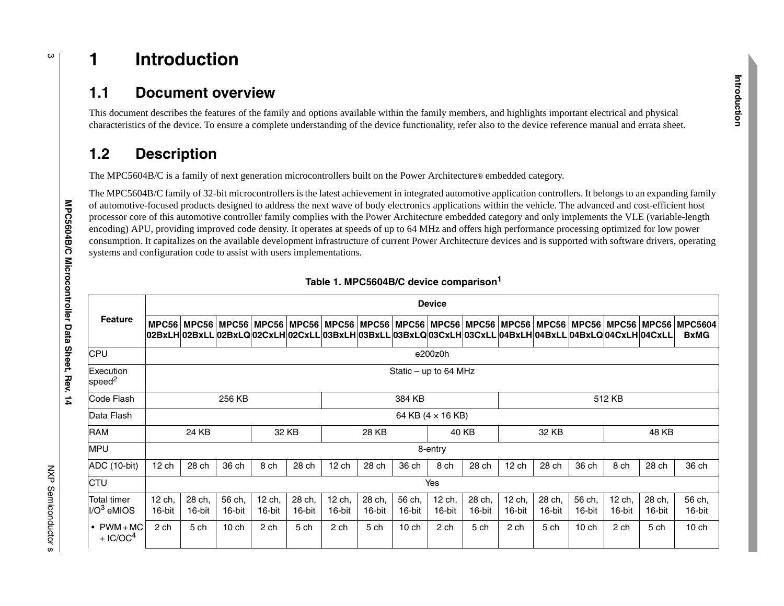# <sup>3</sup> **1 Introduction**

### **1.1 Document overview**

This document describes the features of the family and options available within the family members, and highlights important electrical and physical characteristics of the device. To ensure a complete understanding of the device functionality, refer also to the device reference manual and errata sheet.

# **1.2 Description**

The MPC5604B/C is a family of next generation microcontrollers built on the Power Architecture® embedded category.

The MPC5604B/C family of 32-bit microcontrollers is the latest achievement in integrated automotive application controllers. It belongs to an expanding family of automotive-focused products designed to address the next wave of body electronics applications within the vehicle. The advanced and cost-efficient host processor core of this automotive controller family complies with the Power Architecture embedded category and only implements the VLE (variable-length encoding) APU, providing improved code density. It operates at speeds of up to 64 MHz and offers high performance processing optimized for low power consumption. It capitalizes on the available development infrastructure of current Power Architecture devices and is supported with software drivers, operating systems and configuration code to assist with users implementations.

|                                              |                            |                                                                                                                                                                                                                             |                  |                  |                  |                  |                  |                  | <b>Device</b>            |                  |                  |                  |                  |                  |                  |                               |
|----------------------------------------------|----------------------------|-----------------------------------------------------------------------------------------------------------------------------------------------------------------------------------------------------------------------------|------------------|------------------|------------------|------------------|------------------|------------------|--------------------------|------------------|------------------|------------------|------------------|------------------|------------------|-------------------------------|
| <b>Feature</b>                               |                            | MPC56   MPC56   MPC56   MPC56   MPC56   MPC56   MPC56   MPC56   MPC56   MPC56   MPC56   MPC56   MPC56   MPC56  <br>02BxLH 02BxLL 02BxLQ 02CxLH 02CxLL 03BxLH 03BxLL 03BxLQ 03CxLH 03CxLL 04BxLH 04BxLL 04BxLQ 04CxLH 04CxLL |                  |                  |                  |                  |                  |                  |                          |                  |                  |                  |                  |                  |                  | <b>MPC5604</b><br><b>BxMG</b> |
| <b>CPU</b>                                   |                            | e200z0h                                                                                                                                                                                                                     |                  |                  |                  |                  |                  |                  |                          |                  |                  |                  |                  |                  |                  |                               |
| Execution<br>speed <sup>2</sup>              |                            | Static $-$ up to 64 MHz                                                                                                                                                                                                     |                  |                  |                  |                  |                  |                  |                          |                  |                  |                  |                  |                  |                  |                               |
| Code Flash                                   | 384 KB<br>256 KB<br>512 KB |                                                                                                                                                                                                                             |                  |                  |                  |                  |                  |                  |                          |                  |                  |                  |                  |                  |                  |                               |
| Data Flash                                   |                            |                                                                                                                                                                                                                             |                  |                  |                  |                  |                  |                  | 64 KB $(4 \times 16$ KB) |                  |                  |                  |                  |                  |                  |                               |
| <b>RAM</b>                                   |                            | 24 KB                                                                                                                                                                                                                       |                  |                  | 32 KB            |                  | 28 KB            |                  | 40 KB                    |                  |                  | 32 KB            |                  | 48 KB            |                  |                               |
| <b>MPU</b>                                   |                            |                                                                                                                                                                                                                             |                  |                  |                  |                  |                  |                  | 8-entry                  |                  |                  |                  |                  |                  |                  |                               |
| ADC (10-bit)                                 | $12$ ch                    | 28 ch                                                                                                                                                                                                                       | 36 ch            | 8 ch             | 28 ch            | $12$ ch          | 28 ch            | 36 ch            | 8 ch                     | 28 ch            | $12$ ch          | 28 ch            | 36 ch            | 8 ch             | 28 ch            | 36 ch                         |
| <b>CTU</b>                                   |                            |                                                                                                                                                                                                                             |                  |                  |                  |                  |                  |                  | Yes                      |                  |                  |                  |                  |                  |                  |                               |
| Total timer<br>$I/O3$ eMIOS                  | 12 ch,<br>16-bit           | 28 ch,<br>16-bit                                                                                                                                                                                                            | 56 ch,<br>16-bit | 12 ch,<br>16-bit | 28 ch,<br>16-bit | 12 ch,<br>16-bit | 28 ch,<br>16-bit | 56 ch,<br>16-bit | 12 ch,<br>16-bit         | 28 ch,<br>16-bit | 12 ch,<br>16-bit | 28 ch,<br>16-bit | 56 ch,<br>16-bit | 12 ch,<br>16-bit | 28 ch,<br>16-bit | 56 ch,<br>16-bit              |
| $\bullet$ PWM + MC<br>$+$ IC/OC <sup>4</sup> | 2 ch                       | 5 ch                                                                                                                                                                                                                        | 10ch             | 2 ch             | 5 ch             | 2 ch             | 5 ch             | 10ch             | 2 ch                     | 5 ch             | 2 ch             | 5 ch             | 10ch             | 2 ch             | 5 ch             | $10$ ch                       |

#### **Table 1. MPC5604B/C device comparison<sup>1</sup>**

**MPC5604B/C Microcontroller Data Sheet, Rev. 14**

<span id="page-2-2"></span><span id="page-2-1"></span><span id="page-2-0"></span> $\frac{1}{4}$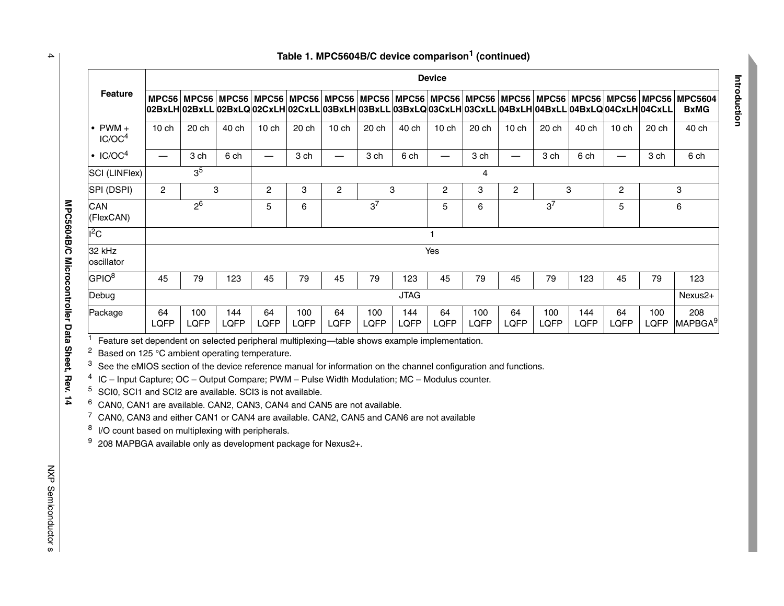|                                                                                                                                                                                                                                                                                                                                                                                                                                                                                                                                                                                                                                                                                                                                                                                     |                          |             |             |                                                                                                                                                                                                             |             |                                             |                                            |             | <b>Device</b>           |                    |                          |             |             |                          |             |                                   |
|-------------------------------------------------------------------------------------------------------------------------------------------------------------------------------------------------------------------------------------------------------------------------------------------------------------------------------------------------------------------------------------------------------------------------------------------------------------------------------------------------------------------------------------------------------------------------------------------------------------------------------------------------------------------------------------------------------------------------------------------------------------------------------------|--------------------------|-------------|-------------|-------------------------------------------------------------------------------------------------------------------------------------------------------------------------------------------------------------|-------------|---------------------------------------------|--------------------------------------------|-------------|-------------------------|--------------------|--------------------------|-------------|-------------|--------------------------|-------------|-----------------------------------|
| <b>Feature</b>                                                                                                                                                                                                                                                                                                                                                                                                                                                                                                                                                                                                                                                                                                                                                                      |                          |             |             | MPC56 MPC56 MPC56 MPC56 MPC56 MPC56 MPC56 MPC56 MPC56 MPC56 MPC56 MPC56 MPC56 MPC56 MPC56 MPC56<br>02BxLH 02BxLL 02BxLQ 02CxLH 02CxLL 03BxLH 03BxLL 03BxLQ 03CxLH 03CxLL 04BxLH 04BxLL 04BxLQ 04CxLH 04CxLL |             |                                             |                                            |             |                         |                    |                          |             |             |                          |             | <b>MPC5604</b><br><b>BxMG</b>     |
| $\bullet$ PWM $+$<br>IC/OC <sup>4</sup>                                                                                                                                                                                                                                                                                                                                                                                                                                                                                                                                                                                                                                                                                                                                             | $10$ ch                  | 20 ch       | 40 ch       | $10$ ch                                                                                                                                                                                                     | 20 ch       | $10$ ch                                     | 20 ch                                      | 40 ch       | $10$ ch                 | 20 ch              | 10 ch                    | 20 ch       | 40 ch       | 10 ch                    | 20 ch       | 40 ch                             |
| $\cdot$ IC/OC <sup>4</sup>                                                                                                                                                                                                                                                                                                                                                                                                                                                                                                                                                                                                                                                                                                                                                          | $\overline{\phantom{m}}$ | 3 ch        | 6 ch        | $\overbrace{\phantom{12322111}}$                                                                                                                                                                            | 3 ch        | $\overline{\phantom{0}}$                    | 3 ch                                       | 6 ch        |                         | 3 ch               | $\overline{\phantom{0}}$ | 3 ch        | 6 ch        | $\overline{\phantom{0}}$ | 3 ch        | 6 ch                              |
| SCI (LINFlex)                                                                                                                                                                                                                                                                                                                                                                                                                                                                                                                                                                                                                                                                                                                                                                       | 3 <sup>5</sup>           |             |             |                                                                                                                                                                                                             |             |                                             |                                            |             |                         | 4                  |                          |             |             |                          |             |                                   |
| SPI (DSPI)                                                                                                                                                                                                                                                                                                                                                                                                                                                                                                                                                                                                                                                                                                                                                                          | $\overline{c}$           |             | 3           | $\overline{c}$                                                                                                                                                                                              | 3           | $\ensuremath{\mathsf{3}}$<br>$\overline{c}$ |                                            |             | $\overline{\mathbf{c}}$ | 3                  | $\overline{c}$<br>3      |             |             | $\overline{c}$           | 3           |                                   |
| CAN<br>(FlexCAN)                                                                                                                                                                                                                                                                                                                                                                                                                                                                                                                                                                                                                                                                                                                                                                    | 2 <sup>6</sup>           |             |             | 5                                                                                                                                                                                                           | 6           |                                             | 3 <sup>7</sup><br>3 <sup>7</sup><br>5<br>6 |             |                         |                    |                          | 5           |             | $6\phantom{a}$           |             |                                   |
| ${}^{12}$ C                                                                                                                                                                                                                                                                                                                                                                                                                                                                                                                                                                                                                                                                                                                                                                         | 1                        |             |             |                                                                                                                                                                                                             |             |                                             |                                            |             |                         |                    |                          |             |             |                          |             |                                   |
| 32 kHz<br>oscillator                                                                                                                                                                                                                                                                                                                                                                                                                                                                                                                                                                                                                                                                                                                                                                | Yes                      |             |             |                                                                                                                                                                                                             |             |                                             |                                            |             |                         |                    |                          |             |             |                          |             |                                   |
| GPIO <sup>8</sup>                                                                                                                                                                                                                                                                                                                                                                                                                                                                                                                                                                                                                                                                                                                                                                   | 45                       | 79          | 123         | 45                                                                                                                                                                                                          | 79          | 45                                          | 79                                         | 123         | 45                      | 79                 | 45                       | 79          | 123         | 45                       | 79          | 123                               |
| Debug                                                                                                                                                                                                                                                                                                                                                                                                                                                                                                                                                                                                                                                                                                                                                                               | <b>JTAG</b>              |             |             |                                                                                                                                                                                                             |             |                                             |                                            |             |                         |                    | Nexus2+                  |             |             |                          |             |                                   |
| Package                                                                                                                                                                                                                                                                                                                                                                                                                                                                                                                                                                                                                                                                                                                                                                             | 64<br>LQFP               | 100<br>LQFP | 144<br>LQFP | 64<br>LQFP                                                                                                                                                                                                  | 100<br>LQFP | 64<br>LQFP                                  | 100<br>LQFP                                | 144<br>LQFP | 64<br>LQFP              | 100<br><b>LQFP</b> | 64<br>LQFP               | 100<br>LQFP | 144<br>LQFP | 64<br>LQFP               | 100<br>LQFP | 208<br><b>MAPBGA</b> <sup>9</sup> |
| Feature set dependent on selected peripheral multiplexing-table shows example implementation.<br>2<br>Based on 125 °C ambient operating temperature.<br>3<br>See the eMIOS section of the device reference manual for information on the channel configuration and functions.<br>4<br>IC - Input Capture; OC - Output Compare; PWM - Pulse Width Modulation; MC - Modulus counter.<br><sup>5</sup> SCI0, SCI1 and SCI2 are available. SCI3 is not available.<br>6<br>CAN0, CAN1 are available. CAN2, CAN3, CAN4 and CAN5 are not available.<br><sup>7</sup> CAN0, CAN3 and either CAN1 or CAN4 are available. CAN2, CAN5 and CAN6 are not available<br>8<br>I/O count based on multiplexing with peripherals.<br>9<br>208 MAPBGA available only as development package for Nexus2+. |                          |             |             |                                                                                                                                                                                                             |             |                                             |                                            |             |                         |                    |                          |             |             |                          |             |                                   |

#### **Table 1. MPC5604B/C device comparison1 (continued)**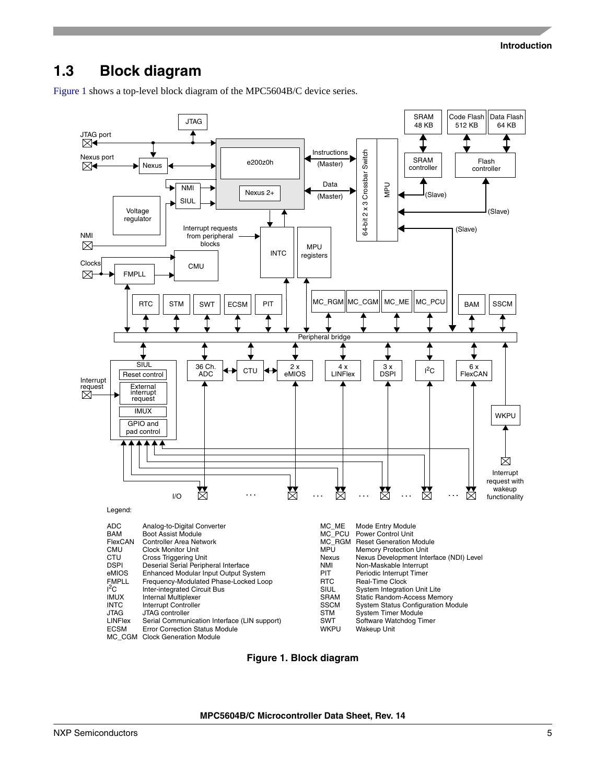### <span id="page-4-0"></span>**1.3 Block diagram**

[Figure 1](#page-4-1) shows a top-level block diagram of the MPC5604B/C device series.



<span id="page-4-1"></span>**Figure 1. Block diagram**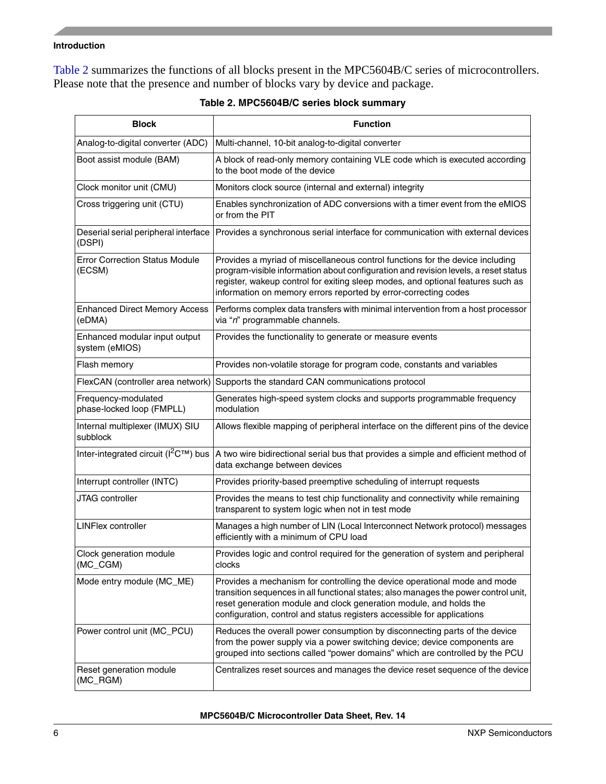#### **Introduction**

[Table 2](#page-5-0) summarizes the functions of all blocks present in the MPC5604B/C series of microcontrollers. Please note that the presence and number of blocks vary by device and package.

<span id="page-5-0"></span>

| <b>Block</b>                                     | <b>Function</b>                                                                                                                                                                                                                                                                                                            |
|--------------------------------------------------|----------------------------------------------------------------------------------------------------------------------------------------------------------------------------------------------------------------------------------------------------------------------------------------------------------------------------|
| Analog-to-digital converter (ADC)                | Multi-channel, 10-bit analog-to-digital converter                                                                                                                                                                                                                                                                          |
| Boot assist module (BAM)                         | A block of read-only memory containing VLE code which is executed according<br>to the boot mode of the device                                                                                                                                                                                                              |
| Clock monitor unit (CMU)                         | Monitors clock source (internal and external) integrity                                                                                                                                                                                                                                                                    |
| Cross triggering unit (CTU)                      | Enables synchronization of ADC conversions with a timer event from the eMIOS<br>or from the PIT                                                                                                                                                                                                                            |
| Deserial serial peripheral interface<br>(DSPI)   | Provides a synchronous serial interface for communication with external devices                                                                                                                                                                                                                                            |
| <b>Error Correction Status Module</b><br>(ECSM)  | Provides a myriad of miscellaneous control functions for the device including<br>program-visible information about configuration and revision levels, a reset status<br>register, wakeup control for exiting sleep modes, and optional features such as<br>information on memory errors reported by error-correcting codes |
| <b>Enhanced Direct Memory Access</b><br>(eDMA)   | Performs complex data transfers with minimal intervention from a host processor<br>via "n" programmable channels.                                                                                                                                                                                                          |
| Enhanced modular input output<br>system (eMIOS)  | Provides the functionality to generate or measure events                                                                                                                                                                                                                                                                   |
| Flash memory                                     | Provides non-volatile storage for program code, constants and variables                                                                                                                                                                                                                                                    |
| FlexCAN (controller area network)                | Supports the standard CAN communications protocol                                                                                                                                                                                                                                                                          |
| Frequency-modulated<br>phase-locked loop (FMPLL) | Generates high-speed system clocks and supports programmable frequency<br>modulation                                                                                                                                                                                                                                       |
| Internal multiplexer (IMUX) SIU<br>subblock      | Allows flexible mapping of peripheral interface on the different pins of the device                                                                                                                                                                                                                                        |
|                                                  | Inter-integrated circuit ( $l^2C^{TM}$ ) bus  A two wire bidirectional serial bus that provides a simple and efficient method of<br>data exchange between devices                                                                                                                                                          |
| Interrupt controller (INTC)                      | Provides priority-based preemptive scheduling of interrupt requests                                                                                                                                                                                                                                                        |
| JTAG controller                                  | Provides the means to test chip functionality and connectivity while remaining<br>transparent to system logic when not in test mode                                                                                                                                                                                        |
| <b>LINFlex controller</b>                        | Manages a high number of LIN (Local Interconnect Network protocol) messages<br>efficiently with a minimum of CPU load                                                                                                                                                                                                      |
| Clock generation module<br>(MC_CGM)              | Provides logic and control required for the generation of system and peripheral<br>clocks                                                                                                                                                                                                                                  |
| Mode entry module (MC_ME)                        | Provides a mechanism for controlling the device operational mode and mode<br>transition sequences in all functional states; also manages the power control unit,<br>reset generation module and clock generation module, and holds the<br>configuration, control and status registers accessible for applications          |
| Power control unit (MC_PCU)                      | Reduces the overall power consumption by disconnecting parts of the device<br>from the power supply via a power switching device; device components are<br>grouped into sections called "power domains" which are controlled by the PCU                                                                                    |
| Reset generation module<br>(MC_RGM)              | Centralizes reset sources and manages the device reset sequence of the device                                                                                                                                                                                                                                              |

#### **Table 2. MPC5604B/C series block summary**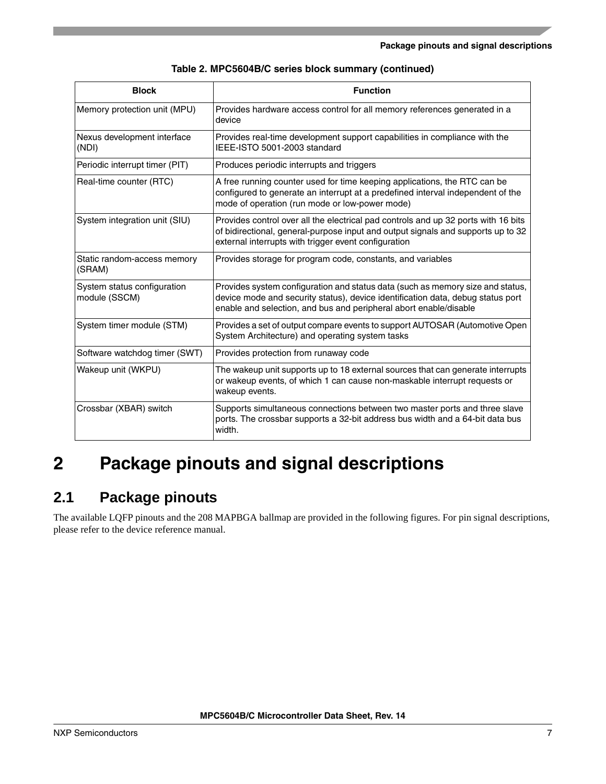| <b>Block</b>                                 | <b>Function</b>                                                                                                                                                                                                                        |
|----------------------------------------------|----------------------------------------------------------------------------------------------------------------------------------------------------------------------------------------------------------------------------------------|
| Memory protection unit (MPU)                 | Provides hardware access control for all memory references generated in a<br>device                                                                                                                                                    |
| Nexus development interface<br>(NDI)         | Provides real-time development support capabilities in compliance with the<br>IEEE-ISTO 5001-2003 standard                                                                                                                             |
| Periodic interrupt timer (PIT)               | Produces periodic interrupts and triggers                                                                                                                                                                                              |
| Real-time counter (RTC)                      | A free running counter used for time keeping applications, the RTC can be<br>configured to generate an interrupt at a predefined interval independent of the<br>mode of operation (run mode or low-power mode)                         |
| System integration unit (SIU)                | Provides control over all the electrical pad controls and up 32 ports with 16 bits<br>of bidirectional, general-purpose input and output signals and supports up to 32<br>external interrupts with trigger event configuration         |
| Static random-access memory<br>(SRAM)        | Provides storage for program code, constants, and variables                                                                                                                                                                            |
| System status configuration<br>module (SSCM) | Provides system configuration and status data (such as memory size and status,<br>device mode and security status), device identification data, debug status port<br>enable and selection, and bus and peripheral abort enable/disable |
| System timer module (STM)                    | Provides a set of output compare events to support AUTOSAR (Automotive Open<br>System Architecture) and operating system tasks                                                                                                         |
| Software watchdog timer (SWT)                | Provides protection from runaway code                                                                                                                                                                                                  |
| Wakeup unit (WKPU)                           | The wakeup unit supports up to 18 external sources that can generate interrupts<br>or wakeup events, of which 1 can cause non-maskable interrupt requests or<br>wakeup events.                                                         |
| Crossbar (XBAR) switch                       | Supports simultaneous connections between two master ports and three slave<br>ports. The crossbar supports a 32-bit address bus width and a 64-bit data bus<br>width.                                                                  |

# <span id="page-6-0"></span>**2 Package pinouts and signal descriptions**

## <span id="page-6-1"></span>**2.1 Package pinouts**

The available LQFP pinouts and the 208 MAPBGA ballmap are provided in the following figures. For pin signal descriptions, please refer to the device reference manual.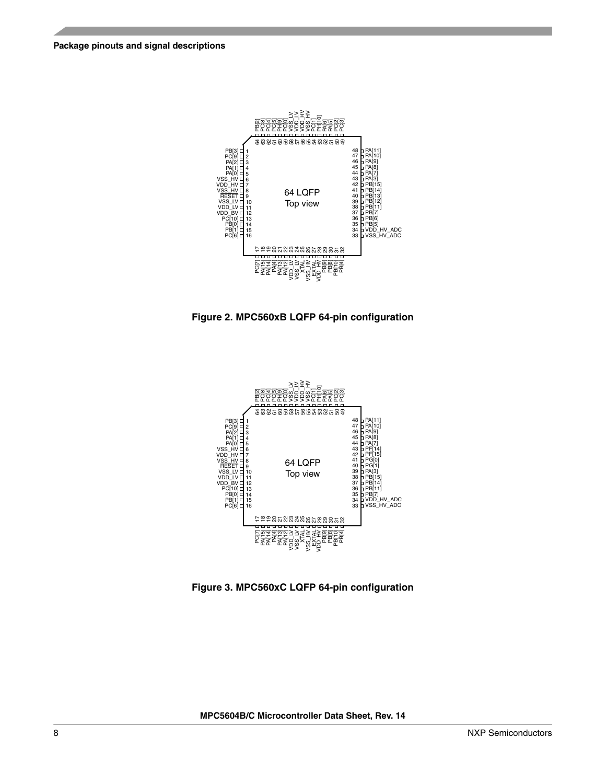

**Figure 2. MPC560xB LQFP 64-pin configuration**



**Figure 3. MPC560xC LQFP 64-pin configuration**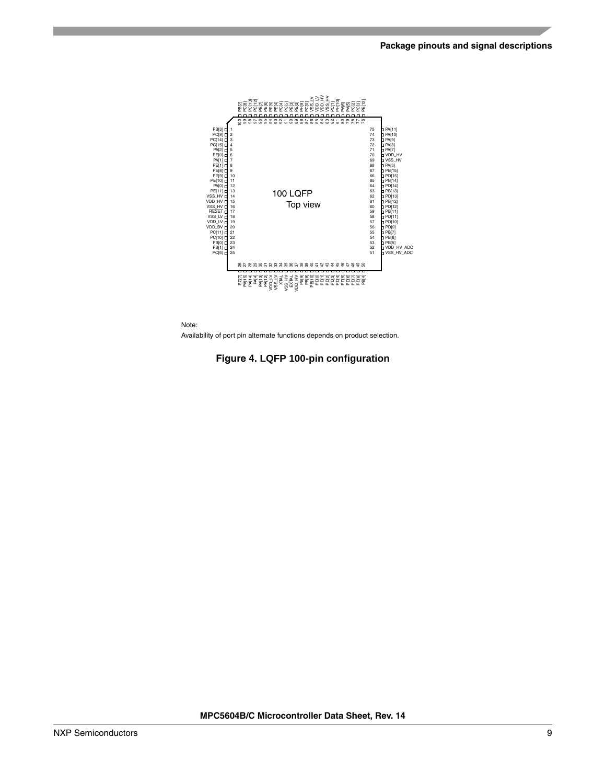



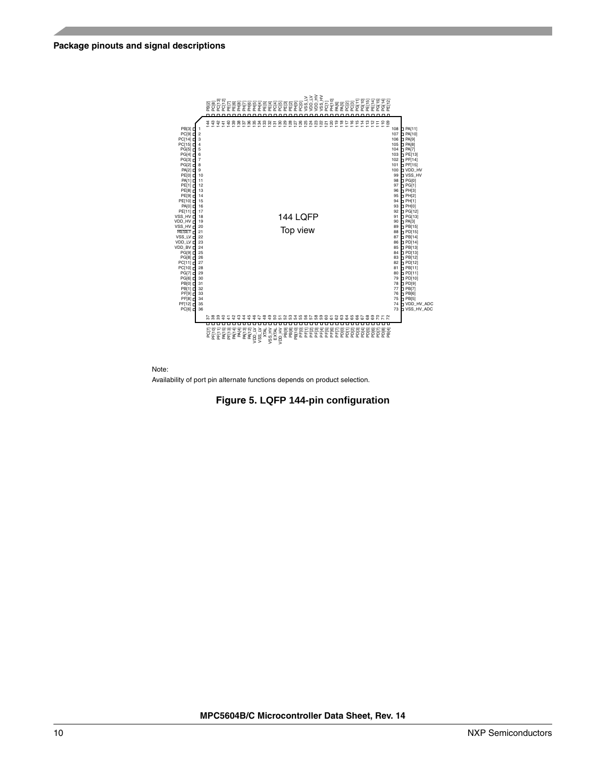#### **Package pinouts and signal descriptions**



Note: Availability of port pin alternate functions depends on product selection.

**Figure 5. LQFP 144-pin configuration**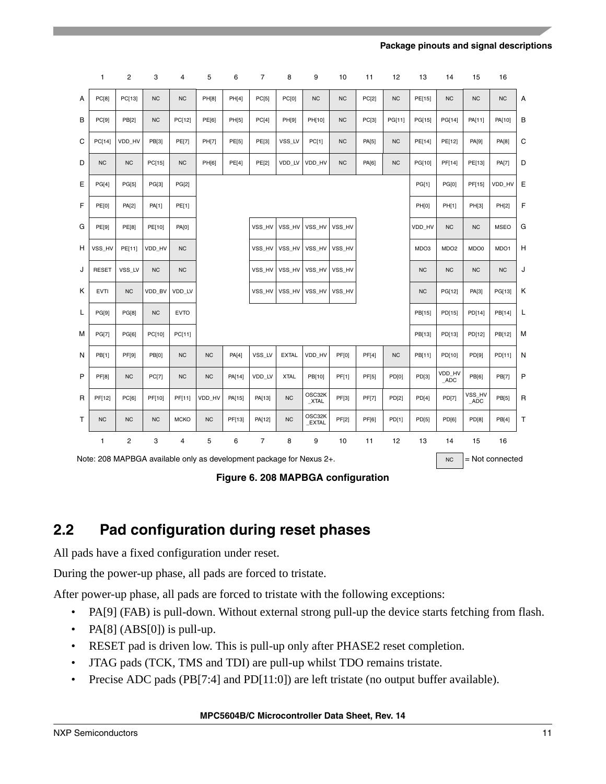|   | 1                                                                    | 2              | 3            | 4            | 5         | 6      | 7              | 8            | 9                      | 10           | 11           | 12        | 13        | 14                | 15                    | 16           |             |
|---|----------------------------------------------------------------------|----------------|--------------|--------------|-----------|--------|----------------|--------------|------------------------|--------------|--------------|-----------|-----------|-------------------|-----------------------|--------------|-------------|
| A | PC[8]                                                                | PC[13]         | <b>NC</b>    | <b>NC</b>    | PH[8]     | PH[4]  | PC[5]          | <b>PC[0]</b> | <b>NC</b>              | <b>NC</b>    | PC[2]        | <b>NC</b> | PE[15]    | <b>NC</b>         | <b>NC</b>             | <b>NC</b>    | Α           |
| В | PC[9]                                                                | <b>PB[2]</b>   | <b>NC</b>    | PC[12]       | PE[6]     | PH[5]  | PC[4]          | PH[9]        | PH[10]                 | <b>NC</b>    | PC[3]        | PG[11]    | PG[15]    | PG[14]            | PA[11]                | PA[10]       | B           |
| C | PC[14]                                                               | VDD HV         | <b>PB[3]</b> | <b>PE[7]</b> | PH[7]     | PE[5]  | PE[3]          | VSS LV       | PC[1]                  | <b>NC</b>    | PA[5]        | <b>NC</b> | PE[14]    | PE[12]            | PA[9]                 | PA[8]        | $\mathbf C$ |
| D | N <sub>C</sub>                                                       | <b>NC</b>      | PC[15]       | <b>NC</b>    | PH[6]     | PE[4]  | <b>PE[2]</b>   | VDD LV       | VDD HV                 | <b>NC</b>    | PA[6]        | NC        | PG[10]    | PF[14]            | PE[13]                | <b>PA[7]</b> | D           |
| E | PG[4]                                                                | <b>PG[5]</b>   | PG[3]        | <b>PG[2]</b> |           |        |                |              |                        |              |              |           | PG[1]     | <b>PG[0]</b>      | PF[15]                | VDD HV       | E           |
| F | <b>PE[0]</b>                                                         | PA[2]          | PA[1]        | PE[1]        |           |        |                |              |                        |              |              |           | PH[0]     | PH[1]             | PH[3]                 | PH[2]        | F           |
| G | PE[9]                                                                | <b>PE[8]</b>   | PE[10]       | PA[0]        |           |        | VSS HV         | VSS HV       | VSS HV                 | VSS HV       |              |           | VDD HV    | <b>NC</b>         | <b>NC</b>             | <b>MSEO</b>  | G           |
| н | VSS HV                                                               | PE[11]         | VDD HV       | <b>NC</b>    |           |        | VSS HV         | VSS HV       | VSS HV                 | VSS HV       |              |           | MDO3      | MDO <sub>2</sub>  | MDO0                  | MDO1         | н           |
| J | <b>RESET</b>                                                         | VSS LV         | <b>NC</b>    | <b>NC</b>    |           |        | VSS HV         | VSS HV       | VSS HV                 | VSS HV       |              |           | <b>NC</b> | <b>NC</b>         | <b>NC</b>             | <b>NC</b>    | J           |
| κ | <b>EVTI</b>                                                          | <b>NC</b>      | VDD BV       | VDD LV       |           |        | VSS_HV         | VSS_HV       | VSS_HV                 | VSS_HV       |              |           | <b>NC</b> | PG[12]            | PA[3]                 | PG[13]       | Κ           |
| Г | PG[9]                                                                | PG[8]          | <b>NC</b>    | <b>EVTO</b>  |           |        |                |              |                        |              |              |           | PB[15]    | PD[15]            | PD[14]                | PB[14]       | L           |
| м | <b>PG[7]</b>                                                         | PG[6]          | PC[10]       | PC[11]       |           |        |                |              |                        |              |              |           | PB[13]    | PD[13]            | PD[12]                | PB[12]       | M           |
| N | PB[1]                                                                | <b>PF[9]</b>   | PB[0]        | <b>NC</b>    | <b>NC</b> | PA[4]  | VSS_LV         | <b>EXTAL</b> | VDD_HV                 | <b>PF[0]</b> | PF[4]        | <b>NC</b> | PB[11]    | PD[10]            | PD[9]                 | PD[11]       | N           |
| P | <b>PF[8]</b>                                                         | <b>NC</b>      | PC[7]        | <b>NC</b>    | NC        | PA[14] | VDD LV         | <b>XTAL</b>  | PB[10]                 | PF[1]        | <b>PF[5]</b> | PD[0]     | PD[3]     | VDD_HV<br>ADC     | PB[6]                 | <b>PB[7]</b> | P           |
| R | PF[12]                                                               | PC[6]          | PF[10]       | PF[11]       | VDD HV    | PA[15] | PA[13]         | <b>NC</b>    | OSC32K<br>$_XTAL$      | PF[3]        | <b>PF[7]</b> | PD[2]     | PD[4]     | PD[7]             | VSS_HV<br>$\_\$ {ADC} | PB[5]        | R           |
| т | N <sub>C</sub>                                                       | <b>NC</b>      | <b>NC</b>    | <b>MCKO</b>  | <b>NC</b> | PF[13] | PA[12]         | <b>NC</b>    | OSC32K<br><b>EXTAL</b> | PF[2]        | PF[6]        | PD[1]     | PD[5]     | PD[6]             | PD[8]                 | PB[4]        | $\mathsf T$ |
|   | 1                                                                    | $\overline{2}$ | 3            | 4            | 5         | 6      | $\overline{7}$ | 8            | 9                      | 10           | 11           | 12        | 13        | 14                | 15                    | 16           |             |
|   | Note: 208 MAPBGA available only as development package for Nexus 2+. |                |              |              |           |        |                |              |                        |              |              | <b>NC</b> |           | $=$ Not connected |                       |              |             |

**Figure 6. 208 MAPBGA configuration**

### <span id="page-10-0"></span>**2.2 Pad configuration during reset phases**

All pads have a fixed configuration under reset.

During the power-up phase, all pads are forced to tristate.

After power-up phase, all pads are forced to tristate with the following exceptions:

- PA[9] (FAB) is pull-down. Without external strong pull-up the device starts fetching from flash.
- PA[8] (ABS[0]) is pull-up.
- RESET pad is driven low. This is pull-up only after PHASE2 reset completion.
- JTAG pads (TCK, TMS and TDI) are pull-up whilst TDO remains tristate.
- Precise ADC pads (PB[7:4] and PD[11:0]) are left tristate (no output buffer available).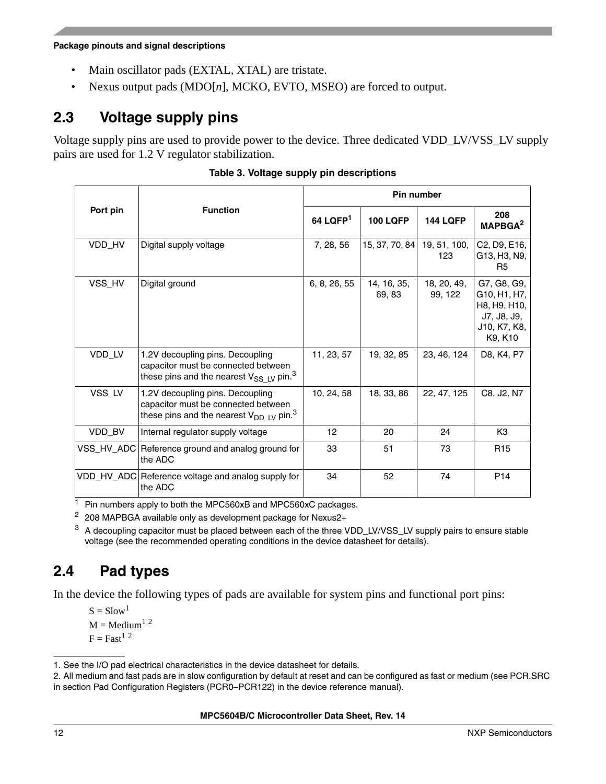**Package pinouts and signal descriptions**

- Main oscillator pads (EXTAL, XTAL) are tristate.
- Nexus output pads (MDO[*n*], MCKO, EVTO, MSEO) are forced to output.

### <span id="page-11-0"></span>**2.3 Voltage supply pins**

Voltage supply pins are used to provide power to the device. Three dedicated VDD\_LV/VSS\_LV supply pairs are used for 1.2 V regulator stabilization.

|            |                                                                                                                                      |              |                       | <b>Pin number</b>      |                                                                                       |
|------------|--------------------------------------------------------------------------------------------------------------------------------------|--------------|-----------------------|------------------------|---------------------------------------------------------------------------------------|
| Port pin   | <b>Function</b>                                                                                                                      | 64 LQFP $1$  | <b>100 LQFP</b>       | <b>144 LQFP</b>        | 208<br>MAPBGA <sup>2</sup>                                                            |
| VDD_HV     | Digital supply voltage                                                                                                               | 7, 28, 56    | 15, 37, 70, 84        | 19, 51, 100,<br>123    | C2, D9, E16,<br>G13, H3, N9,<br>R5                                                    |
| VSS_HV     | Digital ground                                                                                                                       | 6, 8, 26, 55 | 14, 16, 35,<br>69, 83 | 18, 20, 49,<br>99, 122 | G7, G8, G9,<br>G10, H1, H7,<br>H8, H9, H10,<br>J7, J8, J9,<br>J10, K7, K8,<br>K9, K10 |
| VDD_LV     | 1.2V decoupling pins. Decoupling<br>capacitor must be connected between<br>these pins and the nearest $V_{SS LV}$ pin. <sup>3</sup>  | 11, 23, 57   | 19, 32, 85            | 23, 46, 124            | D8, K4, P7                                                                            |
| VSS_LV     | 1.2V decoupling pins. Decoupling<br>capacitor must be connected between<br>these pins and the nearest $V_{DD\_LV}$ pin. <sup>3</sup> | 10, 24, 58   | 18, 33, 86            | 22, 47, 125            | C8, J2, N7                                                                            |
| VDD_BV     | Internal regulator supply voltage                                                                                                    | 12           | 20                    | 24                     | K <sub>3</sub>                                                                        |
| VSS HV ADC | Reference ground and analog ground for<br>the ADC                                                                                    | 33           | 51                    | 73                     | R <sub>15</sub>                                                                       |
|            | VDD_HV_ADC Reference voltage and analog supply for<br>the ADC                                                                        | 34           | 52                    | 74                     | P <sub>14</sub>                                                                       |

|  |  |  |  | Table 3. Voltage supply pin descriptions |
|--|--|--|--|------------------------------------------|
|--|--|--|--|------------------------------------------|

<sup>1</sup> Pin numbers apply to both the MPC560xB and MPC560xC packages.

 $2$  208 MAPBGA available only as development package for Nexus2+

<span id="page-11-2"></span><sup>3</sup> A decoupling capacitor must be placed between each of the three VDD\_LV/VSS\_LV supply pairs to ensure stable voltage (see the recommended operating conditions in the device datasheet for details).

## <span id="page-11-1"></span>**2.4 Pad types**

In the device the following types of pads are available for system pins and functional port pins:

 $S = Slow<sup>1</sup>$  $M = \text{Median}^{1,2}$  $M = \text{Median}^{1,2}$  $M = \text{Median}^{1,2}$  $F = Fast<sup>1</sup>$  $F = Fast<sup>1</sup>$  $F = Fast<sup>1</sup>$ <sup>[2](#page-11-4)</sup>

<span id="page-11-3"></span><sup>1.</sup> See the I/O pad electrical characteristics in the device datasheet for details.

<span id="page-11-4"></span><sup>2.</sup> All medium and fast pads are in slow configuration by default at reset and can be configured as fast or medium (see PCR.SRC in section Pad Configuration Registers (PCR0–PCR122) in the device reference manual).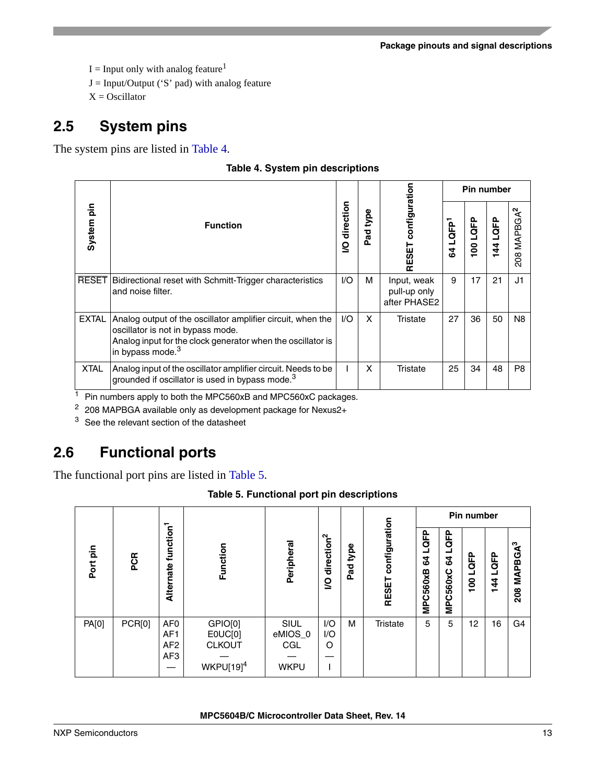$I =$  Input only with analog feature<sup>[1](#page-11-3)</sup>

- $J = Input/Output$  ('S' pad) with analog feature
- $X = Oscillator$

### **2.5 System pins**

<span id="page-12-1"></span>The system pins are listed in [Table 4](#page-12-1).

| Table 4. System pin descriptions |  |  |
|----------------------------------|--|--|
|                                  |  |  |

|              |                                                                                                                                                                                                 |                |                          |                                             |                      | <b>Pin number</b> |                       |                 |
|--------------|-------------------------------------------------------------------------------------------------------------------------------------------------------------------------------------------------|----------------|--------------------------|---------------------------------------------|----------------------|-------------------|-----------------------|-----------------|
| System pin   | <b>Function</b>                                                                                                                                                                                 | direction<br>ğ | type<br>Pad <sup>-</sup> | configuration<br>1≣Sar                      | 64 LQFP <sup>1</sup> | LQFP<br>100       | LQFP<br>$\frac{4}{3}$ | ີ<br>208 MAPBGA |
|              | <b>RESET</b> Bidirectional reset with Schmitt-Trigger characteristics<br>and noise filter.                                                                                                      | 1/O            | м                        | Input, weak<br>pull-up only<br>after PHASE2 | 9                    | 17                | 21                    | J1              |
| <b>EXTAL</b> | Analog output of the oscillator amplifier circuit, when the<br>oscillator is not in bypass mode.<br>Analog input for the clock generator when the oscillator is<br>in bypass mode. <sup>3</sup> | 1/O            | X                        | Tristate                                    | 27                   | 36                | 50                    | N <sub>8</sub>  |
| <b>XTAL</b>  | Analog input of the oscillator amplifier circuit. Needs to be<br>grounded if oscillator is used in bypass mode. <sup>3</sup>                                                                    |                | x                        | Tristate                                    | 25                   | 34                | 48                    | P <sub>8</sub>  |

<sup>1</sup> Pin numbers apply to both the MPC560xB and MPC560xC packages.

<sup>2</sup> 208 MAPBGA available only as development package for Nexus2+

<span id="page-12-2"></span><sup>3</sup> See the relevant section of the datasheet

## <span id="page-12-0"></span>**2.6 Functional ports**

<span id="page-12-3"></span>The functional port pins are listed in [Table 5](#page-12-3).

|             |               |                                                              |                                                       |                                       |                             |             |                               |                        |                                     | Pin number        |             |                                  |
|-------------|---------------|--------------------------------------------------------------|-------------------------------------------------------|---------------------------------------|-----------------------------|-------------|-------------------------------|------------------------|-------------------------------------|-------------------|-------------|----------------------------------|
| pin<br>Port | <b>PCR</b>    | function <sup>1</sup><br>Alternate                           | Function                                              | Peripheral                            | direction <sup>2</sup><br>S | type<br>Pad | configuration<br><b>RESET</b> | LQFP<br>54<br>MPC560xB | QFP<br>3<br>560xC<br><b>DO</b><br>N | <b>GEP</b><br>100 | LQFP<br>144 | <b>MAPBGA<sup>3</sup></b><br>208 |
| PA[0]       | <b>PCR[0]</b> | AF <sub>0</sub><br>AF <sub>1</sub><br>AF <sub>2</sub><br>AF3 | GPIO[0]<br>E0UC[0]<br><b>CLKOUT</b><br>$WKPU[19]^{4}$ | SIUL<br>eMIOS_0<br>CGL<br><b>WKPU</b> | I/O<br>I/O<br>O             | м           | <b>Tristate</b>               | 5                      | 5                                   | 12                | 16          | G4                               |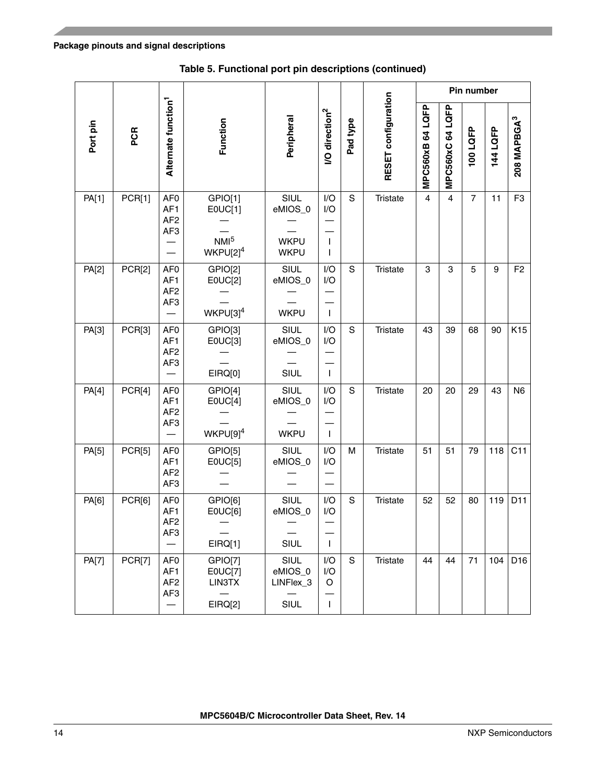|              |        |                                                                          |                                                      |                                               |                                            |             |                     |                  |                | Pin number     |          |                         |
|--------------|--------|--------------------------------------------------------------------------|------------------------------------------------------|-----------------------------------------------|--------------------------------------------|-------------|---------------------|------------------|----------------|----------------|----------|-------------------------|
| Port pin     | PCR    | Alternate function <sup>1</sup>                                          | Function                                             | Peripheral                                    | <b>/O</b> direction <sup>2</sup>           | Pad type    | RESET configuration | MPC560xB 64 LQFP | MPC560xC64LQFP | 100 LQFP       | 144 LQFP | 208 MAPBGA <sup>3</sup> |
| PA[1]        | PCR[1] | AF <sub>0</sub><br>AF <sub>1</sub><br>AF <sub>2</sub><br>AF <sub>3</sub> | GPIO[1]<br>E0UC[1]<br>NM <sup>5</sup><br>$WKPU[2]^4$ | SIUL<br>eMIOS_0<br><b>WKPU</b><br><b>WKPU</b> | I/O<br>I/O<br>$\mathbf{I}$<br>$\mathbf{I}$ | S           | <b>Tristate</b>     | $\overline{4}$   | $\overline{4}$ | $\overline{7}$ | 11       | F <sub>3</sub>          |
| PA[2]        | PCR[2] | AF <sub>0</sub><br>AF1<br>AF <sub>2</sub><br>AF3                         | GPIO[2]<br>E0UC[2]<br>$WKPU[3]^{4}$                  | SIUL<br>eMIOS_0<br><b>WKPU</b>                | I/O<br>I/O<br>$\mathbf{I}$                 | S           | <b>Tristate</b>     | 3                | 3              | 5              | 9        | F <sub>2</sub>          |
| PA[3]        | PCR[3] | AF <sub>0</sub><br>AF1<br>AF <sub>2</sub><br>AF <sub>3</sub>             | GPIO[3]<br>E0UC[3]<br>EIRQ[0]                        | SIUL<br>eMIOS_0<br>SIUL                       | I/O<br>I/O<br>$\mathbf{I}$                 | $\mathbf S$ | Tristate            | 43               | 39             | 68             | 90       | K <sub>15</sub>         |
| PA[4]        | PCR[4] | AF <sub>0</sub><br>AF1<br>AF <sub>2</sub><br>AF <sub>3</sub>             | GPIO[4]<br>EOUC[4]<br>$WKPU[9]^{4}$                  | SIUL<br>eMIOS_0<br><b>WKPU</b>                | I/O<br>I/O<br>$\mathbf{I}$                 | S           | <b>Tristate</b>     | 20               | 20             | 29             | 43       | N <sub>6</sub>          |
| PA[5]        | PCR[5] | AF <sub>0</sub><br>AF1<br>AF <sub>2</sub><br>AF <sub>3</sub>             | GPIO[5]<br>E0UC[5]                                   | SIUL<br>eMIOS_0                               | I/O<br>I/O<br>$\qquad \qquad$              | M           | Tristate            | 51               | 51             | 79             | 118      | C11                     |
| PA[6]        | PCR[6] | AF <sub>0</sub><br>AF1<br>AF <sub>2</sub><br>AF3                         | GPIO[6]<br>E0UC[6]<br>EIRQ[1]                        | SIUL<br>eMIOS_0<br>SIUL                       | I/O<br>I/O<br>$\mathbf{I}$                 | S           | <b>Tristate</b>     | 52               | 52             | 80             | 119      | D11                     |
| <b>PA[7]</b> | PCR[7] | AF <sub>0</sub><br>AF1<br>AF <sub>2</sub><br>AF3                         | GPIO[7]<br>E0UC[7]<br>LIN3TX<br>EIRQ[2]              | SIUL<br>eMIOS_0<br>LINFlex_3<br>SIUL          | I/O<br>I/O<br>O<br>$\mathbf{I}$            | $\mathbf S$ | Tristate            | 44               | 44             | 71             | 104      | D <sub>16</sub>         |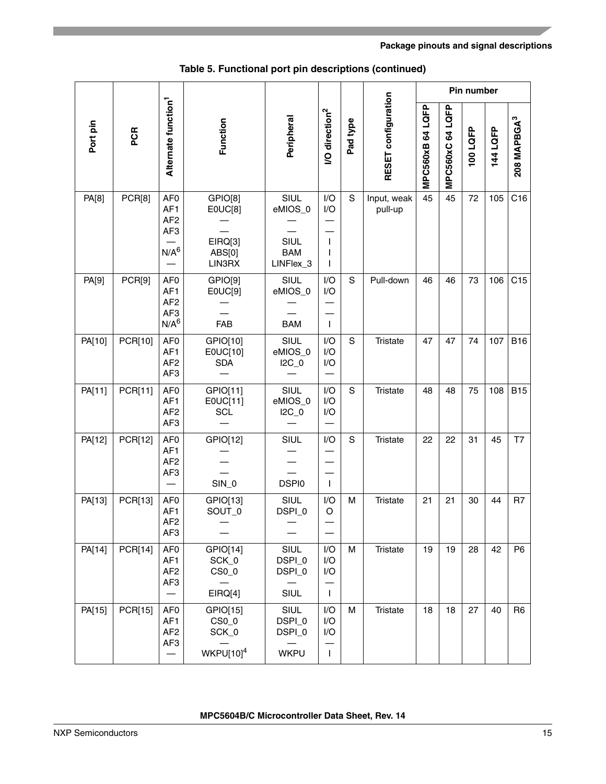|          |                |                                                                                              |                                                        |                                                    |                                       |          |                        |                  |                | Pin number |          |                         |
|----------|----------------|----------------------------------------------------------------------------------------------|--------------------------------------------------------|----------------------------------------------------|---------------------------------------|----------|------------------------|------------------|----------------|------------|----------|-------------------------|
| Port pin | PCR            | Alternate function <sup>1</sup>                                                              | Function                                               | Peripheral                                         | <b>/O</b> direction <sup>2</sup>      | Pad type | RESET configuration    | MPC560xB 64 LQFP | MPC560xC64LQFP | 100 LQFP   | 144 LQFP | 208 MAPBGA <sup>3</sup> |
| PA[8]    | PCR[8]         | AF <sub>0</sub><br>AF1<br>AF <sub>2</sub><br>AF <sub>3</sub><br>N/A <sup>6</sup>             | GPIO[8]<br>E0UC[8]<br>EIRQ[3]<br>ABS[0]<br>LIN3RX      | SIUL<br>eMIOS_0<br>SIUL<br><b>BAM</b><br>LINFlex_3 | I/O<br>I/O<br>$\mathbf{I}$<br>I<br>I. | S        | Input, weak<br>pull-up | 45               | 45             | 72         | 105      | C16                     |
| PA[9]    | PCR[9]         | AF <sub>0</sub><br>AF <sub>1</sub><br>AF <sub>2</sub><br>AF <sub>3</sub><br>N/A <sup>6</sup> | GPIO[9]<br>E0UC[9]<br><b>FAB</b>                       | SIUL<br>eMIOS_0<br><b>BAM</b>                      | I/O<br>I/O<br>T                       | S        | Pull-down              | 46               | 46             | 73         | 106      | C15                     |
| PA[10]   | PCR[10]        | AF <sub>0</sub><br>AF1<br>AF <sub>2</sub><br>AF <sub>3</sub>                                 | GPIO[10]<br>E0UC[10]<br><b>SDA</b>                     | SIUL<br>eMIOS_0<br>$IC_0$                          | I/O<br>I/O<br>I/O                     | S        | <b>Tristate</b>        | 47               | 47             | 74         | 107      | <b>B16</b>              |
| PA[11]   | PCR[11]        | AF <sub>0</sub><br>AF1<br>AF <sub>2</sub><br>AF3                                             | GPIO[11]<br>E0UC[11]<br><b>SCL</b>                     | SIUL<br>eMIOS_0<br>$IC_0$                          | I/O<br>I/O<br>I/O                     | S        | <b>Tristate</b>        | 48               | 48             | 75         | 108      | <b>B15</b>              |
| PA[12]   | PCR[12]        | AF <sub>0</sub><br>AF1<br>AF <sub>2</sub><br>AF <sub>3</sub>                                 | GPIO[12]<br>$SIN_0$                                    | SIUL<br><b>DSPI0</b>                               | I/O<br>$\mathbf{I}$                   | S        | <b>Tristate</b>        | 22               | 22             | 31         | 45       | T7                      |
| PA[13]   | PCR[13]        | AF <sub>0</sub><br>AF <sub>1</sub><br>AF <sub>2</sub><br>AF3                                 | GPIO[13]<br>SOUT_0                                     | SIUL<br>DSPI_0                                     | I/O<br>O                              | м        | <b>Tristate</b>        | 21               | 21             | 30         | 44       | R7                      |
| PA[14]   | <b>PCR[14]</b> | AF <sub>0</sub><br>AF1<br>AF <sub>2</sub><br>AF3                                             | GPIO[14]<br>SCK_0<br>$CSO_0$<br>EIRQ[4]                | SIUL<br>DSPI_0<br>DSPI_0<br>SIUL                   | I/O<br>I/O<br>I/O<br>$\mathbf{I}$     | M        | <b>Tristate</b>        | 19               | 19             | 28         | 42       | P <sub>6</sub>          |
| PA[15]   | PCR[15]        | AF <sub>0</sub><br>AF1<br>AF <sub>2</sub><br>AF <sub>3</sub>                                 | GPIO[15]<br>CS <sub>0</sub><br>SCK_0<br>$WKPU[10]^{4}$ | SIUL<br>DSPI_0<br>DSPI_0<br><b>WKPU</b>            | I/O<br>I/O<br>I/O<br>$\mathbf{I}$     | М        | <b>Tristate</b>        | 18               | 18             | 27         | 40       | R <sub>6</sub>          |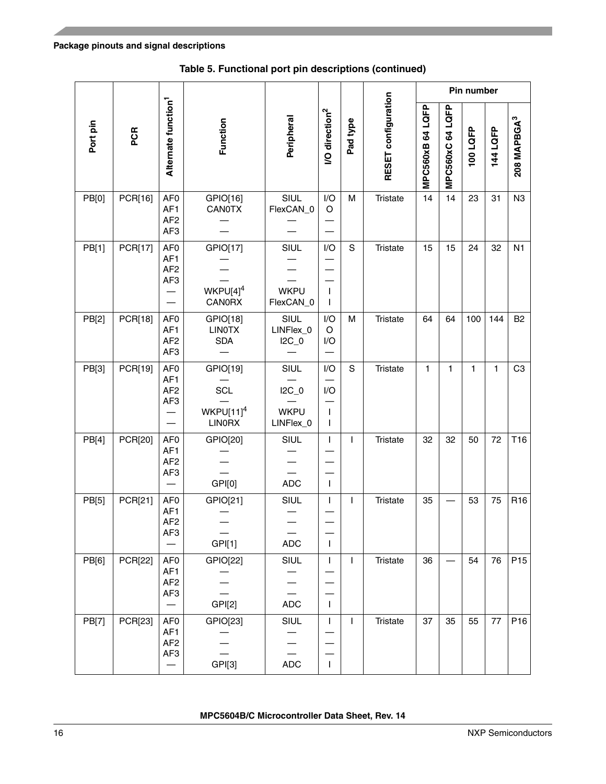J.

i<br>S

|          |                |                                                                              |                                                           |                                            |                                            |              |                     |                  |                  | Pin number |              |                         |
|----------|----------------|------------------------------------------------------------------------------|-----------------------------------------------------------|--------------------------------------------|--------------------------------------------|--------------|---------------------|------------------|------------------|------------|--------------|-------------------------|
| Port pin | PCR            | Alternate function <sup>1</sup>                                              | Function                                                  | Peripheral                                 | <b>VO</b> direction <sup>2</sup>           | Pad type     | RESET configuration | MPC560xB 64 LQFP | MPC560xC 64 LQFP | 100LQFP    | 144 LQFP     | 208 MAPBGA <sup>3</sup> |
| PB[0]    | PCR[16]        | AF <sub>0</sub><br>AF1<br>AF <sub>2</sub><br>AF <sub>3</sub>                 | GPIO[16]<br>CANOTX                                        | SIUL<br>FlexCAN_0                          | I/O<br>O                                   | M            | Tristate            | 14               | 14               | 23         | 31           | N <sub>3</sub>          |
| PB[1]    | PCR[17]        | AF <sub>0</sub><br>AF1<br>AF <sub>2</sub><br>AF3                             | GPIO[17]<br>WKPU[4] <sup>4</sup><br><b>CANORX</b>         | SIUL<br><b>WKPU</b><br>FlexCAN_0           | I/O<br>$\mathbf{I}$<br>$\mathbf{I}$        | S            | Tristate            | 15               | 15               | 24         | 32           | N <sub>1</sub>          |
| PB[2]    | PCR[18]        | AF <sub>0</sub><br>AF <sub>1</sub><br>AF <sub>2</sub><br>AF3                 | GPIO[18]<br><b>LINOTX</b><br><b>SDA</b>                   | SIUL<br>LINFlex_0<br>$IC_0$                | I/O<br>O<br>I/O                            | M            | Tristate            | 64               | 64               | 100        | 144          | B <sub>2</sub>          |
| PB[3]    | PCR[19]        | AF <sub>0</sub><br>AF1<br>AF <sub>2</sub><br>AF <sub>3</sub>                 | GPIO[19]<br><b>SCL</b><br>$WKPU[11]^{4}$<br><b>LINORX</b> | SIUL<br>$IC_0$<br><b>WKPU</b><br>LINFlex_0 | I/O<br>I/O<br>$\mathbf{I}$<br>$\mathbf{I}$ | $\mathbf S$  | <b>Tristate</b>     | 1                | $\mathbf{1}$     | 1          | $\mathbf{1}$ | C <sub>3</sub>          |
| PB[4]    | PCR[20]        | AF <sub>0</sub><br>AF1<br>AF <sub>2</sub><br>AF <sub>3</sub>                 | GPIO[20]<br>GPI[0]                                        | SIUL<br><b>ADC</b>                         | $\mathbf{I}$<br>$\mathbf{I}$               | T            | Tristate            | 32               | 32               | 50         | 72           | T16                     |
| PB[5]    | PCR[21]        | AF <sub>0</sub><br>AF1<br>AF <sub>2</sub><br>AF3                             | GPIO[21]<br>GP[1]                                         | SIUL<br><b>ADC</b>                         | $\mathbf{I}$<br>$\mathbf{I}$               | I            | Tristate            | 35               |                  | 53         | 75           | R <sub>16</sub>         |
| PB[6]    | <b>PCR[22]</b> | AF <sub>0</sub><br>AF1<br>AF <sub>2</sub><br>AF3                             | GPIO[22]<br>GP <sub>[2]</sub>                             | SIUL<br><b>ADC</b>                         | $\mathbf{I}$<br>$\mathbf{I}$               | $\mathsf{I}$ | <b>Tristate</b>     | 36               |                  | 54         | 76           | P <sub>15</sub>         |
| PB[7]    | PCR[23]        | AF <sub>0</sub><br>AF1<br>AF <sub>2</sub><br>AF3<br>$\overline{\phantom{0}}$ | GPIO[23]<br>GP[3]                                         | SIUL<br><b>ADC</b>                         | $\mathbf{I}$<br>$\mathbf{I}$               | T            | <b>Tristate</b>     | 37               | 35               | 55         | 77           | P16                     |

### **Table 5. Functional port pin descriptions (continued)**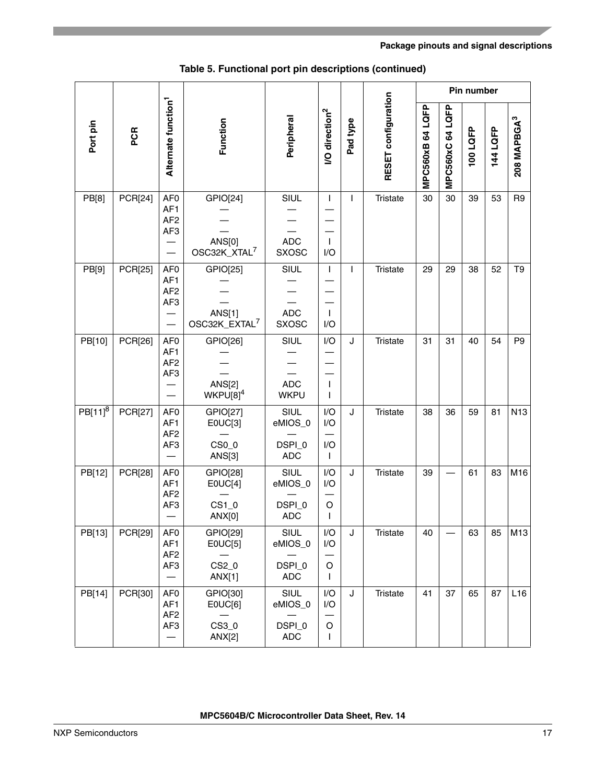|              |                |                                                                          |                                                         |                                         |                                     |          |                     |                  |                  | Pin number |          |                               |
|--------------|----------------|--------------------------------------------------------------------------|---------------------------------------------------------|-----------------------------------------|-------------------------------------|----------|---------------------|------------------|------------------|------------|----------|-------------------------------|
| Port pin     | PCR            | Alternate function <sup>1</sup>                                          | Function                                                | Peripheral                              | I/O direction <sup>2</sup>          | Pad type | RESET configuration | MPC560xB 64 LQFP | MPC560xC 64 LQFP | 100LQFP    | 144 LQFP | <b>208 MAPBGA<sup>3</sup></b> |
| PB[8]        | <b>PCR[24]</b> | AF <sub>0</sub><br>AF1<br>AF <sub>2</sub><br>AF <sub>3</sub>             | GPIO[24]<br><b>ANS[0]</b><br>OSC32K_XTAL <sup>7</sup>   | SIUL<br><b>ADC</b><br><b>SXOSC</b>      | $\mathbf{I}$<br>$\mathbf{I}$<br>I/O | T        | Tristate            | 30               | 30               | 39         | 53       | R <sub>9</sub>                |
| PB[9]        | <b>PCR[25]</b> | AF <sub>0</sub><br>AF1<br>AF <sub>2</sub><br>AF <sub>3</sub>             | GPIO[25]<br><b>ANS[1]</b><br>OSC32K_EXTAL <sup>7</sup>  | SIUL<br><b>ADC</b><br><b>SXOSC</b>      | $\mathbf{I}$<br>$\mathbf{I}$<br>I/O | T        | Tristate            | 29               | 29               | 38         | 52       | T <sub>9</sub>                |
| PB[10]       | PCR[26]        | AF <sub>0</sub><br>AF1<br>AF <sub>2</sub><br>AF <sub>3</sub>             | GPIO[26]<br><b>ANS[2]</b><br>$WKPU[8]^4$                | SIUL<br><b>ADC</b><br><b>WKPU</b>       | I/O<br>$\mathbf{I}$<br>$\mathbf{I}$ | J        | Tristate            | 31               | 31               | 40         | 54       | P <sub>9</sub>                |
| $PB[11]^{8}$ | <b>PCR[27]</b> | AF <sub>0</sub><br>AF1<br>AF <sub>2</sub><br>AF <sub>3</sub>             | GPIO[27]<br>E0UC[3]<br>CS <sub>0</sub><br><b>ANS[3]</b> | SIUL<br>eMIOS_0<br>DSPI_0<br><b>ADC</b> | I/O<br>I/O<br>I/O<br>$\mathbf{I}$   | J        | Tristate            | 38               | 36               | 59         | 81       | N <sub>13</sub>               |
| PB[12]       | <b>PCR[28]</b> | AF <sub>0</sub><br>AF <sub>1</sub><br>AF <sub>2</sub><br>AF3             | GPIO[28]<br>EOUC[4]<br>$CS1_0$<br>ANX[0]                | SIUL<br>eMIOS_0<br>DSPI_0<br><b>ADC</b> | I/O<br>I/O<br>O<br>Ι.               | J        | Tristate            | 39               |                  | 61         | 83       | M16                           |
| PB[13]       | PCR[29]        | AF <sub>0</sub><br>AF <sub>1</sub><br>AF <sub>2</sub><br>AF3             | GPIO[29]<br>E0UC[5]<br>CS2_0<br>ANX[1]                  | SIUL<br>eMIOS_0<br>DSPI_0<br><b>ADC</b> | I/O<br>I/O<br>O<br>T                | J        | Tristate            | 40               |                  | 63         | 85       | M13                           |
| PB[14]       | PCR[30]        | AF <sub>0</sub><br>AF <sub>1</sub><br>AF <sub>2</sub><br>AF <sub>3</sub> | GPIO[30]<br>E0UC[6]<br>CS3_0<br>ANX[2]                  | SIUL<br>eMIOS_0<br>DSPI_0<br><b>ADC</b> | I/O<br>I/O<br>O<br>I.               | J        | <b>Tristate</b>     | 41               | 37               | 65         | 87       | L16                           |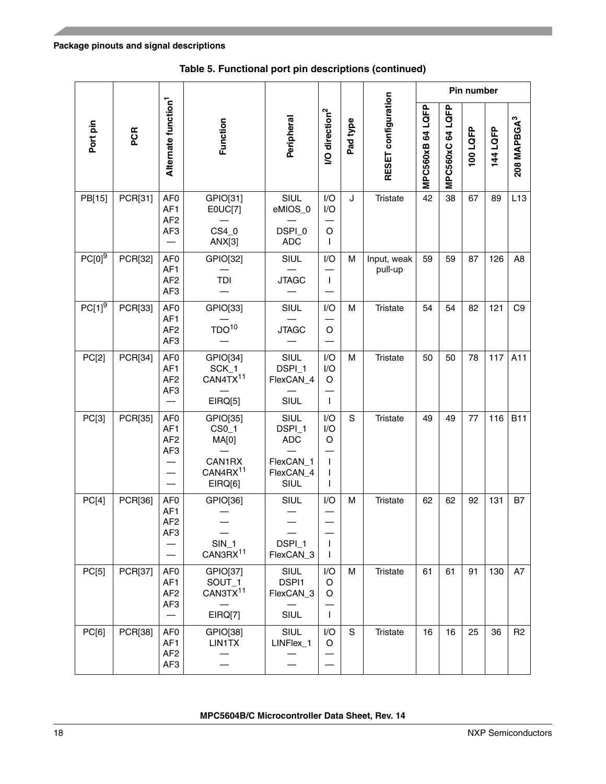|                      |         |                                                                          |                                                                                     |                                                                |                                                      |          |                        |                  |                           | Pin number |          |                         |
|----------------------|---------|--------------------------------------------------------------------------|-------------------------------------------------------------------------------------|----------------------------------------------------------------|------------------------------------------------------|----------|------------------------|------------------|---------------------------|------------|----------|-------------------------|
| Port pin             | PCR     | Alternate function <sup>1</sup>                                          | Function                                                                            | Peripheral                                                     | <b>VO</b> direction <sup>2</sup>                     | Pad type | RESET configuration    | MPC560xB 64 LQFP | <b>LQFP</b><br>MPC560xC64 | 100 LQFP   | 144 LQFP | 208 MAPBGA <sup>3</sup> |
| PB[15]               | PCR[31] | AF <sub>0</sub><br>AF <sub>1</sub><br>AF <sub>2</sub><br>AF <sub>3</sub> | GPIO[31]<br>E0UC[7]<br>CS4_0<br>ANX[3]                                              | SIUL<br>eMIOS_0<br>DSPI_0<br><b>ADC</b>                        | I/O<br>I/O<br>O<br>L                                 | J        | <b>Tristate</b>        | 42               | 38                        | 67         | 89       | L13                     |
| $PC[0]$ <sup>9</sup> | PCR[32] | AF <sub>0</sub><br>AF1<br>AF <sub>2</sub><br>AF <sub>3</sub>             | GPIO[32]<br>TDI                                                                     | SIUL<br><b>JTAGC</b>                                           | I/O<br>$\mathbf{I}$                                  | м        | Input, weak<br>pull-up | 59               | 59                        | 87         | 126      | A <sub>8</sub>          |
| $PC[1]$ <sup>9</sup> | PCR[33] | AF <sub>0</sub><br>AF1<br>AF <sub>2</sub><br>AF <sub>3</sub>             | GPIO[33]<br>TDO <sup>10</sup>                                                       | SIUL<br><b>JTAGC</b>                                           | I/O<br>O                                             | M        | Tristate               | 54               | 54                        | 82         | 121      | C <sub>9</sub>          |
| PC[2]                | PCR[34] | AF <sub>0</sub><br>AF <sub>1</sub><br>AF <sub>2</sub><br>AF <sub>3</sub> | GPIO[34]<br>SCK_1<br>CAN4TX <sup>11</sup><br>EIRQ[5]                                | SIUL<br>DSPI_1<br>FlexCAN_4<br>SIUL                            | I/O<br>I/O<br>O<br>$\mathbf{I}$                      | M        | <b>Tristate</b>        | 50               | 50                        | 78         | 117      | A11                     |
| PC[3]                | PCR[35] | AF <sub>0</sub><br>AF <sub>1</sub><br>AF <sub>2</sub><br>AF <sub>3</sub> | GPIO[35]<br>CS <sub>0</sub> 1<br>MA[0]<br>CAN1RX<br>CAN4RX <sup>11</sup><br>EIRQ[6] | SIUL<br>DSPI_1<br><b>ADC</b><br>FlexCAN_1<br>FlexCAN_4<br>SIUL | I/O<br>I/O<br>O<br>$\mathbf{I}$<br>ı<br><sup>1</sup> | S        | Tristate               | 49               | 49                        | 77         | 116      | <b>B11</b>              |
| PC[4]                | PCR[36] | AF <sub>0</sub><br>AF <sub>1</sub><br>AF <sub>2</sub><br>AF3             | GPIO[36]<br>$SIN_1$<br>CAN3RX <sup>11</sup>                                         | SIUL<br>DSPI_1<br>FlexCAN_3                                    | I/O<br>$\mathbf{I}$<br>$\mathbf{I}$                  | м        | <b>Tristate</b>        | 62               | 62                        | 92         | 131      | Β7                      |
| PC[5]                | PCR[37] | AF <sub>0</sub><br>AF1<br>AF <sub>2</sub><br>AF <sub>3</sub>             | GPIO[37]<br>SOUT <sub>1</sub><br>CAN3TX <sup>11</sup><br>EIRQ[7]                    | SIUL<br>DSPI1<br>FlexCAN_3<br>SIUL                             | I/O<br>O<br>O<br>$\mathbf{I}$                        | м        | Tristate               | 61               | 61                        | 91         | 130      | A7                      |
| PC[6]                | PCR[38] | AF <sub>0</sub><br>AF1<br>AF <sub>2</sub><br>AF3                         | GPIO[38]<br>LIN1TX                                                                  | SIUL<br>LINFlex_1                                              | I/O<br>O                                             | S        | Tristate               | 16               | 16                        | 25         | 36       | R <sub>2</sub>          |

**Table 5. Functional port pin descriptions (continued)**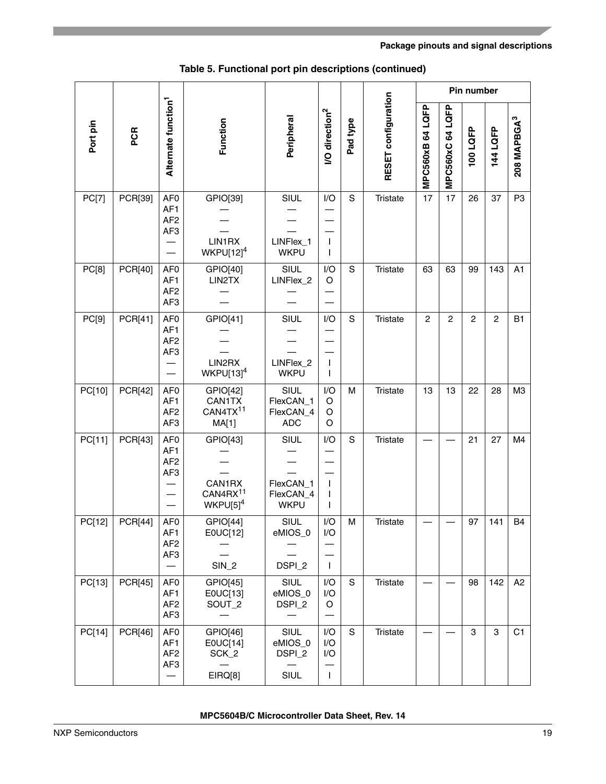|          |                |                                                                                          |                                                           |                                               |                                                       |             |                     |                  |                | Pin number     |                |                         |
|----------|----------------|------------------------------------------------------------------------------------------|-----------------------------------------------------------|-----------------------------------------------|-------------------------------------------------------|-------------|---------------------|------------------|----------------|----------------|----------------|-------------------------|
| Port pin | PCR            | Alternate function <sup>1</sup>                                                          | Function                                                  | Peripheral                                    | <b>VO</b> direction <sup>2</sup>                      | Pad type    | RESET configuration | MPC560xB 64 LQFP | MPC560xC64LQFP | 100LQFP        | 144 LQFP       | 208 MAPBGA <sup>3</sup> |
| PC[7]    | PCR[39]        | AF <sub>0</sub><br>AF1<br>AF <sub>2</sub><br>AF <sub>3</sub>                             | GPIO[39]<br>LIN1RX<br>$WKPU[12]^{4}$                      | <b>SIUL</b><br>LINFlex_1<br><b>WKPU</b>       | I/O<br>$\mathbf{I}$<br>T                              | S           | <b>Tristate</b>     | 17               | 17             | 26             | 37             | P <sub>3</sub>          |
| PC[8]    | PCR[40]        | AF <sub>0</sub><br>AF1<br>AF <sub>2</sub><br>AF <sub>3</sub>                             | GPIO[40]<br>LIN2TX                                        | SIUL<br>LINFlex_2                             | I/O<br>O                                              | S           | <b>Tristate</b>     | 63               | 63             | 99             | 143            | A1                      |
| PC[9]    | PCR[41]        | AF <sub>0</sub><br>AF1<br>AF <sub>2</sub><br>AF <sub>3</sub>                             | GPIO[41]<br>LIN2RX<br>$WKPU[13]^{4}$                      | <b>SIUL</b><br>LINFlex_2<br><b>WKPU</b>       | I/O<br>T<br>T                                         | S           | <b>Tristate</b>     | 2                | $\overline{c}$ | $\overline{c}$ | $\overline{c}$ | <b>B1</b>               |
| PC[10]   | PCR[42]        | AF <sub>0</sub><br>AF1<br>AF <sub>2</sub><br>AF <sub>3</sub>                             | GPIO[42]<br>CAN1TX<br>CAN4TX <sup>11</sup><br>MA[1]       | SIUL<br>FlexCAN_1<br>FlexCAN_4<br><b>ADC</b>  | I/O<br>O<br>O<br>O                                    | M           | <b>Tristate</b>     | 13               | 13             | 22             | 28             | ΜЗ                      |
| PC[11]   | PCR[43]        | AF <sub>0</sub><br>AF1<br>AF <sub>2</sub><br>AF <sub>3</sub>                             | GPIO[43]<br>CAN1RX<br>CAN4RX <sup>11</sup><br>$WKPU[5]^4$ | SIUL<br>FlexCAN_1<br>FlexCAN_4<br><b>WKPU</b> | I/O<br>$\mathbf{I}$<br>T<br>T                         | S           | <b>Tristate</b>     |                  |                | 21             | 27             | M4                      |
| PC[12]   | <b>PCR[44]</b> | AF <sub>0</sub><br>AF1<br>AF <sub>2</sub><br>AF <sub>3</sub>                             | GPIO[44]<br>E0UC[12]<br>$SIN_2$                           | SIUL<br>eMIOS_0<br>DSPI_2                     | I/O<br>I/O<br>$\mathbf{L}$                            | M           | Tristate            |                  |                | 97             | 141            | B4                      |
| PC[13]   | PCR[45]        | AF <sub>0</sub><br>AF1<br>AF <sub>2</sub><br>AF <sub>3</sub>                             | GPIO[45]<br>E0UC[13]<br>SOUT_2                            | SIUL<br>eMIOS_0<br>DSPI_2                     | $\mathsf{I}/\mathsf{O}$<br>I/O<br>$\circ$             | $\mathbf S$ | <b>Tristate</b>     |                  |                | 98             | 142            | A <sub>2</sub>          |
| PC[14]   | PCR[46]        | AF <sub>0</sub><br>AF1<br>AF <sub>2</sub><br>AF <sub>3</sub><br>$\overline{\phantom{0}}$ | GPIO[46]<br>E0UC[14]<br>SCK_2<br>EIRQ[8]                  | SIUL<br>eMIOS_0<br>DSPI_2<br>SIUL             | $\mathsf{I}/\mathsf{O}$<br>I/O<br>I/O<br>$\mathbf{I}$ | $\mathbf S$ | Tristate            |                  |                | 3              | 3              | C1                      |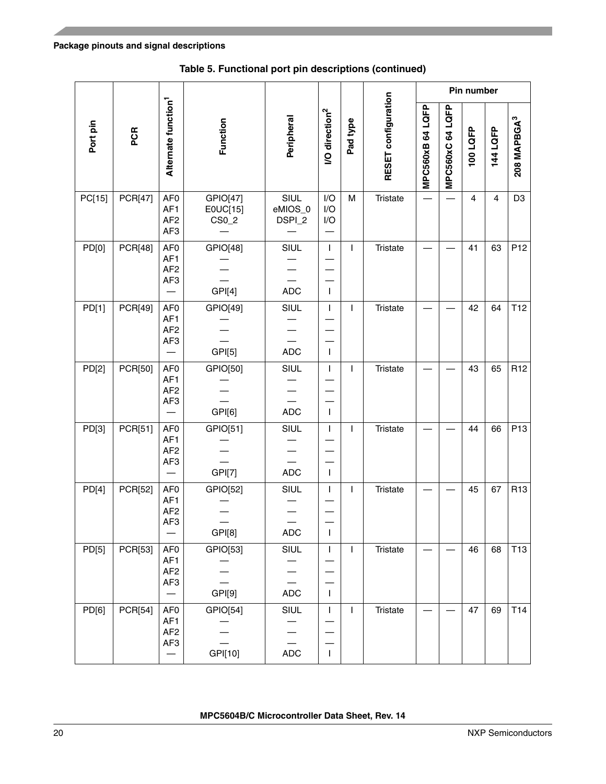|          |                |                                                                          |                                           |                           |                                  |              |                     |                  |                | Pin number |          |                         |
|----------|----------------|--------------------------------------------------------------------------|-------------------------------------------|---------------------------|----------------------------------|--------------|---------------------|------------------|----------------|------------|----------|-------------------------|
| Port pin | PCR            | Alternate function <sup>1</sup>                                          | Function                                  | Peripheral                | <b>/O</b> direction <sup>2</sup> | Pad type     | RESET configuration | MPC560xB 64 LQFP | MPC560xC64LQFP | 100 LQFP   | 144 LQFP | 208 MAPBGA <sup>3</sup> |
| PC[15]   | <b>PCR[47]</b> | AF <sub>0</sub><br>AF1<br>AF <sub>2</sub><br>AF <sub>3</sub>             | GPIO[47]<br>E0UC[15]<br>CS <sub>0</sub> 2 | SIUL<br>eMIOS_0<br>DSPI_2 | I/O<br>I/O<br>I/O                | M            | <b>Tristate</b>     |                  |                | 4          | 4        | D <sub>3</sub>          |
| PD[0]    | <b>PCR[48]</b> | AF <sub>0</sub><br>AF1<br>AF <sub>2</sub><br>AF <sub>3</sub>             | GPIO[48]<br>GPI[4]                        | <b>SIUL</b><br><b>ADC</b> | $\mathsf I$<br>$\mathbf{I}$      | T            | Tristate            |                  |                | 41         | 63       | P <sub>12</sub>         |
| PD[1]    | PCR[49]        | AF <sub>0</sub><br>AF1<br>AF <sub>2</sub><br>AF <sub>3</sub>             | GPIO[49]<br>GPI[5]                        | <b>SIUL</b><br><b>ADC</b> | T<br>$\mathbf{I}$                | T            | <b>Tristate</b>     |                  |                | 42         | 64       | T <sub>12</sub>         |
| PD[2]    | PCR[50]        | AF <sub>0</sub><br>AF1<br>AF <sub>2</sub><br>AF <sub>3</sub>             | GPIO[50]<br>GPI[6]                        | SIUL<br><b>ADC</b>        | $\mathbf{I}$<br>$\mathbf{I}$     | T            | <b>Tristate</b>     |                  |                | 43         | 65       | R <sub>12</sub>         |
| PD[3]    | PCR[51]        | AF <sub>0</sub><br>AF1<br>AF <sub>2</sub><br>AF <sub>3</sub>             | GPIO[51]<br><b>GPI[7]</b>                 | <b>SIUL</b><br><b>ADC</b> | T<br>$\mathbf{I}$                | T            | <b>Tristate</b>     |                  |                | 44         | 66       | P <sub>13</sub>         |
| PD[4]    | PCR[52]        | AF <sub>0</sub><br>AF <sub>1</sub><br>AF <sub>2</sub><br>AF <sub>3</sub> | GPIO[52]<br>GPI[8]                        | SIUL<br><b>ADC</b>        | T<br>T                           | T            | Tristate            |                  |                | 45         | 67       | R <sub>13</sub>         |
| PD[5]    | PCR[53]        | AF <sub>0</sub><br>AF1<br>AF <sub>2</sub><br>AF3                         | GPIO[53]<br>GPI[9]                        | <b>SIUL</b><br><b>ADC</b> | T<br>$\mathbf{I}$                | T            | Tristate            |                  |                | 46         | 68       | <b>T13</b>              |
| PD[6]    | <b>PCR[54]</b> | AF <sub>0</sub><br>AF1<br>AF <sub>2</sub><br>AF <sub>3</sub>             | GPIO[54]<br>GPI[10]                       | SIUL<br><b>ADC</b>        | $\mathsf I$<br>$\mathbf{I}$      | $\mathbf{I}$ | Tristate            |                  |                | 47         | 69       | T <sub>14</sub>         |

**Table 5. Functional port pin descriptions (continued)**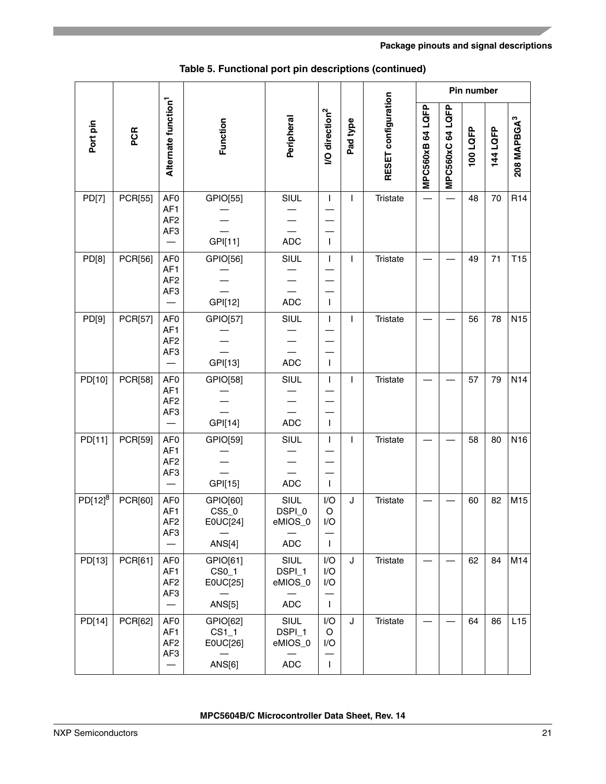|              |                |                                                              |                                                            |                                                |                                                       |          |                     |                  |                | Pin number |          |                         |
|--------------|----------------|--------------------------------------------------------------|------------------------------------------------------------|------------------------------------------------|-------------------------------------------------------|----------|---------------------|------------------|----------------|------------|----------|-------------------------|
| Port pin     | PCR            | Alternate function <sup>1</sup>                              | Function                                                   | Peripheral                                     | <b>/O</b> direction <sup>2</sup>                      | Pad type | RESET configuration | MPC560xB 64 LQFP | MPC560xC64LQFP | 100LQFP    | 144 LQFP | 208 MAPBGA <sup>3</sup> |
| PD[7]        | PCR[55]        | AF <sub>0</sub><br>AF1<br>AF <sub>2</sub><br>AF <sub>3</sub> | GPIO[55]<br>GPI[11]                                        | <b>SIUL</b><br><b>ADC</b>                      | T<br>T                                                | T        | <b>Tristate</b>     |                  |                | 48         | 70       | R <sub>14</sub>         |
| PD[8]        | PCR[56]        | AF <sub>0</sub><br>AF1<br>AF <sub>2</sub><br>AF <sub>3</sub> | GPIO[56]<br>GPI[12]                                        | SIUL<br><b>ADC</b>                             | $\mathbf{I}$<br>T                                     | T        | <b>Tristate</b>     |                  |                | 49         | 71       | T <sub>15</sub>         |
| PD[9]        | PCR[57]        | AF <sub>0</sub><br>AF1<br>AF <sub>2</sub><br>AF <sub>3</sub> | GPIO[57]<br>GPI[13]                                        | <b>SIUL</b><br><b>ADC</b>                      | I<br>T                                                | T        | <b>Tristate</b>     |                  |                | 56         | 78       | <b>N15</b>              |
| PD[10]       | <b>PCR[58]</b> | AF <sub>0</sub><br>AF1<br>AF <sub>2</sub><br>AF <sub>3</sub> | GPIO[58]<br>GPI[14]                                        | <b>SIUL</b><br><b>ADC</b>                      | T<br>$\mathbf{I}$                                     | T        | <b>Tristate</b>     |                  |                | 57         | 79       | N <sub>14</sub>         |
| PD[11]       | PCR[59]        | AF <sub>0</sub><br>AF1<br>AF <sub>2</sub><br>AF <sub>3</sub> | GPIO[59]<br>GPI[15]                                        | SIUL<br><b>ADC</b>                             | $\mathbf{I}$<br>$\mathsf{I}$                          | I.       | <b>Tristate</b>     |                  |                | 58         | 80       | N <sub>16</sub>         |
| $PD[12]^{8}$ | PCR[60]        | AF <sub>0</sub><br>AF1<br>AF <sub>2</sub><br>AF3             | GPIO[60]<br>CS5_0<br>E0UC[24]<br>ANS[4]                    | <b>SIUL</b><br>DSPI_0<br>eMIOS_0<br><b>ADC</b> | I/O<br>O<br>$\mathsf{I}/\mathsf{O}$<br>$\mathbf{I}$   | J        | <b>Tristate</b>     |                  |                | 60         | 82       | M15                     |
| PD[13]       | PCR[61]        | AF <sub>0</sub><br>AF1<br>AF <sub>2</sub><br>AF3             | GPIO[61]<br>CS <sub>0</sub> 1<br>E0UC[25]<br><b>ANS[5]</b> | SIUL<br>DSPI_1<br>eMIOS_0<br><b>ADC</b>        | $\mathsf{I}/\mathsf{O}$<br>I/O<br>I/O<br>$\mathbf{I}$ | J        | <b>Tristate</b>     |                  |                | 62         | 84       | M14                     |
| PD[14]       | <b>PCR[62]</b> | AF <sub>0</sub><br>AF1<br>AF <sub>2</sub><br>AF3             | GPIO[62]<br>$CS1_1$<br>E0UC[26]<br>ANS[6]                  | SIUL<br>DSPI_1<br>eMIOS_0<br><b>ADC</b>        | I/O<br>O<br>I/O<br>$\mathbf{I}$                       | J        | Tristate            |                  |                | 64         | 86       | L15                     |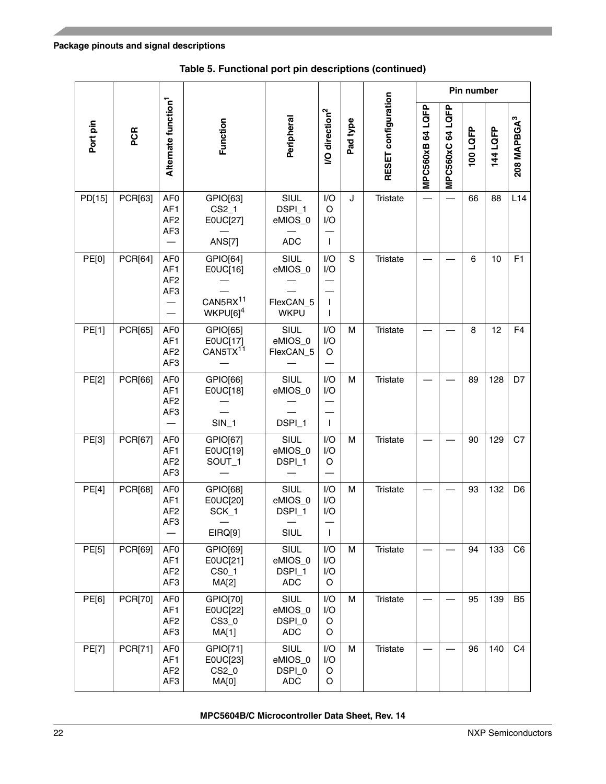|          |                |                                                                          |                                                                      |                                             |                                   |          |                     |                  |                  | Pin number |          |                         |
|----------|----------------|--------------------------------------------------------------------------|----------------------------------------------------------------------|---------------------------------------------|-----------------------------------|----------|---------------------|------------------|------------------|------------|----------|-------------------------|
| Port pin | PCR            | Alternate function <sup>1</sup>                                          | Function                                                             | Peripheral                                  | <b>I/O direction<sup>2</sup></b>  | Pad type | RESET configuration | MPC560xB 64 LQFP | MPC560xC 64 LQFP | 100LQFP    | 144 LQFP | 208 MAPBGA <sup>3</sup> |
| PD[15]   | PCR[63]        | AF <sub>0</sub><br>AF <sub>1</sub><br>AF <sub>2</sub><br>AF3             | GPIO[63]<br>$CS2_1$<br>E0UC[27]<br><b>ANS[7]</b>                     | SIUL<br>DSPI_1<br>eMIOS_0<br><b>ADC</b>     | I/O<br>O<br>I/O<br>$\mathbf{I}$   | J        | Tristate            |                  |                  | 66         | 88       | L14                     |
| PE[0]    | PCR[64]        | AF <sub>0</sub><br>AF <sub>1</sub><br>AF <sub>2</sub><br>AF3             | GPIO[64]<br>E0UC[16]<br>CAN5RX <sup>11</sup><br>WKPU[6] <sup>4</sup> | SIUL<br>eMIOS_0<br>FlexCAN_5<br><b>WKPU</b> | I/O<br>I/O<br>$\mathbf{I}$<br>ı   | S        | Tristate            |                  |                  | 6          | 10       | F1                      |
| PE[1]    | PCR[65]        | AF <sub>0</sub><br>AF <sub>1</sub><br>AF <sub>2</sub><br>AF3             | GPIO[65]<br>E0UC[17]<br>CAN5TX <sup>11</sup>                         | SIUL<br>eMIOS 0<br>FlexCAN_5                | I/O<br>I/O<br>O                   | M        | Tristate            |                  |                  | 8          | 12       | F <sub>4</sub>          |
| PE[2]    | PCR[66]        | AF <sub>0</sub><br>AF <sub>1</sub><br>AF <sub>2</sub><br>AF3             | GPIO[66]<br>E0UC[18]<br>$SIN_1$                                      | SIUL<br>eMIOS_0<br>DSPI_1                   | I/O<br>I/O<br>$\mathbf{I}$        | M        | Tristate            |                  |                  | 89         | 128      | D7                      |
| PE[3]    | PCR[67]        | AF <sub>0</sub><br>AF1<br>AF <sub>2</sub><br>AF <sub>3</sub>             | GPIO[67]<br>E0UC[19]<br>SOUT_1                                       | SIUL<br>eMIOS_0<br>DSPI_1                   | I/O<br>I/O<br>O                   | M        | Tristate            |                  |                  | 90         | 129      | C7                      |
| PE[4]    | PCR[68]        | AF <sub>0</sub><br>AF <sub>1</sub><br>AF <sub>2</sub><br>AF <sub>3</sub> | GPIO[68]<br>E0UC[20]<br>SCK_1<br>EIRQ[9]                             | SIUL<br>eMIOS_0<br>DSPI_1<br>SIUL           | I/O<br>I/O<br>I/O<br>$\mathbf{I}$ | M        | <b>Tristate</b>     |                  |                  | 93         | 132      | D <sub>6</sub>          |
| PE[5]    | PCR[69]        | AF <sub>0</sub><br>AF1<br>AF <sub>2</sub><br>AF3                         | GPIO[69]<br>E0UC[21]<br>CS <sub>0</sub> 1<br>MA[2]                   | SIUL<br>eMIOS_0<br>DSPI_1<br><b>ADC</b>     | I/O<br>I/O<br>I/O<br>O            | M        | Tristate            |                  |                  | 94         | 133      | C <sub>6</sub>          |
| PE[6]    | <b>PCR[70]</b> | AF <sub>0</sub><br>AF1<br>AF <sub>2</sub><br>AF3                         | GPIO[70]<br>E0UC[22]<br>CS3_0<br>MA[1]                               | SIUL<br>eMIOS_0<br>DSPI_0<br><b>ADC</b>     | I/O<br>I/O<br>O<br>O              | м        | Tristate            |                  |                  | 95         | 139      | <b>B5</b>               |
| PE[7]    | PCR[71]        | AF <sub>0</sub><br>AF <sub>1</sub><br>AF <sub>2</sub><br>AF <sub>3</sub> | GPIO[71]<br>E0UC[23]<br>CS2_0<br>MA[0]                               | SIUL<br>eMIOS_0<br>DSPI_0<br><b>ADC</b>     | I/O<br>I/O<br>O<br>O              | M        | Tristate            |                  |                  | 96         | 140      | C <sub>4</sub>          |

**Table 5. Functional port pin descriptions (continued)**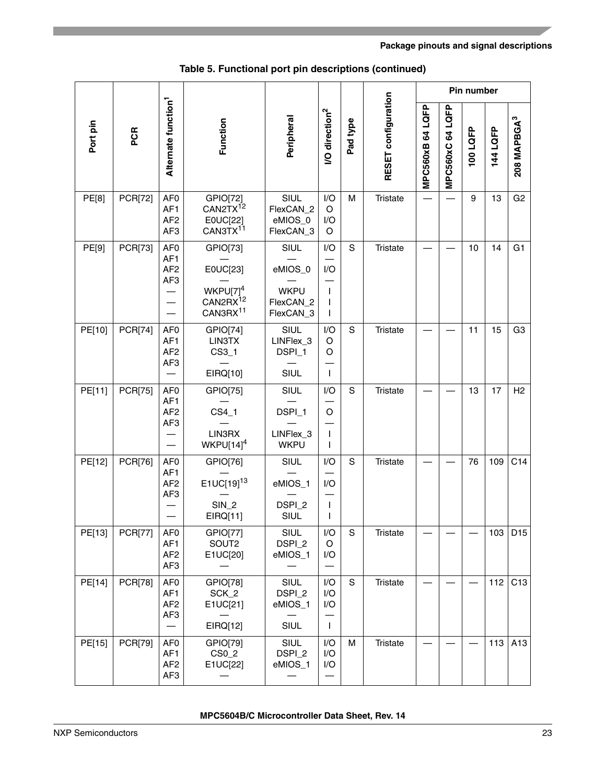|          |                |                                                                          |                                                                                              |                                                          |                                             |               |                     |                  |                | Pin number |          |                               |
|----------|----------------|--------------------------------------------------------------------------|----------------------------------------------------------------------------------------------|----------------------------------------------------------|---------------------------------------------|---------------|---------------------|------------------|----------------|------------|----------|-------------------------------|
| Port pin | PCR            | Alternate function <sup>1</sup>                                          | Function                                                                                     | Peripheral                                               | <b>VO</b> direction <sup>2</sup>            | Pad type      | RESET configuration | MPC560xB 64 LQFP | MPC560xC64LQFP | 100 LQFP   | 144 LQFP | <b>208 MAPBGA<sup>3</sup></b> |
| PE[8]    | <b>PCR[72]</b> | AF <sub>0</sub><br>AF1<br>AF <sub>2</sub><br>AF <sub>3</sub>             | GPIO[72]<br>CAN2TX <sup>12</sup><br>E0UC[22]<br>CAN3TX <sup>11</sup>                         | SIUL<br>FlexCAN_2<br>eMIOS_0<br>FlexCAN_3                | I/O<br>$\circ$<br>I/O<br>O                  | M             | <b>Tristate</b>     |                  |                | 9          | 13       | G <sub>2</sub>                |
| PE[9]    | PCR[73]        | AF <sub>0</sub><br>AF <sub>1</sub><br>AF <sub>2</sub><br>AF <sub>3</sub> | GPIO[73]<br>E0UC[23]<br>WKPU[7] <sup>4</sup><br>CAN2RX <sup>12</sup><br>CAN3RX <sup>11</sup> | SIUL<br>eMIOS_0<br><b>WKPU</b><br>FlexCAN_2<br>FlexCAN_3 | I/O<br>I/O<br>$\mathbf{I}$                  | S             | <b>Tristate</b>     |                  |                | 10         | 14       | G <sub>1</sub>                |
| PE[10]   | <b>PCR[74]</b> | AF <sub>0</sub><br>AF <sub>1</sub><br>AF <sub>2</sub><br>AF <sub>3</sub> | GPIO[74]<br>LIN3TX<br>$CS3_1$<br>EIRQ[10]                                                    | SIUL<br>LINFlex_3<br>DSPI_1<br>SIUL                      | I/O<br>O<br>O<br>$\mathbf{I}$               | $\mathbf S$   | Tristate            |                  |                | 11         | 15       | G <sub>3</sub>                |
| PE[11]   | <b>PCR[75]</b> | AF <sub>0</sub><br>AF <sub>1</sub><br>AF <sub>2</sub><br>AF <sub>3</sub> | GPIO[75]<br>$CS4_1$<br>LIN3RX<br>WKPU[14] <sup>4</sup>                                       | SIUL<br>DSPI_1<br>LINFlex_3<br><b>WKPU</b>               | I/O<br>O<br>$\mathbf{I}$                    | $\mathbf S$   | <b>Tristate</b>     |                  |                | 13         | 17       | H2                            |
| PE[12]   | PCR[76]        | AF <sub>0</sub><br>AF <sub>1</sub><br>AF <sub>2</sub><br>AF <sub>3</sub> | GPIO[76]<br>$E1UC[19]^{13}$<br><b>SIN_2</b><br>EIRQ[11]                                      | SIUL<br>eMIOS_1<br>DSPI_2<br>SIUL                        | I/O<br>I/O<br>$\mathbf{I}$                  | $\mathbf S$   | <b>Tristate</b>     |                  |                | 76         | 109      | C <sub>14</sub>               |
| PE[13]   | <b>PCR[77]</b> | AF0<br>AF <sub>1</sub><br>AF <sub>2</sub><br>AF3                         | GPIO[77]<br>SOUT2<br>E1UC[20]                                                                | SIUL<br>DSPI_2<br>eMIOS_1                                | I/O<br>O<br>I/O<br>$\overline{\phantom{0}}$ | S             | Tristate            |                  |                |            | 103      | D <sub>15</sub>               |
| PE[14]   | <b>PCR[78]</b> | AF <sub>0</sub><br>AF1<br>AF <sub>2</sub><br>AF <sub>3</sub>             | GPIO[78]<br>SCK_2<br>E1UC[21]<br>EIRQ[12]                                                    | SIUL<br>DSPI_2<br>eMIOS_1<br><b>SIUL</b>                 | I/O<br>I/O<br>I/O<br>$\mathbf{I}$           | ${\mathbb S}$ | Tristate            |                  |                |            | 112      | C <sub>13</sub>               |
| PE[15]   | PCR[79]        | AF <sub>0</sub><br>AF1<br>AF <sub>2</sub><br>AF3                         | GPIO[79]<br>CS <sub>0</sub> 2<br>E1UC[22]                                                    | SIUL<br>DSPI <sub>2</sub><br>eMIOS_1                     | I/O<br>I/O<br>I/O                           | M             | Tristate            |                  |                |            | 113      | A13                           |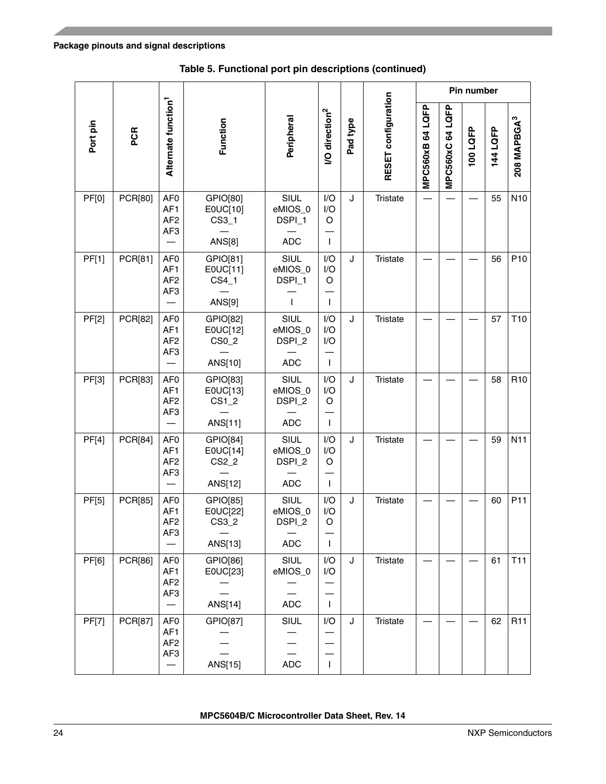|              |                |                                                                          |                                                      |                                         |                                   |          |                     |                  |                  | Pin number |          |                         |
|--------------|----------------|--------------------------------------------------------------------------|------------------------------------------------------|-----------------------------------------|-----------------------------------|----------|---------------------|------------------|------------------|------------|----------|-------------------------|
| Port pin     | PCR            | Alternate function <sup>1</sup>                                          | Function                                             | Peripheral                              | <b>/O</b> direction <sup>2</sup>  | Pad type | RESET configuration | MPC560xB 64 LQFP | MPC560xC 64 LQFP | 100 LQFP   | 144 LQFP | 208 MAPBGA <sup>3</sup> |
| <b>PF[0]</b> | PCR[80]        | AF <sub>0</sub><br>AF1<br>AF <sub>2</sub><br>AF <sub>3</sub>             | GPIO[80]<br>E0UC[10]<br>$CS3_1$<br><b>ANS[8]</b>     | SIUL<br>eMIOS_0<br>DSPI_1<br><b>ADC</b> | I/O<br>I/O<br>O<br>$\mathbf{I}$   | J        | <b>Tristate</b>     |                  |                  |            | 55       | N <sub>10</sub>         |
| PF[1]        | PCR[81]        | AF <sub>0</sub><br>AF <sub>1</sub><br>AF <sub>2</sub><br>AF <sub>3</sub> | GPIO[81]<br>E0UC[11]<br>$CS4_1$<br>ANS[9]            | SIUL<br>eMIOS_0<br>DSPI_1<br>T          | I/O<br>I/O<br>O<br>$\mathbf{I}$   | J        | Tristate            |                  |                  |            | 56       | P10                     |
| PF[2]        | PCR[82]        | AF <sub>0</sub><br>AF <sub>1</sub><br>AF <sub>2</sub><br>AF3             | GPIO[82]<br>E0UC[12]<br>CS <sub>0</sub> 2<br>ANS[10] | SIUL<br>eMIOS_0<br>DSPI_2<br><b>ADC</b> | I/O<br>I/O<br>I/O<br>$\mathbf{I}$ | J        | Tristate            |                  |                  |            | 57       | T <sub>10</sub>         |
| PF[3]        | PCR[83]        | AF <sub>0</sub><br>AF <sub>1</sub><br>AF <sub>2</sub><br>AF <sub>3</sub> | GPIO[83]<br>E0UC[13]<br>$CS1_2$<br>ANS[11]           | SIUL<br>eMIOS_0<br>DSPI_2<br><b>ADC</b> | I/O<br>I/O<br>O<br>$\mathbf{I}$   | J        | <b>Tristate</b>     |                  |                  |            | 58       | R <sub>10</sub>         |
| PF[4]        | <b>PCR[84]</b> | AF <sub>0</sub><br>AF <sub>1</sub><br>AF <sub>2</sub><br>AF <sub>3</sub> | GPIO[84]<br>E0UC[14]<br>CS2_2<br>ANS[12]             | SIUL<br>eMIOS_0<br>DSPI_2<br><b>ADC</b> | I/O<br>I/O<br>O<br>$\mathbf{I}$   | J        | <b>Tristate</b>     |                  |                  |            | 59       | N <sub>11</sub>         |
| PF[5]        | PCR[85]        | AF <sub>0</sub><br>AF <sub>1</sub><br>AF <sub>2</sub><br>AF3             | GPIO[85]<br>E0UC[22]<br>CS3_2<br>ANS[13]             | SIUL<br>eMIOS_0<br>DSPI_2<br><b>ADC</b> | I/O<br>I/O<br>O<br>$\mathbf{I}$   | J        | <b>Tristate</b>     |                  |                  |            | 60       | P <sub>11</sub>         |
| PF[6]        | <b>PCR[86]</b> | AF <sub>0</sub><br>AF1<br>AF <sub>2</sub><br>AF3                         | GPIO[86]<br>E0UC[23]<br>ANS[14]                      | SIUL<br>eMIOS_0<br><b>ADC</b>           | I/O<br>I/O<br>$\mathbf{I}$        | J        | Tristate            |                  |                  |            | 61       | <b>T11</b>              |
| PF[7]        | PCR[87]        | AF <sub>0</sub><br>AF <sub>1</sub><br>AF <sub>2</sub><br>AF3             | GPIO[87]<br>ANS[15]                                  | SIUL<br><b>ADC</b>                      | I/O<br>$\mathbf{I}$               | J        | <b>Tristate</b>     |                  |                  |            | 62       | <b>R11</b>              |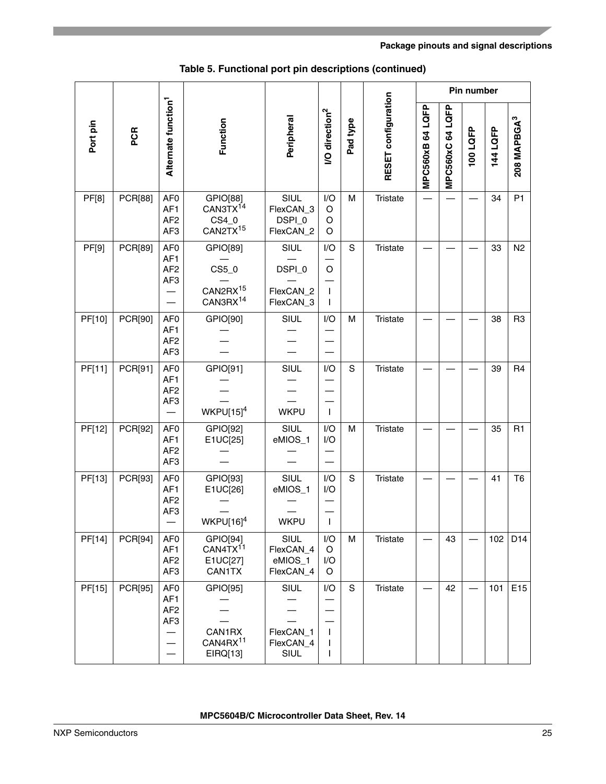|              |                |                                                                          |                                                                   |                                           |                                  |             |                     |                  |                | Pin number |          |                         |
|--------------|----------------|--------------------------------------------------------------------------|-------------------------------------------------------------------|-------------------------------------------|----------------------------------|-------------|---------------------|------------------|----------------|------------|----------|-------------------------|
| Port pin     | PCR            | Alternate function <sup>1</sup>                                          | Function                                                          | Peripheral                                | <b>VO</b> direction <sup>2</sup> | Pad type    | RESET configuration | MPC560xB 64 LQFP | MPC560xC64LQFP | 100 LQFP   | 144 LQFP | 208 MAPBGA <sup>3</sup> |
| <b>PF[8]</b> | <b>PCR[88]</b> | AF <sub>0</sub><br>AF1<br>AF <sub>2</sub><br>AF <sub>3</sub>             | GPIO[88]<br>CAN3TX <sup>14</sup><br>CS4_0<br>CAN2TX <sup>15</sup> | SIUL<br>FlexCAN_3<br>DSPI_0<br>FlexCAN_2  | I/O<br>O<br>O<br>O               | M           | <b>Tristate</b>     |                  |                |            | 34       | P <sub>1</sub>          |
| PF[9]        | PCR[89]        | AF <sub>0</sub><br>AF <sub>1</sub><br>AF <sub>2</sub><br>AF <sub>3</sub> | GPIO[89]<br>CS5_0<br>CAN2RX <sup>15</sup><br>CAN3RX <sup>14</sup> | SIUL<br>DSPI_0<br>FlexCAN_2<br>FlexCAN_3  | I/O<br>O<br>$\mathbf{I}$         | S           | <b>Tristate</b>     |                  |                |            | 33       | N <sub>2</sub>          |
| PF[10]       | PCR[90]        | AF <sub>0</sub><br>AF1<br>AF <sub>2</sub><br>AF <sub>3</sub>             | GPIO[90]                                                          | SIUL                                      | I/O                              | M           | <b>Tristate</b>     |                  |                |            | 38       | R <sub>3</sub>          |
| PF[11]       | PCR[91]        | AF <sub>0</sub><br>AF1<br>AF <sub>2</sub><br>AF <sub>3</sub>             | GPIO[91]<br>$WKPU[15]^{4}$                                        | SIUL<br><b>WKPU</b>                       | I/O<br>$\mathbf{I}$              | S           | <b>Tristate</b>     |                  |                |            | 39       | R4                      |
| PF[12]       | PCR[92]        | AF <sub>0</sub><br>AF1<br>AF <sub>2</sub><br>AF3                         | GPIO[92]<br>E1UC[25]                                              | SIUL<br>eMIOS_1                           | I/O<br>I/O                       | M           | <b>Tristate</b>     |                  |                |            | 35       | R1                      |
| PF[13]       | PCR[93]        | AF <sub>0</sub><br>AF1<br>AF <sub>2</sub><br>AF <sub>3</sub>             | GPIO[93]<br>E1UC[26]<br>$WKPU[16]^{4}$                            | SIUL<br>eMIOS_1<br><b>WKPU</b>            | I/O<br>I/O<br>$\mathbf{I}$       | S           | <b>Tristate</b>     |                  |                |            | 41       | T <sub>6</sub>          |
| PF[14]       | PCR[94]        | AF <sub>0</sub><br>AF1<br>AF <sub>2</sub><br>AF <sub>3</sub>             | GPIO[94]<br>CAN4TX <sup>11</sup><br>E1UC[27]<br><b>CAN1TX</b>     | SIUL<br>FlexCAN_4<br>eMIOS_1<br>FlexCAN_4 | I/O<br>$\circ$<br>I/O<br>O       | М           | <b>Tristate</b>     |                  | 43             |            | 102      | D14                     |
| PF[15]       | <b>PCR[95]</b> | AF <sub>0</sub><br>AF1<br>AF <sub>2</sub><br>AF <sub>3</sub>             | GPIO[95]<br>CAN1RX<br>CAN4RX <sup>11</sup><br>EIRQ[13]            | SIUL<br>FlexCAN_1<br>FlexCAN_4<br>SIUL    | I/O<br>I.<br>T                   | $\mathsf S$ | <b>Tristate</b>     |                  | 42             |            | 101      | E15                     |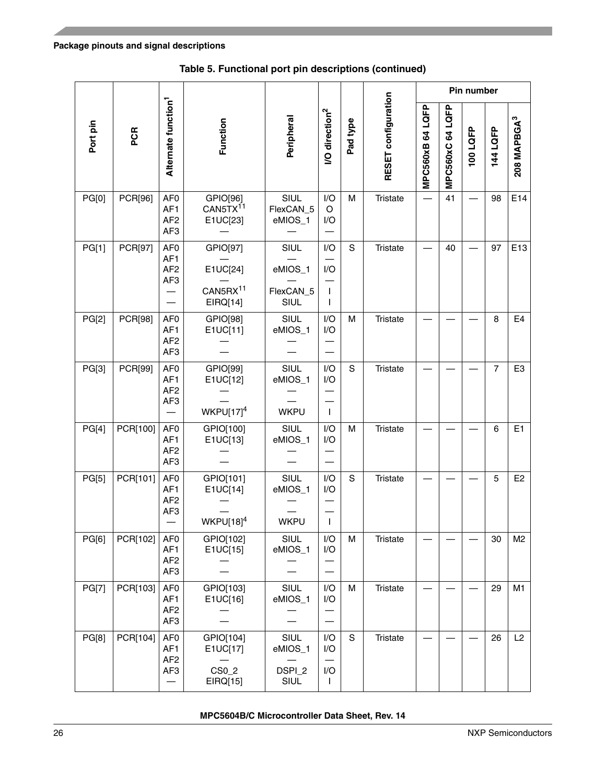|              |          |                                                                          |                                                          |                                      |                                   |          |                     |                  |                  | Pin number |                |                         |
|--------------|----------|--------------------------------------------------------------------------|----------------------------------------------------------|--------------------------------------|-----------------------------------|----------|---------------------|------------------|------------------|------------|----------------|-------------------------|
| Port pin     | PCR      | Alternate function <sup>1</sup>                                          | Function                                                 | Peripheral                           | <b>/O</b> direction <sup>2</sup>  | Pad type | RESET configuration | MPC560xB 64 LQFP | MPC560xC 64 LQFP | 100 LQFP   | 144 LQFP       | 208 MAPBGA <sup>3</sup> |
| PG[0]        | PCR[96]  | AF <sub>0</sub><br>AF <sub>1</sub><br>AF <sub>2</sub><br>AF <sub>3</sub> | GPIO[96]<br>CAN5TX <sup>11</sup><br>E1UC[23]             | SIUL<br>FlexCAN_5<br>eMIOS_1         | I/O<br>O<br>I/O                   | M        | <b>Tristate</b>     |                  | 41               |            | 98             | E14                     |
| PG[1]        | PCR[97]  | AF <sub>0</sub><br>AF <sub>1</sub><br>AF <sub>2</sub><br>AF3             | GPIO[97]<br>E1UC[24]<br>CAN5RX <sup>11</sup><br>EIRQ[14] | SIUL<br>eMIOS_1<br>FlexCAN_5<br>SIUL | I/O<br>I/O<br>$\mathbf{I}$<br>I.  | S        | <b>Tristate</b>     |                  | 40               |            | 97             | E13                     |
| PG[2]        | PCR[98]  | AF <sub>0</sub><br>AF <sub>1</sub><br>AF <sub>2</sub><br>AF <sub>3</sub> | GPIO[98]<br>E1UC[11]                                     | SIUL<br>eMIOS_1                      | I/O<br>I/O                        | M        | <b>Tristate</b>     |                  |                  |            | 8              | E4                      |
| PG[3]        | PCR[99]  | AF <sub>0</sub><br>AF1<br>AF <sub>2</sub><br>AF <sub>3</sub>             | GPIO[99]<br>E1UC[12]<br>WKPU[17] $4$                     | SIUL<br>eMIOS_1<br><b>WKPU</b>       | I/O<br>I/O<br>$\mathbf{I}$        | S        | <b>Tristate</b>     |                  |                  |            | $\overline{7}$ | E <sub>3</sub>          |
| PG[4]        | PCR[100] | AF <sub>0</sub><br>AF <sub>1</sub><br>AF <sub>2</sub><br>AF <sub>3</sub> | GPIO[100]<br>E1UC[13]                                    | SIUL<br>eMIOS_1                      | I/O<br>I/O                        | M        | <b>Tristate</b>     |                  |                  |            | 6              | E <sub>1</sub>          |
| PG[5]        | PCR[101] | AF <sub>0</sub><br>AF1<br>AF <sub>2</sub><br>AF3                         | GPIO[101]<br>E1UC[14]<br>$WKPU[18]^{4}$                  | SIUL<br>eMIOS_1<br><b>WKPU</b>       | I/O<br>I/O<br>$\mathbf{I}$        | S        | Tristate            |                  |                  |            | 5              | E <sub>2</sub>          |
| PG[6]        | PCR[102] | AF <sub>0</sub><br>AF1<br>AF <sub>2</sub><br>AF3                         | GPIO[102]<br>E1UC[15]                                    | SIUL<br>eMIOS_1                      | I/O<br>I/O                        | M        | Tristate            |                  |                  |            | 30             | M <sub>2</sub>          |
| <b>PG[7]</b> | PCR[103] | AF <sub>0</sub><br>AF1<br>AF <sub>2</sub><br>AF3                         | GPIO[103]<br>E1UC[16]                                    | SIUL<br>eMIOS_1                      | I/O<br>I/O                        | м        | Tristate            |                  |                  |            | 29             | M1                      |
| PG[8]        | PCR[104] | AF <sub>0</sub><br>AF <sub>1</sub><br>AF <sub>2</sub><br>AF3             | GPIO[104]<br>E1UC[17]<br>CS0_2<br>EIRQ[15]               | SIUL<br>eMIOS_1<br>DSPI_2<br>SIUL    | I/O<br>I/O<br>I/O<br>$\mathbf{I}$ | S        | Tristate            |                  |                  |            | 26             | L2                      |

**Table 5. Functional port pin descriptions (continued)**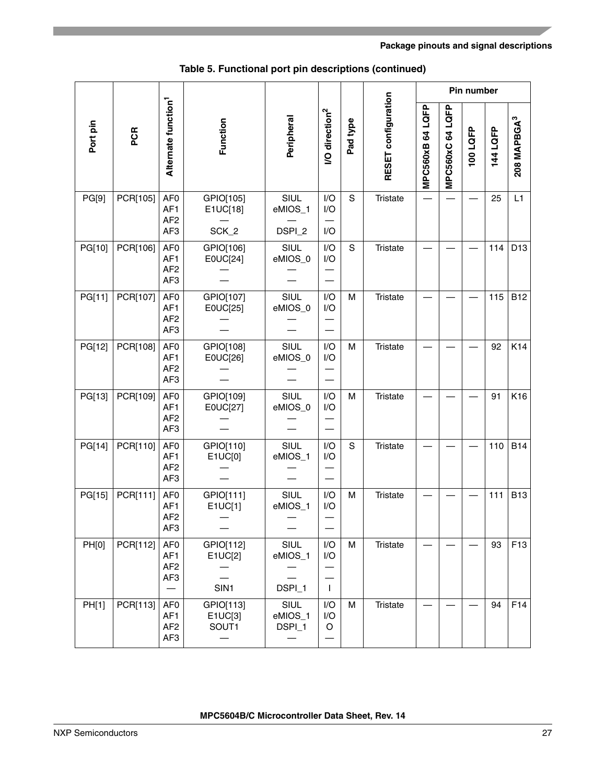|              |          |                                                                          |                                                         |                                             |                                  |             | Pin number          |                  |                        |          |          |                         |
|--------------|----------|--------------------------------------------------------------------------|---------------------------------------------------------|---------------------------------------------|----------------------------------|-------------|---------------------|------------------|------------------------|----------|----------|-------------------------|
| Port pin     | PCR      | Alternate function <sup>1</sup>                                          | Function                                                | Peripheral                                  | <b>/O</b> direction <sup>2</sup> | Pad type    | RESET configuration | MPC560xB 64 LQFP | LQFP<br>64<br>MPC560xC | 100 LQFP | 144 LQFP | 208 MAPBGA <sup>3</sup> |
| PG[9]        | PCR[105] | AF <sub>0</sub><br>AF1<br>AF <sub>2</sub><br>AF <sub>3</sub>             | GPIO[105]<br>E1UC[18]<br>SCK_2                          | SIUL<br>eMIOS_1<br>DSPI_2                   | I/O<br>I/O<br>I/O                | S           | <b>Tristate</b>     |                  |                        |          | 25       | L1                      |
| PG[10]       | PCR[106] | AF <sub>0</sub><br>AF <sub>1</sub><br>AF <sub>2</sub><br>AF <sub>3</sub> | GPIO[106]<br>E0UC[24]                                   | SIUL<br>eMIOS_0                             | I/O<br>I/O                       | S           | <b>Tristate</b>     |                  |                        |          | 114      | D <sub>13</sub>         |
| PG[11]       | PCR[107] | AF <sub>0</sub><br>AF <sub>1</sub><br>AF <sub>2</sub><br>AF <sub>3</sub> | GPIO[107]<br>E0UC[25]                                   | SIUL<br>eMIOS_0                             | I/O<br>I/O                       | M           | <b>Tristate</b>     |                  |                        |          | 115      | <b>B12</b>              |
| PG[12]       | PCR[108] | AF <sub>0</sub><br>AF1<br>AF <sub>2</sub><br>AF <sub>3</sub>             | GPIO[108]<br>E0UC[26]                                   | SIUL<br>eMIOS_0                             | I/O<br>I/O                       | M           | <b>Tristate</b>     |                  |                        |          | 92       | K14                     |
| PG[13]       | PCR[109] | AF <sub>0</sub><br>AF1<br>AF <sub>2</sub><br>AF <sub>3</sub>             | GPIO[109]<br>E0UC[27]                                   | SIUL<br>eMIOS_0                             | I/O<br>I/O                       | M           | <b>Tristate</b>     |                  |                        |          | 91       | K16                     |
| PG[14]       | PCR[110] | AF <sub>0</sub><br>AF <sub>1</sub><br>AF <sub>2</sub><br>AF <sub>3</sub> | GPIO[110]<br>E1UC[0]                                    | SIUL<br>eMIOS_1                             | I/O<br>I/O                       | $\mathbf S$ | <b>Tristate</b>     |                  |                        |          | 110      | <b>B14</b>              |
| PG[15]       | PCR[111] | AF <sub>0</sub><br>AF1<br>AF <sub>2</sub><br>AF3                         | GPIO[111]<br>E1UC[1]<br>$\hspace{0.1mm}-\hspace{0.1mm}$ | SIUL<br>eMIOS_1<br>$\overline{\phantom{m}}$ | I/O<br>I/O                       | M           | <b>Tristate</b>     |                  |                        |          | 111      | <b>B13</b>              |
| <b>PH[0]</b> | PCR[112] | AF <sub>0</sub><br>AF1<br>AF <sub>2</sub><br>AF <sub>3</sub>             | GPIO[112]<br>E1UC[2]<br>SIN1                            | SIUL<br>eMIOS_1<br>DSPI_1                   | I/O<br>I/O<br>$\mathbf{I}$       | М           | <b>Tristate</b>     |                  |                        |          | 93       | F <sub>13</sub>         |
| PH[1]        | PCR[113] | AF <sub>0</sub><br>AF <sub>1</sub><br>AF <sub>2</sub><br>AF <sub>3</sub> | GPIO[113]<br>E1UC[3]<br>SOUT1                           | SIUL<br>eMIOS_1<br>DSPI_1                   | I/O<br>I/O<br>O                  | М           | <b>Tristate</b>     |                  |                        |          | 94       | F14                     |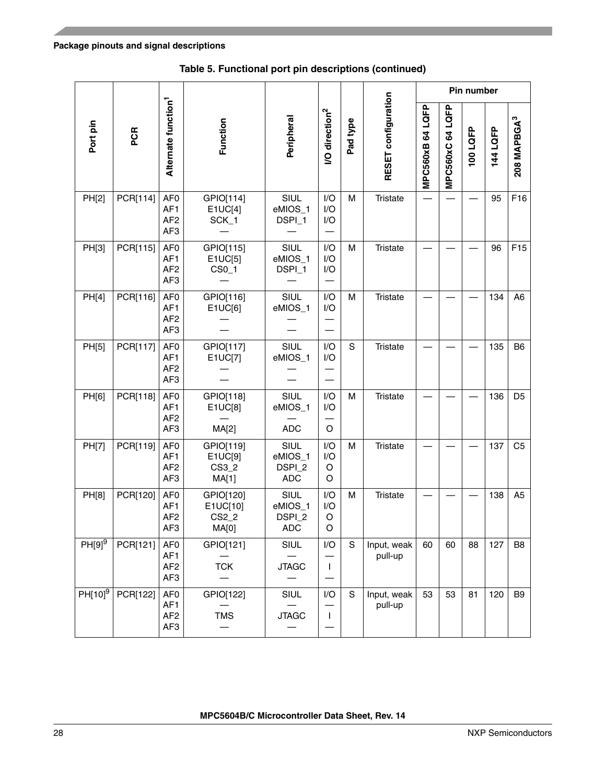|                      |          |                                                                          |                                           |                                         |                                  |          | Pin number             |                  |                  |         |          |                         |
|----------------------|----------|--------------------------------------------------------------------------|-------------------------------------------|-----------------------------------------|----------------------------------|----------|------------------------|------------------|------------------|---------|----------|-------------------------|
| Port pin             | PCR      | Alternate function <sup>1</sup>                                          | Function                                  | Peripheral                              | <b>/O</b> direction <sup>2</sup> | Pad type | RESET configuration    | MPC560xB 64 LQFP | MPC560xC 64 LQFP | 100LQFP | 144 LQFP | 208 MAPBGA <sup>3</sup> |
| PH[2]                | PCR[114] | AF <sub>0</sub><br>AF1<br>AF <sub>2</sub><br>AF3                         | GPIO[114]<br>E1UC[4]<br>SCK_1             | SIUL<br>eMIOS_1<br>DSPI_1               | I/O<br>I/O<br>I/O                | M        | Tristate               |                  |                  |         | 95       | F16                     |
| PH[3]                | PCR[115] | AF <sub>0</sub><br>AF <sub>1</sub><br>AF <sub>2</sub><br>AF3             | GPIO[115]<br>E1UC[5]<br>$CS0_1$           | SIUL<br>eMIOS_1<br>DSPI_1               | I/O<br>I/O<br>I/O                | M        | <b>Tristate</b>        |                  |                  |         | 96       | F <sub>15</sub>         |
| PH[4]                | PCR[116] | AF <sub>0</sub><br>AF1<br>AF <sub>2</sub><br>AF <sub>3</sub>             | GPIO[116]<br>E1UC[6]                      | SIUL<br>eMIOS_1                         | I/O<br>I/O                       | M        | <b>Tristate</b>        |                  |                  |         | 134      | A <sub>6</sub>          |
| PH[5]                | PCR[117] | AF <sub>0</sub><br>AF <sub>1</sub><br>AF <sub>2</sub><br>AF <sub>3</sub> | GPIO[117]<br>E1UC[7]                      | SIUL<br>eMIOS_1                         | I/O<br>I/O                       | S        | Tristate               |                  |                  |         | 135      | B <sub>6</sub>          |
| PH[6]                | PCR[118] | AF <sub>0</sub><br>AF <sub>1</sub><br>AF <sub>2</sub><br>AF3             | GPIO[118]<br>E1UC[8]<br>MA[2]             | SIUL<br>eMIOS_1<br><b>ADC</b>           | I/O<br>I/O<br>O                  | M        | <b>Tristate</b>        |                  |                  |         | 136      | D <sub>5</sub>          |
| PH[7]                | PCR[119] | AF <sub>0</sub><br>AF1<br>AF <sub>2</sub><br>AF <sub>3</sub>             | GPIO[119]<br>E1UC[9]<br>CS3_2<br>MA[1]    | SIUL<br>eMIOS_1<br>DSPI_2<br><b>ADC</b> | I/O<br>I/O<br>O<br>O             | M        | <b>Tristate</b>        |                  |                  |         | 137      | C <sub>5</sub>          |
| PH[8]                | PCR[120] | AF <sub>0</sub><br>AF1<br>AF <sub>2</sub><br>AF3                         | GPIO[120]<br>E1UC[10]<br>$CS2_2$<br>MA[0] | SIUL<br>eMIOS_1<br>DSPI_2<br>ADC        | I/O<br>I/O<br>O<br>O             | M        | Tristate               |                  |                  |         | 138      | A <sub>5</sub>          |
| $PH[9]$ <sup>9</sup> | PCR[121] | AF <sub>0</sub><br>AF <sub>1</sub><br>AF <sub>2</sub><br>AF3             | GPIO[121]<br><b>TCK</b>                   | SIUL<br><b>JTAGC</b>                    | I/O<br>$\mathbf{I}$              | S        | Input, weak<br>pull-up | 60               | 60               | 88      | 127      | B <sub>8</sub>          |
| $PH[10]^{9}$         | PCR[122] | AF <sub>0</sub><br>AF <sub>1</sub><br>AF <sub>2</sub><br>AF <sub>3</sub> | GPIO[122]<br><b>TMS</b>                   | SIUL<br><b>JTAGC</b>                    | I/O<br>$\mathbf{I}$              | S        | Input, weak<br>pull-up | 53               | 53               | 81      | 120      | B <sub>9</sub>          |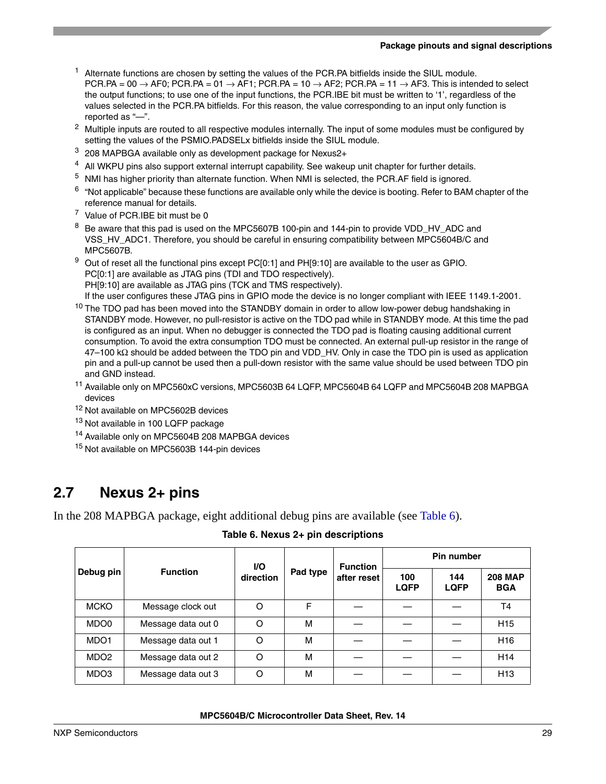#### **Package pinouts and signal descriptions**

- $<sup>1</sup>$  Alternate functions are chosen by setting the values of the PCR.PA bitfields inside the SIUL module.</sup>  $PCR.PA = 00 \rightarrow AFO$ ;  $PCR.PA = 01 \rightarrow AF1$ ;  $PCR.PA = 10 \rightarrow AFE$ ;  $PCR.PA = 11 \rightarrow AF3$ . This is intended to select the output functions; to use one of the input functions, the PCR.IBE bit must be written to '1', regardless of the values selected in the PCR.PA bitfields. For this reason, the value corresponding to an input only function is reported as "—".
- <sup>2</sup> Multiple inputs are routed to all respective modules internally. The input of some modules must be configured by setting the values of the PSMIO.PADSELx bitfields inside the SIUL module.
- <sup>3</sup> 208 MAPBGA available only as development package for Nexus2+
- <span id="page-28-1"></span><sup>4</sup> All WKPU pins also support external interrupt capability. See wakeup unit chapter for further details.
- $5$  NMI has higher priority than alternate function. When NMI is selected, the PCR.AF field is ignored.
- <span id="page-28-2"></span> $6$  "Not applicable" because these functions are available only while the device is booting. Refer to BAM chapter of the reference manual for details.
- <span id="page-28-3"></span><sup>7</sup> Value of PCR.IBE bit must be 0
- <span id="page-28-6"></span><sup>8</sup> Be aware that this pad is used on the MPC5607B 100-pin and 144-pin to provide VDD\_HV\_ADC and VSS\_HV\_ADC1. Therefore, you should be careful in ensuring compatibility between MPC5604B/C and MPC5607B.
- <span id="page-28-4"></span> $9$  Out of reset all the functional pins except PC[0:1] and PH[9:10] are available to the user as GPIO. PC[0:1] are available as JTAG pins (TDI and TDO respectively).

PH[9:10] are available as JTAG pins (TCK and TMS respectively).

If the user configures these JTAG pins in GPIO mode the device is no longer compliant with IEEE 1149.1-2001.

- <sup>10</sup> The TDO pad has been moved into the STANDBY domain in order to allow low-power debug handshaking in STANDBY mode. However, no pull-resistor is active on the TDO pad while in STANDBY mode. At this time the pad is configured as an input. When no debugger is connected the TDO pad is floating causing additional current consumption. To avoid the extra consumption TDO must be connected. An external pull-up resistor in the range of 47–100 kΩ should be added between the TDO pin and VDD\_HV. Only in case the TDO pin is used as application pin and a pull-up cannot be used then a pull-down resistor with the same value should be used between TDO pin and GND instead.
- <span id="page-28-5"></span><sup>11</sup> Available only on MPC560xC versions, MPC5603B 64 LQFP, MPC5604B 64 LQFP and MPC5604B 208 MAPBGA devices
- <span id="page-28-7"></span><sup>12</sup> Not available on MPC5602B devices
- 13 Not available in 100 LQFP package
- <span id="page-28-9"></span><sup>14</sup> Available only on MPC5604B 208 MAPBGA devices
- <span id="page-28-8"></span><sup>15</sup> Not available on MPC5603B 144-pin devices

### <span id="page-28-0"></span>**2.7 Nexus 2+ pins**

<span id="page-28-10"></span>In the 208 MAPBGA package, eight additional debug pins are available (see [Table 6](#page-28-10)).

|                  |                    | VO.       |          | <b>Function</b> | Pin number         |                    |                              |  |  |
|------------------|--------------------|-----------|----------|-----------------|--------------------|--------------------|------------------------------|--|--|
| Debug pin        | <b>Function</b>    | direction | Pad type | after reset     | 100<br><b>LQFP</b> | 144<br><b>LQFP</b> | <b>208 MAP</b><br><b>BGA</b> |  |  |
| <b>MCKO</b>      | Message clock out  | O         | F        |                 |                    |                    | T <sub>4</sub>               |  |  |
| MDO <sub>0</sub> | Message data out 0 | O         | м        |                 |                    |                    | H <sub>15</sub>              |  |  |
| MDO <sub>1</sub> | Message data out 1 | $\circ$   | M        |                 |                    |                    | H <sub>16</sub>              |  |  |
| MDO <sub>2</sub> | Message data out 2 | O         | м        |                 |                    |                    | H <sub>14</sub>              |  |  |
| MDO3             | Message data out 3 | O         | м        |                 |                    |                    | H <sub>13</sub>              |  |  |

**Table 6. Nexus 2+ pin descriptions**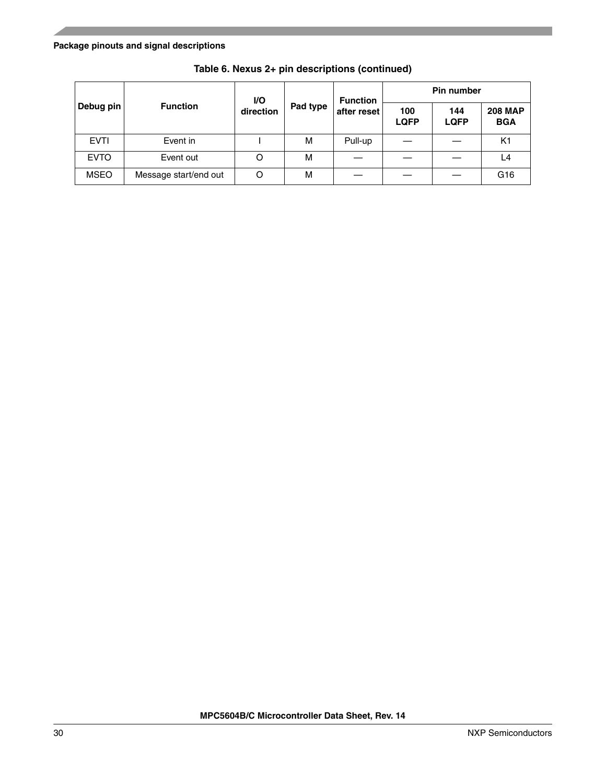#### **Package pinouts and signal descriptions**

|             |                       | I/O       |          | <b>Function</b> | <b>Pin number</b>  |                    |                              |  |  |
|-------------|-----------------------|-----------|----------|-----------------|--------------------|--------------------|------------------------------|--|--|
| Debug pin   | <b>Function</b>       | direction | Pad type | after reset     | 100<br><b>LQFP</b> | 144<br><b>LQFP</b> | <b>208 MAP</b><br><b>BGA</b> |  |  |
| <b>EVTI</b> | Event in              |           | M        | Pull-up         |                    |                    | K <sub>1</sub>               |  |  |
| <b>EVTO</b> | Event out             | O         | M        |                 |                    |                    | L4                           |  |  |
| <b>MSEO</b> | Message start/end out | O         | M        |                 |                    |                    | G <sub>16</sub>              |  |  |

**Table 6. Nexus 2+ pin descriptions (continued)**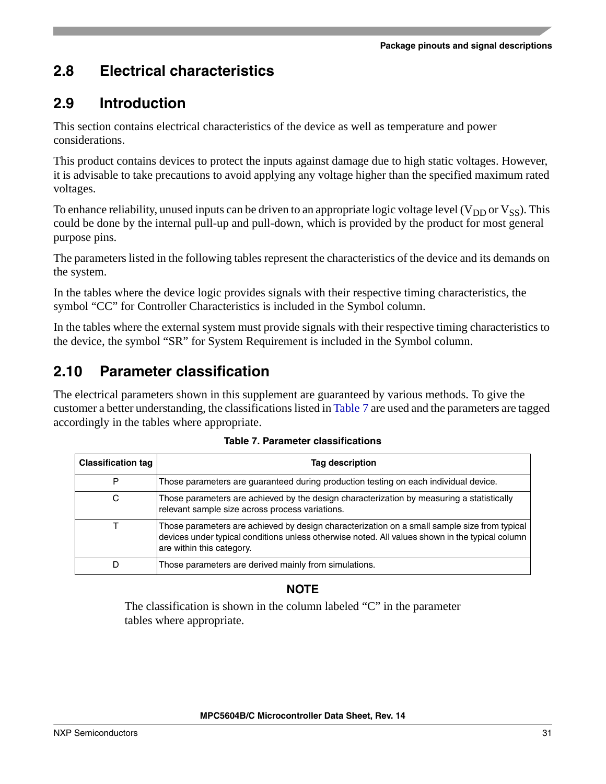### <span id="page-30-0"></span>**2.8 Electrical characteristics**

### <span id="page-30-1"></span>**2.9 Introduction**

This section contains electrical characteristics of the device as well as temperature and power considerations.

This product contains devices to protect the inputs against damage due to high static voltages. However, it is advisable to take precautions to avoid applying any voltage higher than the specified maximum rated voltages.

To enhance reliability, unused inputs can be driven to an appropriate logic voltage level ( $V_{DD}$  or  $V_{SS}$ ). This could be done by the internal pull-up and pull-down, which is provided by the product for most general purpose pins.

The parameters listed in the following tables represent the characteristics of the device and its demands on the system.

In the tables where the device logic provides signals with their respective timing characteristics, the symbol "CC" for Controller Characteristics is included in the Symbol column.

In the tables where the external system must provide signals with their respective timing characteristics to the device, the symbol "SR" for System Requirement is included in the Symbol column.

## <span id="page-30-2"></span>**2.10 Parameter classification**

The electrical parameters shown in this supplement are guaranteed by various methods. To give the customer a better understanding, the classifications listed in [Table 7](#page-30-3) are used and the parameters are tagged accordingly in the tables where appropriate.

<span id="page-30-3"></span>

| <b>Classification tag</b> | Tag description                                                                                                                                                                                                              |
|---------------------------|------------------------------------------------------------------------------------------------------------------------------------------------------------------------------------------------------------------------------|
| P                         | Those parameters are guaranteed during production testing on each individual device.                                                                                                                                         |
| С                         | Those parameters are achieved by the design characterization by measuring a statistically<br>relevant sample size across process variations.                                                                                 |
|                           | Those parameters are achieved by design characterization on a small sample size from typical<br>devices under typical conditions unless otherwise noted. All values shown in the typical column<br>are within this category. |
| D                         | Those parameters are derived mainly from simulations.                                                                                                                                                                        |

**Table 7. Parameter classifications**

### **NOTE**

The classification is shown in the column labeled "C" in the parameter tables where appropriate.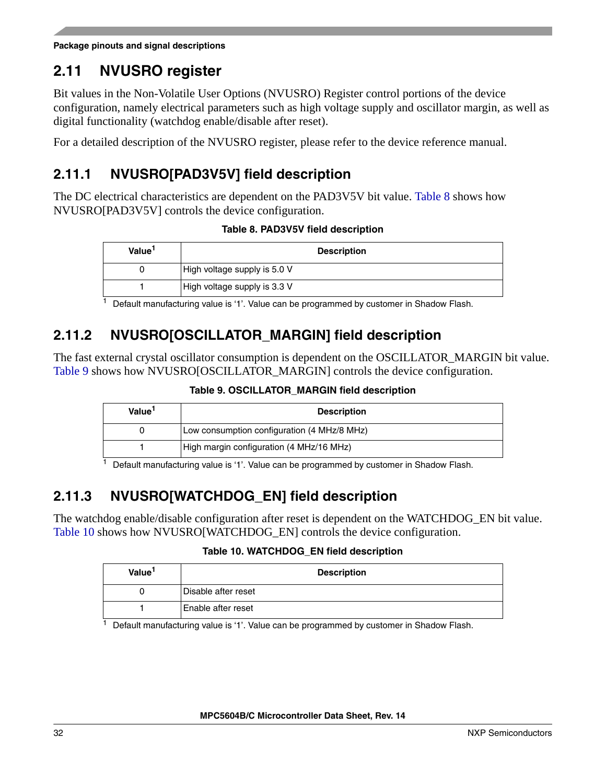**Package pinouts and signal descriptions**

### <span id="page-31-0"></span>**2.11 NVUSRO register**

Bit values in the Non-Volatile User Options (NVUSRO) Register control portions of the device configuration, namely electrical parameters such as high voltage supply and oscillator margin, as well as digital functionality (watchdog enable/disable after reset).

For a detailed description of the NVUSRO register, please refer to the device reference manual.

### <span id="page-31-1"></span>**2.11.1 NVUSRO[PAD3V5V] field description**

<span id="page-31-4"></span>The DC electrical characteristics are dependent on the PAD3V5V bit value. [Table 8](#page-31-4) shows how NVUSRO[PAD3V5V] controls the device configuration.

**Table 8. PAD3V5V field description**

| Value <sup>1</sup> | <b>Description</b>           |
|--------------------|------------------------------|
|                    | High voltage supply is 5.0 V |
|                    | High voltage supply is 3.3 V |

 $<sup>1</sup>$  Default manufacturing value is '1'. Value can be programmed by customer in Shadow Flash.</sup>

### <span id="page-31-2"></span>**2.11.2 NVUSRO[OSCILLATOR\_MARGIN] field description**

<span id="page-31-5"></span>The fast external crystal oscillator consumption is dependent on the OSCILLATOR\_MARGIN bit value. [Table 9](#page-31-5) shows how NVUSRO[OSCILLATOR\_MARGIN] controls the device configuration.

**Table [9. OSCILL](#page-98-2)ATOR\_MARGIN field description**

| Value <sup>1</sup> | <b>Description</b>                          |
|--------------------|---------------------------------------------|
|                    | Low consumption configuration (4 MHz/8 MHz) |
|                    | High margin configuration (4 MHz/16 MHz)    |
|                    |                                             |

<sup>1</sup> Default manufacturing value is '1'. Value can be programmed by customer in Shadow Flash.

## <span id="page-31-3"></span>**2.11.3 NVUSRO[WATCHDOG\_EN] field description**

<span id="page-31-6"></span>The watchdog enable/disable configuration after reset is dependent on the WATCHDOG\_EN bit value. [Table 10](#page-31-6) shows how NVUSRO[WATCHDOG\_EN] controls the device configuration.

#### **Table 10. WATCHDOG\_EN field description**

| Value <sup>1</sup> | <b>Description</b>   |
|--------------------|----------------------|
|                    | Disable after reset  |
|                    | l Enable after reset |

 $1$  Default manufacturing value is '1'. Value can be programmed by customer in Shadow Flash.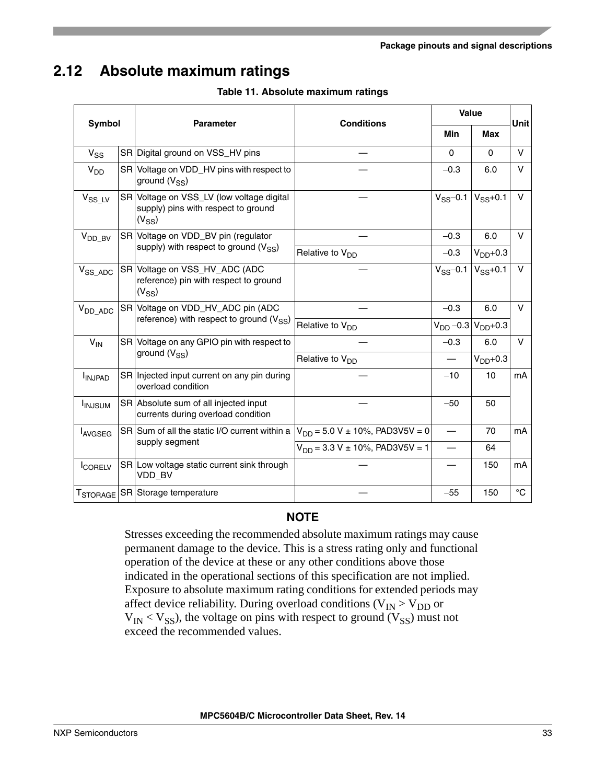## <span id="page-32-0"></span>**2.12 Absolute maximum ratings**

| Symbol          |                                                                 | <b>Parameter</b>                                                                               | <b>Conditions</b>                       | <b>Value</b>                |              | Unit        |
|-----------------|-----------------------------------------------------------------|------------------------------------------------------------------------------------------------|-----------------------------------------|-----------------------------|--------------|-------------|
|                 |                                                                 |                                                                                                | <b>Min</b>                              |                             | Max          |             |
| $V_{SS}$        |                                                                 | SR Digital ground on VSS_HV pins                                                               |                                         | $\Omega$                    | 0            | V           |
| V <sub>DD</sub> |                                                                 | SR Voltage on VDD_HV pins with respect to<br>ground $(V_{SS})$                                 |                                         | $-0.3$                      | 6.0          | V           |
| $V_{SS\_LV}$    |                                                                 | SR Voltage on VSS_LV (low voltage digital<br>supply) pins with respect to ground<br>$(V_{SS})$ |                                         | $V_{SS}$ -0.1 $V_{SS}$ +0.1 |              | $\vee$      |
| $V_{DD_BV}$     |                                                                 | SR Voltage on VDD_BV pin (regulator                                                            |                                         | $-0.3$                      | 6.0          | $\vee$      |
|                 |                                                                 | supply) with respect to ground $(V_{SS})$                                                      | Relative to V <sub>DD</sub>             | $-0.3$                      | $VDD+0.3$    |             |
| $V_{SS\_ADC}$   |                                                                 | SR Voltage on VSS_HV_ADC (ADC<br>reference) pin with respect to ground<br>$(V_{SS})$           |                                         | $V_{SS}$ -0.1               | $V_{SS}+0.1$ | V           |
| $V_{DD\_ADC}$   |                                                                 | SR Voltage on VDD_HV_ADC pin (ADC                                                              |                                         | $-0.3$                      | 6.0          | $\vee$      |
|                 |                                                                 | reference) with respect to ground $(V_{SS})$                                                   | Relative to V <sub>DD</sub>             | $V_{DD}$ –0.3 $V_{DD}$ +0.3 |              |             |
| $V_{IN}$        | SR Voltage on any GPIO pin with respect to<br>ground $(V_{SS})$ |                                                                                                | $-0.3$                                  | 6.0                         | $\mathsf{V}$ |             |
|                 |                                                                 |                                                                                                | Relative to V <sub>DD</sub>             |                             | $V_{DD}+0.3$ |             |
| <b>INJPAD</b>   |                                                                 | SR Injected input current on any pin during<br>overload condition                              |                                         | $-10$                       | 10           | mA          |
| <b>INJSUM</b>   |                                                                 | SR Absolute sum of all injected input<br>currents during overload condition                    |                                         | $-50$                       | 50           |             |
| <b>LAVGSEG</b>  |                                                                 | SR Sum of all the static I/O current within a                                                  | $V_{DD} = 5.0 V \pm 10\%$ , PAD3V5V = 0 |                             | 70           | mA          |
|                 |                                                                 | supply segment                                                                                 | $V_{DD}$ = 3.3 V ± 10%, PAD3V5V = 1     |                             | 64           |             |
| <b>CORELV</b>   |                                                                 | SR Low voltage static current sink through<br>VDD_BV                                           |                                         |                             | 150          | mA          |
|                 |                                                                 | T <sub>STORAGE</sub> SR Storage temperature                                                    |                                         | $-55$                       | 150          | $^{\circ}C$ |

**Table 11. Absolute maximum ratings**

#### **NOTE**

Stresses exceeding the recommended absolute maximum ratings may cause permanent damage to the device. This is a stress rating only and functional operation of the device at these or any other conditions above those indicated in the operational sections of this specification are not implied. Exposure to absolute maximum rating conditions for extended periods may affect device reliability. During overload conditions ( $V_{IN}$  >  $V_{DD}$  or  $V_{IN}$  <  $V_{SS}$ ), the voltage on pins with respect to ground ( $V_{SS}$ ) must not exceed the recommended values.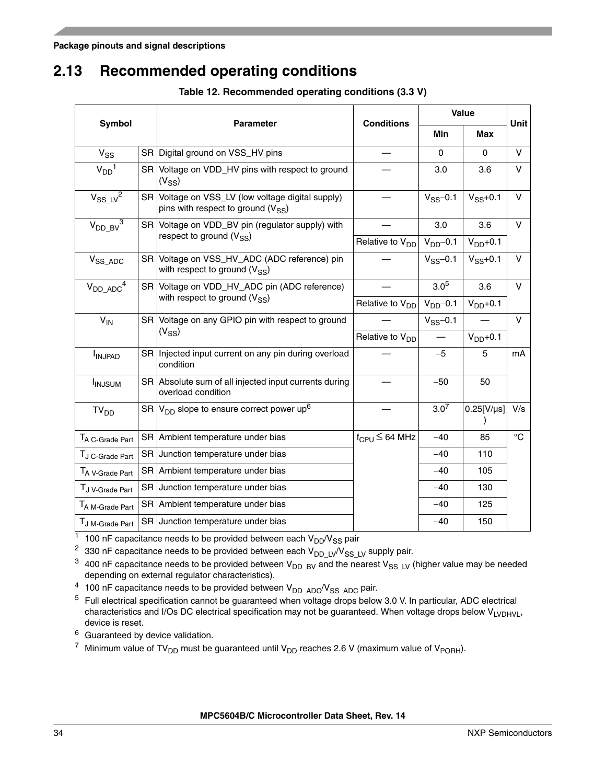### <span id="page-33-0"></span>**2.13 Recommended operating conditions**

**Table 12. Recommended operating conditions (3.3 V)**

|                             |      |                                                                                             |                               | Value            |               |              |  |
|-----------------------------|------|---------------------------------------------------------------------------------------------|-------------------------------|------------------|---------------|--------------|--|
| <b>Symbol</b>               |      | <b>Parameter</b>                                                                            | <b>Conditions</b>             | Min              | <b>Max</b>    | <b>Unit</b>  |  |
| $V_{SS}$                    |      | SR Digital ground on VSS_HV pins                                                            |                               | 0                | $\Omega$      | $\vee$       |  |
| $V_{DD}$ <sup>1</sup>       |      | SR Voltage on VDD_HV pins with respect to ground<br>$(V_{SS})$                              |                               | 3.0              | 3.6           | $\mathsf{V}$ |  |
| $V_{SS\_LV}^2$              |      | SR Voltage on VSS_LV (low voltage digital supply)<br>pins with respect to ground $(V_{SS})$ |                               | $V_{SS}$ -0.1    | $V_{SS}+0.1$  | $\vee$       |  |
| $V_{DD\_BV}^3$              | SR I | Voltage on VDD_BV pin (regulator supply) with<br>respect to ground $(V_{SS})$               |                               | 3.0              | 3.6           | $\vee$       |  |
|                             |      |                                                                                             | Relative to V <sub>DD</sub>   | $VDD$ -0.1       | $VDD+0.1$     |              |  |
| $V_{SS\_ADC}$               |      | SR Voltage on VSS_HV_ADC (ADC reference) pin<br>with respect to ground $(V_{SS})$           |                               | $V_{SS}$ -0.1    | $V_{SS}+0.1$  | $\vee$       |  |
| $V_{DD\_ADC}$ <sup>4</sup>  |      | SR Voltage on VDD_HV_ADC pin (ADC reference)<br>with respect to ground $(V_{SS})$           |                               | $3.0^{5}$        | 3.6           | $\vee$       |  |
|                             |      |                                                                                             | Relative to V <sub>DD</sub>   | $VDD - 0.1$      | $VDD+0.1$     |              |  |
| $V_{IN}$                    |      | SR Voltage on any GPIO pin with respect to ground                                           |                               | $V_{SS}$ -0.1    |               | $\vee$       |  |
|                             |      | $(V_{SS})$                                                                                  | Relative to V <sub>DD</sub>   |                  | $VDD+0.1$     |              |  |
| <b>INJPAD</b>               |      | SR Injected input current on any pin during overload<br>condition                           |                               | $-5$             | 5             | mA           |  |
| <b>I</b> INJSUM             |      | SR Absolute sum of all injected input currents during<br>overload condition                 |                               | $-50$            | 50            |              |  |
| TV <sub>DD</sub>            |      | SR $ V_{DD}$ slope to ensure correct power up <sup>6</sup>                                  |                               | 3.0 <sup>7</sup> | $0.25$ [V/µs] | V/s          |  |
| TA C-Grade Part             |      | SR Ambient temperature under bias                                                           | $f_{CPU} \leq 64 \text{ MHz}$ | $-40$            | 85            | $^{\circ}C$  |  |
| TJ C-Grade Part             |      | SR Junction temperature under bias                                                          |                               | $-40$            | 110           |              |  |
| TA V-Grade Part             |      | SR Ambient temperature under bias                                                           |                               | $-40$            | 105           |              |  |
| TJ V-Grade Part             |      | SR Junction temperature under bias                                                          |                               | $-40$            | 130           |              |  |
| T <sub>A M-Grade Part</sub> | SR   | Ambient temperature under bias                                                              |                               | $-40$            | 125           |              |  |
| TJ M-Grade Part             |      | SR Junction temperature under bias                                                          |                               | $-40$            | 150           |              |  |

 $\frac{1}{1}$  100 nF capacitance needs to be provided between each  $V_{DD}/V_{SS}$  pair

<sup>2</sup> 330 nF capacitance needs to be provided between each  $V_{DD\_LV}/V_{SS\_LV}$  supply pair.

<sup>3</sup> 400 nF capacitance needs to be provided between  $V_{DD\_BV}$  and the nearest  $V_{SS\_LV}$  (higher value may be needed depending on external regulator characteristics).

<sup>4</sup> 100 nF capacitance needs to be provided between  $V_{DD\_ADC}/V_{SS\_ADC}$  pair.

 $5$  Full electrical specification cannot be quaranteed when voltage drops below 3.0 V. In particular, ADC electrical characteristics and I/Os DC electrical specification may not be guaranteed. When voltage drops below VLVDHVL, device is reset.

<sup>6</sup> Guaranteed by device validation.

<sup>7</sup> Minimum value of TV<sub>DD</sub> must be guaranteed until V<sub>DD</sub> reaches 2.6 V (maximum value of V<sub>PORH</sub>).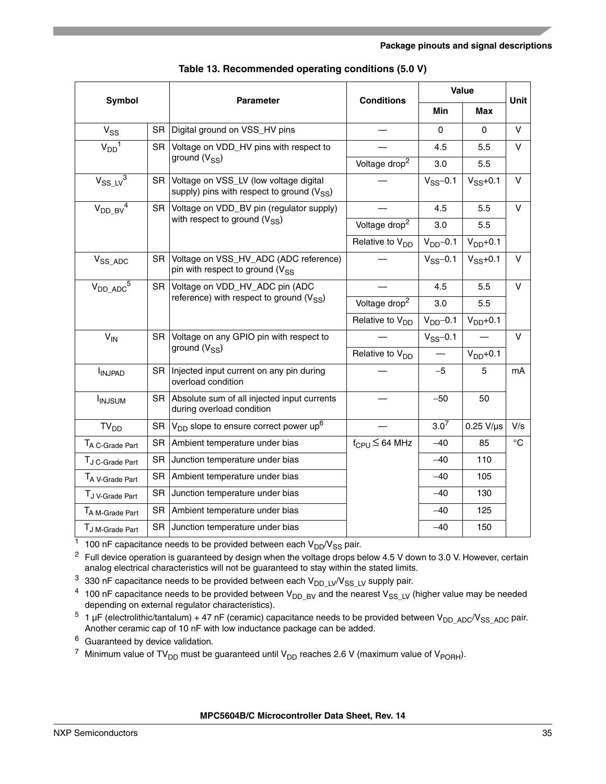| Symbol                                  |           |                                                                                          | <b>Conditions</b>           | Value            |                   | Unit        |
|-----------------------------------------|-----------|------------------------------------------------------------------------------------------|-----------------------------|------------------|-------------------|-------------|
|                                         |           | <b>Parameter</b>                                                                         | Min                         |                  | <b>Max</b>        |             |
| $V_{SS}$                                | SR        | Digital ground on VSS_HV pins                                                            |                             | $\Omega$         | 0                 | V           |
| $V_{DD}$ <sup>1</sup>                   | <b>SR</b> | Voltage on VDD_HV pins with respect to                                                   |                             | 4.5              | 5.5               | $\vee$      |
|                                         |           | ground $(V_{SS})$                                                                        | Voltage drop <sup>2</sup>   | 3.0              | 5.5               |             |
| $V_{SS\_LV}^3$                          | <b>SR</b> | Voltage on VSS_LV (low voltage digital<br>supply) pins with respect to ground $(V_{SS})$ |                             | $V_{SS}$ -0.1    | $V_{SS}+0.1$      | v           |
| $V_{DD\_BV}^4$                          | <b>SR</b> | Voltage on VDD_BV pin (regulator supply)                                                 |                             | 4.5              | 5.5               | $\vee$      |
|                                         |           | with respect to ground $(V_{SS})$                                                        | Voltage drop <sup>2</sup>   | 3.0              | 5.5               |             |
|                                         |           |                                                                                          | Relative to V <sub>DD</sub> | $V_{DD}$ -0.1    | $V_{DD}+0.1$      |             |
| $V_{SS\_ADC}$                           | SR.       | Voltage on VSS_HV_ADC (ADC reference)<br>pin with respect to ground (V <sub>SS</sub>     |                             | $V_{SS}$ -0.1    | $V_{SS}+0.1$      | v           |
| $V_{DD\_ADC}$ <sup>5</sup>              | SR.       | Voltage on VDD_HV_ADC pin (ADC                                                           |                             | 4.5              | 5.5               | $\vee$      |
|                                         |           | reference) with respect to ground $(V_{SS})$                                             | Voltage drop <sup>2</sup>   | 3.0              | 5.5               |             |
|                                         |           |                                                                                          | Relative to V <sub>DD</sub> | $VDD$ -0.1       | $VDD+0.1$         |             |
| $V_{IN}$                                |           | SR Voltage on any GPIO pin with respect to                                               |                             | $V_{SS}$ -0.1    |                   | $\vee$      |
|                                         |           | ground $(V_{SS})$                                                                        | Relative to V <sub>DD</sub> |                  | $VDD+0.1$         |             |
| <b>INJPAD</b>                           | SR        | Injected input current on any pin during<br>overload condition                           |                             | $-5$             | 5                 | mA          |
| <b>INJSUM</b>                           | SR.       | Absolute sum of all injected input currents<br>during overload condition                 |                             | $-50$            | 50                |             |
| TV <sub>DD</sub>                        | <b>SR</b> | $V_{DD}$ slope to ensure correct power up <sup>6</sup>                                   |                             | 3.0 <sup>7</sup> | $0.25$ V/ $\mu$ s | V/s         |
| TA C-Grade Part                         | <b>SR</b> | Ambient temperature under bias                                                           | $f_{\rm CPU} \leq 64$ MHz   | $-40$            | 85                | $^{\circ}C$ |
| TJ C-Grade Part                         | <b>SR</b> | Junction temperature under bias                                                          |                             | $-40$            | 110               |             |
| T <sub>A</sub> V-Grade Part             | <b>SR</b> | Ambient temperature under bias                                                           |                             | $-40$            | 105               |             |
| T <sub>J</sub> <sub>V</sub> -Grade Part | <b>SR</b> | Junction temperature under bias                                                          |                             | $-40$            | 130               |             |
| T <sub>A M-Grade Part</sub>             | <b>SR</b> | Ambient temperature under bias                                                           |                             | $-40$            | 125               |             |
| TJ M-Grade Part                         | SR        | Junction temperature under bias                                                          |                             | $-40$            | 150               |             |

|  | Table 13. Recommended operating conditions (5.0 V) |  |  |  |  |  |
|--|----------------------------------------------------|--|--|--|--|--|
|--|----------------------------------------------------|--|--|--|--|--|

 $\frac{1}{1}$  100 nF capacitance needs to be provided between each V<sub>DD</sub>/V<sub>SS</sub> pair.

<span id="page-34-0"></span> $2$  Full device operation is guaranteed by design when the voltage drops below 4.5 V down to 3.0 V. However, certain analog electrical characteristics will not be guaranteed to stay within the stated limits.

 $3$  330 nF capacitance needs to be provided between each  $V_{DD\_LV}/V_{SS\_LV}$  supply pair.

<sup>4</sup> 100 nF capacitance needs to be provided between  $V_{DD\_BV}$  and the nearest  $V_{SS\_LV}$  (higher value may be needed depending on external regulator characteristics).

 $5$  1 µF (electrolithic/tantalum) + 47 nF (ceramic) capacitance needs to be provided between  $V_{DD\_ADC}/V_{SS\_ADC}$  pair. Another ceramic cap of 10 nF with low inductance package can be added.

<sup>6</sup> Guaranteed by device validation.

<sup>7</sup> Minimum value of TV<sub>DD</sub> must be guaranteed until V<sub>DD</sub> reaches 2.6 V (maximum value of V<sub>PORH</sub>).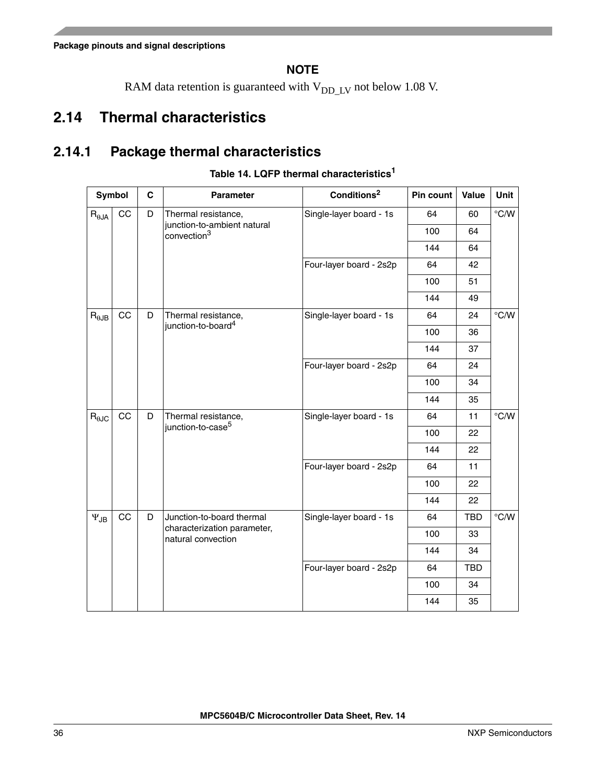### **NOTE**

RAM data retention is guaranteed with  $V_{DD\_LV}$  not below 1.08 V.

## <span id="page-35-0"></span>**2.14 Thermal characteristics**

### <span id="page-35-1"></span>**2.14.1 Package thermal characteristics**

| Symbol                            |         | $\mathbf c$                                                                         | <b>Parameter</b>                                                                                         | Conditions <sup>2</sup> | Pin count  | Value         | Unit           |
|-----------------------------------|---------|-------------------------------------------------------------------------------------|----------------------------------------------------------------------------------------------------------|-------------------------|------------|---------------|----------------|
| $\mathsf{R}_{\theta \mathsf{JA}}$ | CC      | D                                                                                   | Single-layer board - 1s<br>Thermal resistance,<br>junction-to-ambient natural<br>convection <sup>3</sup> |                         | 64         | 60            | $\degree$ C/W  |
|                                   |         |                                                                                     |                                                                                                          |                         | 100        | 64            |                |
|                                   |         |                                                                                     |                                                                                                          |                         | 144        | 64            |                |
|                                   |         |                                                                                     |                                                                                                          | Four-layer board - 2s2p | 64         | 42            |                |
|                                   |         |                                                                                     |                                                                                                          |                         | 100        | 51            |                |
|                                   |         |                                                                                     |                                                                                                          |                         | 144        | 49            |                |
| $R_{\theta$ JB                    | CC      | D                                                                                   | Thermal resistance,<br>junction-to-board <sup>4</sup>                                                    | Single-layer board - 1s | 64         | 24            | $^{\circ}$ C/W |
|                                   |         |                                                                                     |                                                                                                          |                         | 100        | 36            |                |
|                                   |         |                                                                                     |                                                                                                          |                         | 144        | 37            |                |
|                                   |         |                                                                                     |                                                                                                          | Four-layer board - 2s2p | 64         | 24            |                |
|                                   |         |                                                                                     |                                                                                                          |                         | 100        | 34            |                |
|                                   |         |                                                                                     |                                                                                                          |                         | 144        | 35            |                |
| $R_{\theta JC}$                   | CC<br>D | Thermal resistance,<br>junction-to-case <sup>5</sup>                                |                                                                                                          | Single-layer board - 1s | 64         | 11            | $\degree$ C/W  |
|                                   |         |                                                                                     |                                                                                                          | 100                     | 22         |               |                |
|                                   |         |                                                                                     |                                                                                                          |                         | 144        | 22            |                |
|                                   |         | Four-layer board - 2s2p                                                             | 64                                                                                                       | 11                      |            |               |                |
|                                   |         |                                                                                     |                                                                                                          | 100                     | 22         |               |                |
|                                   |         |                                                                                     |                                                                                                          | 144                     | 22         |               |                |
| $\Psi_{\mathsf{JB}}$              | CC      | Junction-to-board thermal<br>D<br>characterization parameter,<br>natural convection | Single-layer board - 1s                                                                                  | 64                      | <b>TBD</b> | $\degree$ C/W |                |
|                                   |         |                                                                                     |                                                                                                          |                         | 100        | 33            |                |
|                                   |         |                                                                                     |                                                                                                          | 144                     | 34         |               |                |
|                                   |         |                                                                                     | Four-layer board - 2s2p                                                                                  | 64                      | TBD        |               |                |
|                                   |         |                                                                                     |                                                                                                          | 100                     | 34         |               |                |
|                                   |         |                                                                                     |                                                                                                          |                         | 144        | 35            |                |

**Table 14. LQFP thermal characteristics<sup>1</sup>**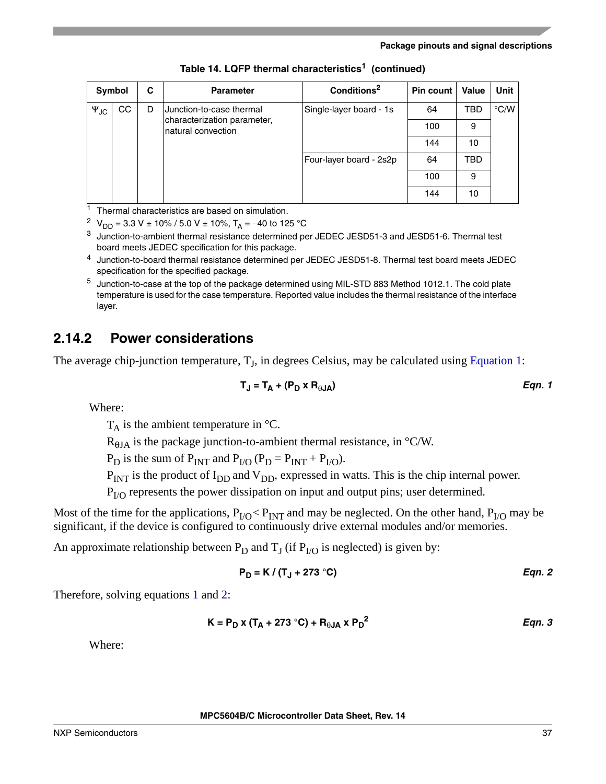| Symbol               |                                     | C                       | <b>Parameter</b>                                  | Conditions <sup>2</sup> | Pin count I        | Value | Unit |
|----------------------|-------------------------------------|-------------------------|---------------------------------------------------|-------------------------|--------------------|-------|------|
| $\Psi_{\mathsf{JC}}$ | CC<br>Junction-to-case thermal<br>D | Single-layer board - 1s | 64                                                | TBD                     | $\rm ^{\circ}$ C/W |       |      |
|                      |                                     |                         | characterization parameter,<br>natural convection |                         | 100                | 9     |      |
|                      |                                     |                         |                                                   |                         | 144                | 10    |      |
|                      |                                     |                         | Four-layer board - 2s2p                           | 64                      | TBD                |       |      |
|                      |                                     |                         |                                                   | 100                     | 9                  |       |      |
|                      |                                     |                         |                                                   |                         | 144                | 10    |      |

**Table 14. LQFP thermal characteristics1 (continued)**

 $1$  Thermal characteristics are based on simulation.

<sup>2</sup> V<sub>DD</sub> = 3.3 V ± 10% / 5.0 V ± 10%, T<sub>A</sub> = -40 to 125 °C

<sup>3</sup> Junction-to-ambient thermal resistance determined per JEDEC JESD51-3 and JESD51-6. Thermal test board meets JEDEC specification for this package.

<sup>4</sup> Junction-to-board thermal resistance determined per JEDEC JESD51-8. Thermal test board meets JEDEC specification for the specified package.

<sup>5</sup> Junction-to-case at the top of the package determined using MIL-STD 883 Method 1012.1. The cold plate temperature is used for the case temperature. Reported value includes the thermal resistance of the interface layer.

### **2.14.2 Power considerations**

<span id="page-36-0"></span>The average chip-junction temperature,  $T<sub>I</sub>$ , in degrees Celsius, may be calculated using [Equation 1](#page-36-0):

$$
T_J = T_A + (P_D \times R_{\theta JA})
$$
 Eqn. 1

Where:

 $T_A$  is the ambient temperature in  $\mathrm{C}$ .

 $R_{\theta JA}$  is the package junction-to-ambient thermal resistance, in °C/W.

 $P_D$  is the sum of  $P_{INT}$  and  $P_{I/O}$  ( $P_D = P_{INT} + P_{I/O}$ ).

 $P_{INT}$  is the product of  $I_{DD}$  and  $V_{DD}$ , expressed in watts. This is the chip internal power.

 $P<sub>I/O</sub>$  represents the power dissipation on input and output pins; user determined.

Most of the time for the applications,  $P_{I/O}$  <  $P_{INT}$  and may be neglected. On the other hand,  $P_{I/O}$  may be significant, if the device is configured to continuously drive external modules and/or memories.

<span id="page-36-1"></span>An approximate relationship between  $P_D$  and  $T_J$  (if  $P_{I/O}$  is neglected) is given by:

$$
P_D = K / (T_J + 273 \degree C)
$$
 Eqn. 2

<span id="page-36-2"></span>Therefore, solving equations [1](#page-36-0) and [2:](#page-36-1)

$$
K = P_D x (T_A + 273 °C) + R_{\theta JA} x P_D^2
$$
Eqn. 3

Where:

**MPC5604B/C Microcontroller Data Sheet, Rev. 14**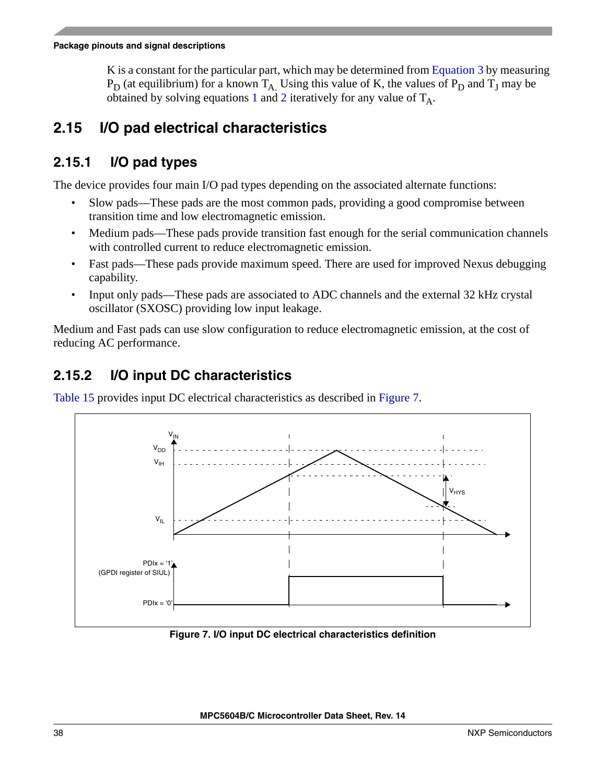K is a constant for the particular part, which may be determined from [Equation 3](#page-36-2) by measuring  $P_D$  (at equilibrium) for a known  $T_A$ . Using this value of K, the values of  $P_D$  and  $T_J$  may be obtained by solving equations [1](#page-36-0) and [2](#page-36-1) iteratively for any value of  $T_A$ .

## **2.15 I/O pad electrical characteristics**

### **2.15.1 I/O pad types**

The device provides four main I/O pad types depending on the associated alternate functions:

- Slow pads—These pads are the most common pads, providing a good compromise between transition time and low electromagnetic emission.
- Medium pads—These pads provide transition fast enough for the serial communication channels with controlled current to reduce electromagnetic emission.
- Fast pads—These pads provide maximum speed. There are used for improved Nexus debugging capability.
- Input only pads—These pads are associated to ADC channels and the external 32 kHz crystal oscillator (SXOSC) providing low input leakage.

Medium and Fast pads can use slow configuration to reduce electromagnetic emission, at the cost of reducing AC performance.

### **2.15.2 I/O input DC characteristics**

[Table 15](#page-38-0) provides input DC electrical characteristics as described in [Figure 7](#page-37-0).



<span id="page-37-0"></span>**Figure 7. I/O input DC electrical characteristics definition**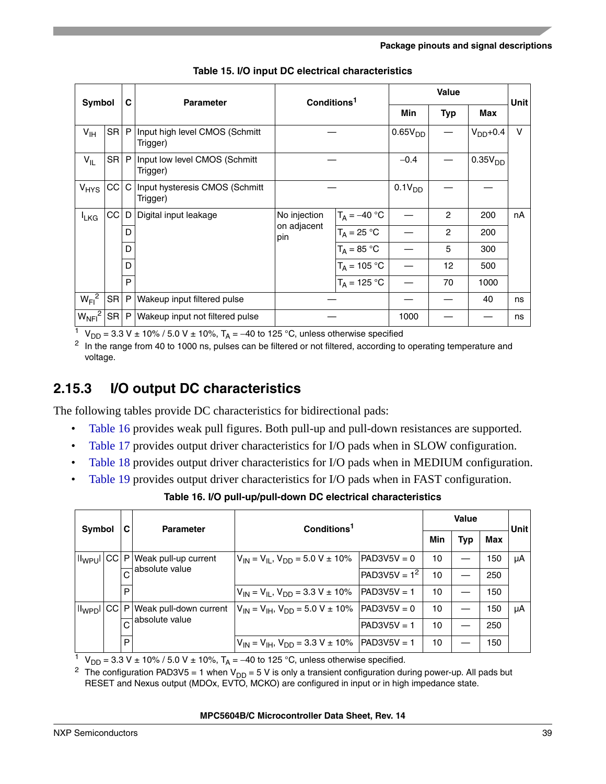<span id="page-38-0"></span>

|                    | Symbol | C | <b>Parameter</b>                             | Conditions <sup>1</sup> |                     |             |                | <b>Unit</b>         |        |
|--------------------|--------|---|----------------------------------------------|-------------------------|---------------------|-------------|----------------|---------------------|--------|
|                    |        |   |                                              |                         |                     | <b>Min</b>  | <b>Typ</b>     | Max                 |        |
| $V_{\text{IH}}$    | SR P   |   | Input high level CMOS (Schmitt<br>Trigger)   |                         | 0.65V <sub>DD</sub> |             |                | $VDD+0.4$           | $\vee$ |
| $V_{IL}$           | SR P   |   | Input low level CMOS (Schmitt<br>Trigger)    |                         |                     | $-0.4$      |                | 0.35V <sub>DD</sub> |        |
| V <sub>HYS</sub>   | CC     |   | C Input hysteresis CMOS (Schmitt<br>Trigger) |                         |                     | $0.1V_{DD}$ |                |                     |        |
| <b>L</b> KG        | CC     | D | Digital input leakage                        | No injection            | $T_A = -40 °C$      |             | $\overline{2}$ | 200                 | nA     |
|                    |        | D |                                              | on adjacent<br>pin      | $T_A = 25 °C$       |             | 2              | 200                 |        |
|                    |        | D |                                              |                         | $T_A = 85 °C$       |             | 5              | 300                 |        |
|                    |        | D |                                              |                         | $T_A = 105 °C$      |             | 12             | 500                 |        |
|                    |        | P |                                              |                         | $T_A = 125 °C$      |             | 70             | 1000                |        |
| $W_{FI}^2$         | SR P   |   | Wakeup input filtered pulse                  |                         |                     |             |                | 40                  | ns     |
| $W_{\text{NFI}}^2$ | SR P   |   | Wakeup input not filtered pulse              |                         |                     | 1000        |                |                     | ns     |

**Table 15. I/O input DC electrical characteristics**

<sup>1</sup> V<sub>DD</sub> = 3.3 V ± 10% / 5.0 V ± 10%, T<sub>A</sub> = -40 to 125 °C, unless otherwise specified

<span id="page-38-1"></span><sup>2</sup> In the range from 40 to 1000 ns, pulses can be filtered or not filtered, according to operating temperature and voltage.

### **2.15.3 I/O output DC characteristics**

The following tables provide DC characteristics for bidirectional pads:

- [Table 16](#page-38-2) provides weak pull figures. Both pull-up and pull-down resistances are supported.
- [Table 17](#page-39-0) provides output driver characteristics for I/O pads when in SLOW configuration.
- [Table 18](#page-39-1) provides output driver characteristics for I/O pads when in MEDIUM configuration.
- <span id="page-38-2"></span>• [Table 19](#page-40-0) provides output driver characteristics for I/O pads when in FAST configuration.

| Symbol |  |   | <b>Parameter</b>                                | Conditions <sup>1</sup>                                         |                        |    | <b>Value</b> |     |             |  |
|--------|--|---|-------------------------------------------------|-----------------------------------------------------------------|------------------------|----|--------------|-----|-------------|--|
|        |  |   |                                                 |                                                                 |                        |    | <b>Typ</b>   | Max | <b>Unit</b> |  |
|        |  |   | Il <sub>WPU</sub> I CC P Weak pull-up current   | $V_{\text{IN}} = V_{\text{II}}$ , $V_{\text{DD}} = 5.0$ V ± 10% | $\textsf{PAD3V5V} = 0$ | 10 |              | 150 | μA          |  |
|        |  |   | $\overline{C}$ absolute value                   |                                                                 | $PAD3V5V = 12$         | 10 |              | 250 |             |  |
|        |  | P |                                                 | $V_{IN} = V_{II}$ , $V_{DD} = 3.3$ V ± 10%   PAD3V5V = 1        |                        | 10 |              | 150 |             |  |
|        |  |   | Il <sub>WPD</sub> I CC P Weak pull-down current | $V_{IN} = V_{IH}$ , $V_{DD} = 5.0$ V $\pm$ 10%   PAD3V5V = 0    |                        | 10 |              | 150 | μA          |  |
|        |  |   | absolute value                                  |                                                                 | $PAD3V5V = 1$          | 10 |              | 250 |             |  |
|        |  | P |                                                 | $V_{IN} = V_{IH}$ , $V_{DD} = 3.3 V \pm 10\%$   PAD3V5V = 1     |                        | 10 |              | 150 |             |  |

**Table 16. I/O pull-up/pull-down DC electrical characteristics**

<sup>1</sup> V<sub>DD</sub> = 3.3 V ± 10% / 5.0 V ± 10%, T<sub>A</sub> = -40 to 125 °C, unless otherwise specified.

<sup>2</sup> The configuration PAD3V5 = 1 when V<sub>DD</sub> = 5 V is only a transient configuration during power-up. All pads but RESET and Nexus output (MDOx, EVTO, MCKO) are configured in input or in high impedance state.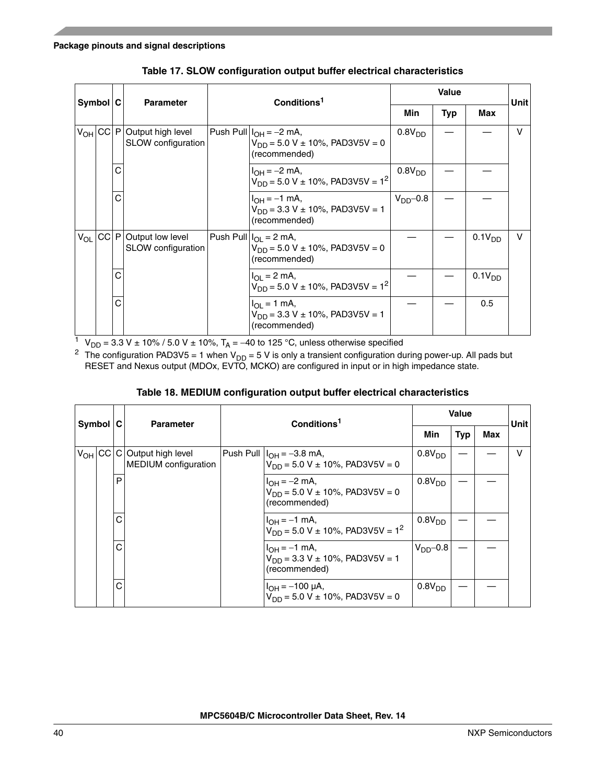<span id="page-39-0"></span>

| $Symbol$ $C$      |   | <b>Parameter</b>                                     | Conditions <sup>1</sup>                                                                                       |                    |            | Unitl              |   |
|-------------------|---|------------------------------------------------------|---------------------------------------------------------------------------------------------------------------|--------------------|------------|--------------------|---|
|                   |   |                                                      |                                                                                                               | Min                | <b>Typ</b> | Max                |   |
| $V_{OH}$ CC $ P $ |   | Output high level<br>SLOW configuration              | Push Pull $I_{OH} = -2$ mA,<br>0.8V <sub>DD</sub><br>$V_{DD} = 5.0 V \pm 10\%$ , PAD3V5V = 0<br>(recommended) |                    |            |                    | v |
|                   |   |                                                      | $I_{OH} = -2$ mA,<br>$V_{DD}$ = 5.0 V ± 10%, PAD3V5V = 1 <sup>2</sup>                                         | 0.8V <sub>DD</sub> |            |                    |   |
|                   | C |                                                      | $I_{OH} = -1$ mA,<br>$V_{DD}$ = 3.3 V ± 10%, PAD3V5V = 1<br>(recommended)                                     | $VDD$ -0.8         |            |                    |   |
|                   |   | $V_{OL}$ CC P Output low level<br>SLOW configuration | Push Pull $I_{OL}$ = 2 mA,<br>$V_{DD} = 5.0 V \pm 10\%$ , PAD3V5V = 0<br>(recommended)                        |                    |            | 0.1V <sub>DD</sub> | v |
|                   | C |                                                      | $I_{\text{OI}} = 2 \text{ mA}$<br>$V_{DD}$ = 5.0 V ± 10%, PAD3V5V = 1 <sup>2</sup>                            |                    |            | 0.1V <sub>DD</sub> |   |
|                   | С |                                                      | $I_{\text{OI}} = 1 \text{ mA}$<br>$V_{DD}$ = 3.3 V ± 10%, PAD3V5V = 1<br>(recommended)                        |                    |            | 0.5                |   |

**Table 17. SLOW configuration output buffer electrical characteristics**

<sup>1</sup> V<sub>DD</sub> = 3.3 V ± 10% / 5.0 V ± 10%, T<sub>A</sub> = -40 to 125 °C, unless otherwise specified

<span id="page-39-2"></span><sup>2</sup> The configuration PAD3V5 = 1 when V<sub>DD</sub> = 5 V is only a transient configuration during power-up. All pads but RESET and Nexus output (MDOx, EVTO, MCKO) are configured in input or in high impedance state.

|  |  | Table 18. MEDIUM configuration output buffer electrical characteristics |
|--|--|-------------------------------------------------------------------------|
|  |  |                                                                         |

<span id="page-39-1"></span>

| Symbol C |   | <b>Parameter</b>                                                      | Conditions <sup>1</sup> |                                                                               | <b>Value</b>       | <b>Unit</b> |     |   |
|----------|---|-----------------------------------------------------------------------|-------------------------|-------------------------------------------------------------------------------|--------------------|-------------|-----|---|
|          |   |                                                                       |                         |                                                                               |                    | <b>Typ</b>  | Max |   |
|          |   | V <sub>OH</sub> CC C Output high level<br><b>MEDIUM</b> configuration |                         | Push Pull $ I_{OH} = -3.8$ mA,<br>$V_{DD} = 5.0 V \pm 10\%$ , PAD3V5V = 0     | 0.8V <sub>DD</sub> |             |     | v |
|          | P |                                                                       |                         | $I_{OH} = -2$ mA,<br>$V_{DD} = 5.0 V \pm 10\%$ , PAD3V5V = 0<br>(recommended) | 0.8V <sub>DD</sub> |             |     |   |
|          | C |                                                                       |                         | $I_{OH} = -1$ mA,<br>$V_{DD}$ = 5.0 V ± 10%, PAD3V5V = 1 <sup>2</sup>         | 0.8V <sub>DD</sub> |             |     |   |
|          | C |                                                                       |                         | $I_{OH} = -1$ mA,<br>$V_{DD}$ = 3.3 V ± 10%, PAD3V5V = 1<br>(recommended)     | $V_{DD}$ -0.8      |             |     |   |
|          | C |                                                                       |                         | $I_{OH} = -100 \mu A$ ,<br>$V_{DD} = 5.0 V \pm 10\%$ , PAD3V5V = 0            | 0.8V <sub>DD</sub> |             |     |   |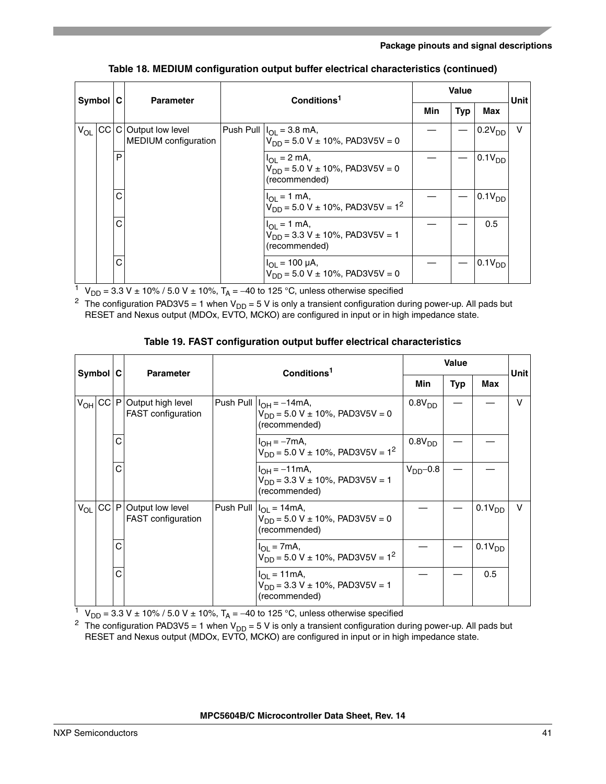|          | $Symbol$ $ C$ |   | <b>Parameter</b>                                     | Conditions <sup>1</sup>                                                                | <b>Value</b> | Unit       |                    |   |
|----------|---------------|---|------------------------------------------------------|----------------------------------------------------------------------------------------|--------------|------------|--------------------|---|
|          |               |   |                                                      |                                                                                        |              | <b>Typ</b> | Max                |   |
| $V_{OL}$ |               |   | CC C Output low level<br><b>MEDIUM</b> configuration | Push Pull $ I_{OL} = 3.8$ mA,<br>$V_{DD} = 5.0 V \pm 10\%$ , PAD3V5V = 0               |              |            | 0.2V <sub>DD</sub> | v |
|          |               | P |                                                      | $I_{OL} = 2$ mA,<br>$V_{DD} = 5.0 V \pm 10\%$ , PAD3V5V = 0<br>(recommended)           |              |            | 0.1V <sub>DD</sub> |   |
|          |               | C |                                                      | $I_{OL} = 1$ mA,<br>$V_{DD}$ = 5.0 V ± 10%, PAD3V5V = 1 <sup>2</sup>                   |              |            | 0.1V <sub>DD</sub> |   |
|          |               | Ċ |                                                      | $I_{\text{OI}} = 1 \text{ mA}$<br>$V_{DD}$ = 3.3 V ± 10%, PAD3V5V = 1<br>(recommended) |              |            | 0.5                |   |
|          |               | C |                                                      | $I_{OL}$ = 100 µA,<br>$V_{DD} = 5.0 V \pm 10\%$ , PAD3V5V = 0                          |              |            | 0.1V <sub>DD</sub> |   |

#### **Table 18. MEDIUM configuration output buffer electrical characteristics (continued)**

<sup>1</sup> V<sub>DD</sub> = 3.3 V ± 10% / 5.0 V ± 10%, T<sub>A</sub> = -40 to 125 °C, unless otherwise specified

<span id="page-40-1"></span><sup>2</sup> The configuration PAD3V5 = 1 when  $V_{DD} = 5$  V is only a transient configuration during power-up. All pads but RESET and Nexus output (MDOx, EVTO, MCKO) are configured in input or in high impedance state.

<span id="page-40-0"></span>

|          | $Symbol$ $C$ |   | <b>Parameter</b>                                             | Conditions <sup>1</sup>                                                                      |                    |     |                    | <b>Unit</b> |
|----------|--------------|---|--------------------------------------------------------------|----------------------------------------------------------------------------------------------|--------------------|-----|--------------------|-------------|
|          |              |   |                                                              |                                                                                              | Min                | Typ | Max                |             |
|          |              |   | V <sub>OH</sub> CC P Output high level<br>FAST configuration | Push Pull $ I_{OH} = -14$ mA,<br>$V_{DD}$ = 5.0 V ± 10%, PAD3V5V = 0<br>(recommended)        | 0.8V <sub>DD</sub> |     |                    | v           |
|          |              | C |                                                              | 0.8V <sub>DD</sub><br>$I_{OH} = -7mA,$<br>$V_{DD}$ = 5.0 V ± 10%, PAD3V5V = 1 <sup>2</sup>   |                    |     |                    |             |
|          |              | C |                                                              | $I_{OH} = -11$ mA,<br>$V_{DD}$ = 3.3 V ± 10%, PAD3V5V = 1<br>(recommended)                   | $VDD-0.8$          |     |                    |             |
| $V_{OL}$ |              |   | CC P Output low level<br>FAST configuration                  | Push Pull $ I_{OL} = 14 \text{mA}$ ,<br>$V_{DD}$ = 5.0 V ± 10%, PAD3V5V = 0<br>(recommended) |                    |     | 0.1V <sub>DD</sub> | v           |
|          |              | C |                                                              | $I_{\Omega I}$ = 7mA,<br>$V_{DD}$ = 5.0 V ± 10%, PAD3V5V = 1 <sup>2</sup>                    |                    |     | 0.1V <sub>DD</sub> |             |
|          |              | C |                                                              | $I_{\text{OI}} = 11 \text{mA}$ ,<br>$V_{DD}$ = 3.3 V ± 10%, PAD3V5V = 1<br>(recommended)     |                    |     | 0.5                |             |

#### **Table 19. FAST configuration output buffer electrical characteristics**

<sup>1</sup> V<sub>DD</sub> = 3.3 V ± 10% / 5.0 V ± 10%, T<sub>A</sub> = -40 to 125 °C, unless otherwise specified

<span id="page-40-2"></span><sup>2</sup> The configuration PAD3V5 = 1 when V<sub>DD</sub> = 5 V is only a transient configuration during power-up. All pads but RESET and Nexus output (MDOx, EVTO, MCKO) are configured in input or in high impedance state.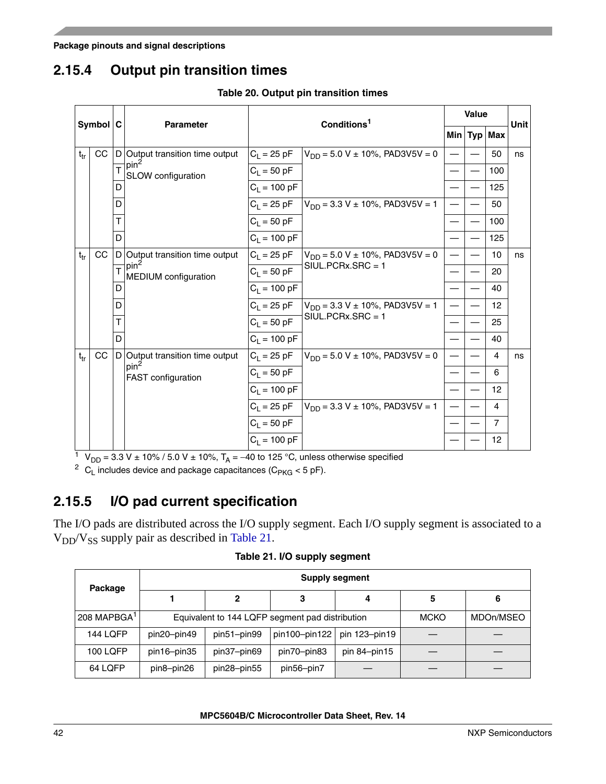# **2.15.4 Output pin transition times**

|          | $Symbol$ <sub>C</sub> |   | <b>Parameter</b>                         |                | Conditions <sup>1</sup>                 | <b>Value</b> |                | <b>Unit</b> |
|----------|-----------------------|---|------------------------------------------|----------------|-----------------------------------------|--------------|----------------|-------------|
|          |                       |   |                                          |                |                                         |              | Min $Typ$ Max  |             |
| $t_{tr}$ | CC                    |   | D Output transition time output          | $C_L = 25$ pF  | $V_{DD} = 5.0 V \pm 10\%$ , PAD3V5V = 0 |              | 50             | ns          |
|          |                       | T | pin <sup>2</sup><br>SLOW configuration   | $C_1 = 50 pF$  |                                         |              | 100            |             |
|          |                       |   |                                          | $C_1 = 100 pF$ |                                         |              | 125            |             |
|          |                       | D |                                          | $C_1 = 25$ pF  | $V_{DD}$ = 3.3 V ± 10%, PAD3V5V = 1     |              | 50             |             |
|          |                       |   |                                          | $C_1 = 50 pF$  |                                         |              | 100            |             |
|          |                       | D |                                          | $C_1 = 100 pF$ |                                         |              | 125            |             |
| $t_{tr}$ | CC                    |   | D Output transition time output          | $C_1 = 25$ pF  | $V_{DD}$ = 5.0 V ± 10%, PAD3V5V = 0     |              | 10             | ns          |
|          |                       |   | pin <sup>2</sup><br>MEDIUM configuration | $C_1 = 50 pF$  | $S IUL.PCRx.SRC = 1$                    |              | 20             |             |
|          |                       |   |                                          | $C_1 = 100 pF$ |                                         |              | 40             |             |
|          |                       | D |                                          | $C_L = 25 pF$  | $V_{DD}$ = 3.3 V ± 10%, PAD3V5V = 1     |              | 12             |             |
|          |                       |   |                                          | $C_1 = 50 pF$  | $SIUL.PCRx.SRC = 1$                     |              | 25             |             |
|          |                       | D |                                          | $C_1 = 100 pF$ |                                         |              | 40             |             |
| $t_{tr}$ | CC                    |   | D Output transition time output          | $C_1 = 25$ pF  | $V_{DD}$ = 5.0 V ± 10%, PAD3V5V = 0     |              | 4              | ns          |
|          |                       |   | pin <sup>2</sup><br>FAST configuration   | $C_1 = 50$ pF  |                                         |              | 6              |             |
|          |                       |   |                                          | $C_L = 100 pF$ |                                         |              | 12             |             |
|          |                       |   |                                          | $C_L = 25$ pF  | $V_{DD}$ = 3.3 V ± 10%, PAD3V5V = 1     |              | 4              |             |
|          |                       |   |                                          | $C_1 = 50 pF$  |                                         |              | $\overline{7}$ |             |
|          |                       |   |                                          | $C_1 = 100 pF$ |                                         |              | 12             |             |

**Table 20. Output pin transition times**

 $1 \text{ V}_{DD} = 3.3 \text{ V} \pm 10\% / 5.0 \text{ V} \pm 10\%$ , T<sub>A</sub> = -40 to 125 °C, unless otherwise specified

<span id="page-41-0"></span><sup>2</sup> C<sub>L</sub> includes device and package capacitances (C<sub>PKG</sub> < 5 pF).

## **2.15.5 I/O pad current specification**

The I/O pads are distributed across the I/O supply segment. Each I/O supply segment is associated to a  $V_{DD}/V_{SS}$  supply pair as described in [Table 21.](#page-41-1)

**Table 21. I/O supply segment**

<span id="page-41-1"></span>

| Package                 | <b>Supply segment</b> |                                                 |               |               |           |   |  |  |  |
|-------------------------|-----------------------|-------------------------------------------------|---------------|---------------|-----------|---|--|--|--|
|                         |                       | 2                                               | 3             | 4             | 5         | 6 |  |  |  |
| 208 MAPBGA <sup>1</sup> |                       | Equivalent to 144 LQFP segment pad distribution |               | <b>MCKO</b>   | MDOn/MSEO |   |  |  |  |
| <b>144 LQFP</b>         | pin20-pin49           | pin51-pin99                                     | pin100-pin122 | pin 123-pin19 |           |   |  |  |  |
| <b>100 LQFP</b>         | pin16-pin35           | pin37-pin69                                     | pin70-pin83   | pin 84-pin15  |           |   |  |  |  |
| 64 LQFP                 | pin8-pin26            | pin28-pin55                                     | pin56-pin7    |               |           |   |  |  |  |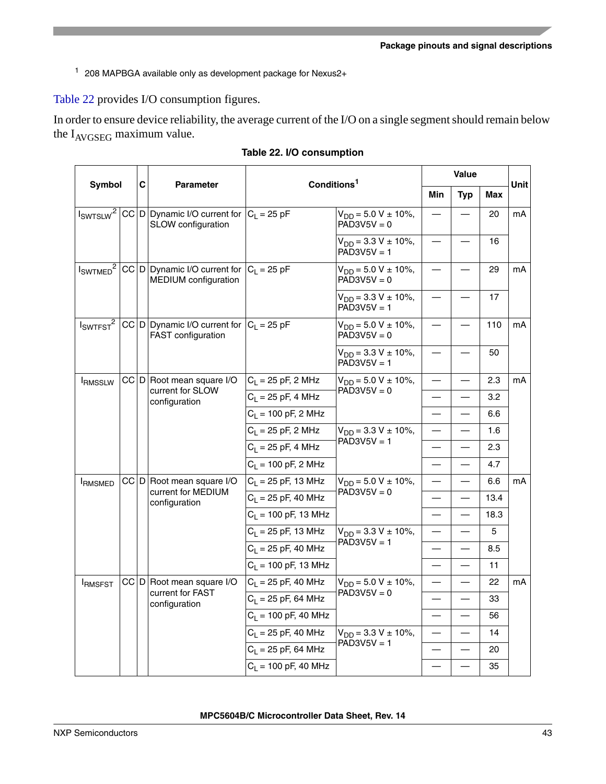<sup>1</sup> 208 MAPBGA available only as development package for Nexus2+

[Table 22](#page-42-0) provides I/O consumption figures.

In order to ensure device reliability, the average current of the I/O on a single segment should remain below the  $I_{AVGSEG}$  maximum value.

<span id="page-42-0"></span>

|                                  |  | C |                                                                                 | Conditions <sup>1</sup> |                                              |                                  | Value                    |      |      |
|----------------------------------|--|---|---------------------------------------------------------------------------------|-------------------------|----------------------------------------------|----------------------------------|--------------------------|------|------|
| Symbol                           |  |   | <b>Parameter</b>                                                                |                         |                                              | Min                              | <b>Typ</b>               | Max  | Unit |
|                                  |  |   | $I_{SWTSLW}^2$ CC D Dynamic I/O current for $C_L = 25$ pF<br>SLOW configuration |                         | $V_{DD} = 5.0 V \pm 10\%,$<br>$PAD3V5V = 0$  |                                  |                          | 20   | mA   |
|                                  |  |   |                                                                                 |                         | $V_{DD} = 3.3 V \pm 10\%,$<br>$PAD3V5V = 1$  |                                  |                          | 16   |      |
| $I_{\text{SWTMED}}^2$            |  |   | CC D Dynamic I/O current for $ C_1  = 25$ pF<br>MEDIUM configuration            |                         | $V_{DD} = 5.0 V \pm 10\%,$<br>$PAD3V5V = 0$  |                                  |                          | 29   | mA   |
|                                  |  |   |                                                                                 |                         | $V_{DD} = 3.3 V \pm 10\%,$<br>$PAD3V5V = 1$  |                                  |                          | 17   |      |
| I <sub>SWTEST</sub> <sup>2</sup> |  |   | CC D Dynamic I/O current for $ C_1  = 25$ pF<br>FAST configuration              |                         | $V_{DD} = 5.0 V \pm 10\%$ ,<br>$PAD3V5V = 0$ |                                  |                          | 110  | mA   |
|                                  |  |   |                                                                                 |                         | $V_{DD} = 3.3 V \pm 10\%,$<br>$PAD3V5V = 1$  |                                  |                          | 50   |      |
| <b>IRMSSLW</b>                   |  |   | CC D Root mean square I/O                                                       | $C_L = 25$ pF, 2 MHz    | $V_{DD} = 5.0 V \pm 10\%,$                   |                                  |                          | 2.3  | mA   |
|                                  |  |   | current for SLOW<br>configuration                                               | $C_1 = 25$ pF, 4 MHz    | $PAD3V5V = 0$                                |                                  |                          | 3.2  |      |
|                                  |  |   | $C_1 = 100$ pF, 2 MHz                                                           |                         |                                              |                                  | 6.6                      |      |      |
|                                  |  |   |                                                                                 | $C_1 = 25$ pF, 2 MHz    | $V_{DD} = 3.3 V \pm 10\%,$                   |                                  |                          | 1.6  |      |
|                                  |  |   |                                                                                 | $C_1 = 25$ pF, 4 MHz    | $PAD3V5V = 1$                                |                                  |                          | 2.3  |      |
|                                  |  |   |                                                                                 | $C_1 = 100$ pF, 2 MHz   |                                              |                                  |                          | 4.7  |      |
| <b>IRMSMED</b>                   |  |   | CC D Root mean square I/O                                                       | $C_1 = 25$ pF, 13 MHz   | $V_{DD} = 5.0 V \pm 10\%,$                   |                                  |                          | 6.6  | mA   |
|                                  |  |   | current for MEDIUM<br>configuration                                             | $C_1 = 25$ pF, 40 MHz   | $PAD3V5V = 0$                                |                                  |                          | 13.4 |      |
|                                  |  |   |                                                                                 | $C_1 = 100$ pF, 13 MHz  |                                              |                                  |                          | 18.3 |      |
|                                  |  |   |                                                                                 | $C_1 = 25$ pF, 13 MHz   | $V_{DD} = 3.3 V \pm 10\%,$                   | $\overbrace{\phantom{12322111}}$ |                          | 5    |      |
|                                  |  |   |                                                                                 | $C_1 = 25$ pF, 40 MHz   | $PAD3V5V = 1$                                |                                  |                          | 8.5  |      |
|                                  |  |   |                                                                                 | $C_1 = 100$ pF, 13 MHz  |                                              |                                  | $\overline{\phantom{0}}$ | 11   |      |
| <b>IRMSFST</b>                   |  |   | CC D Root mean square I/O                                                       | $C_1 = 25$ pF, 40 MHz   | $V_{DD} = 5.0 V \pm 10\%,$                   |                                  |                          | 22   | mA   |
|                                  |  |   | current for FAST<br>configuration                                               | $C_1 = 25$ pF, 64 MHz   | $PAD3V5V = 0$                                |                                  |                          | 33   |      |
|                                  |  |   |                                                                                 | $C_1 = 100$ pF, 40 MHz  |                                              |                                  |                          | 56   |      |
|                                  |  |   |                                                                                 | $C_1 = 25$ pF, 40 MHz   | $V_{DD} = 3.3 V \pm 10\%,$                   |                                  |                          | 14   |      |
|                                  |  |   |                                                                                 | $C_1 = 25$ pF, 64 MHz   | $PAD3V5V = 1$                                |                                  |                          | 20   |      |
|                                  |  |   |                                                                                 | $C_1 = 100$ pF, 40 MHz  |                                              | $\overline{\phantom{a}}$         |                          | 35   |      |

**Table 22. I/O consumption**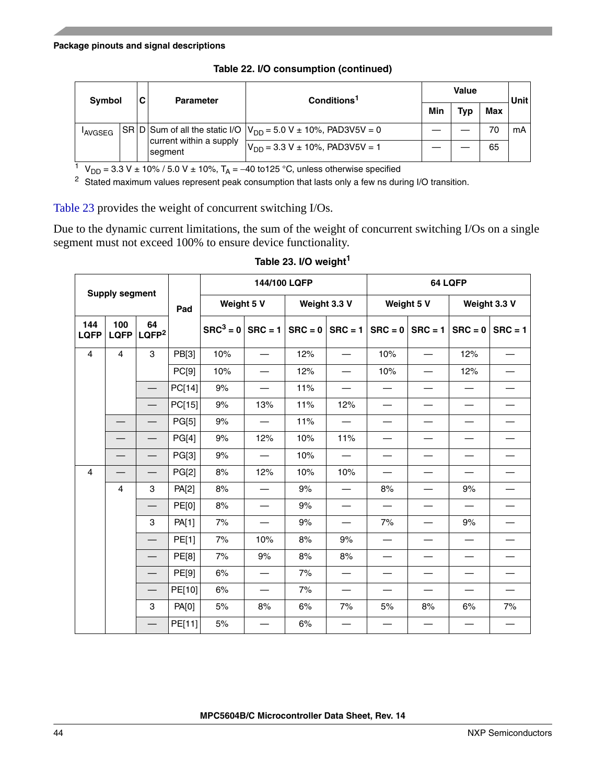| <b>Symbol</b> |  | C | <b>Parameter</b>                   | Conditions <sup>1</sup>                                                                                                                  |  |            | <b>Unit</b> |    |
|---------------|--|---|------------------------------------|------------------------------------------------------------------------------------------------------------------------------------------|--|------------|-------------|----|
|               |  |   |                                    |                                                                                                                                          |  | <b>Typ</b> | Max         |    |
| <b>AVGSEG</b> |  |   |                                    | $\overline{\text{SR}}\vert\text{D}\vert\text{Sum of all the static I/O}\vert\text{V}_{\text{DD}} = 5.0 \text{ V} \pm 10\%$ , PAD3V5V = 0 |  |            | 70          | mA |
|               |  |   | current within a supply<br>segment | $V_{DD}$ = 3.3 V ± 10%, PAD3V5V = 1                                                                                                      |  |            | 65          |    |

**Table 22. I/O consumption (continued)**

 $1$  V<sub>DD</sub> = 3.3 V ± 10% / 5.0 V ± 10%, T<sub>A</sub> = -40 to125 °C, unless otherwise specified

<span id="page-43-0"></span><sup>2</sup> Stated maximum values represent peak consumption that lasts only a few ns during I/O transition.

[Table 23](#page-43-1) provides the weight of concurrent switching I/Os.

Due to the dynamic current limitations, the sum of the weight of concurrent switching I/Os on a single segment must not exceed 100% to ensure device functionality.

<span id="page-43-1"></span>

| <b>Supply segment</b> |                    |                                | 144/100 LQFP |                    |     | 64 LQFP             |                          |                          |                          |              |                          |
|-----------------------|--------------------|--------------------------------|--------------|--------------------|-----|---------------------|--------------------------|--------------------------|--------------------------|--------------|--------------------------|
|                       |                    |                                | Pad          | Weight 5 V         |     | Weight 3.3 V        |                          | Weight 5 V               |                          | Weight 3.3 V |                          |
| 144<br><b>LQFP</b>    | 100<br><b>LQFP</b> | 64<br>LQFP <sup>2</sup>        |              | $SRC3 = 0$ SRC = 1 |     | $SRC = 0$ $SRC = 1$ |                          | $SRC = 0$                | $SRC = 1$                | $SRC = 0$    | $SRC = 1$                |
| 4                     | $\overline{4}$     | 3                              | PB[3]        | 10%                |     | 12%                 |                          | 10%                      |                          | 12%          |                          |
|                       |                    |                                | PC[9]        | 10%                |     | 12%                 |                          | 10%                      | $\overline{\phantom{0}}$ | 12%          |                          |
|                       |                    |                                | PC[14]       | 9%                 |     | 11%                 |                          |                          | $\overline{\phantom{0}}$ |              | $\overline{\phantom{0}}$ |
|                       |                    |                                | PC[15]       | 9%                 | 13% | 11%                 | 12%                      | $\overline{\phantom{0}}$ | —                        |              | $\overline{\phantom{0}}$ |
|                       |                    | $\qquad \qquad \longleftarrow$ | PG[5]        | 9%                 |     | 11%                 |                          |                          |                          |              |                          |
|                       |                    |                                | PG[4]        | $9\%$              | 12% | 10%                 | 11%                      |                          |                          |              |                          |
|                       |                    | $\qquad \qquad -$              | PG[3]        | 9%                 |     | 10%                 |                          |                          | —                        |              |                          |
| $\overline{4}$        |                    | $\qquad \qquad -$              | PG[2]        | 8%                 | 12% | 10%                 | 10%                      |                          |                          |              |                          |
|                       | 4                  | 3                              | PA[2]        | 8%                 |     | 9%                  |                          | 8%                       |                          | 9%           |                          |
|                       |                    | $\qquad \qquad$                | <b>PE[0]</b> | 8%                 |     | 9%                  |                          |                          |                          |              |                          |
|                       |                    | 3                              | PA[1]        | 7%                 |     | 9%                  | $\overline{\phantom{0}}$ | 7%                       | —                        | 9%           |                          |
|                       |                    | $\overline{\phantom{0}}$       | PE[1]        | 7%                 | 10% | 8%                  | 9%                       |                          |                          |              |                          |
|                       |                    | $\overline{\phantom{0}}$       | PE[8]        | 7%                 | 9%  | 8%                  | 8%                       |                          |                          |              |                          |
|                       |                    |                                | PE[9]        | 6%                 |     | 7%                  |                          |                          |                          |              |                          |
|                       |                    | $\overline{\phantom{0}}$       | PE[10]       | 6%                 |     | 7%                  |                          |                          |                          |              |                          |
|                       |                    | 3                              | PA[0]        | 5%                 | 8%  | 6%                  | 7%                       | 5%                       | 8%                       | 6%           | 7%                       |
|                       |                    |                                | PE[11]       | 5%                 |     | 6%                  |                          |                          |                          |              |                          |

### **Table 23. I/O weight<sup>1</sup>**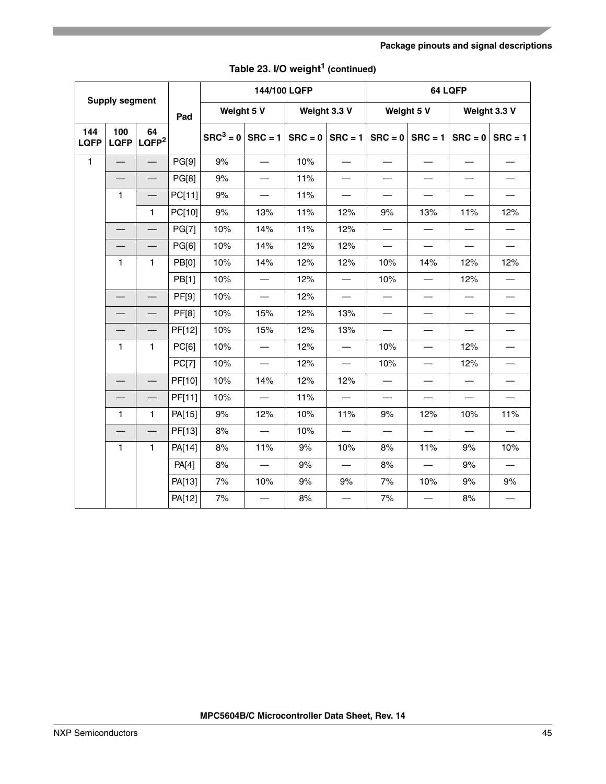|                    | <b>Supply segment</b>    |                         |              |                    | 144/100 LQFP             |           |                                  |                          | 64 LQFP                          |                          |                          |  |  |
|--------------------|--------------------------|-------------------------|--------------|--------------------|--------------------------|-----------|----------------------------------|--------------------------|----------------------------------|--------------------------|--------------------------|--|--|
|                    |                          |                         | Pad          | Weight 5 V         |                          |           | Weight 3.3 V                     | Weight 5 V               |                                  |                          | Weight 3.3 V             |  |  |
| 144<br><b>LQFP</b> | 100<br><b>LQFP</b>       | 64<br>LQFP <sup>2</sup> |              | $SRC3 = 0$ SRC = 1 |                          | $SRC = 0$ | $SRC = 1$                        | $SRC = 0$                | $SRC = 1$                        | $SRC = 0$                | $SRC = 1$                |  |  |
| $\mathbf{1}$       | $\overline{\phantom{0}}$ |                         | PG[9]        | 9%                 |                          | 10%       | $\overbrace{\phantom{12322111}}$ |                          | $\overbrace{\phantom{12322111}}$ | $\overline{\phantom{0}}$ |                          |  |  |
|                    |                          |                         | <b>PG[8]</b> | 9%                 | $\overline{\phantom{0}}$ | 11%       |                                  | $\overline{\phantom{0}}$ |                                  |                          |                          |  |  |
|                    | $\mathbf{1}$             |                         | PC[11]       | 9%                 |                          | 11%       | $\overline{\phantom{0}}$         | $\overline{\phantom{0}}$ |                                  |                          | $\overline{\phantom{0}}$ |  |  |
|                    |                          | $\mathbf{1}$            | PC[10]       | $9\%$              | 13%                      | 11%       | 12%                              | 9%                       | 13%                              | 11%                      | 12%                      |  |  |
|                    |                          |                         | <b>PG[7]</b> | 10%                | 14%                      | 11%       | 12%                              |                          |                                  |                          | $\overline{\phantom{0}}$ |  |  |
|                    |                          |                         | PG[6]        | 10%                | 14%                      | 12%       | 12%                              | $\overline{\phantom{0}}$ |                                  | $\overline{\phantom{0}}$ | $\overline{\phantom{0}}$ |  |  |
|                    | $\mathbf{1}$<br>1        |                         | PB[0]        | 10%                | 14%                      | 12%       | 12%                              | 10%                      | 14%                              | 12%                      | 12%                      |  |  |
|                    |                          |                         | PB[1]        | 10%                | $\overline{\phantom{0}}$ | 12%       |                                  | 10%                      |                                  | 12%                      |                          |  |  |
|                    |                          |                         | <b>PF[9]</b> | 10%                | $\equiv$                 | 12%       | $\overline{\phantom{0}}$         | $\overline{\phantom{0}}$ |                                  | $\overline{\phantom{0}}$ |                          |  |  |
|                    |                          |                         | <b>PF[8]</b> | 10%                | 15%                      | 12%       | 13%                              | $\qquad \qquad$          | $\overline{\phantom{0}}$         |                          |                          |  |  |
|                    |                          |                         | PF[12]       | 10%                | 15%                      | 12%       | 13%                              | $\equiv$                 | $\overline{\phantom{0}}$         |                          | $\equiv$                 |  |  |
|                    | $\mathbf{1}$             | $\mathbf{1}$            | PC[6]        | 10%                |                          | 12%       | $\overline{\phantom{0}}$         | 10%                      | $\overline{\phantom{0}}$         | 12%                      | $\overline{\phantom{0}}$ |  |  |
|                    |                          |                         | PC[7]        | 10%                | $\overline{\phantom{m}}$ | 12%       |                                  | 10%                      | $\overbrace{\phantom{12322111}}$ | 12%                      |                          |  |  |
|                    |                          |                         | PF[10]       | 10%                | 14%                      | 12%       | 12%                              |                          |                                  |                          | $\overline{\phantom{0}}$ |  |  |
|                    |                          |                         | PF[11]       | 10%                |                          | 11%       | $\overline{\phantom{0}}$         |                          |                                  | $\overline{\phantom{0}}$ |                          |  |  |
|                    | 1                        | $\mathbf{1}$            | PA[15]       | $9\%$              | 12%                      | 10%       | 11%                              | 9%                       | 12%                              | 10%                      | 11%                      |  |  |
|                    |                          |                         | PF[13]       | 8%                 | $\frac{1}{2}$            | 10%       |                                  | $\qquad \qquad$          |                                  |                          |                          |  |  |
|                    | 1                        | $\mathbf{1}$            | PA[14]       | 8%                 | 11%                      | 9%        | 10%                              | 8%                       | 11%                              | 9%                       | 10%                      |  |  |
|                    |                          |                         | PA[4]        | $8%$               |                          | 9%        |                                  | 8%                       |                                  | 9%                       |                          |  |  |
|                    |                          |                         | PA[13]       | 7%                 | 10%                      | 9%        | 9%                               | 7%                       | 10%                              | 9%                       | 9%                       |  |  |
|                    |                          |                         | PA[12]       | 7%                 |                          | 8%        |                                  | 7%                       |                                  | 8%                       |                          |  |  |

**Table 23. I/O weight1 (continued)**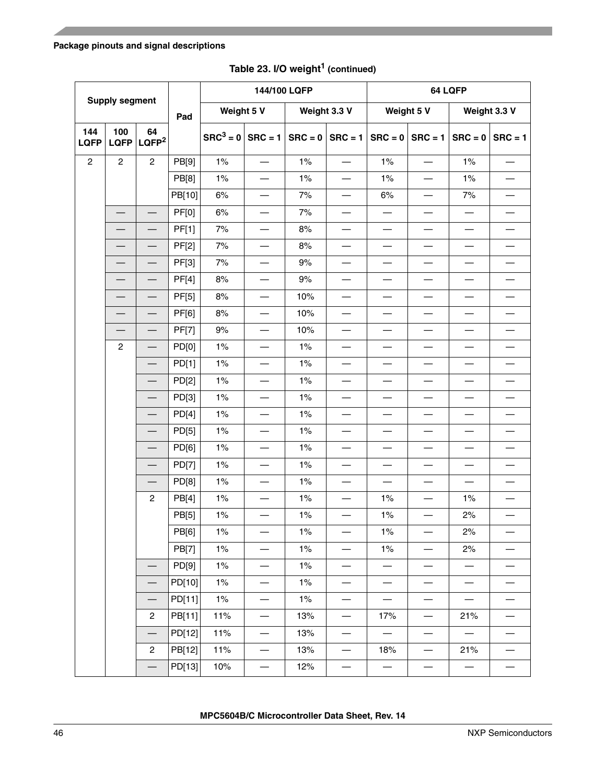| <b>Supply segment</b> |                    |                          | 144/100 LQFP |             |                          | 64 LQFP   |                                   |                          |                          |                          |                          |
|-----------------------|--------------------|--------------------------|--------------|-------------|--------------------------|-----------|-----------------------------------|--------------------------|--------------------------|--------------------------|--------------------------|
|                       |                    |                          | Pad          | Weight 5 V  |                          |           | Weight 3.3 V                      | Weight 5 V               |                          |                          | Weight 3.3 V             |
| 144<br><b>LQFP</b>    | 100<br><b>LQFP</b> | 64<br>LQFP <sup>2</sup>  |              | $SRC^3 = 0$ | $SRC = 1$                | $SRC = 0$ | $SRC = 1$                         | $SRC = 0$                | $SRC = 1$                | $SRC = 0$                | $SRC = 1$                |
| $\overline{c}$        | $\overline{c}$     | $\overline{c}$           | PB[9]        | 1%          |                          | 1%        |                                   | 1%                       |                          | 1%                       |                          |
|                       |                    |                          | PB[8]        | 1%          | $\overline{\phantom{0}}$ | 1%        |                                   | 1%                       |                          | 1%                       |                          |
|                       |                    |                          | PB[10]       | 6%          |                          | 7%        |                                   | 6%                       |                          | 7%                       |                          |
|                       |                    |                          | <b>PF[0]</b> | 6%          | $\overline{\phantom{0}}$ | 7%        |                                   | $\overline{\phantom{0}}$ |                          |                          |                          |
|                       |                    |                          | PF[1]        | 7%          | $\overline{\phantom{0}}$ | 8%        |                                   |                          |                          |                          |                          |
|                       |                    |                          | <b>PF[2]</b> | 7%          |                          | 8%        |                                   |                          |                          |                          |                          |
|                       |                    |                          | PF[3]        | 7%          | $\overline{\phantom{0}}$ | 9%        |                                   | $\overline{\phantom{0}}$ |                          |                          |                          |
|                       |                    |                          | PF[4]        | $8%$        | $\overline{\phantom{0}}$ | $9%$      |                                   | $\overline{\phantom{0}}$ |                          |                          |                          |
|                       |                    |                          | <b>PF[5]</b> | $8%$        | $\overline{\phantom{0}}$ | 10%       |                                   | $\overline{\phantom{0}}$ |                          |                          | $\overline{\phantom{0}}$ |
|                       |                    |                          | PF[6]        | $8%$        |                          | 10%       |                                   |                          |                          |                          |                          |
|                       |                    |                          | <b>PF[7]</b> | $9%$        | $\overline{\phantom{0}}$ | 10%       |                                   |                          |                          |                          |                          |
|                       | $\overline{c}$     |                          | PD[0]        | 1%          |                          | 1%        |                                   |                          |                          |                          |                          |
|                       |                    |                          | PD[1]        | 1%          | $\overline{\phantom{0}}$ | 1%        |                                   | $\overline{\phantom{0}}$ |                          |                          |                          |
|                       |                    |                          | PD[2]        | 1%          | $\overline{\phantom{0}}$ | 1%        |                                   | $\overline{\phantom{0}}$ |                          |                          |                          |
|                       |                    |                          | PD[3]        | 1%          |                          | 1%        |                                   |                          |                          |                          |                          |
|                       |                    |                          | PD[4]        | 1%          | $\overline{\phantom{0}}$ | 1%        |                                   | $\overline{\phantom{0}}$ |                          |                          |                          |
|                       |                    |                          | PD[5]        | 1%          | $\overline{\phantom{0}}$ | 1%        |                                   |                          |                          |                          |                          |
|                       |                    |                          | PD[6]        | 1%          |                          | 1%        |                                   |                          |                          |                          |                          |
|                       |                    |                          | PD[7]        | 1%          | $\overline{\phantom{0}}$ | 1%        |                                   | $\overline{\phantom{0}}$ |                          |                          |                          |
|                       |                    |                          | PD[8]        | 1%          | $\overline{\phantom{0}}$ | $1\%$     |                                   | $\overline{\phantom{0}}$ |                          |                          |                          |
|                       |                    | $\overline{c}$           | PB[4]        | 1%          | $\overline{\phantom{0}}$ | 1%        |                                   | 1%                       |                          | 1%                       | $\overline{\phantom{0}}$ |
|                       |                    |                          | PB[5]        | $1\%$       |                          | 1%        |                                   | 1%                       |                          | 2%                       |                          |
|                       |                    |                          | PB[6]        | 1%          | $\overline{\phantom{0}}$ | 1%        | $\overbrace{\phantom{123221111}}$ | 1%                       | $\overline{\phantom{0}}$ | 2%                       | —                        |
|                       |                    |                          | PB[7]        | 1%          |                          | 1%        |                                   | 1%                       |                          | 2%                       |                          |
|                       |                    |                          | PD[9]        | 1%          |                          | $1\%$     | $\overbrace{\phantom{123221111}}$ |                          |                          | $\overline{\phantom{m}}$ |                          |
|                       |                    |                          | PD[10]       | 1%          | $\overline{\phantom{0}}$ | 1%        |                                   | $\overline{\phantom{0}}$ |                          |                          |                          |
|                       |                    |                          | PD[11]       | 1%          | $\overline{\phantom{0}}$ | 1%        |                                   |                          |                          | $\overline{\phantom{0}}$ | $\overline{\phantom{0}}$ |
|                       |                    | $\overline{c}$           | PB[11]       | 11%         | $\overline{\phantom{0}}$ | 13%       |                                   | 17%                      |                          | 21%                      |                          |
|                       |                    | $\overline{\phantom{0}}$ | PD[12]       | 11%         |                          | 13%       | $\qquad \qquad -$                 |                          |                          | $\overline{\phantom{0}}$ | $\overline{\phantom{0}}$ |
|                       |                    | $\overline{2}$           | PB[12]       | 11%         | $\overline{\phantom{0}}$ | 13%       |                                   | 18%                      |                          | 21%                      |                          |
|                       |                    |                          | PD[13]       | 10%         | $\overline{\phantom{0}}$ | 12%       |                                   | $\overline{\phantom{0}}$ |                          | $\overline{\phantom{0}}$ | $\overline{\phantom{0}}$ |

# **Table 23. I/O weight1 (continued)**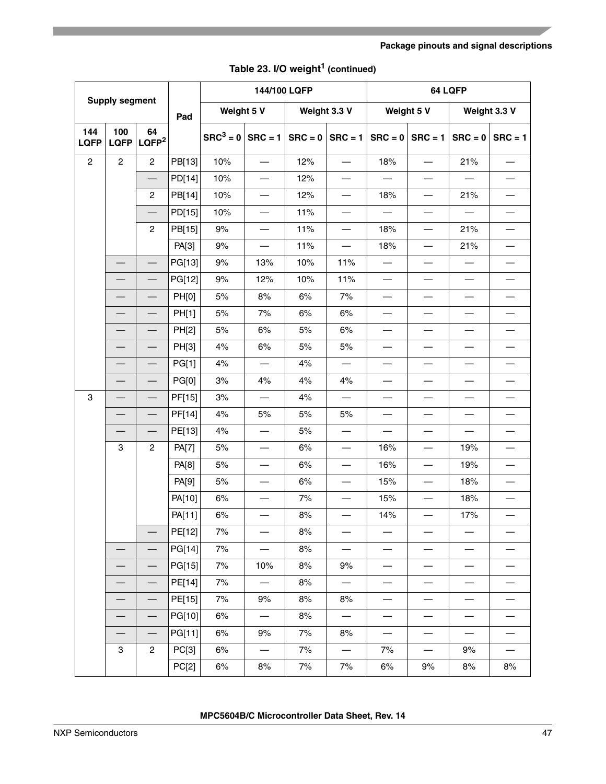|                           |                          |                                    |              |                    | 144/100 LQFP                      |           |                          |                          |                          | 64 LQFP                  |                          |
|---------------------------|--------------------------|------------------------------------|--------------|--------------------|-----------------------------------|-----------|--------------------------|--------------------------|--------------------------|--------------------------|--------------------------|
|                           | <b>Supply segment</b>    |                                    | Pad          | Weight 5 V         |                                   |           | Weight 3.3 V             |                          | Weight 5 V               | Weight 3.3 V             |                          |
| 144<br><b>LQFP</b>        | 100<br><b>LQFP</b>       | 64<br>$\overline{\mathsf{LQFP}^2}$ |              | $SRC3 = 0$ SRC = 1 |                                   | $SRC = 0$ | $SRC = 1$                | $SRC = 0$                | $SRC = 1$                |                          | $SRC = 0$ SRC = 1        |
| $\overline{c}$            | $\overline{c}$           | $\overline{c}$                     | PB[13]       | 10%                |                                   | 12%       |                          | 18%                      |                          | 21%                      |                          |
|                           |                          |                                    | PD[14]       | 10%                | $\overline{\phantom{0}}$          | 12%       |                          |                          |                          |                          |                          |
|                           |                          | $\overline{c}$                     | PB[14]       | 10%                |                                   | 12%       |                          | 18%                      |                          | 21%                      |                          |
|                           |                          |                                    | PD[15]       | 10%                | $\overline{\phantom{0}}$          | 11%       |                          |                          |                          |                          |                          |
|                           |                          | $\overline{c}$                     | PB[15]       | $9%$               | $\overline{\phantom{0}}$          | 11%       | $\overline{\phantom{0}}$ | 18%                      |                          | 21%                      | $\overline{\phantom{0}}$ |
|                           |                          |                                    | PA[3]        | $9\%$              |                                   | 11%       |                          | 18%                      |                          | 21%                      | $\overline{\phantom{0}}$ |
|                           |                          |                                    | PG[13]       | 9%                 | 13%                               | 10%       | 11%                      | $\overline{\phantom{0}}$ |                          |                          |                          |
|                           | $\overline{\phantom{0}}$ |                                    | PG[12]       | $9%$               | 12%                               | 10%       | 11%                      | $\overline{\phantom{0}}$ |                          |                          | $\overline{\phantom{0}}$ |
|                           |                          |                                    | <b>PH[0]</b> | $5%$               | $8%$                              | $6\%$     | 7%                       | $\overline{\phantom{0}}$ |                          |                          |                          |
|                           |                          |                                    | PH[1]        | $5%$               | 7%                                | 6%        | 6%                       | $\overline{\phantom{0}}$ | $\overline{\phantom{0}}$ |                          |                          |
|                           | $\overline{\phantom{0}}$ |                                    | PH[2]        | $5%$               | 6%                                | $5%$      | 6%                       | $\overline{\phantom{0}}$ |                          |                          | $\overline{\phantom{0}}$ |
|                           |                          |                                    | PH[3]        | 4%                 | 6%                                | 5%        | 5%                       | $\overline{\phantom{0}}$ |                          |                          |                          |
|                           |                          |                                    | PG[1]        | 4%                 |                                   | 4%        |                          | $\overline{\phantom{0}}$ |                          |                          |                          |
|                           |                          |                                    | PG[0]        | 3%                 | 4%                                | 4%        | 4%                       | $\overline{\phantom{0}}$ |                          |                          |                          |
| $\ensuremath{\mathsf{3}}$ |                          |                                    | PF[15]       | $3%$               | $\qquad \qquad$                   | 4%        |                          |                          |                          |                          |                          |
|                           | $\overline{\phantom{0}}$ |                                    | PF[14]       | 4%                 | $5%$                              | $5%$      | 5%                       | $\overline{\phantom{0}}$ |                          |                          |                          |
|                           |                          |                                    | PE[13]       | 4%                 | $\overbrace{\phantom{123221111}}$ | 5%        | $\overline{\phantom{0}}$ | $\overline{\phantom{0}}$ | $\overline{\phantom{0}}$ |                          | $\overline{\phantom{0}}$ |
|                           | 3                        | $\overline{c}$                     | PA[7]        | $5%$               | $\overline{\phantom{0}}$          | 6%        |                          | 16%                      |                          | 19%                      | $\overline{\phantom{0}}$ |
|                           |                          |                                    | PA[8]        | $5%$               |                                   | 6%        |                          | 16%                      |                          | 19%                      |                          |
|                           |                          |                                    | PA[9]        | 5%                 |                                   | 6%        |                          | 15%                      |                          | 18%                      | $\overline{\phantom{0}}$ |
|                           |                          |                                    | PA[10]       | 6%                 |                                   | 7%        |                          | 15%                      |                          | 18%                      |                          |
|                           |                          |                                    | PA[11]       | 6%                 |                                   | 8%        |                          | 14%                      |                          | 17%                      |                          |
|                           |                          |                                    | PE[12]       | 7%                 | $\overline{\phantom{0}}$          | 8%        |                          |                          |                          |                          |                          |
|                           |                          |                                    | PG[14]       | 7%                 | $\overline{\phantom{0}}$          | 8%        |                          | $\overline{\phantom{0}}$ |                          |                          |                          |
|                           |                          |                                    | PG[15]       | 7%                 | 10%                               | 8%        | 9%                       |                          |                          |                          |                          |
|                           |                          |                                    | PE[14]       | 7%                 | $\overline{\phantom{0}}$          | 8%        |                          | $\overline{\phantom{0}}$ |                          |                          |                          |
|                           |                          |                                    | PE[15]       | 7%                 | 9%                                | 8%        | 8%                       | $\overline{\phantom{0}}$ | $\overline{\phantom{0}}$ |                          | $\overline{\phantom{0}}$ |
|                           |                          |                                    | PG[10]       | 6%                 | $\overline{\phantom{m}}$          | 8%        | $\qquad \qquad -$        | $\overline{\phantom{0}}$ | $\overline{\phantom{0}}$ | $\overline{\phantom{0}}$ |                          |
|                           | $\overline{\phantom{0}}$ | $\overline{\phantom{0}}$           | PG[11]       | 6%                 | 9%                                | 7%        | 8%                       | $\overline{\phantom{0}}$ |                          | $\overline{\phantom{0}}$ | $\overline{\phantom{0}}$ |
|                           | 3                        | $\overline{2}$                     | PC[3]        | 6%                 | $\overline{\phantom{0}}$          | 7%        |                          | 7%                       |                          | 9%                       | $\overline{\phantom{0}}$ |
|                           |                          |                                    | PC[2]        | 6%                 | 8%                                | 7%        | 7%                       | 6%                       | 9%                       | 8%                       | 8%                       |

|  |  | Table 23. I/O weight <sup>1</sup> (continued) |
|--|--|-----------------------------------------------|
|--|--|-----------------------------------------------|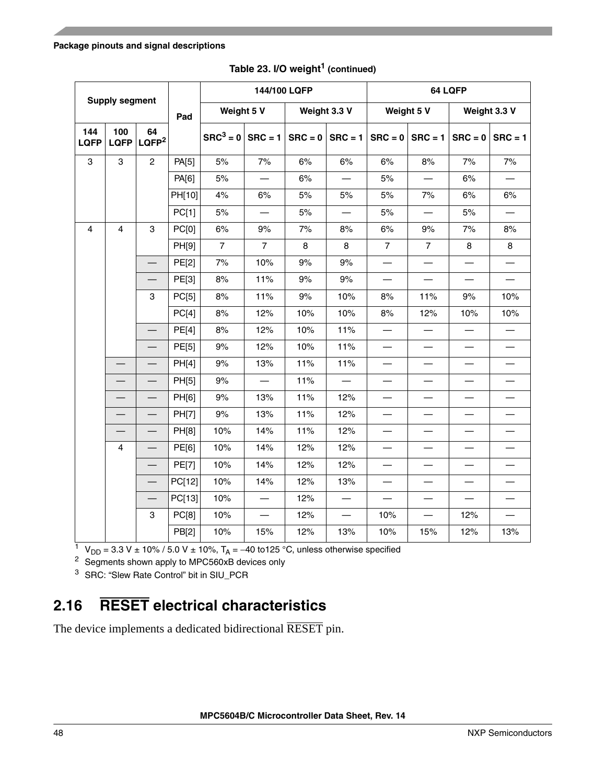|                    | <b>Supply segment</b> |                                |              |                    | 144/100 LQFP    |     |                     |                          | 64 LQFP                          |                          |                          |  |  |
|--------------------|-----------------------|--------------------------------|--------------|--------------------|-----------------|-----|---------------------|--------------------------|----------------------------------|--------------------------|--------------------------|--|--|
|                    |                       |                                | Pad          | Weight 5 V         |                 |     | Weight 3.3 V        |                          | Weight 5 V                       | Weight 3.3 V             |                          |  |  |
| 144<br><b>LQFP</b> | 100                   | 64<br>LQFP   LQFP <sup>2</sup> |              | $SRC3 = 0$ SRC = 1 |                 |     | $SRC = 0$ $SRC = 1$ |                          | $SRC = 0$ $SRC = 1$              | $SRC = 0$                | $SRC = 1$                |  |  |
| 3                  | 3                     | $\overline{2}$                 | PA[5]        | $5%$               | 7%              | 6%  | 6%                  | 6%                       | 8%                               | 7%                       | 7%                       |  |  |
|                    |                       |                                | PA[6]        | 5%                 |                 | 6%  |                     | 5%                       | $\overbrace{\phantom{12322111}}$ | 6%                       |                          |  |  |
|                    |                       |                                | PH[10]       | 4%                 | 6%              | 5%  | 5%                  | 5%                       | 7%                               | 6%                       | 6%                       |  |  |
|                    |                       |                                | PC[1]        | $5%$               |                 | 5%  |                     | 5%                       |                                  | $5%$                     |                          |  |  |
| 4                  | $\overline{4}$        | 3                              | PC[0]        | 6%                 | 9%              | 7%  | 8%                  | 6%                       | 9%                               | 7%                       | $8%$                     |  |  |
|                    |                       |                                | PH[9]        | $\overline{7}$     | $\overline{7}$  | 8   | 8                   | $\overline{7}$           | $\overline{7}$                   | 8                        | 8                        |  |  |
|                    |                       |                                | PE[2]        | 7%                 | 10%             | 9%  | 9%                  | $\overline{\phantom{0}}$ |                                  |                          |                          |  |  |
|                    |                       |                                | PE[3]        | 8%                 | 11%             | 9%  | 9%                  | $\overline{\phantom{0}}$ |                                  |                          |                          |  |  |
|                    |                       | 3                              | PC[5]        | 8%                 | 11%             | 9%  | 10%                 | 8%                       | 11%                              | 9%                       | 10%                      |  |  |
|                    |                       |                                | PC[4]        | $8%$               | 12%             | 10% | 10%                 | $8%$                     | 12%                              | 10%                      | 10%                      |  |  |
|                    |                       |                                | PE[4]        | 8%                 | 12%             | 10% | 11%                 | $\overline{\phantom{0}}$ |                                  |                          |                          |  |  |
|                    |                       |                                | PE[5]        | 9%                 | 12%             | 10% | 11%                 | $\overline{\phantom{0}}$ |                                  |                          |                          |  |  |
|                    |                       |                                | PH[4]        | $9\%$              | 13%             | 11% | 11%                 |                          |                                  | $\overline{\phantom{0}}$ |                          |  |  |
|                    |                       |                                | PH[5]        | 9%                 |                 | 11% |                     | $\overline{\phantom{0}}$ |                                  |                          | $\overline{\phantom{0}}$ |  |  |
|                    |                       |                                | PH[6]        | 9%                 | 13%             | 11% | 12%                 | $\overline{\phantom{0}}$ | $\overline{\phantom{0}}$         | $\overline{\phantom{0}}$ | $\overline{\phantom{0}}$ |  |  |
|                    |                       |                                | <b>PH[7]</b> | $9%$               | 13%             | 11% | 12%                 |                          |                                  |                          |                          |  |  |
|                    |                       |                                | PH[8]        | 10%                | 14%             | 11% | 12%                 | $\overline{\phantom{0}}$ |                                  |                          | $\overline{\phantom{0}}$ |  |  |
|                    | $\overline{4}$        |                                | PE[6]        | 10%                | 14%             | 12% | 12%                 | $\overline{\phantom{0}}$ |                                  |                          | $\overline{\phantom{0}}$ |  |  |
|                    |                       |                                | <b>PE[7]</b> | 10%                | 14%             | 12% | 12%                 | $\overline{\phantom{0}}$ |                                  |                          |                          |  |  |
|                    |                       |                                | PC[12]       | 10%                | 14%             | 12% | 13%                 | $\overline{\phantom{0}}$ |                                  |                          |                          |  |  |
|                    |                       |                                | PC[13]       | 10%                |                 | 12% |                     | $\overline{\phantom{0}}$ |                                  | $\qquad \qquad -$        |                          |  |  |
|                    |                       | 3                              | PC[8]        | 10%                | $\qquad \qquad$ | 12% |                     | 10%                      |                                  | 12%                      |                          |  |  |
|                    |                       | PB[2]                          | 10%          | 15%                | 12%             | 13% | 10%                 | 15%                      | 12%                              | 13%                      |                          |  |  |

**Table 23. I/O weight1 (continued)**

<sup>1</sup> V<sub>DD</sub> = 3.3 V ± 10% / 5.0 V ± 10%, T<sub>A</sub> = -40 to125 °C, unless otherwise specified

<sup>2</sup> Segments shown apply to MPC560xB devices only

<sup>3</sup> SRC: "Slew Rate Control" bit in SIU\_PCR

# **2.16 RESET electrical characteristics**

The device implements a dedicated bidirectional RESET pin.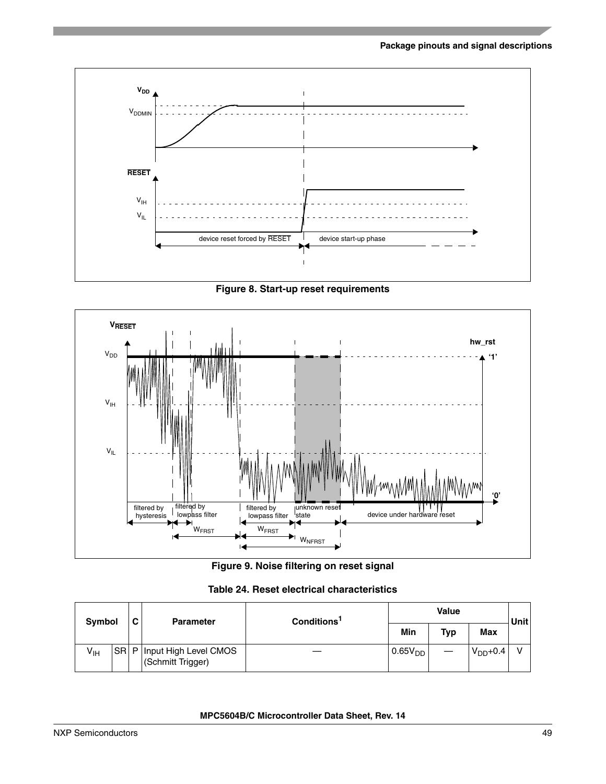

**Figure 8. Start-up reset requirements**



**Figure 9. Noise filtering on reset signal**

**Table 24. Reset electrical characteristics**

| <b>Symbol</b>   |  | С | <b>Parameter</b>                                | Conditions <sup>1</sup> |              | Unit <sup>1</sup> |              |  |
|-----------------|--|---|-------------------------------------------------|-------------------------|--------------|-------------------|--------------|--|
|                 |  |   |                                                 |                         | Min          | <b>Typ</b>        | <b>Max</b>   |  |
| $V_{\text{IH}}$ |  |   | SR P Input High Level CMOS<br>(Schmitt Trigger) |                         | $0.65V_{DD}$ |                   | $V_{DD}+0.4$ |  |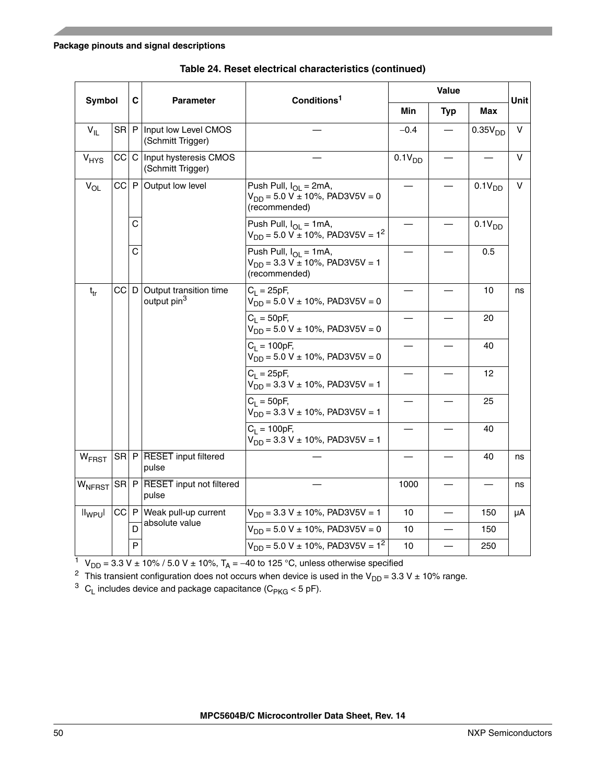| Symbol            |                                                              | C |                                                    | Conditions <sup>1</sup>                                                                 |                    | Value      |                     | Unit |
|-------------------|--------------------------------------------------------------|---|----------------------------------------------------|-----------------------------------------------------------------------------------------|--------------------|------------|---------------------|------|
|                   |                                                              |   | <b>Parameter</b>                                   |                                                                                         | Min                | <b>Typ</b> | Max                 |      |
| $V_{IL}$          |                                                              |   | SR   P   Input low Level CMOS<br>(Schmitt Trigger) |                                                                                         | $-0.4$             |            | 0.35V <sub>DD</sub> | V    |
| $V_{HYS}$         |                                                              |   | CC C Input hysteresis CMOS<br>(Schmitt Trigger)    |                                                                                         | 0.1V <sub>DD</sub> |            |                     | v    |
| $V_{OL}$          | $CC$ $P$                                                     |   | Output low level                                   | Push Pull, $I_{OL} = 2mA$ ,<br>$V_{DD} = 5.0 V \pm 10\%$ , PAD3V5V = 0<br>(recommended) |                    |            | 0.1V <sub>DD</sub>  | V    |
|                   |                                                              | С |                                                    | Push Pull, $I_{OL} = 1mA$ ,<br>$V_{DD}$ = 5.0 V ± 10%, PAD3V5V = 1 <sup>2</sup>         |                    |            | 0.1V <sub>DD</sub>  |      |
|                   |                                                              | C |                                                    |                                                                                         |                    | 0.5        |                     |      |
| $t_{tr}$          | $ C $ D<br>Output transition time<br>output pin <sup>3</sup> |   |                                                    | $C_1 = 25pF,$<br>$V_{DD} = 5.0 V \pm 10\%$ , PAD3V5V = 0                                |                    |            | 10                  | ns   |
|                   |                                                              |   |                                                    | $C_1 = 50pF,$<br>$V_{DD} = 5.0 V \pm 10\%$ , PAD3V5V = 0                                |                    |            | 20                  |      |
|                   |                                                              |   |                                                    | $C_1 = 100pF$ ,<br>$V_{DD} = 5.0 V \pm 10\%$ , PAD3V5V = 0                              |                    |            | 40                  |      |
|                   |                                                              |   |                                                    | $C_1 = 25pF,$<br>$V_{DD} = 3.3 V \pm 10\%$ , PAD3V5V = 1                                |                    |            | 12                  |      |
|                   |                                                              |   |                                                    | $C_1 = 50pF,$<br>$V_{DD} = 3.3 V \pm 10\%$ , PAD3V5V = 1                                |                    |            | 25                  |      |
|                   |                                                              |   |                                                    | $C_1 = 100pF,$<br>$V_{DD} = 3.3 V \pm 10\%$ , PAD3V5V = 1                               |                    |            | 40                  |      |
| W <sub>FRST</sub> |                                                              |   | SR P RESET input filtered<br>pulse                 |                                                                                         |                    |            | 40                  | ns   |
| WNFRST            |                                                              |   | SR P RESET input not filtered<br>pulse             |                                                                                         | 1000               |            |                     | ns   |
| $II_{WPU}$        |                                                              |   | $ CC $ P   Weak pull-up current                    | $V_{DD} = 3.3 V \pm 10\%$ , PAD3V5V = 1                                                 | 10                 |            | 150                 | μA   |
|                   |                                                              | D | absolute value                                     | $V_{DD} = 5.0 V \pm 10\%$ , PAD3V5V = 0                                                 | 10                 |            | 150                 |      |
|                   |                                                              | P |                                                    | $V_{DD}$ = 5.0 V ± 10%, PAD3V5V = 1 <sup>2</sup>                                        | 10                 |            | 250                 |      |

**Table 24. Reset electrical characteristics (continued)**

<sup>1</sup> V<sub>DD</sub> = 3.3 V ± 10% / 5.0 V ± 10%, T<sub>A</sub> = –40 to 125 °C, unless otherwise specified

<span id="page-49-0"></span><sup>2</sup> This transient configuration does not occurs when device is used in the V<sub>DD</sub> = 3.3 V ± 10% range.

 $3$  C<sub>L</sub> includes device and package capacitance (C<sub>PKG</sub> < 5 pF).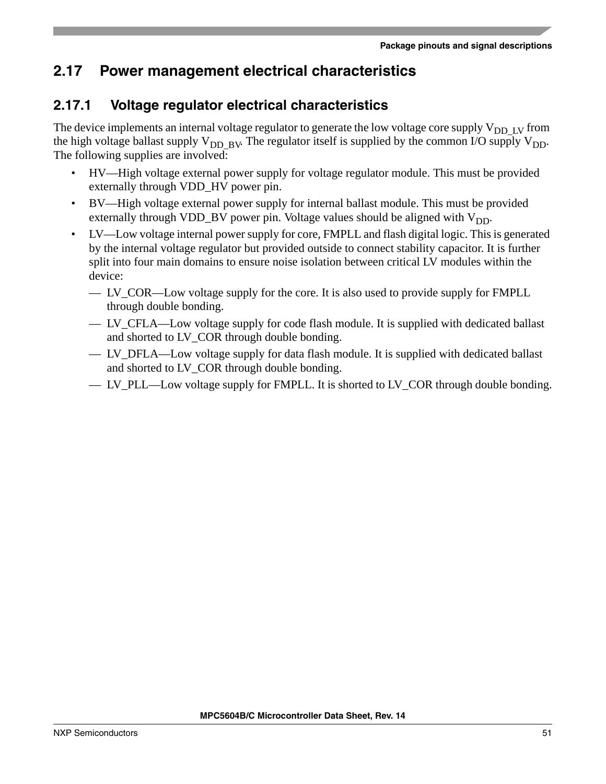# **2.17 Power management electrical characteristics**

## **2.17.1 Voltage regulator electrical characteristics**

The device implements an internal voltage regulator to generate the low voltage core supply  $V_{DD-LV}$  from the high voltage ballast supply  $V_{DD-BV}$ . The regulator itself is supplied by the common I/O supply  $V_{DD}$ . The following supplies are involved:

- HV—High voltage external power supply for voltage regulator module. This must be provided externally through VDD HV power pin.
- BV—High voltage external power supply for internal ballast module. This must be provided externally through VDD\_BV power pin. Voltage values should be aligned with  $V_{DD}$ .
- LV—Low voltage internal power supply for core, FMPLL and flash digital logic. This is generated by the internal voltage regulator but provided outside to connect stability capacitor. It is further split into four main domains to ensure noise isolation between critical LV modules within the device:
	- LV\_COR—Low voltage supply for the core. It is also used to provide supply for FMPLL through double bonding.
	- LV CFLA—Low voltage supply for code flash module. It is supplied with dedicated ballast and shorted to LV\_COR through double bonding.
	- LV DFLA—Low voltage supply for data flash module. It is supplied with dedicated ballast and shorted to LV\_COR through double bonding.
	- LV\_PLL—Low voltage supply for FMPLL. It is shorted to LV\_COR through double bonding.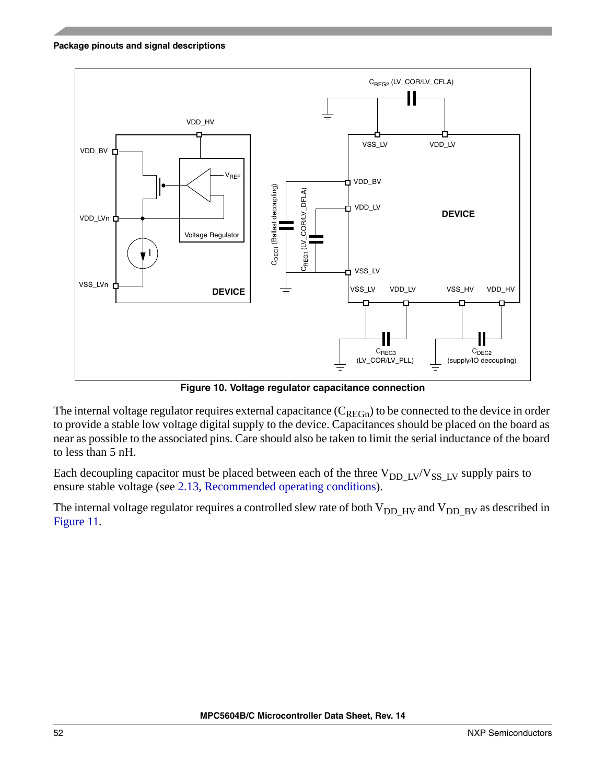

**Figure 10. Voltage regulator capacitance connection**

The internal voltage regulator requires external capacitance  $(C_{REGn})$  to be connected to the device in order to provide a stable low voltage digital supply to the device. Capacitances should be placed on the board as near as possible to the associated pins. Care should also be taken to limit the serial inductance of the board to less than 5 nH.

Each decoupling capacitor must be placed between each of the three  $V_{DD-LV}/V_{SS-LV}$  supply pairs to ensure stable voltage (see [2.13, Recommended operating conditions](#page-33-0)).

The internal voltage regulator requires a controlled slew rate of both  $V_{DD-HV}$  and  $V_{DD-BV}$  as described in [Figure 11.](#page-52-0)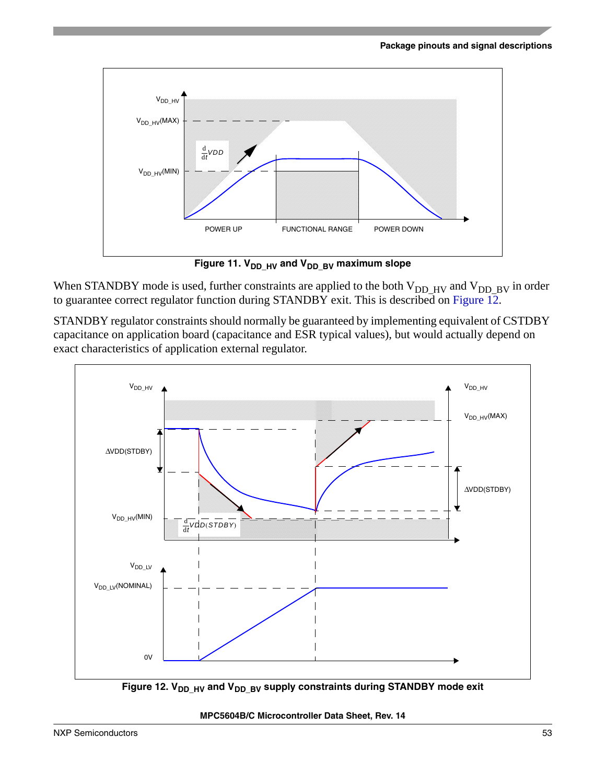

Figure 11. V<sub>DD\_HV</sub> and V<sub>DD\_BV</sub> maximum slope

<span id="page-52-0"></span>When STANDBY mode is used, further constraints are applied to the both  $V_{DD_HV}$  and  $V_{DD_BV}$  in order to guarantee correct regulator function during STANDBY exit. This is described on [Figure 12](#page-52-1).

STANDBY regulator constraints should normally be guaranteed by implementing equivalent of CSTDBY capacitance on application board (capacitance and ESR typical values), but would actually depend on exact characteristics of application external regulator.



<span id="page-52-1"></span>Figure 12. V<sub>DD\_HV</sub> and V<sub>DD\_BV</sub> supply constraints during STANDBY mode exit

#### **MPC5604B/C Microcontroller Data Sheet, Rev. 14**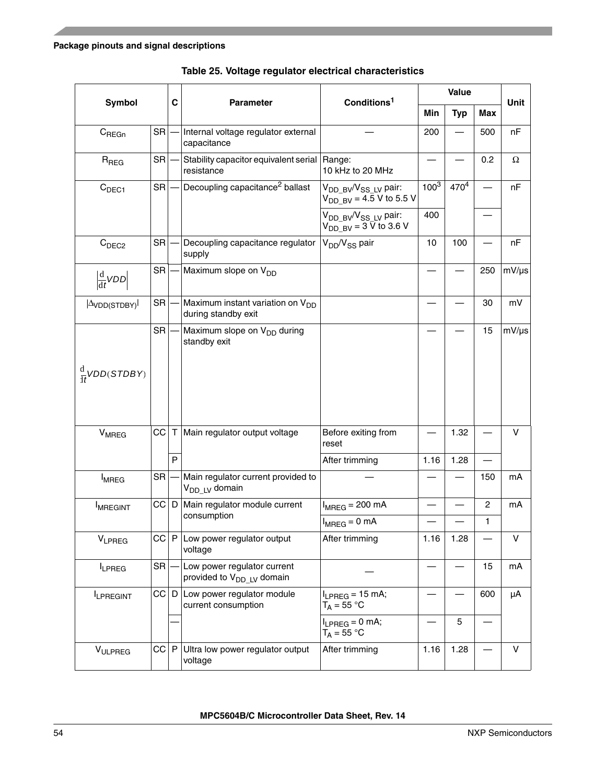<span id="page-53-0"></span>

| <b>Symbol</b>                          |           | C           | <b>Parameter</b>                                                     | Conditions <sup>1</sup>                                                          |           | Value      |                | <b>Unit</b> |
|----------------------------------------|-----------|-------------|----------------------------------------------------------------------|----------------------------------------------------------------------------------|-----------|------------|----------------|-------------|
|                                        |           |             |                                                                      |                                                                                  | Min       | <b>Typ</b> | <b>Max</b>     |             |
| $C_{\text{REGn}}$                      | <b>SR</b> |             | Internal voltage regulator external<br>capacitance                   |                                                                                  | 200       |            | 500            | nF          |
| $R_{\text{REG}}$                       | <b>SR</b> |             | Stability capacitor equivalent serial<br>resistance                  | Range:<br>10 kHz to 20 MHz                                                       |           |            | 0.2            | Ω           |
| C <sub>DEC1</sub>                      | <b>SR</b> |             | Decoupling capacitance <sup>2</sup> ballast                          | V <sub>DD BV</sub> /V <sub>SS LV</sub> pair:<br>$V_{DD$ By = 4.5 V to 5.5 V      | $100^{3}$ | $470^{4}$  |                | nF          |
|                                        |           |             |                                                                      | V <sub>DD BV</sub> /V <sub>SS LV</sub> pair:<br>$V_{DD-BV} = 3 \bar{V}$ to 3.6 V | 400       |            |                |             |
| C <sub>DEC2</sub>                      | <b>SR</b> |             | Decoupling capacitance regulator<br>supply                           | V <sub>DD</sub> /V <sub>SS</sub> pair                                            | 10        | 100        |                | nF          |
| $\frac{d}{dt}VDD$                      | SR        |             | Maximum slope on V <sub>DD</sub>                                     |                                                                                  |           |            | 250            | $mV/\mu s$  |
| $\vert \Delta$ VDD(STDBY) <sup> </sup> | <b>SR</b> |             | Maximum instant variation on V <sub>DD</sub><br>during standby exit  |                                                                                  |           |            | 30             | mV          |
|                                        | <b>SR</b> |             | Maximum slope on V <sub>DD</sub> during<br>standby exit              |                                                                                  |           |            | 15             | $mV/\mu s$  |
| $\frac{d}{dt}$ VDD(STDBY)              |           |             |                                                                      |                                                                                  |           |            |                |             |
| <b>V<sub>MREG</sub></b>                | CC        | $\mathsf T$ | Main regulator output voltage                                        | Before exiting from<br>reset                                                     |           | 1.32       |                | v           |
|                                        |           | P           |                                                                      | After trimming                                                                   | 1.16      | 1.28       |                |             |
| <b>I</b> MREG                          | SR        |             | Main regulator current provided to<br>V <sub>DD LV</sub> domain      |                                                                                  |           |            | 150            | mA          |
| <b>IMREGINT</b>                        | CC D      |             | Main regulator module current                                        | $I_{MREG}$ = 200 mA                                                              |           |            | $\overline{2}$ | mA          |
|                                        |           |             | consumption                                                          | $I_{MREG} = 0$ mA                                                                |           |            | 1              |             |
| VLPREG                                 | C P       |             | Low power regulator output<br>voltage                                | After trimming                                                                   | 1.16      | 1.28       |                | V           |
| LPREG                                  | SR        |             | Low power regulator current<br>provided to V <sub>DD LV</sub> domain |                                                                                  |           |            | 15             | mA          |
| <b>ILPREGINT</b>                       | $ C $ D   |             | Low power regulator module<br>current consumption                    | $I_{LPREG} = 15$ mA;<br>$T_A = 55 °C$                                            |           |            | 600            | μA          |
|                                        |           |             |                                                                      | $I_{LPREG} = 0$ mA;<br>$T_A = 55 °C$                                             |           | 5          |                |             |
| VULPREG                                | CC        | P           | Ultra low power regulator output<br>voltage                          | After trimming                                                                   | 1.16      | 1.28       |                | v           |

|  |  |  |  | Table 25. Voltage regulator electrical characteristics |
|--|--|--|--|--------------------------------------------------------|
|--|--|--|--|--------------------------------------------------------|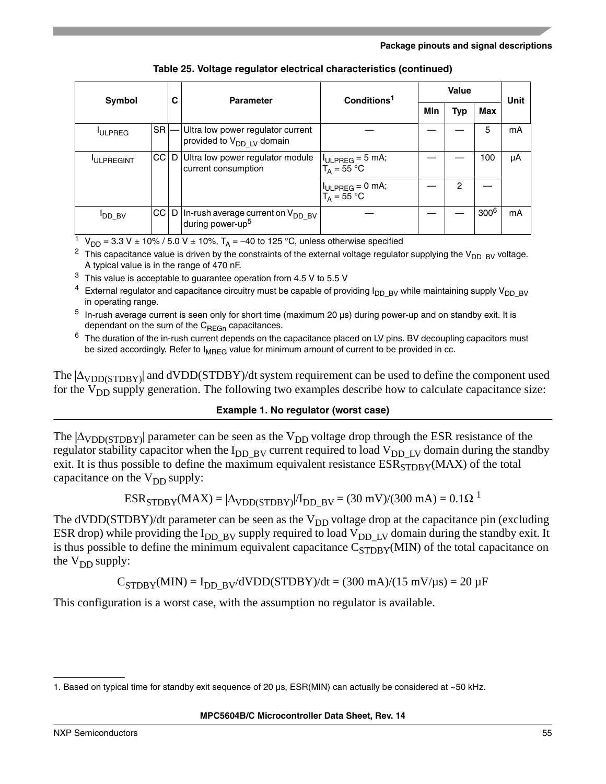|                   | Symbol          | С | <b>Parameter</b>                                                           | Conditions <sup>1</sup>               |     |            | <b>Unit</b>      |    |
|-------------------|-----------------|---|----------------------------------------------------------------------------|---------------------------------------|-----|------------|------------------|----|
|                   |                 |   |                                                                            |                                       | Min | <b>Typ</b> | Max              |    |
| <b>ULPREG</b>     | <b>SR</b>       |   | Ultra low power regulator current<br>provided to V <sub>DD LV</sub> domain |                                       |     |            | 5                | mA |
| <b>IULPREGINT</b> | CC <sub>I</sub> | D | Ultra low power regulator module<br>current consumption                    | $I_{ULPREG} = 5$ mA;<br>$T_A = 55 °C$ |     |            | 100              | μA |
|                   |                 |   |                                                                            | $H_{ULPREG} = 0$ mA;<br>$T_A = 55 °C$ |     | 2          |                  |    |
| $I_{DD_BV}$       | CC              |   | D   In-rush average current on $V_{DD-BV}$<br>during power-up <sup>5</sup> |                                       |     |            | 300 <sup>6</sup> | mΑ |

**Table 25. Voltage regulator electrical characteristics (continued)**

<sup>1</sup> V<sub>DD</sub> = 3.3 V ± 10% / 5.0 V ± 10%, T<sub>A</sub> = -40 to 125 °C, unless otherwise specified

<sup>2</sup> This capacitance value is driven by the constraints of the external voltage regulator supplying the V<sub>DD\_BV</sub> voltage. A typical value is in the range of 470 nF.

- $3$  This value is acceptable to guarantee operation from 4.5 V to 5.5 V
- $4$  External regulator and capacitance circuitry must be capable of providing  $I_{DD\_BV}$  while maintaining supply V<sub>DD\_BV</sub> in operating range.
- $5$  In-rush average current is seen only for short time (maximum 20  $\mu$ s) during power-up and on standby exit. It is dependant on the sum of the  $C<sub>BFGn</sub>$  capacitances.
- $6$  The duration of the in-rush current depends on the capacitance placed on LV pins. BV decoupling capacitors must be sized accordingly. Refer to  $I_{MREG}$  value for minimum amount of current to be provided in cc.

The  $|\Delta_{\text{VDD}(STDRY)}|$  and dVDD(STDBY)/dt system requirement can be used to define the component used for the  $V_{DD}$  supply generation. The following two examples describe how to calculate capacitance size:

#### **Example 1. No regulator (worst case)**

The  $|\Delta_{\text{VDD}(STDRY)}|$  parameter can be seen as the  $V_{DD}$  voltage drop through the ESR resistance of the regulator stability capacitor when the  $I_{DD-BV}$  current required to load  $V_{DD-LV}$  domain during the standby exit. It is thus possible to define the maximum equivalent resistance  $ESR<sub>STDRY</sub>(MAX)$  of the total capacitance on the  $V_{DD}$  supply:

$$
ESRSTDBY(MAX) = |\DeltaVDD(STDBY|/IDD_BY = (30 mV)/(300 mA) = 0.1 \Omega1
$$

The dVDD(STDBY)/dt parameter can be seen as the  $V_{DD}$  voltage drop at the capacitance pin (excluding ESR drop) while providing the  $I_{DD-BV}$  supply required to load  $V_{DD-LV}$  domain during the standby exit. It is thus possible to define the minimum equivalent capacitance  $C_{STDBY}(MIN)$  of the total capacitance on the  $V_{DD}$  supply:

 $C_{STDBY}(MIN) = I_{DD-BY}/dVDD(STDBY)/dt = (300 mA)/(15 mV/\mu s) = 20 \mu F$ 

This configuration is a worst case, with the assumption no regulator is available.

<sup>1.</sup> Based on typical time for standby exit sequence of 20 µs, ESR(MIN) can actually be considered at ~50 kHz.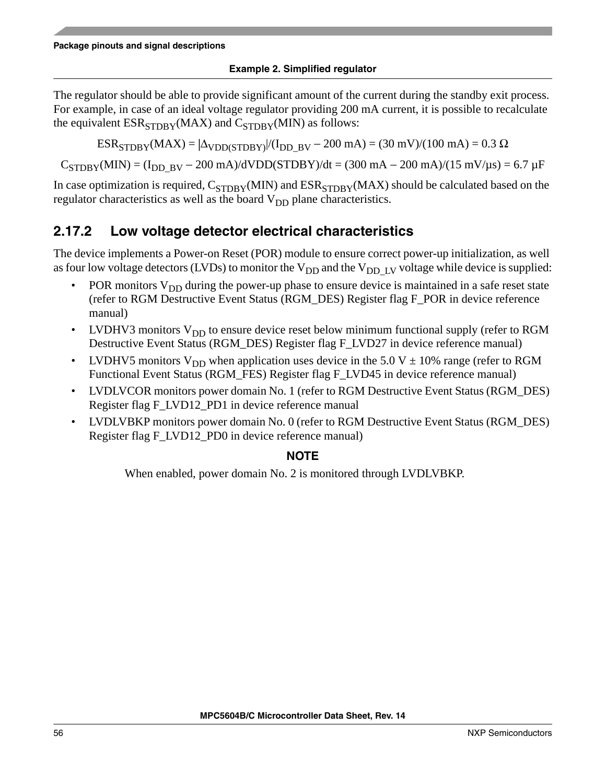### **Example 2. Simplified regulator**

The regulator should be able to provide significant amount of the current during the standby exit process. For example, in case of an ideal voltage regulator providing 200 mA current, it is possible to recalculate the equivalent  $ESR_{STDBY}(MAX)$  and  $C_{STDBY}(MIN)$  as follows:

 $ESR<sub>STDBY</sub>(MAX) = |\Delta<sub>VDD(STDBY</sub>|/(I<sub>DD BY</sub> - 200 mA) = (30 mV)/(100 mA) = 0.3 \Omega$ 

 $C_{STDBY}(MIN) = (I_{DD-BY} - 200 \text{ mA})/dVDD(STDBY)/dt = (300 \text{ mA} - 200 \text{ mA})/(15 \text{ mV/µs}) = 6.7 \text{ µF}$ 

In case optimization is required,  $C_{STDBY}(MIN)$  and  $ESR_{STDBY}(MAX)$  should be calculated based on the regulator characteristics as well as the board  $V_{DD}$  plane characteristics.

### **2.17.2 Low voltage detector electrical characteristics**

The device implements a Power-on Reset (POR) module to ensure correct power-up initialization, as well as four low voltage detectors (LVDs) to monitor the  $V_{DD}$  and the  $V_{DD-LV}$  voltage while device is supplied:

- POR monitors  $V_{DD}$  during the power-up phase to ensure device is maintained in a safe reset state (refer to RGM Destructive Event Status (RGM\_DES) Register flag F\_POR in device reference manual)
- LVDHV3 monitors  $V_{DD}$  to ensure device reset below minimum functional supply (refer to RGM Destructive Event Status (RGM\_DES) Register flag F\_LVD27 in device reference manual)
- LVDHV5 monitors  $V_{DD}$  when application uses device in the 5.0 V  $\pm$  10% range (refer to RGM Functional Event Status (RGM\_FES) Register flag F\_LVD45 in device reference manual)
- LVDLVCOR monitors power domain No. 1 (refer to RGM Destructive Event Status (RGM\_DES) Register flag F\_LVD12\_PD1 in device reference manual
- LVDLVBKP monitors power domain No. 0 (refer to RGM Destructive Event Status (RGM\_DES) Register flag F\_LVD12\_PD0 in device reference manual)

### **NOTE**

When enabled, power domain No. 2 is monitored through LVDLVBKP.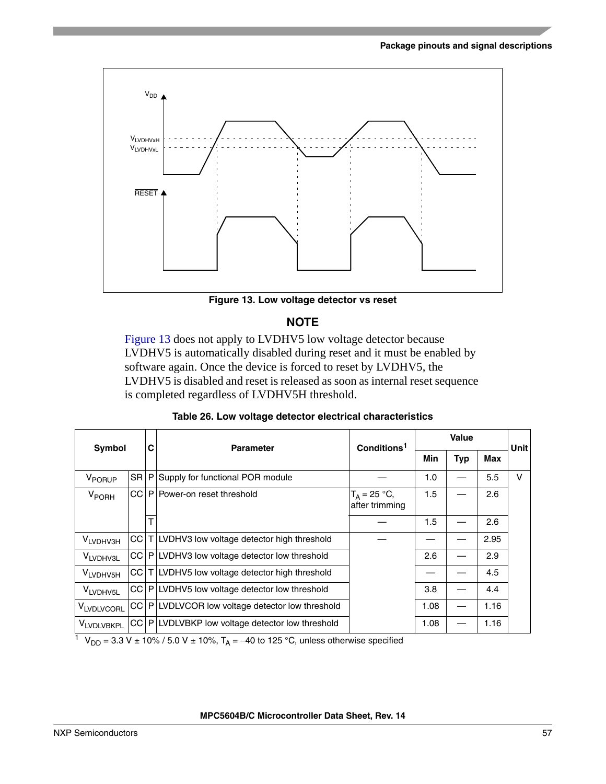

**Figure 13. Low voltage detector vs reset**

### **NOTE**

<span id="page-56-0"></span>[Figure 13](#page-56-0) does not apply to LVDHV5 low voltage detector because LVDHV5 is automatically disabled during reset and it must be enabled by software again. Once the device is forced to reset by LVDHV5, the LVDHV5 is disabled and reset is released as soon as internal reset sequence is completed regardless of LVDHV5H threshold.

| Table 26. Low voltage detector electrical characteristics |  |
|-----------------------------------------------------------|--|
|-----------------------------------------------------------|--|

|                      | Symbol      |   | <b>Parameter</b>                                              | Conditions <sup>1</sup>           |      | <b>Value</b> |      | Unit |
|----------------------|-------------|---|---------------------------------------------------------------|-----------------------------------|------|--------------|------|------|
|                      |             | С |                                                               |                                   | Min  | <b>Typ</b>   | Max  |      |
| V <sub>PORUP</sub>   | <b>SRIP</b> |   | Supply for functional POR module                              |                                   | 1.0  |              | 5.5  | V    |
| V <sub>PORH</sub>    |             |   | CC   P   Power-on reset threshold                             | $T_A = 25 °C$ ,<br>after trimming | 1.5  |              | 2.6  |      |
|                      |             | т |                                                               |                                   | 1.5  |              | 2.6  |      |
| VLVDHV3H             |             |   | CC   T   LVDHV3 low voltage detector high threshold           |                                   |      |              | 2.95 |      |
| V <sub>LVDHV3L</sub> |             |   | $CC P $ LVDHV3 low voltage detector low threshold             |                                   | 2.6  |              | 2.9  |      |
| VLVDHV5H             |             |   | $CC$ $\mid$ $\mid$ LVDHV5 low voltage detector high threshold |                                   |      |              | 4.5  |      |
| VLVDHV <sub>5L</sub> |             |   | CC   P   LVDHV5 low voltage detector low threshold            |                                   | 3.8  |              | 4.4  |      |
| <b>VLVDLVCORL</b>    |             |   | CC   P   LVDLVCOR low voltage detector low threshold          |                                   | 1.08 |              | 1.16 |      |
| <b>VLVDLVBKPL</b>    |             |   | CC   P   LVDLVBKP low voltage detector low threshold          |                                   | 1.08 |              | 1.16 |      |

 $1 + V_{DD} = 3.3 V \pm 10\% / 5.0 V \pm 10\%$ , T<sub>A</sub> = -40 to 125 °C, unless otherwise specified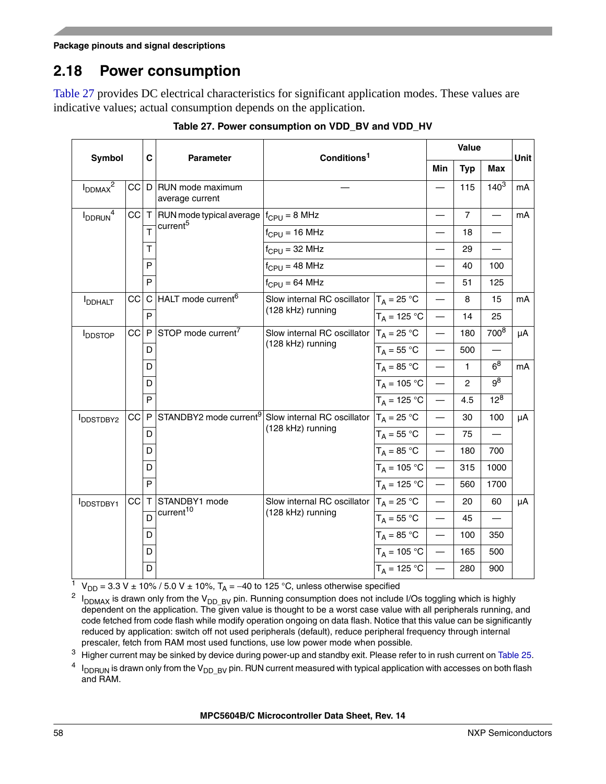## **2.18 Power consumption**

[Table 27](#page-57-0) provides DC electrical characteristics for significant application modes. These values are indicative values; actual consumption depends on the application.

<span id="page-57-0"></span>

| <b>Symbol</b>            |        | C            |                                                      | Conditions <sup>1</sup>                                                        |                           |                          | Value          |                          | <b>Unit</b> |
|--------------------------|--------|--------------|------------------------------------------------------|--------------------------------------------------------------------------------|---------------------------|--------------------------|----------------|--------------------------|-------------|
|                          |        |              | <b>Parameter</b>                                     |                                                                                |                           | <b>Min</b>               | <b>Typ</b>     | Max                      |             |
| $I_{DDMAX}^2$            | C D    |              | RUN mode maximum<br>average current                  |                                                                                |                           |                          | 115            | $140^{3}$                | mA          |
| $I_{DDRUN}$ <sup>4</sup> | CC     | $\top$       | RUN mode typical average $ f_{CPU} = 8 \text{ MHz} $ |                                                                                |                           |                          | $\overline{7}$ | $\overline{\phantom{0}}$ | mA          |
|                          |        | T            | current <sup>5</sup>                                 | $f_{CPU} = 16 MHz$                                                             |                           | $\overline{\phantom{0}}$ | 18             |                          |             |
|                          |        | т            |                                                      | $f_{CPU} = 32 MHz$                                                             |                           |                          | 29             |                          |             |
|                          |        | P            |                                                      | $f_{CPU} = 48 MHz$                                                             |                           | $\overline{\phantom{0}}$ | 40             | 100                      |             |
|                          |        | P            |                                                      | $f_{\text{CPU}} = 64 \text{ MHz}$                                              |                           | $\overline{\phantom{0}}$ | 51             | 125                      |             |
| <b>I</b> DDHALT          | CC     | C            | HALT mode current <sup>6</sup>                       | Slow internal RC oscillator $T_A = 25$ °C                                      |                           |                          | 8              | 15                       | mA          |
|                          |        | P            |                                                      | (128 kHz) running                                                              | $\overline{T_A}$ = 125 °C | $\overline{\phantom{0}}$ | 14             | 25                       |             |
| <b>IDDSTOP</b>           | $CC$ P |              | STOP mode current <sup>7</sup>                       | Slow internal RC oscillator $T_A = 25$ °C                                      |                           | $\overline{\phantom{0}}$ | 180            | 700 <sup>8</sup>         | μA          |
|                          |        | D            |                                                      | (128 kHz) running                                                              | $T_A = 55 °C$             | $\overline{\phantom{0}}$ | 500            |                          |             |
|                          |        | D            |                                                      |                                                                                | $T_A = 85 °C$             |                          | 1              | 6 <sup>8</sup>           | mA          |
|                          |        | D            |                                                      |                                                                                | $T_A = 105 °C$ —          |                          | $\overline{c}$ | $9^8$                    |             |
|                          |        | P            |                                                      |                                                                                | $T_A = 125 °C$            |                          | 4.5            | $12^{8}$                 |             |
| <b>IDDSTDBY2</b>         | cc     | $\mathsf{P}$ |                                                      | STANDBY2 mode current <sup>9</sup> Slow internal RC oscillator $ T_A = 25 °C $ |                           | $\overline{\phantom{a}}$ | 30             | 100                      | μA          |
|                          |        | D            |                                                      | (128 kHz) running                                                              | $T_A = 55 °C$             |                          | 75             |                          |             |
|                          |        | D            |                                                      |                                                                                | $T_A = 85 °C$             | $\overline{\phantom{a}}$ | 180            | 700                      |             |
|                          |        | D            |                                                      |                                                                                | $T_A = 105 °C$ —          |                          | 315            | 1000                     |             |
|                          |        | P            |                                                      |                                                                                | $T_A = 125 °C$ —          |                          | 560            | 1700                     |             |
| <b>IDDSTDBY1</b>         | cc∣⊤   |              | STANDBY1 mode                                        | Slow internal RC oscillator $T_A = 25$ °C                                      |                           | $\overline{\phantom{0}}$ | 20             | 60                       | μA          |
|                          |        | D            | current <sup>10</sup>                                | (128 kHz) running                                                              | $T_A = 55 °C$             | $\overline{\phantom{a}}$ | 45             |                          |             |
|                          |        | D            |                                                      |                                                                                | $T_A = 85 °C$             | $\overline{\phantom{a}}$ | 100            | 350                      |             |
|                          |        | D            |                                                      |                                                                                | $T_A = 105 °C$ —          |                          | 165            | 500                      |             |
|                          |        | D            |                                                      |                                                                                | $T_A = 125 °C$ —          |                          | 280            | 900                      |             |

**Table 27. Power consumption on VDD\_BV and VDD\_HV**

<sup>1</sup> V<sub>DD</sub> = 3.3 V ± 10% / 5.0 V ± 10%, T<sub>A</sub> = -40 to 125 °C, unless otherwise specified

<sup>2</sup>  $I_{DDMAX}$  is drawn only from the V<sub>DD\_BV</sub> pin. Running consumption does not include I/Os toggling which is highly dependent on the application. The given value is thought to be a worst case value with all peripherals running, and code fetched from code flash while modify operation ongoing on data flash. Notice that this value can be significantly reduced by application: switch off not used peripherals (default), reduce peripheral frequency through internal prescaler, fetch from RAM most used functions, use low power mode when possible.

<sup>3</sup> Higher current may be sinked by device during power-up and standby exit. Please refer to in rush current on [Table 25](#page-53-0).

 $^{4}$  I<sub>DDRUN</sub> is drawn only from the V<sub>DD\_BV</sub> pin. RUN current measured with typical application with accesses on both flash and RAM.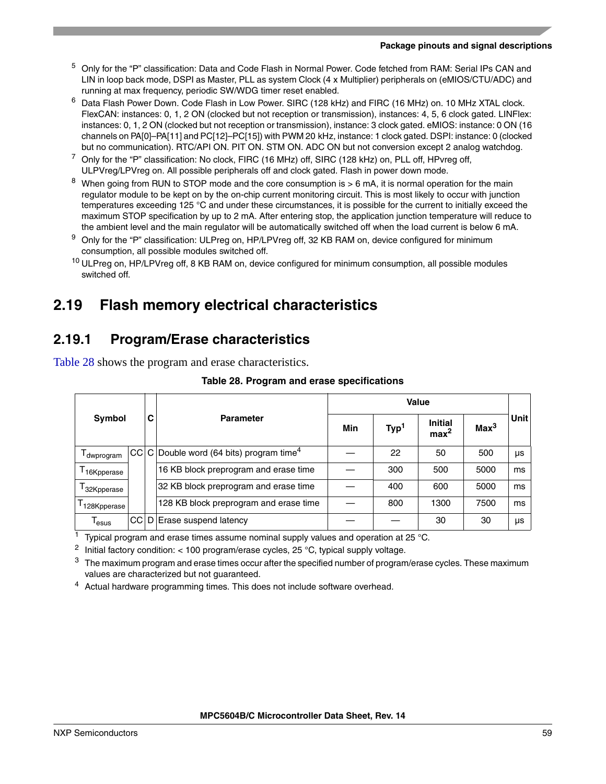- <sup>5</sup> Only for the "P" classification: Data and Code Flash in Normal Power. Code fetched from RAM: Serial IPs CAN and LIN in loop back mode, DSPI as Master, PLL as system Clock (4 x Multiplier) peripherals on (eMIOS/CTU/ADC) and running at max frequency, periodic SW/WDG timer reset enabled.
- <sup>6</sup> Data Flash Power Down. Code Flash in Low Power. SIRC (128 kHz) and FIRC (16 MHz) on. 10 MHz XTAL clock. FlexCAN: instances: 0, 1, 2 ON (clocked but not reception or transmission), instances: 4, 5, 6 clock gated. LINFlex: instances: 0, 1, 2 ON (clocked but not reception or transmission), instance: 3 clock gated. eMIOS: instance: 0 ON (16 channels on PA[0]–PA[11] and PC[12]–PC[15]) with PWM 20 kHz, instance: 1 clock gated. DSPI: instance: 0 (clocked but no communication). RTC/API ON. PIT ON. STM ON. ADC ON but not conversion except 2 analog watchdog.
- $^7$  Only for the "P" classification: No clock, FIRC (16 MHz) off, SIRC (128 kHz) on, PLL off, HPvreg off, ULPVreg/LPVreg on. All possible peripherals off and clock gated. Flash in power down mode.
- <span id="page-58-0"></span><sup>8</sup> When going from RUN to STOP mode and the core consumption is  $> 6$  mA, it is normal operation for the main regulator module to be kept on by the on-chip current monitoring circuit. This is most likely to occur with junction temperatures exceeding 125 °C and under these circumstances, it is possible for the current to initially exceed the maximum STOP specification by up to 2 mA. After entering stop, the application junction temperature will reduce to the ambient level and the main regulator will be automatically switched off when the load current is below 6 mA.
- <sup>9</sup> Only for the "P" classification: ULPreg on, HP/LPVreg off, 32 KB RAM on, device configured for minimum consumption, all possible modules switched off.
- <sup>10</sup> ULPreg on, HP/LPVreg off, 8 KB RAM on, device configured for minimum consumption, all possible modules switched off.

# **2.19 Flash memory electrical characteristics**

## **2.19.1 Program/Erase characteristics**

<span id="page-58-1"></span>[Table 28](#page-58-1) shows the program and erase characteristics.

| <b>Symbol</b>                       |  |   |                                                         | <b>Value</b> |                  |                                    |                  |      |
|-------------------------------------|--|---|---------------------------------------------------------|--------------|------------------|------------------------------------|------------------|------|
|                                     |  | C | <b>Parameter</b>                                        | Min          | Typ <sup>1</sup> | <b>Initial</b><br>max <sup>2</sup> | Max <sup>3</sup> | Unit |
| I dwprogram                         |  |   | $CC C $ Double word (64 bits) program time <sup>4</sup> |              | 22               | 50                                 | 500              | μs   |
| ${\mathsf T}_{16}$ Kpperase         |  |   | 16 KB block preprogram and erase time                   |              | 300              | 500                                | 5000             | ms   |
| ${\mathsf T}_{\mathsf{32K}$ pperase |  |   | 32 KB block preprogram and erase time                   |              | 400              | 600                                | 5000             | ms   |
| <sup>1</sup> 128Kpperase            |  |   | 128 KB block preprogram and erase time                  |              | 800              | 1300                               | 7500             | ms   |
| lesus                               |  |   | CC D Erase suspend latency                              |              |                  | 30                                 | 30               | μs   |

#### **Table 28. Program and erase specifications**

Typical program and erase times assume nominal supply values and operation at 25  $^{\circ}$ C.

<sup>2</sup> Initial factory condition: < 100 program/erase cycles,  $25 °C$ , typical supply voltage.

 $3$  The maximum program and erase times occur after the specified number of program/erase cycles. These maximum values are characterized but not guaranteed.

<sup>4</sup> Actual hardware programming times. This does not include software overhead.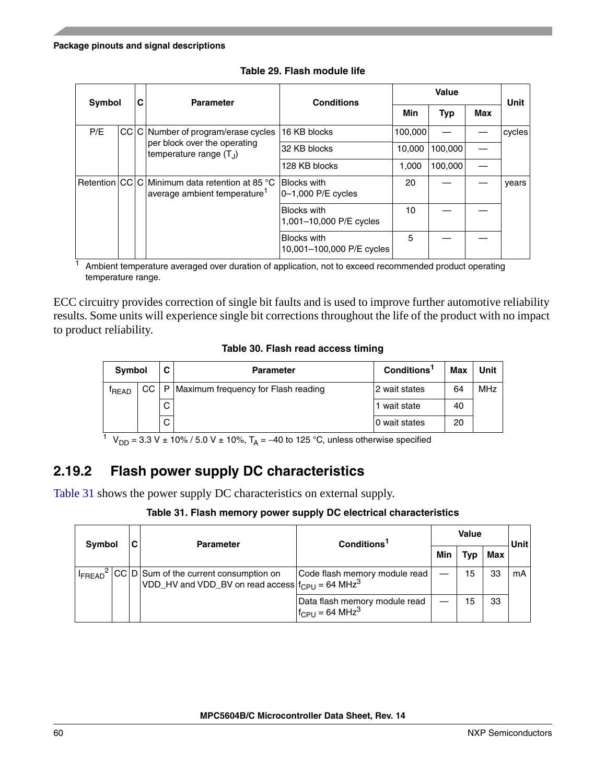| <b>Symbol</b> |     | C | <b>Parameter</b>                                                                           | <b>Conditions</b>                               |         |         | Unit |        |
|---------------|-----|---|--------------------------------------------------------------------------------------------|-------------------------------------------------|---------|---------|------|--------|
|               |     |   |                                                                                            |                                                 | Min     | Typ     | Max  |        |
| P/E           | CCI |   | C Number of program/erase cycles                                                           | 16 KB blocks                                    | 100,000 |         |      | cycles |
|               |     |   | per block over the operating<br>temperature range $(T_1)$                                  | 32 KB blocks                                    | 10,000  | 100,000 |      |        |
|               |     |   |                                                                                            | 128 KB blocks                                   | 1,000   | 100,000 |      |        |
|               |     |   | Retention CC C Minimum data retention at 85 °C<br>average ambient temperature <sup>1</sup> | <b>Blocks with</b><br>0-1,000 P/E cycles        | 20      |         |      | vears  |
|               |     |   |                                                                                            | <b>Blocks with</b><br>1,001-10,000 P/E cycles   | 10      |         |      |        |
|               |     |   |                                                                                            | <b>Blocks with</b><br>10,001-100,000 P/E cycles | 5       |         |      |        |

**Table 29. Flash module life**

 $1$  Ambient temperature averaged over duration of application, not to exceed recommended product operating temperature range.

ECC circuitry provides correction of single bit faults and is used to improve further automotive reliability results. Some units will experience single bit corrections throughout the life of the product with no impact to product reliability.

**Table 30. Flash read access timing**

| <b>Symbol</b>     |    | C. | <b>Parameter</b>                             | Conditions <sup>1</sup> | Max | Unit |
|-------------------|----|----|----------------------------------------------|-------------------------|-----|------|
| <sup>t</sup> READ |    |    | CC   P   Maximum frequency for Flash reading | 2 wait states           | 64  | MHz  |
|                   |    | C. |                                              | 1 wait state            | 40  |      |
|                   | C. |    | 0 wait states                                | 20                      |     |      |

<sup>1</sup> V<sub>DD</sub> = 3.3 V ± 10% / 5.0 V ± 10%, T<sub>A</sub> = -40 to 125 °C, unless otherwise specified

## **2.19.2 Flash power supply DC characteristics**

<span id="page-59-0"></span>[Table 31](#page-59-0) shows the power supply DC characteristics on external supply.

#### **Table 31. Flash memory power supply DC electrical characteristics**

| <b>Symbol</b> |  | C | <b>Parameter</b>                                                                                                                                 | Conditions <sup>1</sup>                                          |     | <b>Value</b> |     | Unit |
|---------------|--|---|--------------------------------------------------------------------------------------------------------------------------------------------------|------------------------------------------------------------------|-----|--------------|-----|------|
|               |  |   |                                                                                                                                                  |                                                                  | Min | Typ          | Max |      |
|               |  |   | I <sub>FREAD</sub> <sup>2</sup> CC D Sum of the current consumption on<br>VDD_HV and VDD_BV on read access $ f_{\text{CPI}}  = 64 \text{ MHz}^3$ | Code flash memory module read                                    |     | 15           | 33  | mA   |
|               |  |   |                                                                                                                                                  | Data flash memory module read<br>$I_{CPU}$ = 64 MHz <sup>3</sup> |     | 15           | 33  |      |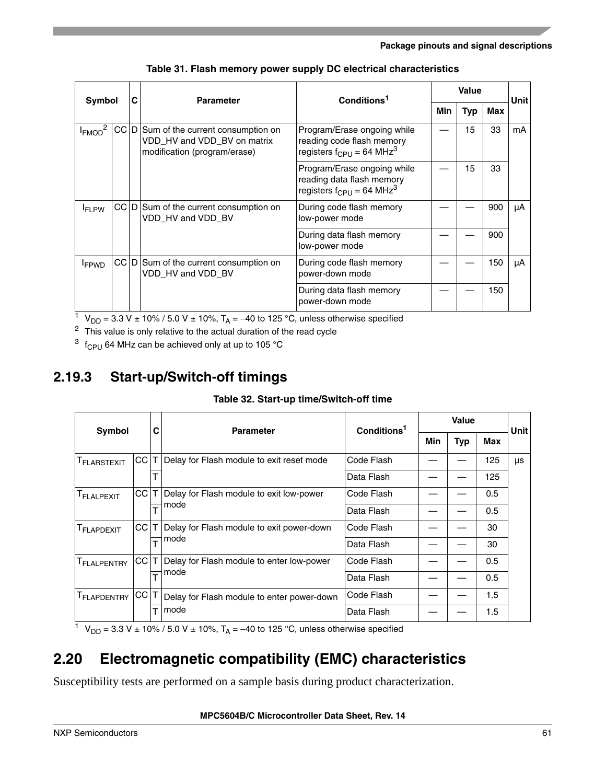| Symbol       | С    | <b>Parameter</b> | Conditions <sup>1</sup>                                                                          |                                                                                                           | Value |     | Unit |    |
|--------------|------|------------------|--------------------------------------------------------------------------------------------------|-----------------------------------------------------------------------------------------------------------|-------|-----|------|----|
|              |      |                  |                                                                                                  |                                                                                                           | Min   | Typ | Max  |    |
| $I_{FMOD}^2$ | CC D |                  | Sum of the current consumption on<br>VDD HV and VDD BV on matrix<br>modification (program/erase) | Program/Erase ongoing while<br>reading code flash memory<br>registers $f_{\rm CPL}$ = 64 MHz <sup>3</sup> |       | 15  | 33   | mA |
|              |      |                  |                                                                                                  | Program/Erase ongoing while<br>reading data flash memory<br>registers $f_{\text{CPU}} = 64 \text{ MHz}^3$ |       | 15  | 33   |    |
| $I_{FI}$ pw  | CC D |                  | Sum of the current consumption on<br>VDD HV and VDD BV                                           | During code flash memory<br>low-power mode                                                                |       |     | 900  | μA |
|              |      |                  |                                                                                                  | During data flash memory<br>low-power mode                                                                |       |     | 900  |    |
| <b>FPWD</b>  | CC D |                  | Sum of the current consumption on<br>VDD HV and VDD BV                                           | During code flash memory<br>power-down mode                                                               |       |     | 150  | μA |
|              |      |                  |                                                                                                  | During data flash memory<br>power-down mode                                                               |       |     | 150  |    |

**Table 31. Flash memory power supply DC electrical characteristics**

<sup>1</sup> V<sub>DD</sub> = 3.3 V ± 10% / 5.0 V ± 10%, T<sub>A</sub> = -40 to 125 °C, unless otherwise specified

<span id="page-60-1"></span><sup>2</sup> This value is only relative to the actual duration of the read cycle

<span id="page-60-0"></span> $3$  f<sub>CPU</sub> 64 MHz can be achieved only at up to 105 °C

# **2.19.3 Start-up/Switch-off timings**

#### **Table 32. Start-up time/Switch-off time**

| Symbol                  |    | C | <b>Parameter</b>                           | Conditions <sup>1</sup> |     |     | Unit |    |
|-------------------------|----|---|--------------------------------------------|-------------------------|-----|-----|------|----|
|                         |    |   |                                            |                         | Min | Typ | Max  |    |
| <b>T</b> FLARSTEXIT     | CC |   | Delay for Flash module to exit reset mode  | Code Flash              |     |     | 125  | μs |
|                         |    |   |                                            | Data Flash              |     |     | 125  |    |
| <b>T</b> FLALPEXIT      | CC |   | Delay for Flash module to exit low-power   | Code Flash              |     |     | 0.5  |    |
|                         |    | ÷ | mode                                       | Data Flash              |     |     | 0.5  |    |
| <b>T</b> FLAPDEXIT      | CC |   | Delay for Flash module to exit power-down  | Code Flash              |     |     | 30   |    |
|                         |    |   | mode                                       | Data Flash              |     |     | 30   |    |
| T <sub>FLALPENTRY</sub> | CC |   | Delay for Flash module to enter low-power  | Code Flash              |     |     | 0.5  |    |
|                         |    |   | mode                                       | Data Flash              |     |     | 0.5  |    |
| T <sub>FLAPDENTRY</sub> | CC |   | Delay for Flash module to enter power-down | Code Flash              |     |     | 1.5  |    |
|                         |    |   | mode                                       | Data Flash              |     |     | 1.5  |    |

<sup>1</sup> V<sub>DD</sub> = 3.3 V ± 10% / 5.0 V ± 10%, T<sub>A</sub> = -40 to 125 °C, unless otherwise specified

# **2.20 Electromagnetic compatibility (EMC) characteristics**

Susceptibility tests are performed on a sample basis during product characterization.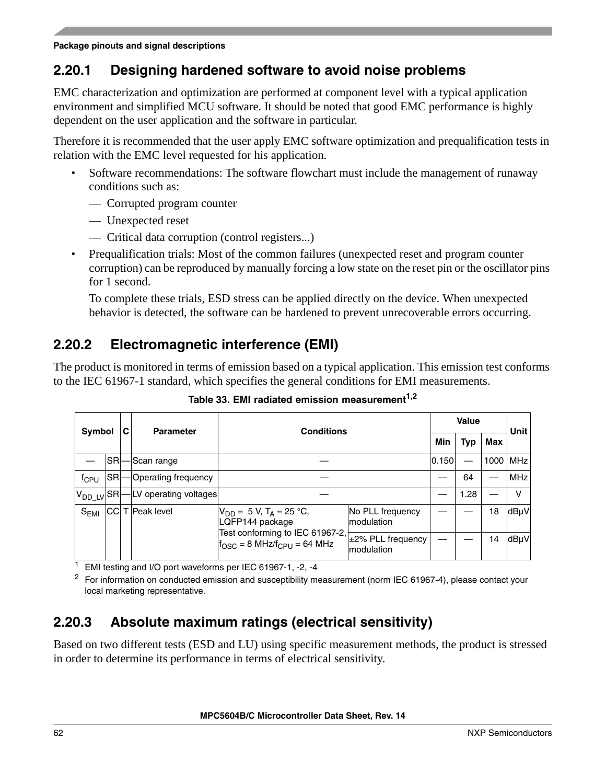## **2.20.1 Designing hardened software to avoid noise problems**

EMC characterization and optimization are performed at component level with a typical application environment and simplified MCU software. It should be noted that good EMC performance is highly dependent on the user application and the software in particular.

Therefore it is recommended that the user apply EMC software optimization and prequalification tests in relation with the EMC level requested for his application.

- Software recommendations: The software flowchart must include the management of runaway conditions such as:
	- Corrupted program counter
	- Unexpected reset
	- Critical data corruption (control registers...)
- Prequalification trials: Most of the common failures (unexpected reset and program counter corruption) can be reproduced by manually forcing a low state on the reset pin or the oscillator pins for 1 second.

To complete these trials, ESD stress can be applied directly on the device. When unexpected behavior is detected, the software can be hardened to prevent unrecoverable errors occurring.

## **2.20.2 Electromagnetic interference (EMI)**

The product is monitored in terms of emission based on a typical application. This emission test conforms to the IEC 61967-1 standard, which specifies the general conditions for EMI measurements.

| Symbol                         |            | С | <b>Parameter</b>      | <b>Conditions</b>                                               |                                 |     | <b>Value</b> |      | <b>Unit</b> |
|--------------------------------|------------|---|-----------------------|-----------------------------------------------------------------|---------------------------------|-----|--------------|------|-------------|
|                                |            |   |                       |                                                                 |                                 | Min | <b>Typ</b>   | Max  |             |
|                                | <b>SR</b>  |   | Scan range            |                                                                 |                                 |     |              | 1000 | <b>MHz</b>  |
| $f_{CPU}$                      | <b>SRI</b> |   | Operating frequency   |                                                                 |                                 |     | 64           |      | <b>MHz</b>  |
| $V_{DD}$ LV $\vert$ SR $\vert$ |            |   | LV operating voltages |                                                                 |                                 |     | 1.28         |      | v           |
| $S_{EMI}$                      | <b>CCI</b> |   | T Peak level          | $V_{DD} = 5 V$ , T <sub>A</sub> = 25 °C,<br>LQFP144 package     | No PLL frequency<br>modulation  |     |              | 18   | dBµV        |
|                                |            |   |                       | Test conforming to IEC 61967-2,<br>$fOSC = 8 MHz/fCPU = 64 MHz$ | ±2% PLL frequency<br>modulation |     |              | 14   | dBµV        |

Table 33. EMI radiated emission measurement<sup>1,2</sup>

EMI testing and I/O port waveforms per IEC 61967-1, -2, -4

<sup>2</sup> For information on conducted emission and susceptibility measurement (norm IEC 61967-4), please contact your local marketing representative.

## **2.20.3 Absolute maximum ratings (electrical sensitivity)**

Based on two different tests (ESD and LU) using specific measurement methods, the product is stressed in order to determine its performance in terms of electrical sensitivity.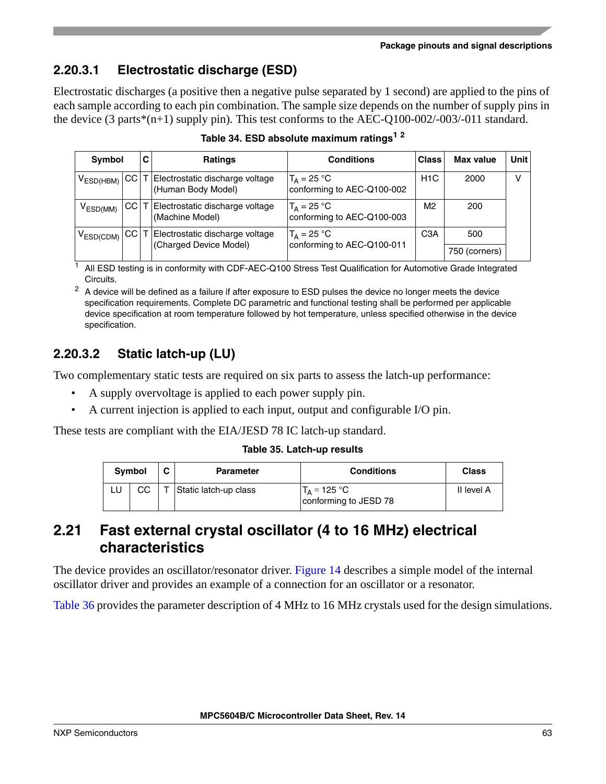# **2.20.3.1 Electrostatic discharge (ESD)**

Electrostatic discharges (a positive then a negative pulse separated by 1 second) are applied to the pins of each sample according to each pin combination. The sample size depends on the number of supply pins in the device (3 parts\*(n+1) supply pin). This test conforms to the AEC-Q100-002/-003/-011 standard.

| <b>Symbol</b>  |             | С | <b>Ratings</b>                                             | <b>Conditions</b>                           | <b>Class</b>     | Max value     | Unit |
|----------------|-------------|---|------------------------------------------------------------|---------------------------------------------|------------------|---------------|------|
| $V_{ESD(HBM)}$ |             |   | CC T Electrostatic discharge voltage<br>(Human Body Model) | $T_A = 25 °C$<br>conforming to AEC-Q100-002 | H <sub>1</sub> C | 2000          |      |
| $V_{ESD(MM)}$  | <b>CCIT</b> |   | Electrostatic discharge voltage<br>(Machine Model)         | $T_A = 25 °C$<br>conforming to AEC-Q100-003 | M2               | 200           |      |
| $V_{ESD(CDM)}$ | <b>CCIT</b> |   | Electrostatic discharge voltage                            | $T_A = 25 °C$                               | C <sub>3</sub> A | 500           |      |
|                |             |   | (Charged Device Model)                                     | conforming to AEC-Q100-011                  |                  | 750 (corners) |      |

**Table 34. ESD absolute maximum ratings<sup>1</sup> <sup>2</sup>**

<sup>1</sup> All ESD testing is in conformity with CDF-AEC-Q100 Stress Test Qualification for Automotive Grade Integrated Circuits.

 $2\,$  A device will be defined as a failure if after exposure to ESD pulses the device no longer meets the device specification requirements. Complete DC parametric and functional testing shall be performed per applicable device specification at room temperature followed by hot temperature, unless specified otherwise in the device specification.

# **2.20.3.2 Static latch-up (LU)**

Two complementary static tests are required on six parts to assess the latch-up performance:

- A supply overvoltage is applied to each power supply pin.
- A current injection is applied to each input, output and configurable I/O pin.

These tests are compliant with the EIA/JESD 78 IC latch-up standard.

### **Table 35. Latch-up results**

|    | Symbol | С | <b>Parameter</b>      | <b>Conditions</b>                              | <b>Class</b> |
|----|--------|---|-----------------------|------------------------------------------------|--------------|
| LU | CС     |   | Static latch-up class | $T_{\Delta}$ = 125 °C<br>conforming to JESD 78 | II level A   |

# **2.21 Fast external crystal oscillator (4 to 16 MHz) electrical characteristics**

The device provides an oscillator/resonator driver. [Figure 14](#page-63-0) describes a simple model of the internal oscillator driver and provides an example of a connection for an oscillator or a resonator.

[Table 36](#page-63-1) provides the parameter description of 4 MHz to 16 MHz crystals used for the design simulations.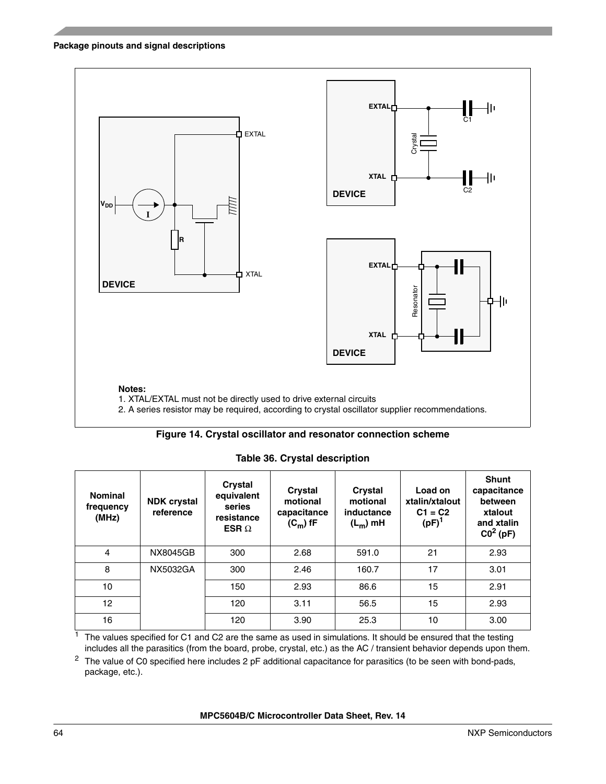

#### **Figure 14. Crystal oscillator and resonator connection scheme**

<span id="page-63-1"></span><span id="page-63-0"></span>**Nominal frequency (MHz) NDK crystal reference Crystal equivalent series resistance ESR** Ω **Crystal motional capacitance**  $(C_m)$  fF **Crystal motional inductance (Lm) mH Load on xtalin/xtalout C1 = C2 (pF)1 Shunt capacitance between xtalout and xtalin C02 (pF)** 4 NX8045GB 300 2.68 591.0 21 2.93 8 | NX5032GA | 300 | 2.46 | 160.7 | 17 | 3.01 10 | | 150 | 2.93 | 86.6 | 15 | 2.91 12 | | 120 | 3.11 | 56.5 | 15 | 2.93 16 | | | 120 | 3.90 | 25.3 | 10 | 3.00

**Table 36. Crystal description**

The values specified for C1 and C2 are the same as used in simulations. It should be ensured that the testing includes all the parasitics (from the board, probe, crystal, etc.) as the AC / transient behavior depends upon them.

 $2$  The value of C0 specified here includes 2 pF additional capacitance for parasitics (to be seen with bond-pads, package, etc.).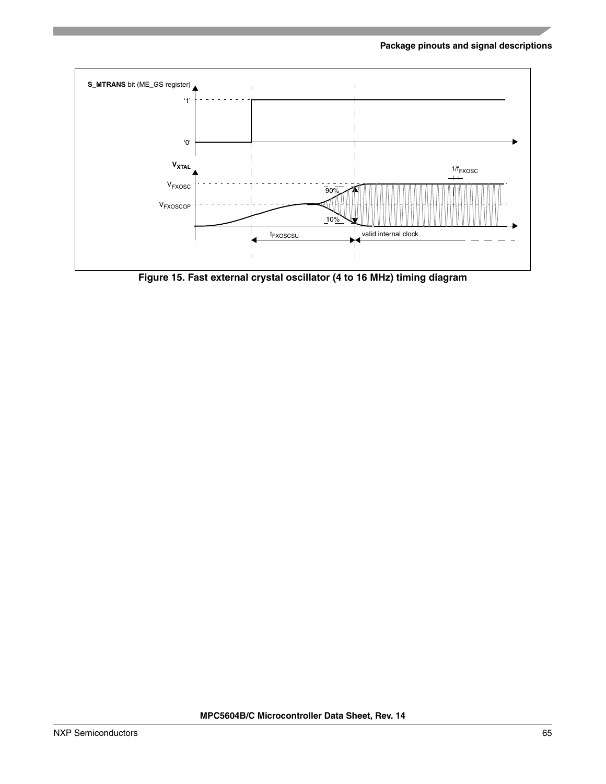

**Figure 15. Fast external crystal oscillator (4 to 16 MHz) timing diagram**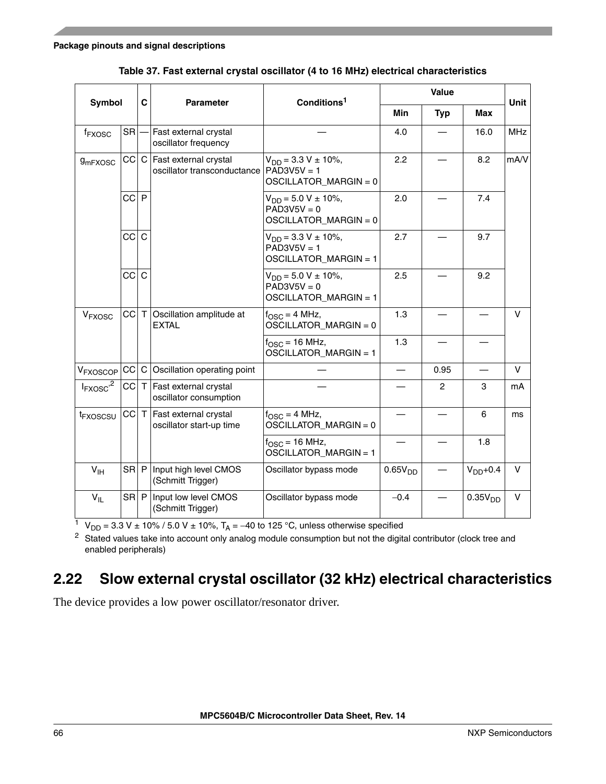| Symbol                   |           | C            | <b>Parameter</b>                                     | Conditions <sup>1</sup>                                               |                     | Value          |                     | <b>Unit</b> |
|--------------------------|-----------|--------------|------------------------------------------------------|-----------------------------------------------------------------------|---------------------|----------------|---------------------|-------------|
|                          |           |              |                                                      |                                                                       | <b>Min</b>          | <b>Typ</b>     | <b>Max</b>          |             |
| f <sub>FXOSC</sub>       | <b>SR</b> |              | Fast external crystal<br>oscillator frequency        |                                                                       | 4.0                 |                | 16.0                | <b>MHz</b>  |
| <b>9mFXOSC</b>           | CC C      |              | Fast external crystal<br>oscillator transconductance | $V_{DD} = 3.3 V \pm 10\%,$<br>$PAD3V5V = 1$<br>OSCILLATOR_MARGIN = 0  | 2.2                 |                | 8.2                 | mA/V        |
|                          | CC P      |              |                                                      | $V_{DD} = 5.0 V \pm 10\%,$<br>$PAD3V5V = 0$<br>OSCILLATOR_MARGIN = 0  | 2.0                 |                | 7.4                 |             |
|                          | cc        | $\mathsf{C}$ |                                                      | $V_{DD} = 3.3 V \pm 10\%,$<br>$PAD3V5V = 1$<br>OSCILLATOR_MARGIN = 1  | 2.7                 |                | 9.7                 |             |
|                          | CC        | $\mathsf{C}$ |                                                      | $V_{DD} = 5.0 V \pm 10\%$ ,<br>$PAD3V5V = 0$<br>OSCILLATOR MARGIN = 1 | 2.5                 |                | 9.2                 |             |
| V <sub>FXOSC</sub>       | CC        | $\top$       | Oscillation amplitude at<br><b>EXTAL</b>             | $f_{\rm OSC} = 4$ MHz,<br>$OSCILLATOR_MARGIN = 0$                     | 1.3                 |                |                     | V           |
|                          |           |              |                                                      | $f_{\text{OSC}} = 16 \text{ MHz}$ ,<br>OSCILLATOR_MARGIN = 1          | 1.3                 |                |                     |             |
| V <sub>FXOSCOP</sub>     | CC        |              | C Oscillation operating point                        |                                                                       |                     | 0.95           |                     | V           |
| $I_{FXOSC}$ <sup>2</sup> |           |              | CC T Fast external crystal<br>oscillator consumption |                                                                       |                     | $\overline{c}$ | 3                   | mA          |
| t <sub>FXOSCSU</sub>     | CC T      |              | Fast external crystal<br>oscillator start-up time    | $f_{\text{OSC}} = 4 \text{ MHz}$ ,<br>OSCILLATOR_MARGIN = 0           |                     |                | 6                   | ms          |
|                          |           |              |                                                      | $f_{\text{OSC}} = 16 \text{ MHz}$ ,<br>OSCILLATOR_MARGIN = 1          |                     |                | 1.8                 |             |
| V <sub>IH</sub>          | SR P      |              | Input high level CMOS<br>(Schmitt Trigger)           | Oscillator bypass mode                                                | 0.65V <sub>DD</sub> |                | $VDD+0.4$           | v           |
| $V_{IL}$                 | $SR$ $P$  |              | Input low level CMOS<br>(Schmitt Trigger)            | Oscillator bypass mode                                                | $-0.4$              |                | 0.35V <sub>DD</sub> | $\vee$      |

**Table 37. Fast external crystal oscillator (4 to 16 MHz) electrical characteristics**

 $1 \text{ V}_{\text{DD}} = 3.3 \text{ V} \pm 10\% / 5.0 \text{ V} \pm 10\%$ , T<sub>A</sub> = -40 to 125 °C, unless otherwise specified

<sup>2</sup> Stated values take into account only analog module consumption but not the digital contributor (clock tree and enabled peripherals)

## **2.22 Slow external crystal oscillator (32 kHz) electrical characteristics**

The device provides a low power oscillator/resonator driver.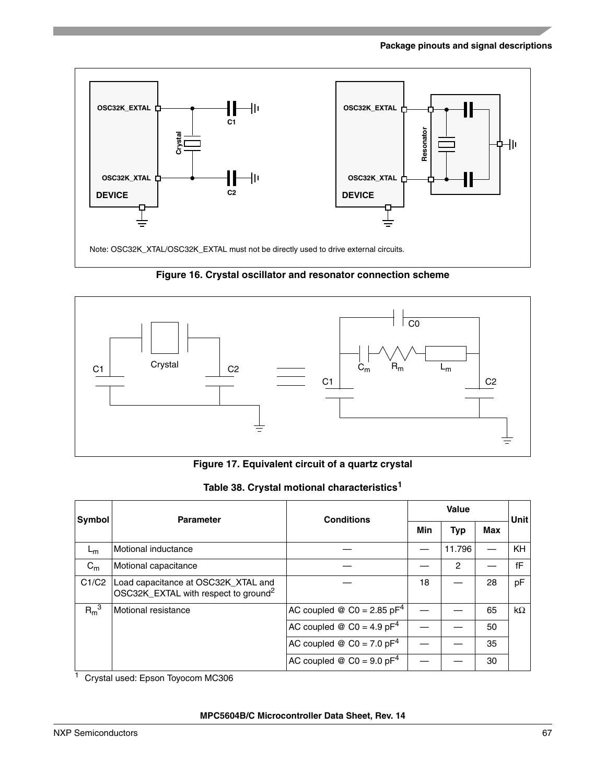



**Figure 17. Equivalent circuit of a quartz crystal**

|  |  |  | Table 38. Crystal motional characteristics <sup>1</sup> |
|--|--|--|---------------------------------------------------------|
|--|--|--|---------------------------------------------------------|

| Symbol  | <b>Parameter</b>                                                                        | <b>Conditions</b>                                     |     | <b>Unit</b> |     |           |
|---------|-----------------------------------------------------------------------------------------|-------------------------------------------------------|-----|-------------|-----|-----------|
|         |                                                                                         |                                                       | Min | Typ         | Max |           |
| $L_m$   | Motional inductance                                                                     |                                                       |     | 11.796      |     | <b>KH</b> |
| $C_m$   | Motional capacitance                                                                    |                                                       |     | 2           |     | fF        |
| C1/C2   | Load capacitance at OSC32K_XTAL and<br>OSC32K_EXTAL with respect to ground <sup>2</sup> |                                                       | 18  |             | 28  | pF        |
| $R_m^3$ | Motional resistance                                                                     | AC coupled $\mathcal{Q}$ C0 = 2.85 pF <sup>4</sup>    |     |             | 65  | $k\Omega$ |
|         |                                                                                         | AC coupled $\otimes$ C0 = 4.9 pF <sup>4</sup>         |     |             | 50  |           |
|         |                                                                                         | AC coupled $\otimes$ C0 = 7.0 pF <sup>4</sup>         |     |             | 35  |           |
|         |                                                                                         | AC coupled $\textcircled{ }$ C0 = 9.0 pF <sup>4</sup> |     |             | 30  |           |

<sup>1</sup> Crystal used: Epson Toyocom MC306

#### **MPC5604B/C Microcontroller Data Sheet, Rev. 14**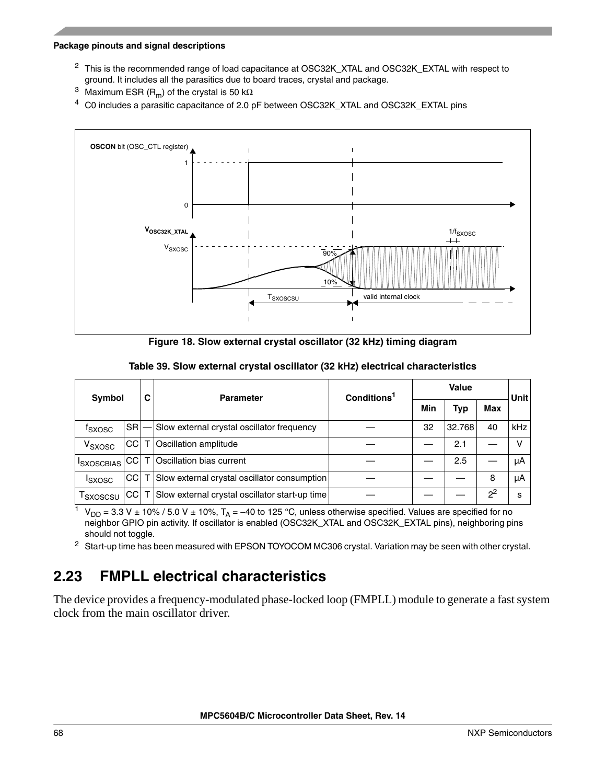- <sup>2</sup> This is the recommended range of load capacitance at OSC32K\_XTAL and OSC32K\_EXTAL with respect to ground. It includes all the parasitics due to board traces, crystal and package.
- <sup>3</sup> Maximum ESR (R<sub>m</sub>) of the crystal is 50 kΩ
- <span id="page-67-0"></span><sup>4</sup> C0 includes a parasitic capacitance of 2.0 pF between OSC32K\_XTAL and OSC32K\_EXTAL pins



**Figure 18. Slow external crystal oscillator (32 kHz) timing diagram**

| Symbol             |           | С | <b>Parameter</b>                               | Conditions <sup>1</sup> |     | <b>Unit</b> |       |     |  |
|--------------------|-----------|---|------------------------------------------------|-------------------------|-----|-------------|-------|-----|--|
|                    |           |   |                                                |                         | Min | <b>Typ</b>  | Max   |     |  |
| <sup>T</sup> SXOSC | <b>SR</b> |   | Slow external crystal oscillator frequency     |                         | 32  | 32.768      | 40    | kHz |  |
| V <sub>SXOSC</sub> | CC I      |   | Oscillation amplitude                          |                         |     | 2.1         |       | v   |  |
| <b>ISXOSCBIAS</b>  | CС        |   | Oscillation bias current                       |                         |     | 2.5         |       | μA  |  |
| <b>I</b> SXOSC     | <b>CC</b> |   | Slow external crystal oscillator consumption   |                         |     |             | 8     | μA  |  |
| I SXOSCSU          | CC I      |   | Slow external crystal oscillator start-up time |                         |     |             | $2^2$ | s   |  |

#### **Table 39. Slow external crystal oscillator (32 kHz) electrical characteristics**

 $1 \ V_{DD} = 3.3 V \pm 10\%$  / 5.0 V  $\pm$  10%, T<sub>A</sub> = −40 to 125 °C, unless otherwise specified. Values are specified for no neighbor GPIO pin activity. If oscillator is enabled (OSC32K\_XTAL and OSC32K\_EXTAL pins), neighboring pins should not toggle.

<sup>2</sup> Start-up time has been measured with EPSON TOYOCOM MC306 crystal. Variation may be seen with other crystal.

## **2.23 FMPLL electrical characteristics**

The device provides a frequency-modulated phase-locked loop (FMPLL) module to generate a fast system clock from the main oscillator driver.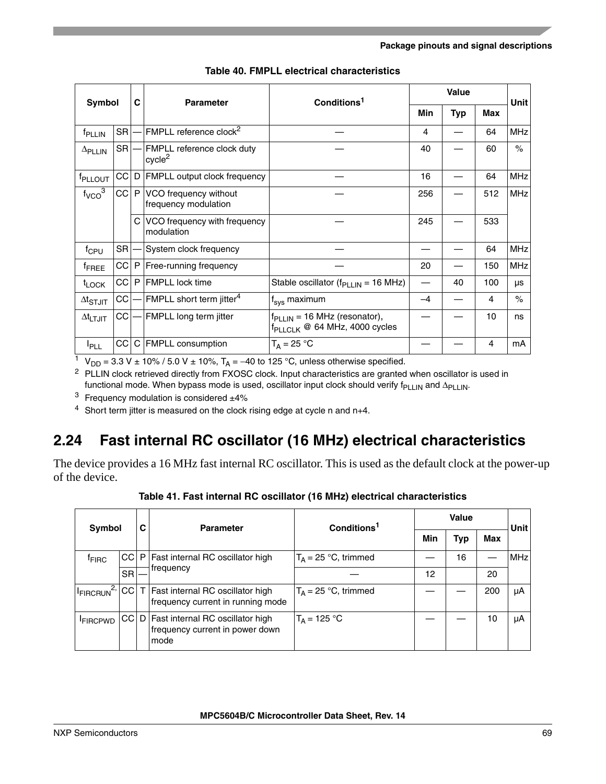|                             | C<br>Symbol<br><b>Parameter</b> |   |                                                  | Conditions <sup>1</sup>                                                     | <b>Value</b> |            |     | Unit       |
|-----------------------------|---------------------------------|---|--------------------------------------------------|-----------------------------------------------------------------------------|--------------|------------|-----|------------|
|                             |                                 |   |                                                  |                                                                             | Min          | <b>Typ</b> | Max |            |
| f <sub>PLLIN</sub>          | <b>SR</b>                       |   | FMPLL reference clock <sup>2</sup>               |                                                                             | 4            |            | 64  | <b>MHz</b> |
| $\Delta$ PLLIN              | <b>SR</b>                       |   | FMPLL reference clock duty<br>cycle <sup>2</sup> |                                                                             | 40           |            | 60  | $\%$       |
| f <sub>PLLOUT</sub>         | CC                              | D | <b>FMPLL output clock frequency</b>              |                                                                             | 16           |            | 64  | <b>MHz</b> |
| $f_{VCO}$ <sup>3</sup>      | CC                              | P | VCO frequency without<br>frequency modulation    |                                                                             | 256          |            | 512 | <b>MHz</b> |
|                             |                                 |   | C VCO frequency with frequency<br>modulation     |                                                                             | 245          |            | 533 |            |
| $f_{CPU}$                   | SR                              |   | System clock frequency                           |                                                                             |              |            | 64  | <b>MHz</b> |
| <sup>f</sup> FREE           | CC                              | P | Free-running frequency                           |                                                                             | 20           |            | 150 | <b>MHz</b> |
| $t_{\text{LOCK}}$           | <b>CC</b>                       | P | <b>FMPLL</b> lock time                           | Stable oscillator ( $f_{\text{PLLN}}$ = 16 MHz)                             |              | 40         | 100 | μs         |
| $\Delta t$ <sub>STJIT</sub> | CC                              |   | FMPLL short term jitter <sup>4</sup>             | $f_{\text{sys}}$ maximum                                                    | $-4$         |            | 4   | $\%$       |
| $\Delta t$ <sub>LTJIT</sub> | СC                              |   | FMPLL long term jitter                           | $fPLLIN = 16 MHz$ (resonator),<br>f <sub>PLLCLK</sub> @ 64 MHz, 4000 cycles |              |            | 10  | ns         |
| $I_{\sf PLL}$               | CC                              |   | C FMPLL consumption                              | $T_A = 25 °C$                                                               |              |            | 4   | mA         |

|  |  |  | Table 40. FMPLL electrical characteristics |
|--|--|--|--------------------------------------------|
|--|--|--|--------------------------------------------|

<sup>1</sup> V<sub>DD</sub> = 3.3 V ± 10% / 5.0 V ± 10%, T<sub>A</sub> = -40 to 125 °C, unless otherwise specified.

<span id="page-68-0"></span><sup>2</sup> PLLIN clock retrieved directly from FXOSC clock. Input characteristics are granted when oscillator is used in functional mode. When bypass mode is used, oscillator input clock should verify  $f_{PLLIN}$  and  $\Delta_{PLLIN}$ .

<sup>3</sup> Frequency modulation is considered  $\pm 4\%$ 

<sup>4</sup> Short term jitter is measured on the clock rising edge at cycle n and  $n+4$ .

# **2.24 Fast internal RC oscillator (16 MHz) electrical characteristics**

The device provides a 16 MHz fast internal RC oscillator. This is used as the default clock at the power-up of the device.

| Symbol                |           | С | <b>Parameter</b>                                                                     | Conditions <sup>1</sup> |     | Unit |     |            |
|-----------------------|-----------|---|--------------------------------------------------------------------------------------|-------------------------|-----|------|-----|------------|
|                       |           |   |                                                                                      |                         | Min | Typ  | Max |            |
| <sup>T</sup> FIRC     |           |   | CC   P   Fast internal RC oscillator high                                            | $T_A = 25$ °C, trimmed  |     | 16   |     | <b>MHz</b> |
|                       | <b>SR</b> |   | frequency                                                                            |                         | 12  |      | 20  |            |
| FIRCRUN <sup>2,</sup> |           |   | CC   T   Fast internal RC oscillator high<br>frequency current in running mode       | $T_A = 25$ °C, trimmed  |     |      | 200 | μA         |
| <b>FIRCPWD</b>        |           |   | CC   D   Fast internal RC oscillator high<br>frequency current in power down<br>mode | $T_A = 125 °C$          |     |      | 10  | μA         |

**Table 41. Fast internal RC oscillator (16 MHz) electrical characteristics**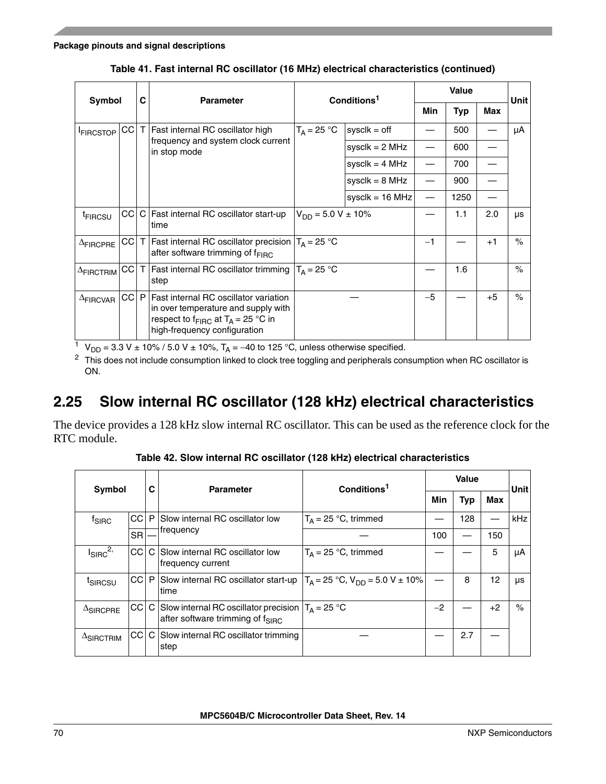| Symbol              |      | C            | <b>Parameter</b>                                                                                                                                                 | Conditions <sup>1</sup>   |                    |      | Unit |      |      |
|---------------------|------|--------------|------------------------------------------------------------------------------------------------------------------------------------------------------------------|---------------------------|--------------------|------|------|------|------|
|                     |      |              |                                                                                                                                                                  |                           |                    | Min  | Typ  | Max  |      |
| <b>FIRCSTOP</b>     | CC   | $\mathsf{T}$ | Fast internal RC oscillator high                                                                                                                                 | $T_A = 25 °C$             | $sysclk = off$     |      | 500  |      | μA   |
|                     |      |              | frequency and system clock current<br>in stop mode                                                                                                               |                           | sysclk = $2$ MHz   |      | 600  |      |      |
|                     |      |              |                                                                                                                                                                  |                           | sysclk = $4$ MHz   |      | 700  |      |      |
|                     |      |              |                                                                                                                                                                  |                           | sysclk = $8$ MHz   |      | 900  |      |      |
|                     |      |              |                                                                                                                                                                  |                           | syscl $k = 16$ MHz |      | 1250 |      |      |
| <sup>t</sup> FIRCSU | CC I |              | C Fast internal RC oscillator start-up<br>ltime                                                                                                                  | $V_{DD} = 5.0 V \pm 10\%$ |                    |      | 1.1  | 2.0  | μs   |
| $\Delta$ FIRCPRE    | CC I | $\top$       | Fast internal RC oscillator precision $T_A = 25$ °C<br>after software trimming of $f_{\text{FIRC}}$                                                              |                           |                    | -1   |      | $+1$ | $\%$ |
| $\Delta$ FIRCTRIM   | CC   | T            | Fast internal RC oscillator trimming $T_A = 25$ °C<br>step                                                                                                       |                           |                    |      | 1.6  |      | $\%$ |
| $\Delta$ FIRCVAR    | CC   | P            | Fast internal RC oscillator variation<br>in over temperature and supply with<br>respect to $f_{\text{FIRC}}$ at $T_A = 25$ °C in<br>high-frequency configuration |                           |                    | $-5$ |      | $+5$ | $\%$ |

**Table 41. Fast internal RC oscillator (16 MHz) electrical characteristics (continued)**

 $\frac{1}{1}$  V<sub>DD</sub> = 3.3 V ± 10% / 5.0 V ± 10%, T<sub>A</sub> = -40 to 125 °C, unless otherwise specified.

<sup>2</sup> This does not include consumption linked to clock tree toggling and peripherals consumption when RC oscillator is ON.

## **2.25 Slow internal RC oscillator (128 kHz) electrical characteristics**

The device provides a 128 kHz slow internal RC oscillator. This can be used as the reference clock for the RTC module.

| Symbol              |               | C | <b>Parameter</b>                                                                                       | Conditions <sup>1</sup>                    |      | Unit       |      |      |
|---------------------|---------------|---|--------------------------------------------------------------------------------------------------------|--------------------------------------------|------|------------|------|------|
|                     |               |   |                                                                                                        |                                            | Min  | <b>Typ</b> | Max  |      |
| <sup>t</sup> SIRC   | <b>CCI</b>    | P | Slow internal RC oscillator low                                                                        | $T_A = 25$ °C, trimmed                     |      | 128        |      | kHz  |
|                     | <b>SR</b>     |   | frequency                                                                                              |                                            | 100  |            | 150  |      |
| $I_{SIRC}^{2,}$     | CCI           |   | C Slow internal RC oscillator low<br>frequency current                                                 | $T_A = 25 °C$ , trimmed                    |      |            | 5    | μA   |
| t <sub>SIRCSU</sub> | CC P          |   | Slow internal RC oscillator start-up<br>time                                                           | $T_A = 25 °C$ , $V_{DD} = 5.0 V \pm 10 \%$ |      | 8          | 12   | μs   |
| $\Delta$ SIRCPRE    | CCI           |   | C Slow internal RC oscillator precision $ T_A = 25$ °C<br>after software trimming of f <sub>SIRC</sub> |                                            | $-2$ |            | $+2$ | $\%$ |
| $\Delta$ SIRCTRIM   | <sub>CC</sub> |   | C Slow internal RC oscillator trimming<br>step                                                         |                                            |      | 2.7        |      |      |

**Table 42. Slow internal RC oscillator (128 kHz) electrical characteristics**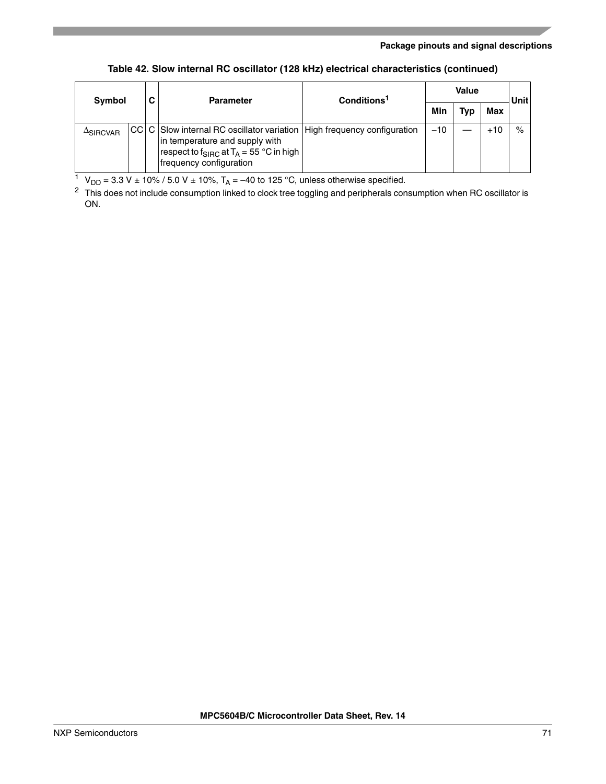| Table 42. Slow internal RC oscillator (128 kHz) electrical characteristics (continued) |  |
|----------------------------------------------------------------------------------------|--|
|----------------------------------------------------------------------------------------|--|

| Symbol           |  | С | <b>Parameter</b>                                                                                                                                                                                                 | Conditions <sup>1</sup> | <b>Value</b> |     |       | <b>Unit</b> |
|------------------|--|---|------------------------------------------------------------------------------------------------------------------------------------------------------------------------------------------------------------------|-------------------------|--------------|-----|-------|-------------|
|                  |  |   |                                                                                                                                                                                                                  |                         | Min          | Tvp | Max   |             |
| $\Delta$ SIRCVAR |  |   | CC   C   Slow internal RC oscillator variation   High frequency configuration<br>in temperature and supply with<br>  respect to f <sub>SIRC</sub> at T <sub>A</sub> = 55 °C in high  <br>frequency configuration |                         | $-10$        |     | $+10$ | $\%$        |

<sup>1</sup> V<sub>DD</sub> = 3.3 V ± 10% / 5.0 V ± 10%, T<sub>A</sub> = –40 to 125 °C, unless otherwise specified.

 $2$  This does not include consumption linked to clock tree toggling and peripherals consumption when RC oscillator is ON.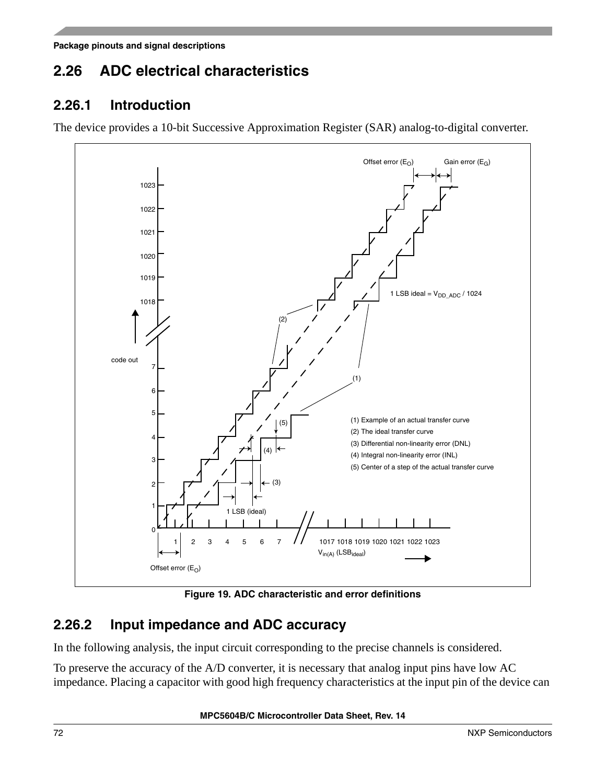# **2.26 ADC electrical characteristics**

### **2.26.1 Introduction**

The device provides a 10-bit Successive Approximation Register (SAR) analog-to-digital converter.



**Figure 19. ADC characteristic and error definitions**

## **2.26.2 Input impedance and ADC accuracy**

In the following analysis, the input circuit corresponding to the precise channels is considered.

To preserve the accuracy of the A/D converter, it is necessary that analog input pins have low AC impedance. Placing a capacitor with good high frequency characteristics at the input pin of the device can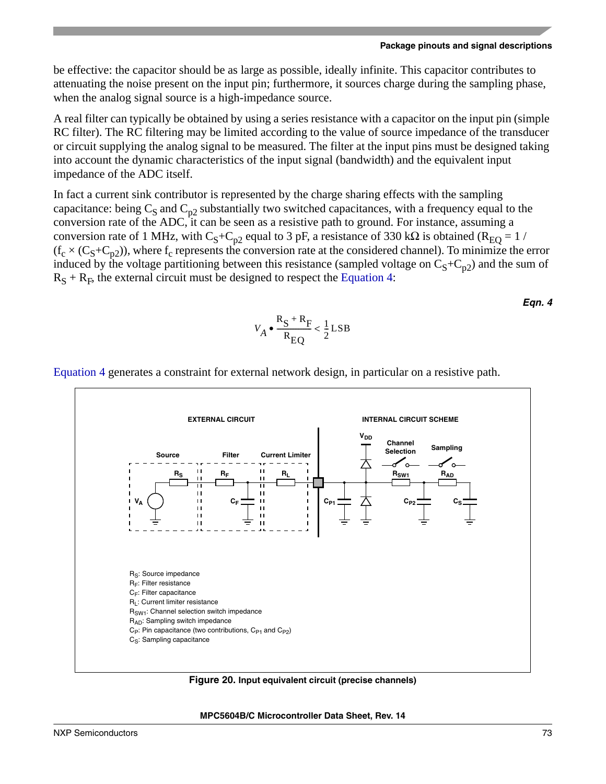be effective: the capacitor should be as large as possible, ideally infinite. This capacitor contributes to attenuating the noise present on the input pin; furthermore, it sources charge during the sampling phase, when the analog signal source is a high-impedance source.

A real filter can typically be obtained by using a series resistance with a capacitor on the input pin (simple RC filter). The RC filtering may be limited according to the value of source impedance of the transducer or circuit supplying the analog signal to be measured. The filter at the input pins must be designed taking into account the dynamic characteristics of the input signal (bandwidth) and the equivalent input impedance of the ADC itself.

In fact a current sink contributor is represented by the charge sharing effects with the sampling capacitance: being  $C_S$  and  $C_{p2}$  substantially two switched capacitances, with a frequency equal to the conversion rate of the ADC, it can be seen as a resistive path to ground. For instance, assuming a conversion rate of 1 MHz, with C<sub>S</sub>+C<sub>p2</sub> equal to 3 pF, a resistance of 330 kΩ is obtained (R<sub>EO</sub> = 1 /  $(f_c \times (C_S + C_{p2}))$ , where  $f_c$  represents the conversion rate at the considered channel). To minimize the error induced by the voltage partitioning between this resistance (sampled voltage on  $C_5+C_{p2}$ ) and the sum of  $R<sub>S</sub> + R<sub>F</sub>$ , the external circuit must be designed to respect the [Equation 4:](#page-72-0)

*Eqn. 4*

$$
V_A \bullet \frac{R_S + R_F}{R_{EQ}} < \frac{1}{2} \text{LSB}
$$



<span id="page-72-0"></span>[Equation 4](#page-72-0) generates a constraint for external network design, in particular on a resistive path.

<span id="page-72-1"></span>**Figure 20. Input equivalent circuit (precise channels)**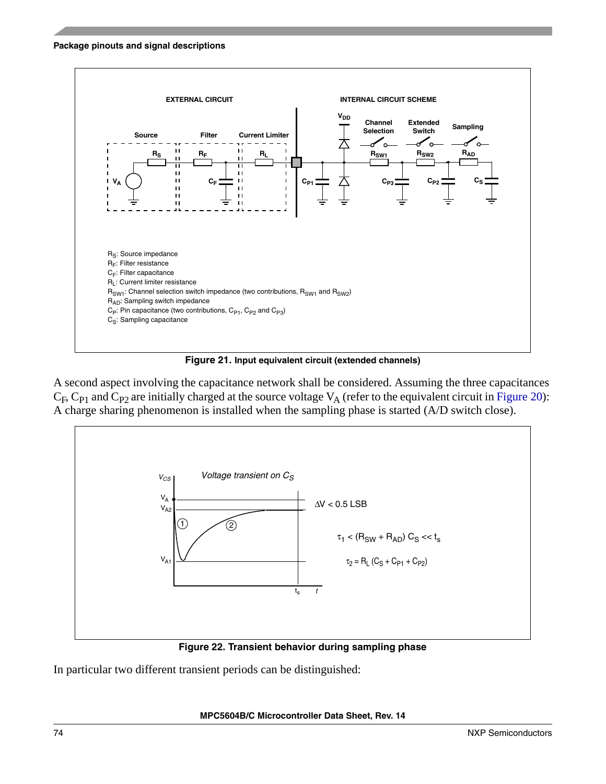

**Figure 21. Input equivalent circuit (extended channels)**

A second aspect involving the capacitance network shall be considered. Assuming the three capacitances  $C_F$ ,  $C_{P1}$  and  $C_{P2}$  are initially charged at the source voltage  $V_A$  (refer to the equivalent circuit in [Figure 20](#page-72-1)): A charge sharing phenomenon is installed when the sampling phase is started (A/D switch close).



**Figure 22. Transient behavior during sampling phase**

In particular two different transient periods can be distinguished: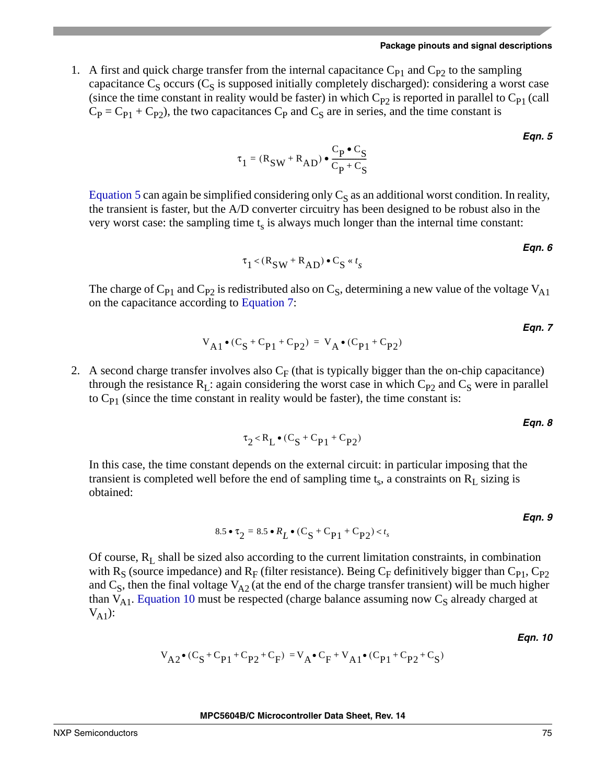<span id="page-74-0"></span>1. A first and quick charge transfer from the internal capacitance  $C_{P1}$  and  $C_{P2}$  to the sampling capacitance  $C_S$  occurs ( $C_S$  is supposed initially completely discharged): considering a worst case (since the time constant in reality would be faster) in which  $C_{P2}$  is reported in parallel to  $C_{P1}$  (call  $C_P = C_{P1} + C_{P2}$ , the two capacitances  $C_P$  and  $C_S$  are in series, and the time constant is

$$
\tau_1 = (R_{SW} + R_{AD}) \bullet \frac{C_P \bullet C_S}{C_P + C_S}
$$

[Equation 5](#page-74-0) can again be simplified considering only  $C_S$  as an additional worst condition. In reality, the transient is faster, but the A/D converter circuitry has been designed to be robust also in the very worst case: the sampling time  $t_s$  is always much longer than the internal time constant:

$$
\tau_1 < (R_{SW} + R_{AD}) \bullet C_S \cdot t_s
$$

The charge of C<sub>P1</sub> and C<sub>P2</sub> is redistributed also on C<sub>S</sub>, determining a new value of the voltage V<sub>A1</sub> on the capacitance according to [Equation 7:](#page-74-1)

$$
V_{A1} \bullet (C_S + C_{P1} + C_{P2}) = V_A \bullet (C_{P1} + C_{P2})
$$

<span id="page-74-1"></span>2. A second charge transfer involves also  $C_F$  (that is typically bigger than the on-chip capacitance) through the resistance  $R_L$ : again considering the worst case in which  $C_{P2}$  and  $C_S$  were in parallel to  $C_{P1}$  (since the time constant in reality would be faster), the time constant is:

*Eqn. 8*

*Eqn. 5*

*Eqn. 6*

*Eqn. 7*

$$
\tau_2 < R_L \bullet (C_S + C_{P1} + C_{P2})
$$

In this case, the time constant depends on the external circuit: in particular imposing that the transient is completed well before the end of sampling time  $t_s$ , a constraints on  $R_L$  sizing is obtained:

$$
8.5 \bullet \tau_2 = 8.5 \bullet R_L \bullet (C_S + C_{P1} + C_{P2}) < t_s
$$
Eqn. 9

<span id="page-74-2"></span>Of course,  $R_L$  shall be sized also according to the current limitation constraints, in combination with R<sub>S</sub> (source impedance) and R<sub>F</sub> (filter resistance). Being C<sub>F</sub> definitively bigger than C<sub>P1</sub>, C<sub>P2</sub> and  $C_S$ , then the final voltage  $V_{A2}$  (at the end of the charge transfer transient) will be much higher than  $V_{A1}$ . [Equation 10](#page-74-2) must be respected (charge balance assuming now  $C_S$  already charged at  $V_{A1}$ ):

*Eqn. 10*

$$
V_{A2} \bullet (C_S + C_{P1} + C_{P2} + C_F) = V_A \bullet C_F + V_{A1} \bullet (C_{P1} + C_{P2} + C_S)
$$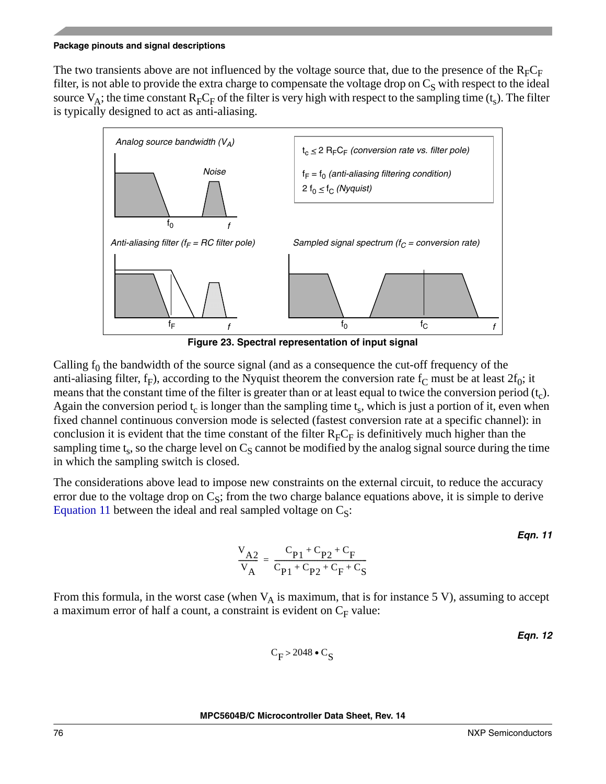The two transients above are not influenced by the voltage source that, due to the presence of the  $R_F C_F$ filter, is not able to provide the extra charge to compensate the voltage drop on  $C_S$  with respect to the ideal source  $V_A$ ; the time constant  $R_F C_F$  of the filter is very high with respect to the sampling time (t<sub>s</sub>). The filter is typically designed to act as anti-aliasing.



Calling  $f_0$  the bandwidth of the source signal (and as a consequence the cut-off frequency of the anti-aliasing filter,  $f_F$ ), according to the Nyquist theorem the conversion rate  $f_C$  must be at least  $2f_0$ ; it means that the constant time of the filter is greater than or at least equal to twice the conversion period  $(t<sub>c</sub>)$ . Again the conversion period  $t_c$  is longer than the sampling time  $t_s$ , which is just a portion of it, even when fixed channel continuous conversion mode is selected (fastest conversion rate at a specific channel): in conclusion it is evident that the time constant of the filter  $R_F C_F$  is definitively much higher than the sampling time  $t_s$ , so the charge level on  $C_s$  cannot be modified by the analog signal source during the time in which the sampling switch is closed.

<span id="page-75-0"></span>The considerations above lead to impose new constraints on the external circuit, to reduce the accuracy error due to the voltage drop on  $C_s$ ; from the two charge balance equations above, it is simple to derive [Equation 11](#page-75-0) between the ideal and real sampled voltage on  $C_S$ :

*Eqn. 11*

$$
\frac{V_{A2}}{V_{A}} = \frac{C_{P1} + C_{P2} + C_F}{C_{P1} + C_{P2} + C_F + C_S}
$$

From this formula, in the worst case (when  $V_A$  is maximum, that is for instance 5 V), assuming to accept a maximum error of half a count, a constraint is evident on  $C_F$  value:

*Eqn. 12*

$$
C_F > 2048 \bullet C_S
$$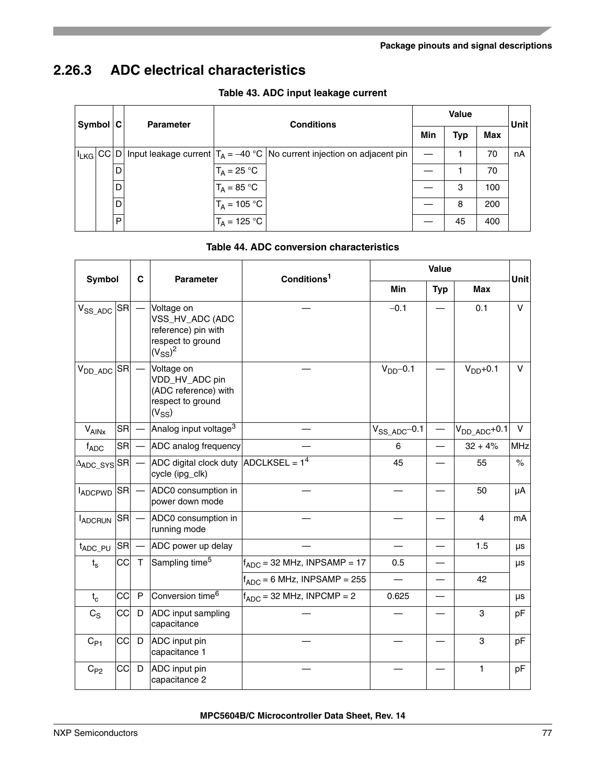## <span id="page-76-0"></span>**2.26.3 ADC electrical characteristics**

| Symbol C |   | <b>Parameter</b> | <b>Conditions</b> |                                                                                              |     | <b>Value</b> |     |      |  |
|----------|---|------------------|-------------------|----------------------------------------------------------------------------------------------|-----|--------------|-----|------|--|
|          |   |                  |                   |                                                                                              | Min | <b>Typ</b>   | Max | Unit |  |
|          |   |                  |                   | $ I_{LKG} CC D $ Input leakage current $ T_A = -40 °C $ No current injection on adjacent pin |     |              | 70  | nA   |  |
|          | D |                  | $IT_A = 25 °C$    |                                                                                              |     |              | 70  |      |  |
|          | D |                  | $IT_A = 85 °C$    |                                                                                              |     | 3            | 100 |      |  |
|          | D |                  | $T_A = 105 °C$    |                                                                                              |     | 8            | 200 |      |  |
|          | P |                  | $IT_A = 125 °C$   |                                                                                              |     | 45           | 400 |      |  |

#### **Table 43. ADC input leakage current**

#### **Table 44. ADC conversion characteristics**

<span id="page-76-1"></span>

| <b>Symbol</b>                                |           | C    | <b>Parameter</b>                                                                          | Conditions <sup>1</sup>          | Value              |            |                    |             |
|----------------------------------------------|-----------|------|-------------------------------------------------------------------------------------------|----------------------------------|--------------------|------------|--------------------|-------------|
|                                              |           |      |                                                                                           |                                  | Min                | <b>Typ</b> | <b>Max</b>         | <b>Unit</b> |
| $V_{SS\_ADC}$ $ SR $                         |           |      | Voltage on<br>VSS_HV_ADC (ADC<br>reference) pin with<br>respect to ground<br>$(V_{SS})^2$ |                                  | $-0.1$             |            | 0.1                | $\vee$      |
| $V_{DD\_ADC}$ SR                             |           |      | Voltage on<br>VDD_HV_ADC pin<br>(ADC reference) with<br>respect to ground<br>$(V_{SS})$   |                                  | $V_{DD}$ -0.1      |            | $VDD+0.1$          | v           |
| $V_{\text{AlNx}}$                            | <b>SR</b> |      | Analog input voltage <sup>3</sup>                                                         |                                  | $V_{SS\_ADC}$ -0.1 |            | $V_{DD\_ADC}$ +0.1 | V           |
| $f_{ADC}$                                    | <b>SR</b> |      | ADC analog frequency                                                                      |                                  | 6                  |            | $32 + 4%$          | <b>MHz</b>  |
| $\Delta_{\text{ADC}\_\text{SYS}} \text{SR} $ |           |      | ADC digital clock duty $\vert$ ADCLKSEL = 1 <sup>4</sup><br>cycle (ipg_clk)               |                                  | 45                 |            | 55                 | $\%$        |
| <b>IADCPWD SR</b>                            |           |      | ADC0 consumption in<br>power down mode                                                    |                                  |                    |            | 50                 | μA          |
| <b>IADCRUN</b>                               | <b>SR</b> |      | ADC0 consumption in<br>running mode                                                       |                                  |                    |            | 4                  | mA          |
| t <sub>ADC_PU</sub>                          | <b>SR</b> |      | ADC power up delay                                                                        |                                  |                    |            | 1.5                | μs          |
| $t_{\rm s}$                                  |           | CC T | Sampling time <sup>5</sup>                                                                | $f_{ADC}$ = 32 MHz, INPSAMP = 17 | 0.5                |            |                    | μs          |
|                                              |           |      |                                                                                           | $f_{ADC} = 6$ MHz, INPSAMP = 255 |                    |            | 42                 |             |
| $t_c$                                        | CC        | P    | Conversion time <sup>6</sup>                                                              | $f_{ADC}$ = 32 MHz, INPCMP = 2   | 0.625              |            |                    | μs          |
| $C_S$                                        | CC        | D    | ADC input sampling<br>capacitance                                                         |                                  |                    |            | 3                  | pF          |
| $C_{P1}$                                     | CC        | D    | ADC input pin<br>capacitance 1                                                            |                                  |                    |            | 3                  | pF          |
| $C_{P2}$                                     | <b>CC</b> | D    | ADC input pin<br>capacitance 2                                                            |                                  |                    |            | $\mathbf{1}$       | pF          |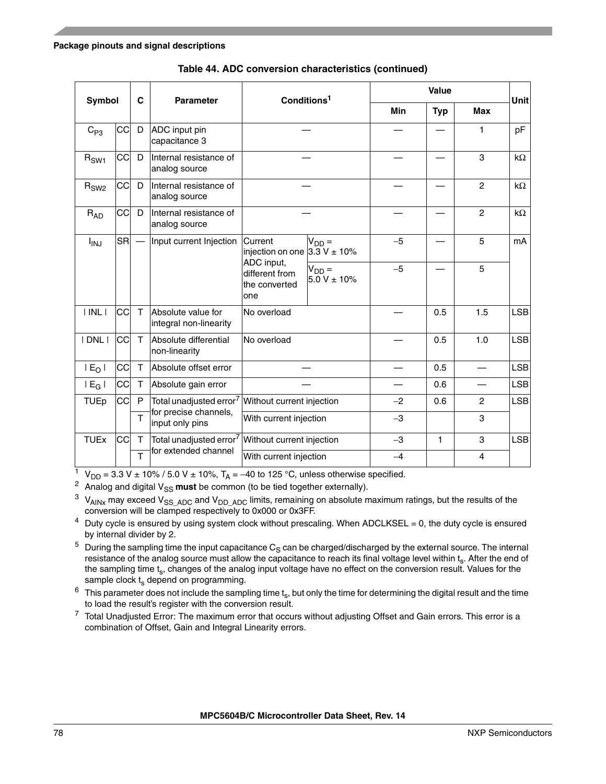|                        | Symbol    | C              | <b>Parameter</b>                                              | Conditions <sup>1</sup>                              |                                |            | <b>Value</b> |                          | Unit       |  |
|------------------------|-----------|----------------|---------------------------------------------------------------|------------------------------------------------------|--------------------------------|------------|--------------|--------------------------|------------|--|
|                        |           |                |                                                               |                                                      |                                | <b>Min</b> | <b>Typ</b>   | <b>Max</b>               |            |  |
| $C_{P3}$               | cc        | D              | ADC input pin<br>capacitance 3                                |                                                      |                                |            |              | 1                        | pF         |  |
| $R_{SW1}$              | CC        | D              | Internal resistance of<br>analog source                       |                                                      |                                |            |              | 3                        | $k\Omega$  |  |
| $R_{SW2}$              | CC        | D              | Internal resistance of<br>analog source                       |                                                      |                                |            |              | $\overline{c}$           | $k\Omega$  |  |
| $R_{AD}$               | cc        | D              | Internal resistance of<br>analog source                       |                                                      |                                |            |              | $\overline{c}$           | $k\Omega$  |  |
| <b>I<sub>INJ</sub></b> | <b>SR</b> |                | Input current Injection                                       | Current<br>injection on one                          | $V_{DD} =$<br>$3.3 V \pm 10\%$ | $-5$       |              | 5                        | mA         |  |
|                        |           |                |                                                               | ADC input,<br>different from<br>the converted<br>one | $V_{DD} =$<br>$5.0 V \pm 10\%$ | $-5$       |              | 5                        |            |  |
| $ $ INL $ $            | CC        | $\mathsf{T}$   | Absolute value for<br>integral non-linearity                  | No overload                                          |                                |            | 0.5          | 1.5                      | <b>LSB</b> |  |
| I DNL I                | <b>CC</b> | T              | Absolute differential<br>non-linearity                        | No overload                                          |                                |            | 0.5          | 1.0                      | <b>LSB</b> |  |
| $E_0$                  | СC        | T.             | Absolute offset error                                         |                                                      |                                |            | 0.5          | $\overline{\phantom{0}}$ | <b>LSB</b> |  |
| $ E_G $                | CC        | T.             | Absolute gain error                                           |                                                      |                                |            | 0.6          |                          | <b>LSB</b> |  |
| <b>TUEp</b>            | <b>CC</b> | P              | Total unadjusted error <sup>7</sup>                           | Without current injection                            |                                | $-2$       | 0.6          | 2                        | <b>LSB</b> |  |
|                        |           | $\overline{1}$ | for precise channels,<br>input only pins                      | With current injection                               |                                | $-3$       |              | 3                        |            |  |
| <b>TUEx</b>            | CC        | T.             | Total unadjusted error <sup>7</sup> Without current injection |                                                      |                                | $-3$       | 1            | 3                        | <b>LSB</b> |  |
|                        |           | $\overline{T}$ | for extended channel                                          | With current injection                               |                                | $-4$       |              | 4                        |            |  |

**Table 44. ADC conversion characteristics (continued)**

<sup>1</sup> V<sub>DD</sub> = 3.3 V ± 10% / 5.0 V ± 10%, T<sub>A</sub> = -40 to 125 °C, unless otherwise specified.

<sup>2</sup> Analog and digital  $V_{SS}$  must be common (to be tied together externally).

 $3$  V<sub>AINx</sub> may exceed V<sub>SS</sub> AD<sub>C</sub> and V<sub>DD</sub> A<sub>DC</sub> limits, remaining on absolute maximum ratings, but the results of the conversion will be clamped respectively to 0x000 or 0x3FF.

 $4$  Duty cycle is ensured by using system clock without prescaling. When ADCLKSEL = 0, the duty cycle is ensured by internal divider by 2.

 $5$  During the sampling time the input capacitance  $C_S$  can be charged/discharged by the external source. The internal resistance of the analog source must allow the capacitance to reach its final voltage level within ts. After the end of the sampling time t<sub>s</sub>, changes of the analog input voltage have no effect on the conversion result. Values for the sample clock  $t_s$  depend on programming.

 $6$  This parameter does not include the sampling time  $t_s$ , but only the time for determining the digital result and the time to load the result's register with the conversion result.

<span id="page-77-0"></span> $7$  Total Unadjusted Error: The maximum error that occurs without adjusting Offset and Gain errors. This error is a combination of Offset, Gain and Integral Linearity errors.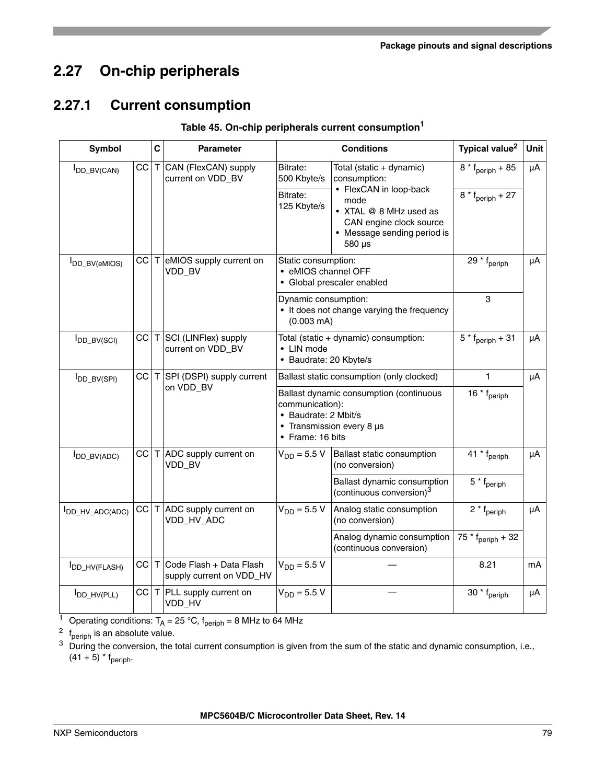# <span id="page-78-0"></span>**2.27 On-chip peripherals**

## **2.27.1 Current consumption**

<span id="page-78-1"></span>

| Symbol                      |    | $\mathbf c$ | <b>Parameter</b>                                      |                                                                                            | <b>Conditions</b>                                                                                                                                                        | Typical value <sup>2</sup>                                   | Unit |
|-----------------------------|----|-------------|-------------------------------------------------------|--------------------------------------------------------------------------------------------|--------------------------------------------------------------------------------------------------------------------------------------------------------------------------|--------------------------------------------------------------|------|
| I <sub>DD_BV(CAN)</sub>     | CC |             | T CAN (FlexCAN) supply<br>current on VDD_BV           | Bitrate:<br>500 Kbyte/s<br>Bitrate:<br>125 Kbyte/s                                         | Total (static + dynamic)<br>consumption:<br>• FlexCAN in loop-back<br>mode<br>• XTAL @ 8 MHz used as<br>CAN engine clock source<br>• Message sending period is<br>580 µs | $8 * f_{\text{periph}} + 85$<br>$8 * f_{\text{peribh}} + 27$ | μA   |
| I <sub>DD_BV(eMIOS)</sub>   |    |             | $CC$ $T$ eMIOS supply current on<br>VDD_BV            | Static consumption:<br>• eMIOS channel OFF<br>· Global prescaler enabled                   |                                                                                                                                                                          | 29 $*$ f <sub>periph</sub>                                   | μA   |
|                             |    |             |                                                       | Dynamic consumption:<br>• It does not change varying the frequency<br>$(0.003 \text{ mA})$ |                                                                                                                                                                          | 3                                                            |      |
| $I_{DD_BV(SCI)}$            | CC |             | T SCI (LINFlex) supply<br>current on VDD_BV           | • LIN mode<br>· Baudrate: 20 Kbyte/s                                                       | Total (static + dynamic) consumption:                                                                                                                                    | $5 * f_{\text{periph}} + 31$                                 | μA   |
| <b>I</b> DD_BV(SPI)         | cc | Т           | SPI (DSPI) supply current<br>on VDD_BV                |                                                                                            | Ballast static consumption (only clocked)                                                                                                                                | 1                                                            | μA   |
|                             |    |             |                                                       | communication):<br>• Baudrate: 2 Mbit/s<br>• Frame: 16 bits                                | Ballast dynamic consumption (continuous<br>• Transmission every 8 µs                                                                                                     | 16 * f <sub>periph</sub>                                     |      |
| $I_{DD\_BV(ADC)}$           |    |             | $CC$ $T$ ADC supply current on<br>VDD_BV              | $V_{DD} = 5.5 V$                                                                           | Ballast static consumption<br>(no conversion)                                                                                                                            | 41 * f <sub>periph</sub>                                     | μA   |
|                             |    |             |                                                       |                                                                                            | Ballast dynamic consumption<br>(continuous conversion) <sup>3</sup>                                                                                                      | $5 * f_{\text{periph}}$                                      |      |
| I <sub>DD_HV_ADC(ADC)</sub> | CC |             | T ADC supply current on<br>VDD_HV_ADC                 | $V_{DD} = 5.5 V$                                                                           | Analog static consumption<br>(no conversion)                                                                                                                             | $2 * f_{\text{periph}}$                                      | μA   |
|                             |    |             |                                                       |                                                                                            | Analog dynamic consumption<br>(continuous conversion)                                                                                                                    | 75 * f <sub>periph</sub> + 32                                |      |
| I <sub>DD_HV</sub> (FLASH)  | CC |             | T Code Flash + Data Flash<br>supply current on VDD_HV | $V_{DD} = 5.5 V$                                                                           |                                                                                                                                                                          | 8.21                                                         | mA   |
| I <sub>DD_HV(PLL)</sub>     |    |             | $CC$ $T$ PLL supply current on<br>VDD_HV              | $V_{DD} = 5.5 V$                                                                           |                                                                                                                                                                          | 30 $*$ f <sub>periph</sub>                                   | μA   |

#### **Table 45. On-chip peripherals current consumption<sup>1</sup>**

<sup>1</sup> Operating conditions:  $T_A = 25$  °C,  $f_{\text{periph}} = 8$  MHz to 64 MHz

 $2 f_{\text{periph}}$  is an absolute value.

<sup>3</sup> During the conversion, the total current consumption is given from the sum of the static and dynamic consumption, i.e.,  $(41 + 5)$  \* f<sub>periph</sub>.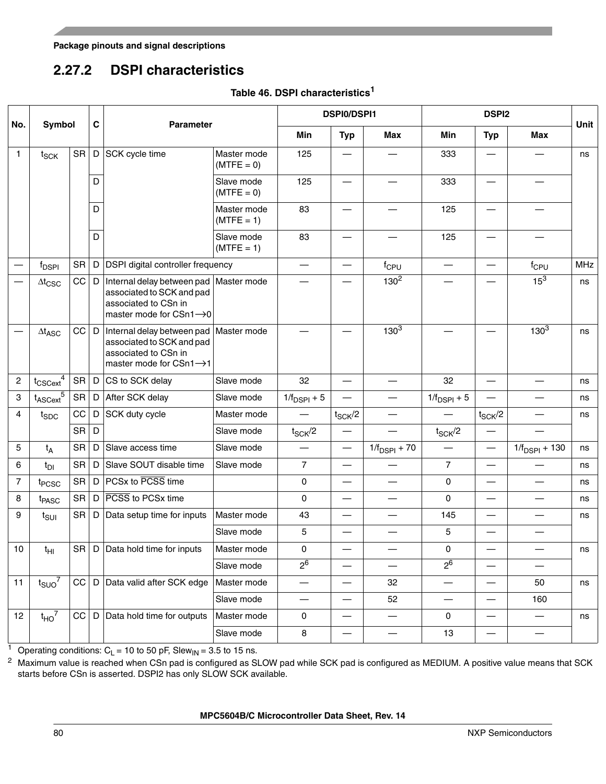## **2.27.2 DSPI characteristics**

|  |  |  |  | Table 46. DSPI characteristics <sup>1</sup> |
|--|--|--|--|---------------------------------------------|
|--|--|--|--|---------------------------------------------|

<span id="page-79-0"></span>

|                |                                  |           |             |                                                                                                                         |                             |                          | <b>DSPI0/DSPI1</b>       |                          | <b>DSPI2</b>     |                          |                          |      |
|----------------|----------------------------------|-----------|-------------|-------------------------------------------------------------------------------------------------------------------------|-----------------------------|--------------------------|--------------------------|--------------------------|------------------|--------------------------|--------------------------|------|
| No.            | Symbol                           |           | $\mathbf c$ | <b>Parameter</b>                                                                                                        |                             | Min                      | <b>Typ</b>               | <b>Max</b>               | Min              | <b>Typ</b>               | <b>Max</b>               | Unit |
| $\mathbf{1}$   | $t_{\text{SCK}}$                 | <b>SR</b> | D           | SCK cycle time                                                                                                          | Master mode<br>$(MTFE = 0)$ | 125                      |                          |                          | 333              | $\overline{\phantom{0}}$ |                          | ns   |
|                |                                  |           | D           |                                                                                                                         | Slave mode<br>$(MTFE = 0)$  | 125                      | $\overline{\phantom{0}}$ |                          | 333              | $\overline{\phantom{0}}$ |                          |      |
|                |                                  |           | D           |                                                                                                                         | Master mode<br>$(MTFE = 1)$ | 83                       |                          |                          | 125              |                          |                          |      |
|                |                                  |           | D           |                                                                                                                         | Slave mode<br>$(MTFE = 1)$  | 83                       |                          |                          | 125              |                          |                          |      |
|                | $f_{\sf DSPI}$                   | <b>SR</b> | D           | DSPI digital controller frequency                                                                                       |                             | $\overline{\phantom{0}}$ |                          | $f_{CPU}$                | —                | —                        | $f_{CPU}$                | MHz  |
|                | $\Delta t_{\text{CSC}}$          | cc        | D           | Internal delay between pad<br>associated to SCK and pad<br>associated to CSn in<br>master mode for $CSn1 \rightarrow 0$ | Master mode                 |                          |                          | $130^2$                  |                  |                          | 15 <sup>3</sup>          | ns   |
|                | $\Delta t_{\text{ASC}}$          | $CC$ $D$  |             | Internal delay between pad<br>associated to SCK and pad<br>associated to CSn in<br>master mode for $CSn1 \rightarrow 1$ | Master mode                 |                          |                          | $130^{3}$                |                  |                          | $130^{3}$                | ns   |
| $\overline{c}$ | $t_{CSCext}$ <sup>4</sup>        | SR        | D           | CS to SCK delay                                                                                                         | Slave mode                  | 32                       |                          |                          | 32               |                          |                          | ns   |
| 3              | t <sub>ASCext</sub> <sup>5</sup> | SR        | D           | After SCK delay                                                                                                         | Slave mode                  | $1/f_{\text{DSPI}} + 5$  |                          |                          | $1/f_{DSPI} + 5$ |                          |                          | ns   |
| 4              | $t_{SDC}$                        | CC        | D           | SCK duty cycle                                                                                                          | Master mode                 |                          | $t_{\text{SCK}}/2$       | —                        |                  | $t_{\text{SCK}}/2$       | —                        | ns   |
|                |                                  | <b>SR</b> | D           |                                                                                                                         | Slave mode                  | $t_{SCK}/2$              | $\overline{\phantom{0}}$ |                          | $t_{SCK}/2$      |                          |                          |      |
| 5              | $t_A$                            | <b>SR</b> | D           | Slave access time                                                                                                       | Slave mode                  |                          | $\overline{\phantom{0}}$ | $1/f_{DSPI} + 70$        |                  |                          | $1/f_{DSPI} + 130$       | ns   |
| 6              | $t_{DI}$                         | <b>SR</b> | D           | Slave SOUT disable time                                                                                                 | Slave mode                  | $\overline{7}$           |                          |                          | $\overline{7}$   | $\overline{\phantom{0}}$ |                          | ns   |
| $\overline{7}$ | t <sub>PCSC</sub>                | <b>SR</b> | D           | PCSx to PCSS time                                                                                                       |                             | $\mathbf 0$              |                          |                          | $\mathbf 0$      |                          |                          | ns   |
| 8              | t <sub>PASC</sub>                | SR        |             | D   PCSS to PCSx time                                                                                                   |                             | 0                        | $\overline{\phantom{0}}$ |                          | 0                |                          | $\overline{\phantom{0}}$ | ns   |
| 9              | $t_{\text{SUI}}$                 | SR        | D           | Data setup time for inputs                                                                                              | Master mode                 | 43                       |                          |                          | 145              |                          |                          | ns   |
|                |                                  |           |             |                                                                                                                         | Slave mode                  | 5                        |                          |                          | 5                |                          |                          |      |
| 10             | $t_{\text{HI}}$                  |           |             | SR D Data hold time for inputs                                                                                          | Master mode                 | 0                        |                          |                          | 0                |                          |                          | ns   |
|                |                                  |           |             |                                                                                                                         | Slave mode                  | 2 <sup>6</sup>           |                          |                          | 2 <sup>6</sup>   |                          |                          |      |
| 11             | $t_{SUO}^7$                      | CC        |             | D Data valid after SCK edge                                                                                             | Master mode                 |                          |                          | 32                       |                  |                          | 50                       | ns   |
|                |                                  |           |             |                                                                                                                         | Slave mode                  | —                        | $\overline{\phantom{0}}$ | 52                       |                  |                          | 160                      |      |
| 12             | $t_{HO}$ <sup>7</sup>            | CC        |             | D Data hold time for outputs                                                                                            | Master mode                 | 0                        |                          |                          | 0                |                          |                          | ns   |
|                |                                  |           |             |                                                                                                                         | Slave mode                  | 8                        | $\overline{\phantom{0}}$ | $\overline{\phantom{0}}$ | 13               | $\overline{\phantom{0}}$ | $\overline{\phantom{0}}$ |      |

<sup>1</sup> Operating conditions:  $C_L$  = 10 to 50 pF, Slew<sub>IN</sub> = 3.5 to 15 ns.

 $^2$  Maximum value is reached when CSn pad is configured as SLOW pad while SCK pad is configured as MEDIUM. A positive value means that SCK starts before CSn is asserted. DSPI2 has only SLOW SCK available.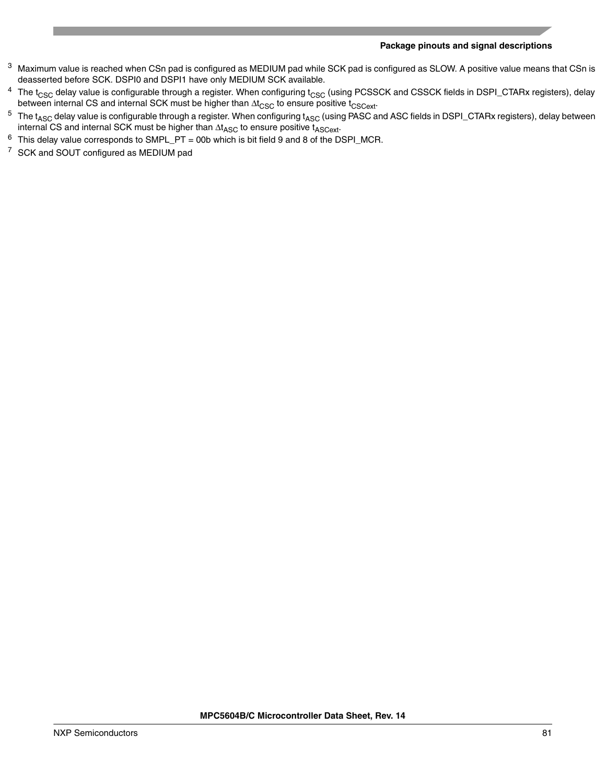- <span id="page-80-0"></span><sup>3</sup> Maximum value is reached when CSn pad is configured as MEDIUM pad while SCK pad is configured as SLOW. A positive value means that CSn is deasserted before SCK. DSPI0 and DSPI1 have only MEDIUM SCK available.
- <sup>4</sup> The t<sub>CSC</sub> delay value is configurable through a register. When configuring t<sub>CSC</sub> (using PCSSCK and CSSCK fields in DSPI\_CTARx registers), delay between internal CS and internal SCK must be higher than  $\Delta t_{\text{CSC}}$  to ensure positive  $t_{\text{CSCext}}$ .
- $^5$  The t<sub>ASC</sub> delay value is configurable through a register. When configuring t<sub>ASC</sub> (using PASC and ASC fields in DSPI\_CTARx registers), delay between internal CS and internal SCK must be higher than  $\Delta t_{\text{ASC}}$  to ensure positive  $t_{\text{ASCext}}$ .
- <span id="page-80-1"></span> $6$  This delay value corresponds to SMPL\_PT = 00b which is bit field 9 and 8 of the DSPI\_MCR.
- <span id="page-80-2"></span><sup>7</sup> SCK and SOUT configured as MEDIUM pad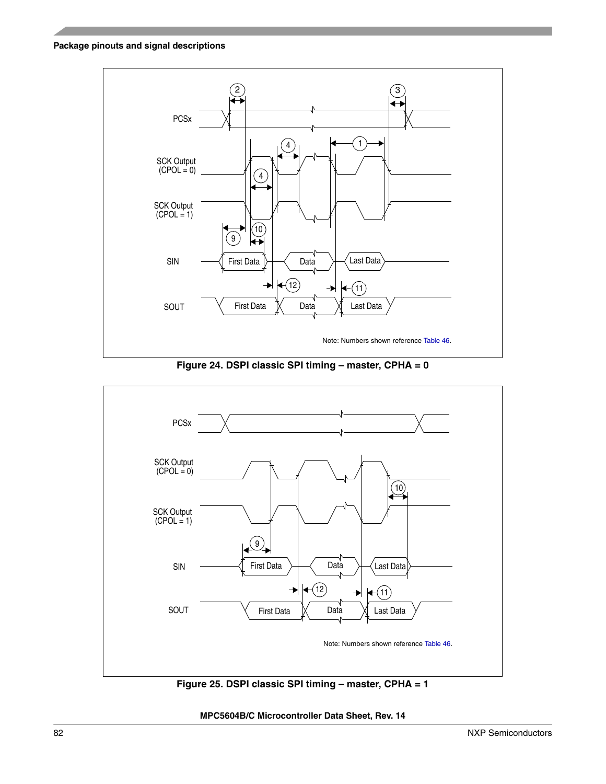

**Figure 24. DSPI classic SPI timing – master, CPHA = 0**



**Figure 25. DSPI classic SPI timing – master, CPHA = 1**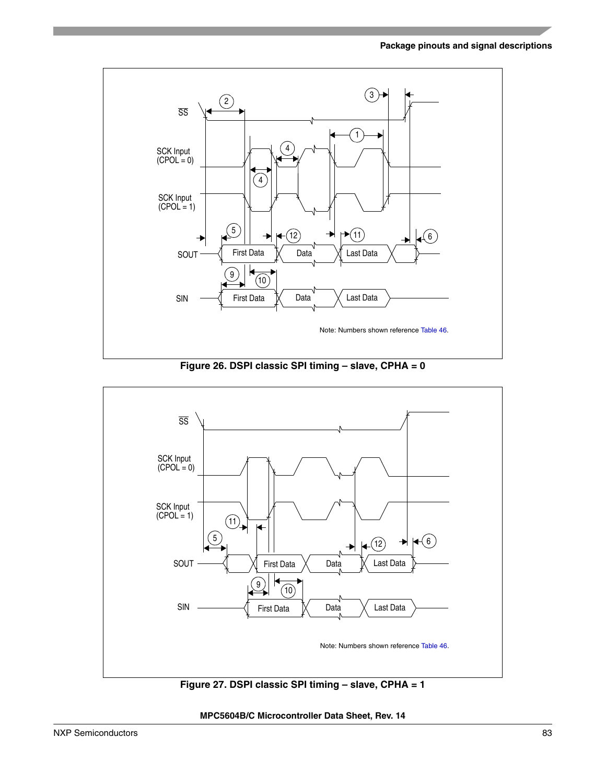

**Figure 26. DSPI classic SPI timing – slave, CPHA = 0**



**Figure 27. DSPI classic SPI timing – slave, CPHA = 1**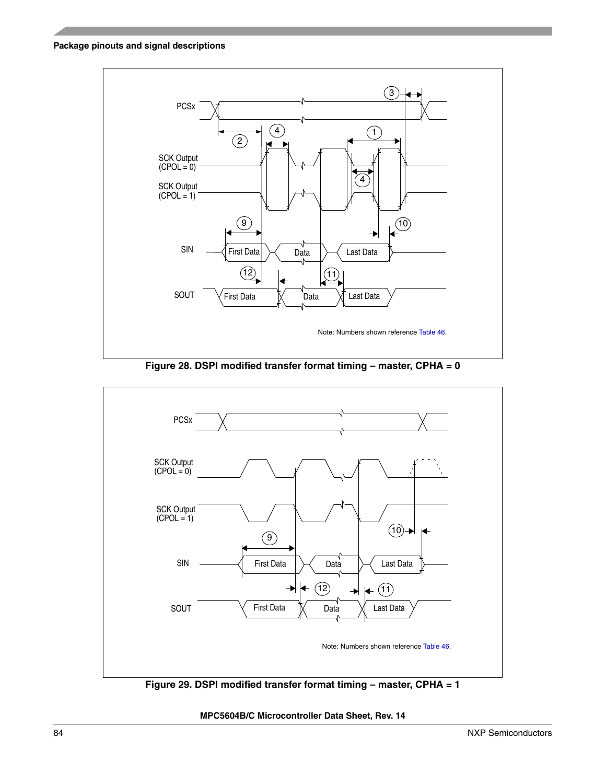





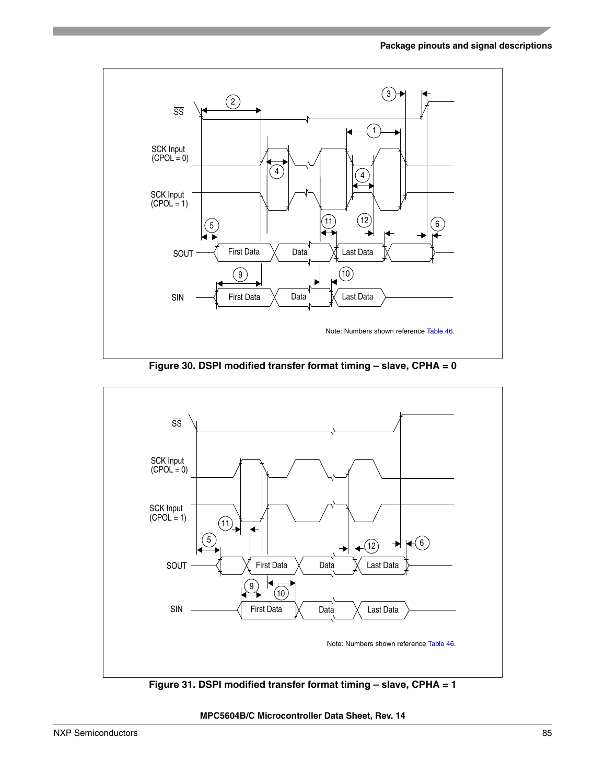

**Figure 30. DSPI modified transfer format timing – slave, CPHA = 0**



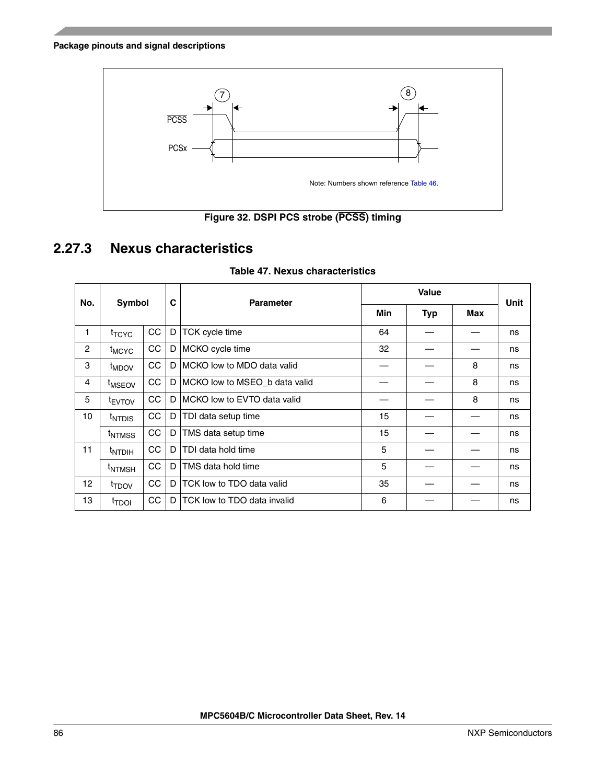



# <span id="page-85-0"></span>**2.27.3 Nexus characteristics**

| No.            | Symbol             |    | C            | <b>Parameter</b>              |     |            | <b>Unit</b> |    |
|----------------|--------------------|----|--------------|-------------------------------|-----|------------|-------------|----|
|                |                    |    |              |                               | Min | <b>Typ</b> | Max         |    |
| 1              | <sup>t</sup> TCYC  | CC | D            | TCK cycle time                | 64  |            |             | ns |
| $\overline{c}$ | <sup>t</sup> MCYC  | CC | D.           | MCKO cycle time               | 32  |            |             | ns |
| 3              | t <sub>MDOV</sub>  | CC | D.           | MCKO low to MDO data valid    |     |            | 8           | ns |
| $\overline{4}$ | <sup>t</sup> MSEOV | CC | $\mathsf{D}$ | MCKO low to MSEO_b data valid |     |            | 8           | ns |
| 5              | <sup>t</sup> EVTOV | CC | D            | MCKO low to EVTO data valid   |     |            | 8           | ns |
| 10             | <sup>t</sup> NTDIS | CC | D            | TDI data setup time           | 15  |            |             | ns |
|                | <sup>t</sup> NTMSS | CC | D            | TMS data setup time           | 15  |            |             | ns |
| 11             | <sup>t</sup> NTDIH | CC | D.           | TDI data hold time            | 5   |            |             | ns |
|                | <sup>t</sup> NTMSH | CC | D            | TMS data hold time            | 5   |            |             | ns |
| 12             | t <sub>TDOV</sub>  | CC | D            | TCK low to TDO data valid     | 35  |            |             | ns |
| 13             | <sup>t</sup> TDOI  | CC | D            | TCK low to TDO data invalid   | 6   |            |             | ns |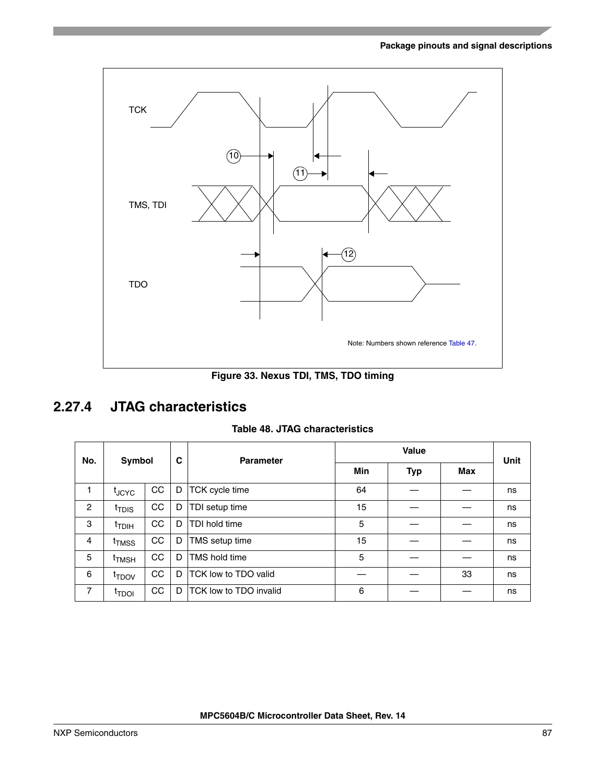

**Figure 33. Nexus TDI, TMS, TDO timing**

## <span id="page-86-0"></span>**2.27.4 JTAG characteristics**

#### **Table 48. JTAG characteristics**

| No.            | Symbol            |    | C  | <b>Parameter</b>               |            | Unit |     |    |
|----------------|-------------------|----|----|--------------------------------|------------|------|-----|----|
|                |                   |    |    |                                | <b>Min</b> | Typ  | Max |    |
| 1              | <sup>t</sup> JCYC | CC | D  | TCK cycle time                 | 64         |      |     | ns |
| $\overline{c}$ | <sup>t</sup> TDIS | CC | D  | TDI setup time                 | 15         |      |     | ns |
| 3              | <sup>t</sup> TDIH | CC | D  | TDI hold time                  | 5          |      |     | ns |
| 4              | <sup>t</sup> TMSS | CC | D  | TMS setup time                 | 15         |      |     | ns |
| 5              | <sup>I</sup> TMSH | CC | D  | <b>TMS hold time</b>           | 5          |      |     | ns |
| 6              | <sup>t</sup> TDOV | CC | D  | TCK low to TDO valid           |            |      | 33  | ns |
| 7              | <sup>t</sup> TDOI | CC | D. | <b>ITCK low to TDO invalid</b> | 6          |      |     | ns |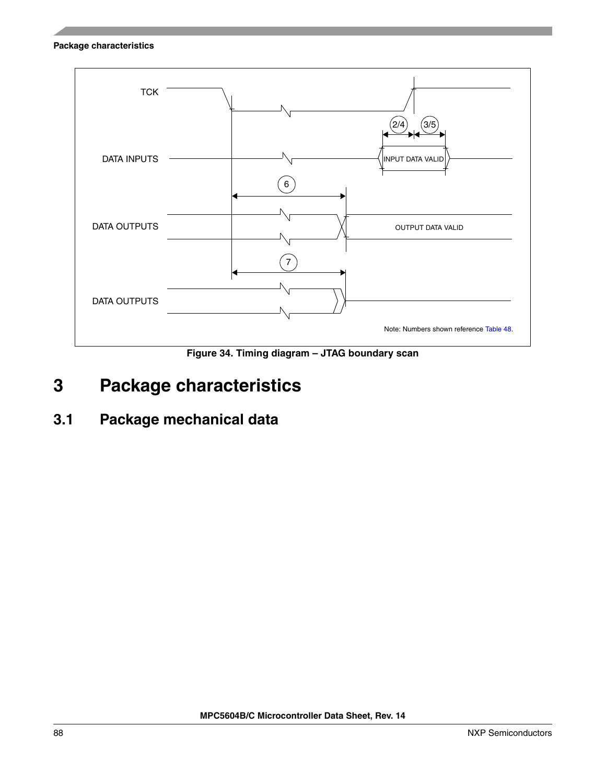

**Figure 34. Timing diagram – JTAG boundary scan**

**3.1 Package mechanical data**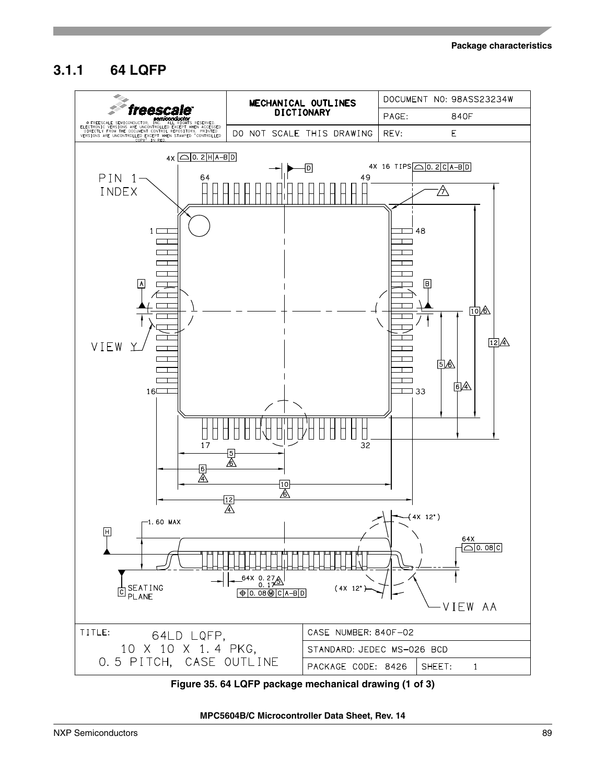## **3.1.1 64 LQFP**



**Figure 35. 64 LQFP package mechanical drawing (1 of 3)**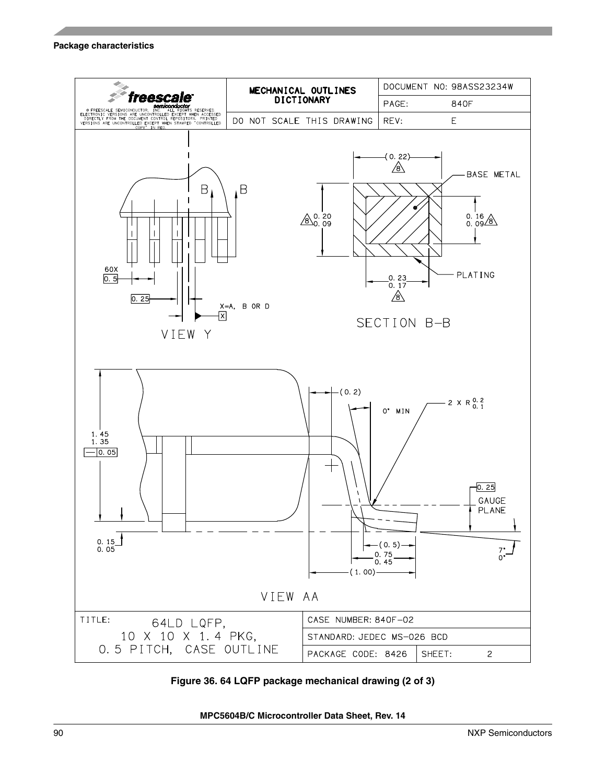

**Figure 36. 64 LQFP package mechanical drawing (2 of 3)**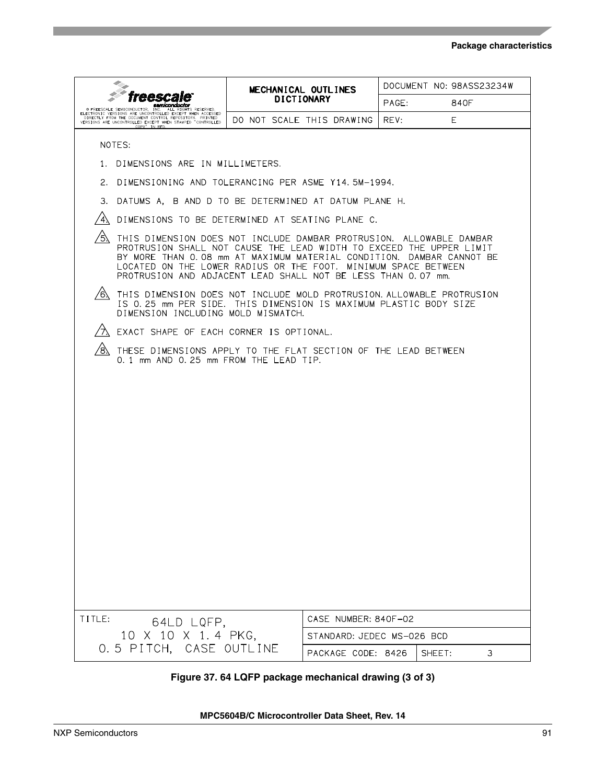|                                                                                                                                                                                                                                                                                                                                                             | MECHANICAL OUTLINES       |                            |       | DOCUMENT NO: 98ASS23234W |   |
|-------------------------------------------------------------------------------------------------------------------------------------------------------------------------------------------------------------------------------------------------------------------------------------------------------------------------------------------------------------|---------------------------|----------------------------|-------|--------------------------|---|
| miconductor                                                                                                                                                                                                                                                                                                                                                 | <b>DICTIONARY</b>         |                            | PAGE: | 840F                     |   |
| E PRESSUALE SEMICONDUCTOR, THE WALL RIGHTS RESERVED<br>ELDIRECTIC PRON ONE ARE WANT TO DE LOCAT TWEN ARTISTS<br>CLOTECTIC PRON ONE ARE WANT FONTED EXPERT WHEN ARTISTS<br>VERSIONS ARE UNCONTROLLED EXCEPT TWEN ARTISTS ON TRACKLISH                                                                                                                        | DO NOT SCALE THIS DRAWING |                            | REV:  | E.                       |   |
| NOTES:                                                                                                                                                                                                                                                                                                                                                      |                           |                            |       |                          |   |
| 1. DIMENSIONS ARE IN MILLIMETERS.                                                                                                                                                                                                                                                                                                                           |                           |                            |       |                          |   |
| 2. DIMENSIONING AND TOLERANCING PER ASME Y14.5M-1994.                                                                                                                                                                                                                                                                                                       |                           |                            |       |                          |   |
| З.<br>DATUMS A, B AND D TO BE DETERMINED AT DATUM PLANE H.                                                                                                                                                                                                                                                                                                  |                           |                            |       |                          |   |
| DIMENSIONS TO BE DETERMINED AT SEATING PLANE C.                                                                                                                                                                                                                                                                                                             |                           |                            |       |                          |   |
| ⁄5\<br>THIS DIMENSION DOES NOT INCLUDE DAMBAR PROTRUSION. ALLOWABLE DAMBAR<br>PROTRUSION SHALL NOT CAUSE THE LEAD WIDTH TO EXCEED THE UPPER LIMIT<br>BY MORE THAN 0.08 mm AT MAXIMUM MATERIAL CONDITION. DAMBAR CANNOT BE<br>LOCATED ON THE LOWER RADIUS OR THE FOOT. MINIMUM SPACE BETWEEN<br>PROTRUSION AND ADJACENT LEAD SHALL NOT BE LESS THAN 0.07 mm. |                           |                            |       |                          |   |
| /6\<br>THIS DIMENSION DOES NOT INCLUDE MOLD PROTRUSION. ALLOWABLE PROTRUSION<br>IS 0.25 mm PER SIDE. THIS DIMENSION IS MAXIMUM PLASTIC BODY SIZE<br>DIMENSION INCLUDING MOLD MISMATCH.                                                                                                                                                                      |                           |                            |       |                          |   |
| EXACT SHAPE OF EACH CORNER IS OPTIONAL.                                                                                                                                                                                                                                                                                                                     |                           |                            |       |                          |   |
| ′8.<br>THESE DIMENSIONS APPLY TO THE FLAT SECTION OF THE LEAD BETWEEN<br>0.1 mm AND 0.25 mm FROM THE LEAD TIP.                                                                                                                                                                                                                                              |                           |                            |       |                          |   |
|                                                                                                                                                                                                                                                                                                                                                             |                           |                            |       |                          |   |
| TITLE:<br>64LD LQFP,                                                                                                                                                                                                                                                                                                                                        |                           | CASE NUMBER: 840F-02       |       |                          |   |
| 10 X 10 X 1.4 PKG,                                                                                                                                                                                                                                                                                                                                          |                           | STANDARD: JEDEC MS-026 BCD |       |                          |   |
| 0.5 PITCH, CASE OUTLINE                                                                                                                                                                                                                                                                                                                                     |                           | PACKAGE CODE: 8426         |       | SHEET:                   | 3 |

## **Figure 37. 64 LQFP package mechanical drawing (3 of 3)**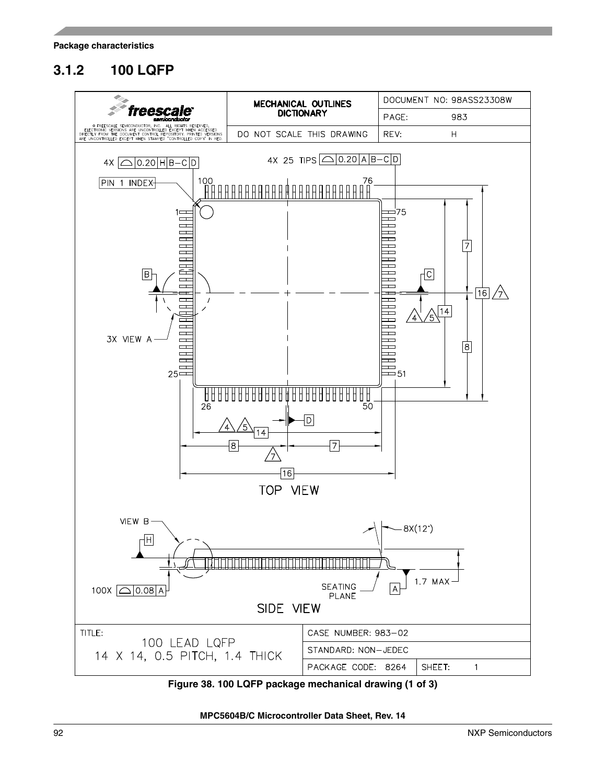# **3.1.2 100 LQFP**



<span id="page-91-0"></span>**Figure 38. 100 LQFP package mechanical drawing (1 of 3)**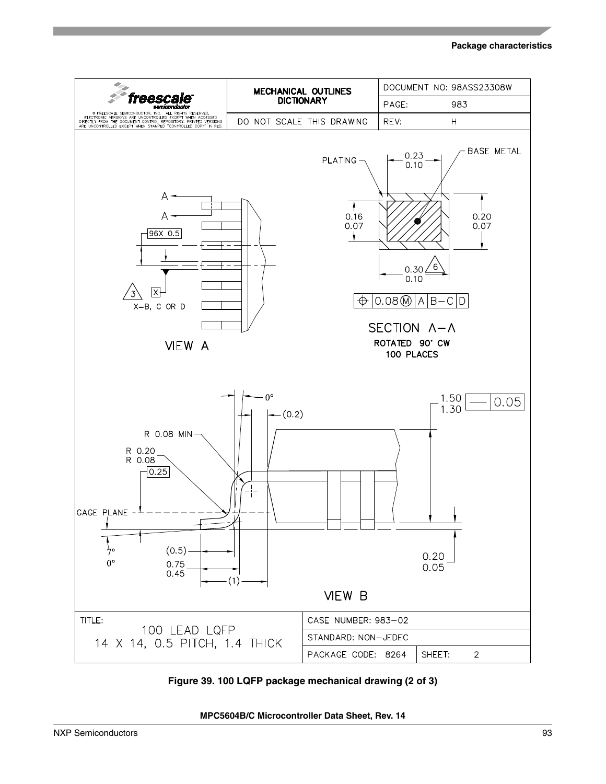

**Figure 39. 100 LQFP package mechanical drawing (2 of 3)**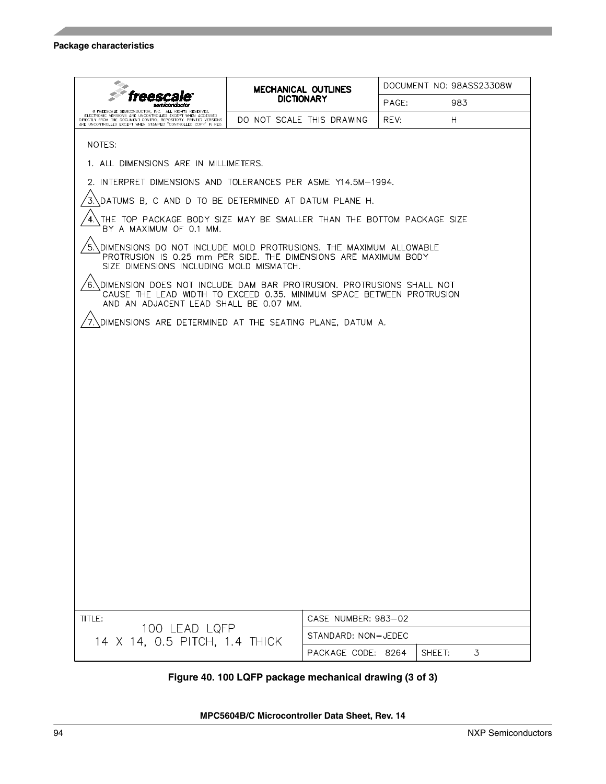|                                                                                                                                                                                                                                                     |                                                                                                                                                                                  | <b>MECHANICAL OUTLINES</b> | DOCUMENT NO: 98ASS23308W |        |   |  |  |  |
|-----------------------------------------------------------------------------------------------------------------------------------------------------------------------------------------------------------------------------------------------------|----------------------------------------------------------------------------------------------------------------------------------------------------------------------------------|----------------------------|--------------------------|--------|---|--|--|--|
|                                                                                                                                                                                                                                                     |                                                                                                                                                                                  | <b>DICTIONARY</b>          | PAGE:                    | 983    |   |  |  |  |
| @ FREESCALE SEMICONDUCTOR, INC. ALL RIGHTS RESERVED.<br>ELECTRONIC VERSIONS ARE UNCONTROLLED EXCEPT WHEN ACCESSED<br>DIRECTLY FROM THE DOCUMENT CONTROL REPOSITORY. PRINTED VERSIONS ARE UNCONTROLLED EXCEPT WHEN STAMPED "CONTROLLED COPY" IN RED. |                                                                                                                                                                                  | DO NOT SCALE THIS DRAWING  | REV:                     | H.     |   |  |  |  |
| NOTES:                                                                                                                                                                                                                                              |                                                                                                                                                                                  |                            |                          |        |   |  |  |  |
| 1. ALL DIMENSIONS ARE IN MILLIMETERS.                                                                                                                                                                                                               |                                                                                                                                                                                  |                            |                          |        |   |  |  |  |
| 2. INTERPRET DIMENSIONS AND TOLERANCES PER ASME Y14.5M-1994.                                                                                                                                                                                        |                                                                                                                                                                                  |                            |                          |        |   |  |  |  |
| DATUMS B, C AND D TO BE DETERMINED AT DATUM PLANE H.                                                                                                                                                                                                |                                                                                                                                                                                  |                            |                          |        |   |  |  |  |
| THE TOP PACKAGE BODY SIZE MAY BE SMALLER THAN THE BOTTOM PACKAGE SIZE<br>BY A MAXIMUM OF 0.1 MM.                                                                                                                                                    |                                                                                                                                                                                  |                            |                          |        |   |  |  |  |
|                                                                                                                                                                                                                                                     | DIMENSIONS DO NOT INCLUDE MOLD PROTRUSIONS. THE MAXIMUM ALLOWABLE<br>PROTRUSION IS 0.25 mm PER SIDE. THE DIMENSIONS ARE MAXIMUM BODY<br>SIZE DIMENSIONS INCLUDING MOLD MISMATCH. |                            |                          |        |   |  |  |  |
| DIMENSION DOES NOT INCLUDE DAM BAR PROTRUSION. PROTRUSIONS SHALL NOT<br>6.<br>CAUSE THE LEAD WIDTH TO EXCEED 0.35. MINIMUM SPACE BETWEEN PROTRUSION<br>AND AN ADJACENT LEAD SHALL BE 0.07 MM.                                                       |                                                                                                                                                                                  |                            |                          |        |   |  |  |  |
| DIMENSIONS ARE DETERMINED AT THE SEATING PLANE, DATUM A.                                                                                                                                                                                            |                                                                                                                                                                                  |                            |                          |        |   |  |  |  |
|                                                                                                                                                                                                                                                     |                                                                                                                                                                                  |                            |                          |        |   |  |  |  |
|                                                                                                                                                                                                                                                     |                                                                                                                                                                                  |                            |                          |        |   |  |  |  |
|                                                                                                                                                                                                                                                     |                                                                                                                                                                                  |                            |                          |        |   |  |  |  |
|                                                                                                                                                                                                                                                     |                                                                                                                                                                                  |                            |                          |        |   |  |  |  |
|                                                                                                                                                                                                                                                     |                                                                                                                                                                                  |                            |                          |        |   |  |  |  |
|                                                                                                                                                                                                                                                     |                                                                                                                                                                                  |                            |                          |        |   |  |  |  |
|                                                                                                                                                                                                                                                     |                                                                                                                                                                                  |                            |                          |        |   |  |  |  |
|                                                                                                                                                                                                                                                     |                                                                                                                                                                                  |                            |                          |        |   |  |  |  |
|                                                                                                                                                                                                                                                     |                                                                                                                                                                                  |                            |                          |        |   |  |  |  |
|                                                                                                                                                                                                                                                     |                                                                                                                                                                                  |                            |                          |        |   |  |  |  |
|                                                                                                                                                                                                                                                     |                                                                                                                                                                                  |                            |                          |        |   |  |  |  |
|                                                                                                                                                                                                                                                     |                                                                                                                                                                                  |                            |                          |        |   |  |  |  |
|                                                                                                                                                                                                                                                     |                                                                                                                                                                                  |                            |                          |        |   |  |  |  |
|                                                                                                                                                                                                                                                     |                                                                                                                                                                                  |                            |                          |        |   |  |  |  |
|                                                                                                                                                                                                                                                     |                                                                                                                                                                                  |                            |                          |        |   |  |  |  |
| TITLE:                                                                                                                                                                                                                                              |                                                                                                                                                                                  | CASE NUMBER: 983-02        |                          |        |   |  |  |  |
| 100 LEAD LQFP                                                                                                                                                                                                                                       |                                                                                                                                                                                  | STANDARD: NON-JEDEC        |                          |        |   |  |  |  |
| 14 X 14, 0.5 PITCH, 1.4 THICK                                                                                                                                                                                                                       |                                                                                                                                                                                  | PACKAGE CODE: 8264         |                          | SHEET: | 3 |  |  |  |

## **Figure 40. 100 LQFP package mechanical drawing (3 of 3)**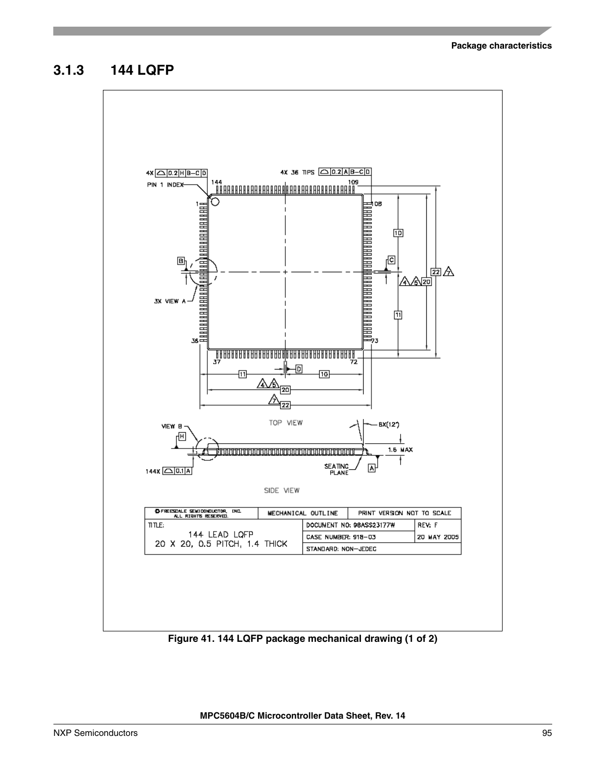## **3.1.3 144 LQFP**



**Figure 41. 144 LQFP package mechanical drawing (1 of 2)**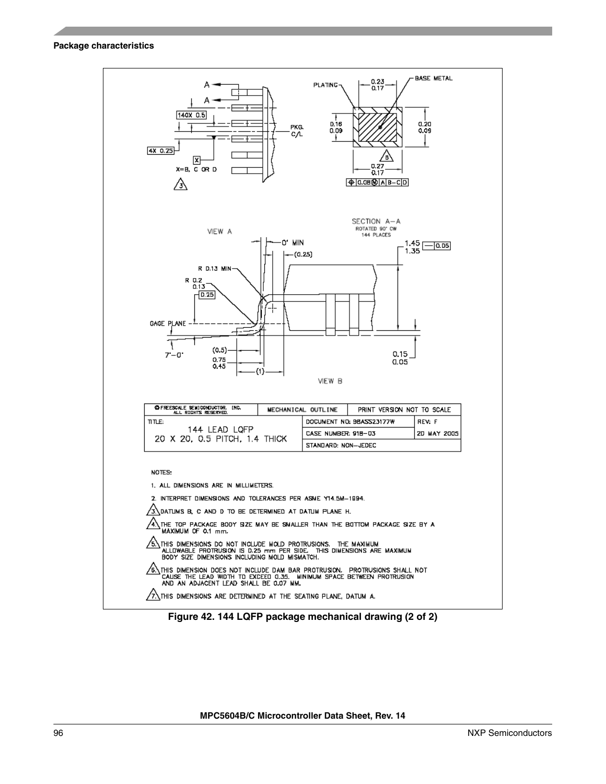

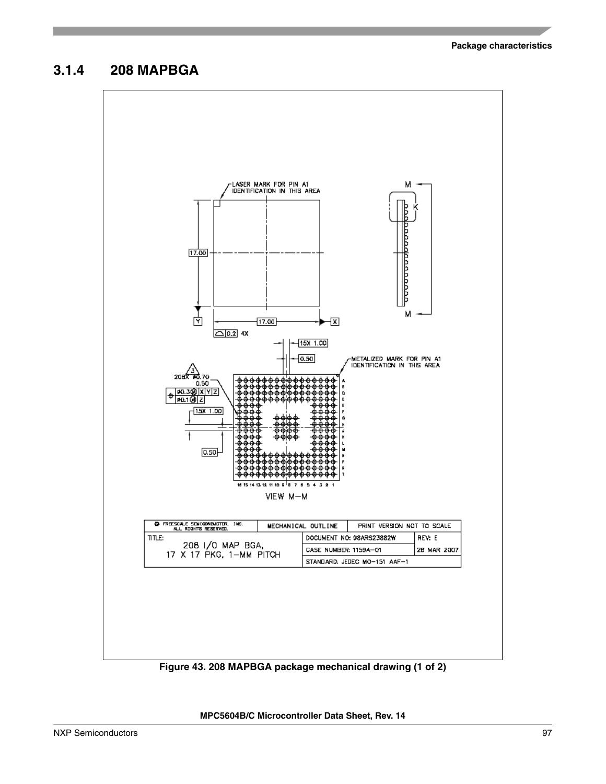## **3.1.4 208 MAPBGA**



**Figure 43. 208 MAPBGA package mechanical drawing (1 of 2)**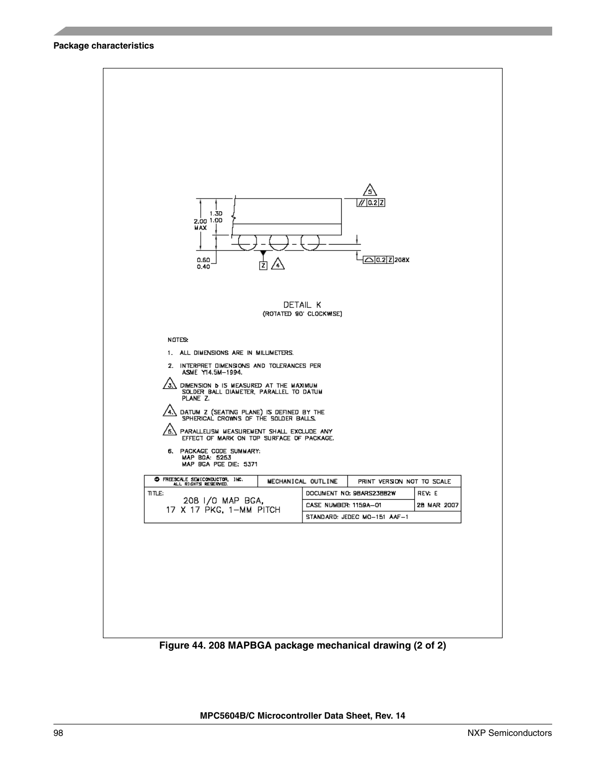

**Figure 44. 208 MAPBGA package mechanical drawing (2 of 2)**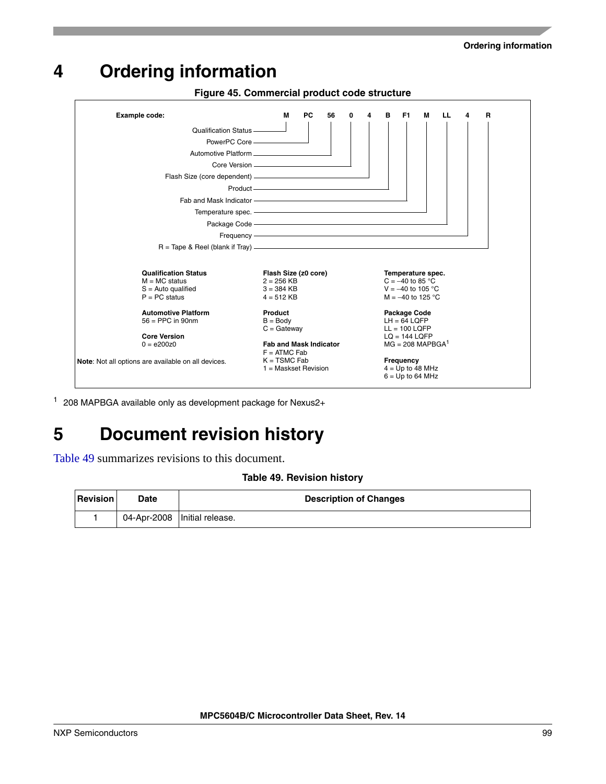# <span id="page-98-2"></span><span id="page-98-1"></span>**4 Ordering information**

**Figure 45. Commercial product code structure** Qualification Status PowerPC Core Automotive Platform Core Version Flash Size (core dependent) Product Temperature spec. **Example code: M** PC 56 0 4 B F1 M LL 4 Package Code Frequency **Qualification Status**  $M = MC$  status S = Auto qualified  $P = PC$  status **Automotive Platform** 56 = PPC in 90nm **Core Version**  $0 = e200z0$ **Flash Size (z0 core)**  $2 = 256$  KB 3 = 384 KB  $4 = 512$  KB **Product**  $B = Body$  $C =$  Gateway **Fab and Mask Indicator**  $F = ATMC$  Fab  $K = TSMC$  Fab 1 = Maskset Revision  $R =$  Tape & Reel (blank if Tray). **R Temperature spec.**  $C = -40$  to 85 °C V = −40 to 105 °C  $M = -40$  to 125 °C **Package Code**  $LH = 64$  LQFP  $LL = 100$  LQFP  $LQ = 144$  LQFP  $MG = 208 \text{ MAPBGA}^1$ **Frequency** 4 = Up to 48 MHz  $6 = Up to 64 MHz$ Fab and Mask Indicator **F1 Note**: Not all options are available on all devices.

<sup>1</sup> 208 MAPBGA available only as development package for Nexus2+

# **5 Document revision history**

<span id="page-98-0"></span>[Table 49](#page-98-0) summarizes revisions to this document.

#### **Table 49. Revision history**

| <b>Revision</b> | Date | <b>Description of Changes</b>  |
|-----------------|------|--------------------------------|
|                 |      | 04-Apr-2008   Initial release. |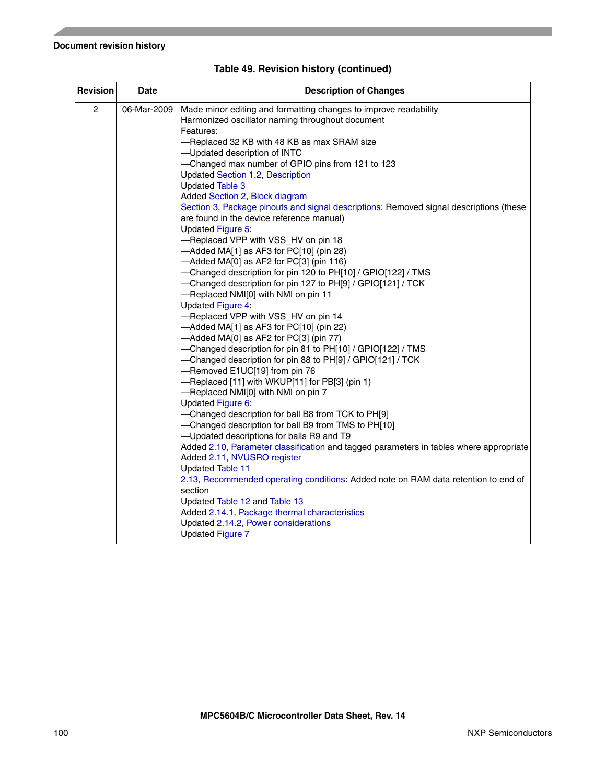| Revision       | <b>Date</b> | <b>Description of Changes</b>                                                                                                                                                                                                                                                                                                                                                                                                                                                                                                                                                                                                                                                                                                                                                                                                                                                                                                                                                                                                                                                                                                                                                                                                                                                                                                                                                                                                                                                                                                                                                                                                                                                                                                                                                        |  |  |
|----------------|-------------|--------------------------------------------------------------------------------------------------------------------------------------------------------------------------------------------------------------------------------------------------------------------------------------------------------------------------------------------------------------------------------------------------------------------------------------------------------------------------------------------------------------------------------------------------------------------------------------------------------------------------------------------------------------------------------------------------------------------------------------------------------------------------------------------------------------------------------------------------------------------------------------------------------------------------------------------------------------------------------------------------------------------------------------------------------------------------------------------------------------------------------------------------------------------------------------------------------------------------------------------------------------------------------------------------------------------------------------------------------------------------------------------------------------------------------------------------------------------------------------------------------------------------------------------------------------------------------------------------------------------------------------------------------------------------------------------------------------------------------------------------------------------------------------|--|--|
| $\overline{c}$ | 06-Mar-2009 | Made minor editing and formatting changes to improve readability<br>Harmonized oscillator naming throughout document<br>Features:<br>-Replaced 32 KB with 48 KB as max SRAM size<br>-Updated description of INTC<br>-Changed max number of GPIO pins from 121 to 123<br><b>Updated Section 1.2, Description</b><br><b>Updated Table 3</b><br>Added Section 2, Block diagram<br>Section 3, Package pinouts and signal descriptions: Removed signal descriptions (these<br>are found in the device reference manual)<br>Updated Figure 5:<br>-Replaced VPP with VSS_HV on pin 18<br>$-$ Added MA[1] as AF3 for PC[10] (pin 28)<br>-Added MA[0] as AF2 for PC[3] (pin 116)<br>-Changed description for pin 120 to PH[10] / GPIO[122] / TMS<br>-Changed description for pin 127 to PH[9] / GPIO[121] / TCK<br>-Replaced NMI[0] with NMI on pin 11<br><b>Updated Figure 4:</b><br>-Replaced VPP with VSS_HV on pin 14<br>$-$ Added MA[1] as AF3 for PC[10] (pin 22)<br>-Added MA[0] as AF2 for PC[3] (pin 77)<br>-Changed description for pin 81 to PH[10] / GPIO[122] / TMS<br>-Changed description for pin 88 to PH[9] / GPIO[121] / TCK<br>-Removed E1UC[19] from pin 76<br>-Replaced [11] with WKUP[11] for PB[3] (pin 1)<br>-Replaced NMI[0] with NMI on pin 7<br>Updated Figure 6:<br>-Changed description for ball B8 from TCK to PH[9]<br>-Changed description for ball B9 from TMS to PH[10]<br>-Updated descriptions for balls R9 and T9<br>Added 2.10, Parameter classification and tagged parameters in tables where appropriate<br>Added 2.11, NVUSRO register<br><b>Updated Table 11</b><br>2.13, Recommended operating conditions: Added note on RAM data retention to end of<br>section<br>Updated Table 12 and Table 13<br>Added 2.14.1, Package thermal characteristics |  |  |
|                |             | Updated 2.14.2, Power considerations<br><b>Updated Figure 7</b>                                                                                                                                                                                                                                                                                                                                                                                                                                                                                                                                                                                                                                                                                                                                                                                                                                                                                                                                                                                                                                                                                                                                                                                                                                                                                                                                                                                                                                                                                                                                                                                                                                                                                                                      |  |  |

## **Table 49. Revision history (continued)**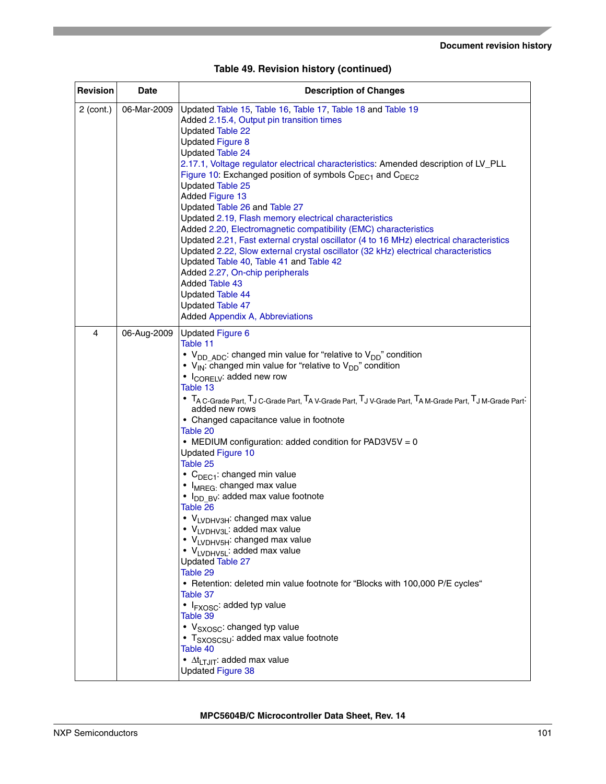| Revision       | <b>Date</b> | <b>Description of Changes</b>                                                                                                                                                                                                                                                                                                                                                                                                                                                                                                                                                                                                                                                                                                                                                                                                                                                                                                                                                                                                                                                                                                                                                                                                       |
|----------------|-------------|-------------------------------------------------------------------------------------------------------------------------------------------------------------------------------------------------------------------------------------------------------------------------------------------------------------------------------------------------------------------------------------------------------------------------------------------------------------------------------------------------------------------------------------------------------------------------------------------------------------------------------------------------------------------------------------------------------------------------------------------------------------------------------------------------------------------------------------------------------------------------------------------------------------------------------------------------------------------------------------------------------------------------------------------------------------------------------------------------------------------------------------------------------------------------------------------------------------------------------------|
| $2$ (cont.)    | 06-Mar-2009 | Updated Table 15, Table 16, Table 17, Table 18 and Table 19<br>Added 2.15.4, Output pin transition times<br>Updated Table 22<br><b>Updated Figure 8</b><br><b>Updated Table 24</b><br>2.17.1, Voltage regulator electrical characteristics: Amended description of LV_PLL<br>Figure 10: Exchanged position of symbols C <sub>DEC1</sub> and C <sub>DEC2</sub><br><b>Updated Table 25</b><br><b>Added Figure 13</b><br>Updated Table 26 and Table 27<br>Updated 2.19, Flash memory electrical characteristics<br>Added 2.20, Electromagnetic compatibility (EMC) characteristics<br>Updated 2.21, Fast external crystal oscillator (4 to 16 MHz) electrical characteristics<br>Updated 2.22, Slow external crystal oscillator (32 kHz) electrical characteristics<br>Updated Table 40, Table 41 and Table 42<br>Added 2.27, On-chip peripherals<br><b>Added Table 43</b><br><b>Updated Table 44</b><br>Updated Table 47<br>Added Appendix A, Abbreviations                                                                                                                                                                                                                                                                           |
| $\overline{4}$ | 06-Aug-2009 | <b>Updated Figure 6</b><br>Table 11<br>• $V_{DD \ ADC}$ : changed min value for "relative to $V_{DD}$ " condition<br>• $V_{IN}$ : changed min value for "relative to $V_{DD}$ " condition<br>• I <sub>CORELV</sub> : added new row<br>Table 13<br>• TA C-Grade Part, TJ C-Grade Part, TA V-Grade Part, TJ V-Grade Part, TA M-Grade Part, TJ M-Grade Part-<br>added new rows<br>• Changed capacitance value in footnote<br>Table 20<br>• MEDIUM configuration: added condition for PAD3V5V = 0<br><b>Updated Figure 10</b><br>Table 25<br>• C <sub>DEC1</sub> : changed min value<br>• I <sub>MREG:</sub> changed max value<br>• I <sub>DD BV</sub> : added max value footnote<br>Table 26<br>• VLVDHV3H: changed max value<br>• VLVDHV3L: added max value<br>• VLVDHV5H: changed max value<br>• VLVDHV <sub>5L</sub> : added max value<br><b>Updated Table 27</b><br>Table 29<br>• Retention: deleted min value footnote for "Blocks with 100,000 P/E cycles"<br>Table 37<br>• I <sub>FXOSC</sub> : added typ value<br>Table 39<br>• V <sub>SXOSC</sub> : changed typ value<br>• T <sub>SXOSCSU</sub> : added max value footnote<br>Table 40<br>$\bullet$ $\Delta t$ <sub>LTJIT</sub> : added max value<br><b>Updated Figure 38</b> |

|  |  |  | Table 49. Revision history (continued) |
|--|--|--|----------------------------------------|
|--|--|--|----------------------------------------|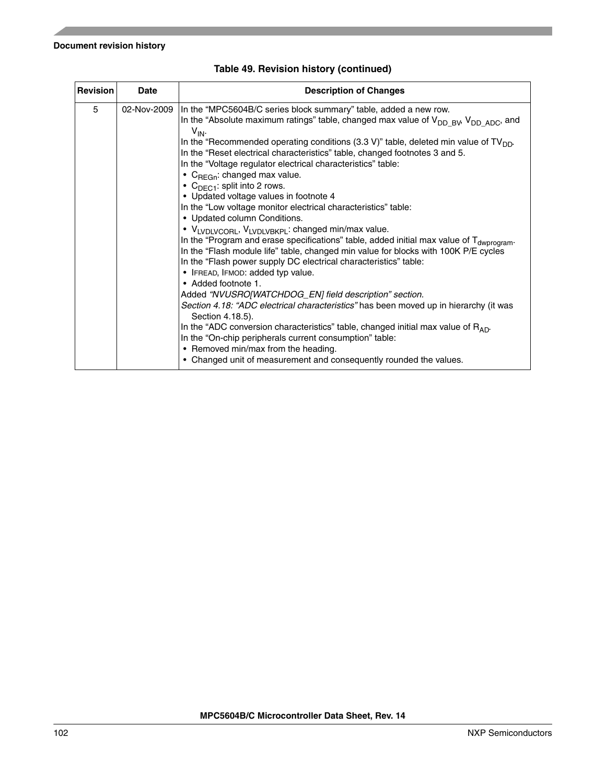| <b>Revision</b> | <b>Date</b> | <b>Description of Changes</b>                                                                                                                                                                                                                                                                                                                                                                                                                                                                                                                                                                                                                                                                                                                                                                                                                                                                                                                                                                                                                                                                                                                                                                                                                                                                                                                                                                                                                                                                                         |  |  |
|-----------------|-------------|-----------------------------------------------------------------------------------------------------------------------------------------------------------------------------------------------------------------------------------------------------------------------------------------------------------------------------------------------------------------------------------------------------------------------------------------------------------------------------------------------------------------------------------------------------------------------------------------------------------------------------------------------------------------------------------------------------------------------------------------------------------------------------------------------------------------------------------------------------------------------------------------------------------------------------------------------------------------------------------------------------------------------------------------------------------------------------------------------------------------------------------------------------------------------------------------------------------------------------------------------------------------------------------------------------------------------------------------------------------------------------------------------------------------------------------------------------------------------------------------------------------------------|--|--|
| 5               |             | 02-Nov-2009  In the "MPC5604B/C series block summary" table, added a new row.<br>In the "Absolute maximum ratings" table, changed max value of V <sub>DD BV</sub> , V <sub>DD ADC</sub> , and<br>$V_{IN}$<br>In the "Recommended operating conditions (3.3 V)" table, deleted min value of $TV_{DD}$ .<br>In the "Reset electrical characteristics" table, changed footnotes 3 and 5.<br>In the "Voltage regulator electrical characteristics" table:<br>• $C_{\text{RFGn}}$ : changed max value.<br>• $C_{\text{DEC1}}$ : split into 2 rows.<br>• Updated voltage values in footnote 4<br>In the "Low voltage monitor electrical characteristics" table:<br>• Updated column Conditions.<br>• VLVDLVCORL, VLVDLVBKPL: changed min/max value.<br>In the "Program and erase specifications" table, added initial max value of T <sub>dwprogram</sub> .<br>In the "Flash module life" table, changed min value for blocks with 100K P/E cycles<br>In the "Flash power supply DC electrical characteristics" table:<br>• IFREAD, IFMOD: added typ value.<br>• Added footnote 1.<br>Added "NVUSRO[WATCHDOG_EN] field description" section.<br>Section 4.18: "ADC electrical characteristics" has been moved up in hierarchy (it was<br>Section 4.18.5).<br>In the "ADC conversion characteristics" table, changed initial max value of $R_{AD}$ .<br>In the "On-chip peripherals current consumption" table:<br>• Removed min/max from the heading.<br>• Changed unit of measurement and consequently rounded the values. |  |  |

## **Table 49. Revision history (continued)**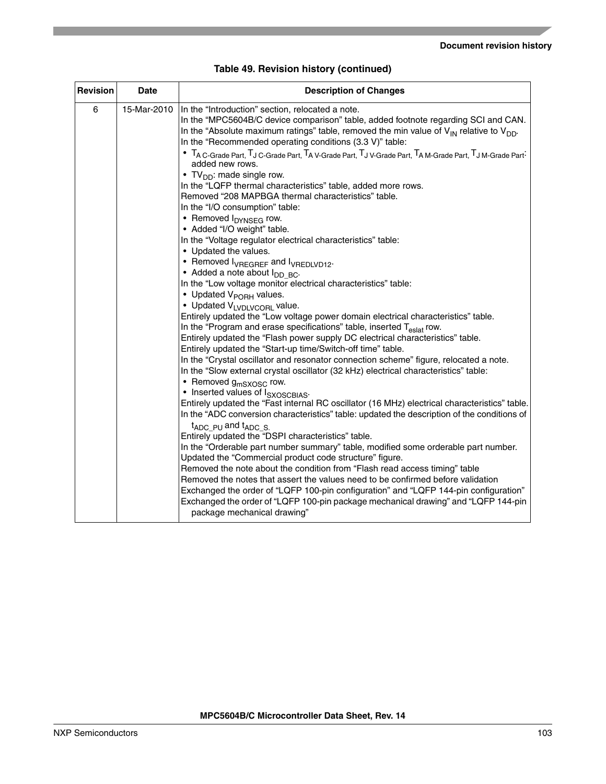| <b>Revision</b> | <b>Date</b> | <b>Description of Changes</b>                                                                                                                                                                                                                                                                                                                                                                                      |  |  |
|-----------------|-------------|--------------------------------------------------------------------------------------------------------------------------------------------------------------------------------------------------------------------------------------------------------------------------------------------------------------------------------------------------------------------------------------------------------------------|--|--|
| 6               | 15-Mar-2010 | In the "Introduction" section, relocated a note.<br>In the "MPC5604B/C device comparison" table, added footnote regarding SCI and CAN.<br>In the "Absolute maximum ratings" table, removed the min value of $V_{IN}$ relative to $V_{DD}$ .<br>In the "Recommended operating conditions (3.3 V)" table:<br>• TA C-Grade Part, TJ C-Grade Part, TA V-Grade Part, TJ V-Grade Part, TA M-Grade Part, TJ M-Grade Part- |  |  |
|                 |             | added new rows.<br>• TV <sub>DD</sub> : made single row.<br>In the "LQFP thermal characteristics" table, added more rows.                                                                                                                                                                                                                                                                                          |  |  |
|                 |             | Removed "208 MAPBGA thermal characteristics" table.<br>In the "I/O consumption" table:<br>• Removed I <sub>DYNSEG</sub> row.                                                                                                                                                                                                                                                                                       |  |  |
|                 |             | • Added "I/O weight" table.<br>In the "Voltage regulator electrical characteristics" table:<br>• Updated the values.                                                                                                                                                                                                                                                                                               |  |  |
|                 |             | • Removed I <sub>VREGREF</sub> and I <sub>VREDLVD12</sub> .<br>• Added a note about I <sub>DD BC</sub> .                                                                                                                                                                                                                                                                                                           |  |  |
|                 |             | In the "Low voltage monitor electrical characteristics" table:<br>• Updated V <sub>PORH</sub> values.<br>• Updated VLVDLVCORL value.                                                                                                                                                                                                                                                                               |  |  |
|                 |             | Entirely updated the "Low voltage power domain electrical characteristics" table.<br>In the "Program and erase specifications" table, inserted T <sub>eslat</sub> row.<br>Entirely updated the "Flash power supply DC electrical characteristics" table.                                                                                                                                                           |  |  |
|                 |             | Entirely updated the "Start-up time/Switch-off time" table.<br>In the "Crystal oscillator and resonator connection scheme" figure, relocated a note.                                                                                                                                                                                                                                                               |  |  |
|                 |             | In the "Slow external crystal oscillator (32 kHz) electrical characteristics" table:<br>• Removed g <sub>mSXOSC</sub> row.<br>• Inserted values of I <sub>SXOSCBIAS</sub> .                                                                                                                                                                                                                                        |  |  |
|                 |             | Entirely updated the "Fast internal RC oscillator (16 MHz) electrical characteristics" table.<br>In the "ADC conversion characteristics" table: updated the description of the conditions of<br>$t_{ADC}$ pu and $t_{ADC}$ s.                                                                                                                                                                                      |  |  |
|                 |             | Entirely updated the "DSPI characteristics" table.<br>In the "Orderable part number summary" table, modified some orderable part number.<br>Updated the "Commercial product code structure" figure.                                                                                                                                                                                                                |  |  |
|                 |             | Removed the note about the condition from "Flash read access timing" table<br>Removed the notes that assert the values need to be confirmed before validation<br>Exchanged the order of "LQFP 100-pin configuration" and "LQFP 144-pin configuration"<br>Exchanged the order of "LQFP 100-pin package mechanical drawing" and "LQFP 144-pin                                                                        |  |  |
|                 |             | package mechanical drawing"                                                                                                                                                                                                                                                                                                                                                                                        |  |  |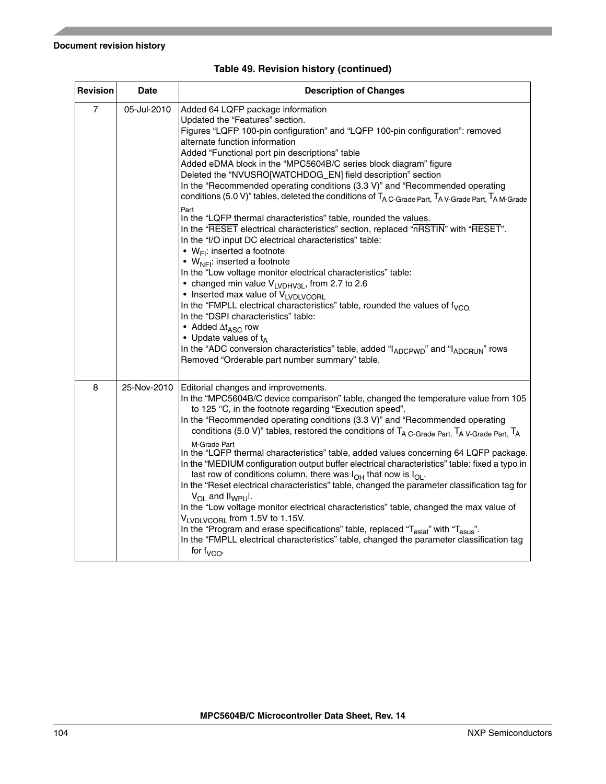| <b>Revision</b> | <b>Date</b> | <b>Description of Changes</b>                                                                                                                                                                                                                                                                                                                                                                                                                                                                                                                                                                                                                                                                                                                                                                                                                                                                                                                                                                                                                                                                                                                                                                                                                                                                                                                                                                                                                |  |  |
|-----------------|-------------|----------------------------------------------------------------------------------------------------------------------------------------------------------------------------------------------------------------------------------------------------------------------------------------------------------------------------------------------------------------------------------------------------------------------------------------------------------------------------------------------------------------------------------------------------------------------------------------------------------------------------------------------------------------------------------------------------------------------------------------------------------------------------------------------------------------------------------------------------------------------------------------------------------------------------------------------------------------------------------------------------------------------------------------------------------------------------------------------------------------------------------------------------------------------------------------------------------------------------------------------------------------------------------------------------------------------------------------------------------------------------------------------------------------------------------------------|--|--|
| $\overline{7}$  | 05-Jul-2010 | Added 64 LQFP package information<br>Updated the "Features" section.<br>Figures "LQFP 100-pin configuration" and "LQFP 100-pin configuration": removed<br>alternate function information<br>Added "Functional port pin descriptions" table<br>Added eDMA block in the "MPC5604B/C series block diagram" figure<br>Deleted the "NVUSRO[WATCHDOG_EN] field description" section<br>In the "Recommended operating conditions (3.3 V)" and "Recommended operating<br>conditions (5.0 V)" tables, deleted the conditions of T <sub>A C-Grade Part,</sub> T <sub>A V-Grade Part,</sub> T <sub>A M-Grade</sub><br>Part<br>In the "LQFP thermal characteristics" table, rounded the values.<br>In the "RESET electrical characteristics" section, replaced "nRSTIN" with "RESET".<br>In the "I/O input DC electrical characteristics" table:<br>• $W_{FI}$ : inserted a footnote<br>• $W_{NFI}$ : inserted a footnote<br>In the "Low voltage monitor electrical characteristics" table:<br>• changed min value $V_{LVDHV3L}$ , from 2.7 to 2.6<br>• Inserted max value of VLVDLVCORL<br>In the "FMPLL electrical characteristics" table, rounded the values of $f_{VCO}$<br>In the "DSPI characteristics" table:<br>• Added $\Delta t_{\text{ASC}}$ row<br>• Update values of $t_A$<br>In the "ADC conversion characteristics" table, added "I <sub>ADCPWD</sub> " and "I <sub>ADCRUN</sub> " rows<br>Removed "Orderable part number summary" table. |  |  |
| 8               | 25-Nov-2010 | Editorial changes and improvements.<br>In the "MPC5604B/C device comparison" table, changed the temperature value from 105<br>to 125 °C, in the footnote regarding "Execution speed".<br>In the "Recommended operating conditions (3.3 V)" and "Recommended operating<br>conditions (5.0 V)" tables, restored the conditions of T <sub>A C-Grade Part,</sub> T <sub>A V-Grade Part,</sub> T <sub>A</sub><br>M-Grade Part<br>In the "LQFP thermal characteristics" table, added values concerning 64 LQFP package.<br>In the "MEDIUM configuration output buffer electrical characteristics" table: fixed a typo in<br>last row of conditions column, there was $I_{OH}$ that now is $I_{OH}$ .<br>In the "Reset electrical characteristics" table, changed the parameter classification tag for<br>$V_{\Omega}$ and $I_{WPI}$ .<br>In the "Low voltage monitor electrical characteristics" table, changed the max value of<br>VLVDLVCORL from 1.5V to 1.15V.<br>In the "Program and erase specifications" table, replaced "T <sub>eslat</sub> " with "T <sub>esus</sub> ".<br>In the "FMPLL electrical characteristics" table, changed the parameter classification tag<br>for $f_{VCO}$ .                                                                                                                                                                                                                                                   |  |  |

## **Table 49. Revision history (continued)**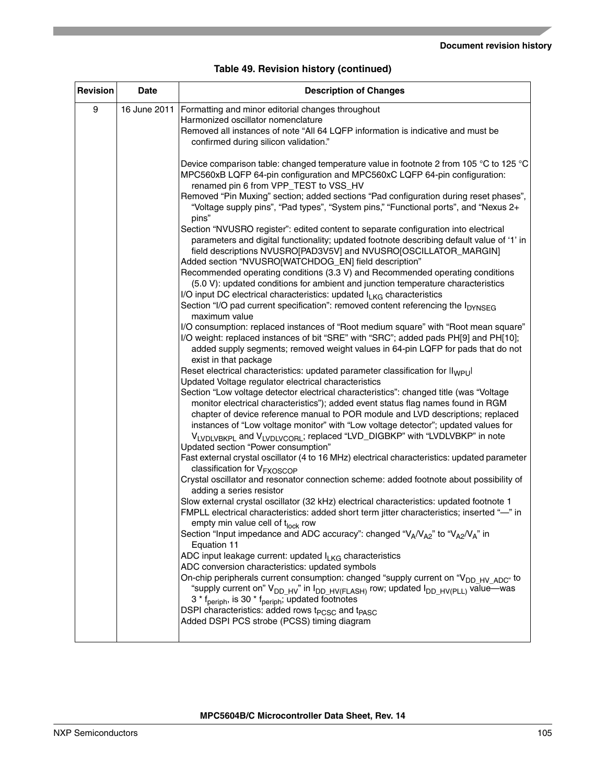| Revision | <b>Date</b>  | <b>Description of Changes</b>                                                                                                                                                                                                                                                                                                                                                                                                                                                                                                                                                                                                                                                                        |  |  |
|----------|--------------|------------------------------------------------------------------------------------------------------------------------------------------------------------------------------------------------------------------------------------------------------------------------------------------------------------------------------------------------------------------------------------------------------------------------------------------------------------------------------------------------------------------------------------------------------------------------------------------------------------------------------------------------------------------------------------------------------|--|--|
| 9        | 16 June 2011 | Formatting and minor editorial changes throughout<br>Harmonized oscillator nomenclature<br>Removed all instances of note "All 64 LQFP information is indicative and must be<br>confirmed during silicon validation."                                                                                                                                                                                                                                                                                                                                                                                                                                                                                 |  |  |
|          |              | Device comparison table: changed temperature value in footnote 2 from 105 °C to 125 °C<br>MPC560xB LQFP 64-pin configuration and MPC560xC LQFP 64-pin configuration:<br>renamed pin 6 from VPP_TEST to VSS_HV<br>Removed "Pin Muxing" section; added sections "Pad configuration during reset phases",<br>"Voltage supply pins", "Pad types", "System pins," "Functional ports", and "Nexus 2+<br>pins"                                                                                                                                                                                                                                                                                              |  |  |
|          |              | Section "NVUSRO register": edited content to separate configuration into electrical<br>parameters and digital functionality; updated footnote describing default value of '1' in<br>field descriptions NVUSRO[PAD3V5V] and NVUSRO[OSCILLATOR_MARGIN]<br>Added section "NVUSRO[WATCHDOG_EN] field description"                                                                                                                                                                                                                                                                                                                                                                                        |  |  |
|          |              | Recommended operating conditions (3.3 V) and Recommended operating conditions<br>(5.0 V): updated conditions for ambient and junction temperature characteristics<br>I/O input DC electrical characteristics: updated ILKG characteristics<br>Section "I/O pad current specification": removed content referencing the I <sub>DYNSEG</sub><br>maximum value                                                                                                                                                                                                                                                                                                                                          |  |  |
|          |              | I/O consumption: replaced instances of "Root medium square" with "Root mean square"<br>I/O weight: replaced instances of bit "SRE" with "SRC"; added pads PH[9] and PH[10];<br>added supply segments; removed weight values in 64-pin LQFP for pads that do not<br>exist in that package                                                                                                                                                                                                                                                                                                                                                                                                             |  |  |
|          |              | Reset electrical characteristics: updated parameter classification for ll <sub>WPU</sub><br>Updated Voltage regulator electrical characteristics<br>Section "Low voltage detector electrical characteristics": changed title (was "Voltage<br>monitor electrical characteristics"); added event status flag names found in RGM<br>chapter of device reference manual to POR module and LVD descriptions; replaced<br>instances of "Low voltage monitor" with "Low voltage detector"; updated values for<br>VLVDLVBKPL and VLVDLVCORL; replaced "LVD_DIGBKP" with "LVDLVBKP" in note<br>Updated section "Power consumption"                                                                           |  |  |
|          |              | Fast external crystal oscillator (4 to 16 MHz) electrical characteristics: updated parameter<br>classification for V <sub>FXOSCOP</sub><br>Crystal oscillator and resonator connection scheme: added footnote about possibility of<br>adding a series resistor<br>Slow external crystal oscillator (32 kHz) electrical characteristics: updated footnote 1<br>FMPLL electrical characteristics: added short term jitter characteristics; inserted "-" in<br>empty min value cell of tlock row                                                                                                                                                                                                        |  |  |
|          |              | Section "Input impedance and ADC accuracy": changed "V <sub>A</sub> /V <sub>A2</sub> " to "V <sub>A2</sub> /V <sub>A</sub> " in<br>Equation 11<br>ADC input leakage current: updated $I_{LKG}$ characteristics<br>ADC conversion characteristics: updated symbols<br>On-chip peripherals current consumption: changed "supply current on "V <sub>DD HV ADC"</sub> to<br>"supply current on" V <sub>DD HV</sub> " in I <sub>DD HV(FLASH)</sub> row; updated I <sub>DD HV(PLL)</sub> value-was<br>3 * f <sub>periph</sub> , is 30 * f <sub>periph</sub> ; updated footnotes<br>DSPI characteristics: added rows t <sub>PCSC</sub> and t <sub>PASC</sub><br>Added DSPI PCS strobe (PCSS) timing diagram |  |  |
|          |              |                                                                                                                                                                                                                                                                                                                                                                                                                                                                                                                                                                                                                                                                                                      |  |  |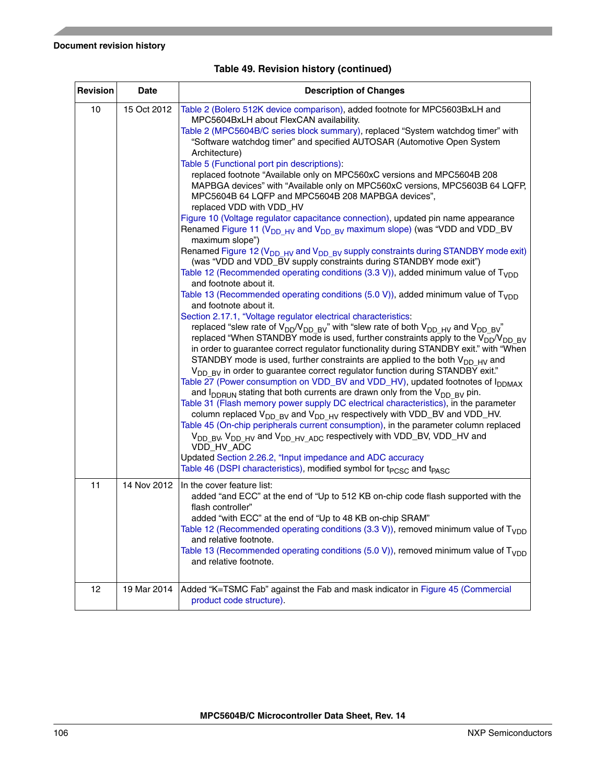| Revision                                                                                                                                                                                                                                      | <b>Date</b> | <b>Description of Changes</b>                                                                                                                                                                                                                                                                                                                                                                                                                                                                                                                                                                                                                                                                                                                                                                                                                                                                                                                                                                                                                                                                                                                                                                                                                                                                                                                                                                                                                                                                                                                                                                                                                                                                                                                                                                                                                                                                                                                                                                                                                                                                                                                                                                                                                                                                |  |  |
|-----------------------------------------------------------------------------------------------------------------------------------------------------------------------------------------------------------------------------------------------|-------------|----------------------------------------------------------------------------------------------------------------------------------------------------------------------------------------------------------------------------------------------------------------------------------------------------------------------------------------------------------------------------------------------------------------------------------------------------------------------------------------------------------------------------------------------------------------------------------------------------------------------------------------------------------------------------------------------------------------------------------------------------------------------------------------------------------------------------------------------------------------------------------------------------------------------------------------------------------------------------------------------------------------------------------------------------------------------------------------------------------------------------------------------------------------------------------------------------------------------------------------------------------------------------------------------------------------------------------------------------------------------------------------------------------------------------------------------------------------------------------------------------------------------------------------------------------------------------------------------------------------------------------------------------------------------------------------------------------------------------------------------------------------------------------------------------------------------------------------------------------------------------------------------------------------------------------------------------------------------------------------------------------------------------------------------------------------------------------------------------------------------------------------------------------------------------------------------------------------------------------------------------------------------------------------------|--|--|
| 10<br>15 Oct 2012<br>MPC5604BxLH about FlexCAN availability.<br>Architecture)<br>Table 5 (Functional port pin descriptions):<br>replaced VDD with VDD_HV<br>maximum slope")<br>and footnote about it.<br>and footnote about it.<br>VDD_HV_ADC |             | Table 2 (Bolero 512K device comparison), added footnote for MPC5603BxLH and<br>Table 2 (MPC5604B/C series block summary), replaced "System watchdog timer" with<br>"Software watchdog timer" and specified AUTOSAR (Automotive Open System<br>replaced footnote "Available only on MPC560xC versions and MPC5604B 208<br>MAPBGA devices" with "Available only on MPC560xC versions, MPC5603B 64 LQFP,<br>MPC5604B 64 LQFP and MPC5604B 208 MAPBGA devices",<br>Figure 10 (Voltage regulator capacitance connection), updated pin name appearance<br>Renamed Figure 11 (V <sub>DD HV</sub> and V <sub>DD BV</sub> maximum slope) (was "VDD and VDD_BV<br>Renamed Figure 12 ( $V_{DD HV}$ and $V_{DD BV}$ supply constraints during STANDBY mode exit)<br>(was "VDD and VDD_BV supply constraints during STANDBY mode exit")<br>Table 12 (Recommended operating conditions (3.3 V)), added minimum value of $T_{VDD}$<br>Table 13 (Recommended operating conditions (5.0 V)), added minimum value of $T_{\text{VDD}}$<br>Section 2.17.1, "Voltage regulator electrical characteristics:<br>replaced "slew rate of $V_{DD}/V_{DD-BV}$ " with "slew rate of both $V_{DD-HV}$ and $V_{DD-BV}$ "<br>replaced "When STANDBY mode is used, further constraints apply to the $V_{DD}/V_{DD-BV}$<br>in order to guarantee correct regulator functionality during STANDBY exit." with "When<br>STANDBY mode is used, further constraints are applied to the both $V_{DD-HV}$ and<br>$V_{DD-BV}$ in order to guarantee correct regulator function during STANDBY exit."<br>Table 27 (Power consumption on VDD_BV and VDD_HV), updated footnotes of I <sub>DDMAX</sub><br>and $I_{DDRUN}$ stating that both currents are drawn only from the $V_{DD-BV}$ pin.<br>Table 31 (Flash memory power supply DC electrical characteristics), in the parameter<br>column replaced $V_{DD-BV}$ and $V_{DD-HV}$ respectively with VDD_BV and VDD_HV.<br>Table 45 (On-chip peripherals current consumption), in the parameter column replaced<br>V <sub>DD BV</sub> , V <sub>DD HV</sub> and V <sub>DD HV ADC</sub> respectively with VDD_BV, VDD_HV and<br>Updated Section 2.26.2, "Input impedance and ADC accuracy<br>Table 46 (DSPI characteristics), modified symbol for t <sub>PCSC</sub> and t <sub>PASC</sub> |  |  |
| 11                                                                                                                                                                                                                                            | 14 Nov 2012 | In the cover feature list:<br>added "and ECC" at the end of "Up to 512 KB on-chip code flash supported with the<br>flash controller"<br>added "with ECC" at the end of "Up to 48 KB on-chip SRAM"<br>Table 12 (Recommended operating conditions (3.3 V)), removed minimum value of $T_{\rm VDD}$<br>and relative footnote.<br>Table 13 (Recommended operating conditions (5.0 V)), removed minimum value of $T_{VDD}$<br>and relative footnote.                                                                                                                                                                                                                                                                                                                                                                                                                                                                                                                                                                                                                                                                                                                                                                                                                                                                                                                                                                                                                                                                                                                                                                                                                                                                                                                                                                                                                                                                                                                                                                                                                                                                                                                                                                                                                                              |  |  |
| 12                                                                                                                                                                                                                                            | 19 Mar 2014 | Added "K=TSMC Fab" against the Fab and mask indicator in Figure 45 (Commercial<br>product code structure).                                                                                                                                                                                                                                                                                                                                                                                                                                                                                                                                                                                                                                                                                                                                                                                                                                                                                                                                                                                                                                                                                                                                                                                                                                                                                                                                                                                                                                                                                                                                                                                                                                                                                                                                                                                                                                                                                                                                                                                                                                                                                                                                                                                   |  |  |

## **Table 49. Revision history (continued)**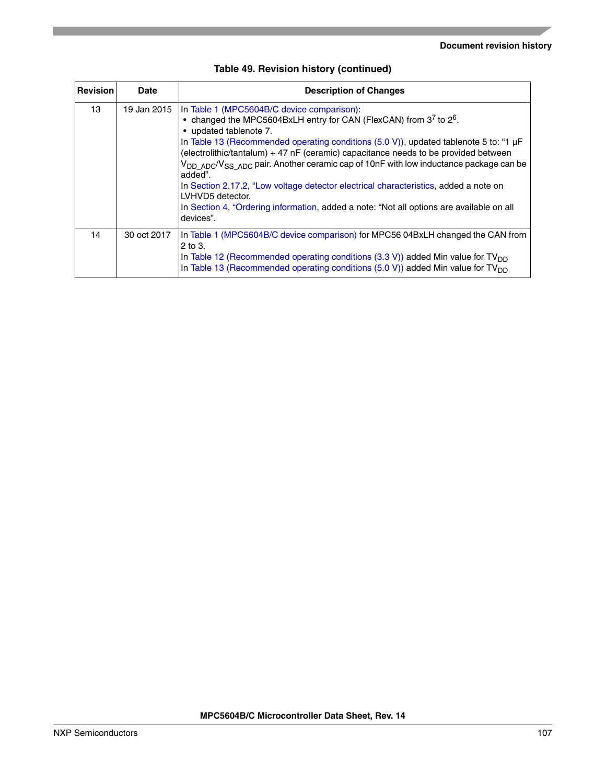| <b>Revision</b> | Date        | <b>Description of Changes</b>                                                                                                                                                                                                                                                                                                                                                                                                                                                                                                                                                                                                                                                            |  |
|-----------------|-------------|------------------------------------------------------------------------------------------------------------------------------------------------------------------------------------------------------------------------------------------------------------------------------------------------------------------------------------------------------------------------------------------------------------------------------------------------------------------------------------------------------------------------------------------------------------------------------------------------------------------------------------------------------------------------------------------|--|
| 13              | 19 Jan 2015 | In Table 1 (MPC5604B/C device comparison):<br>• changed the MPC5604BxLH entry for CAN (FlexCAN) from $3^7$ to $2^6$ .<br>• updated tablenote 7.<br>In Table 13 (Recommended operating conditions $(5.0 V)$ ), updated tablenote 5 to: "1 $\mu$ F<br>(electrolithic/tantalum) + 47 nF (ceramic) capacitance needs to be provided between<br>V <sub>DD ADC</sub> /V <sub>SS ADC</sub> pair. Another ceramic cap of 10nF with low inductance package can be<br>added".<br>In Section 2.17.2, "Low voltage detector electrical characteristics, added a note on<br>LVHVD5 detector.<br>In Section 4, "Ordering information, added a note: "Not all options are available on all<br>devices". |  |
| 14              | 30 oct 2017 | In Table 1 (MPC5604B/C device comparison) for MPC56 04BxLH changed the CAN from<br>$2$ to 3.<br>In Table 12 (Recommended operating conditions $(3.3 V)$ ) added Min value for TV <sub>DD</sub><br>In Table 13 (Recommended operating conditions (5.0 V)) added Min value for TV <sub>DD</sub>                                                                                                                                                                                                                                                                                                                                                                                            |  |

|  |  |  | Table 49. Revision history (continued) |
|--|--|--|----------------------------------------|
|--|--|--|----------------------------------------|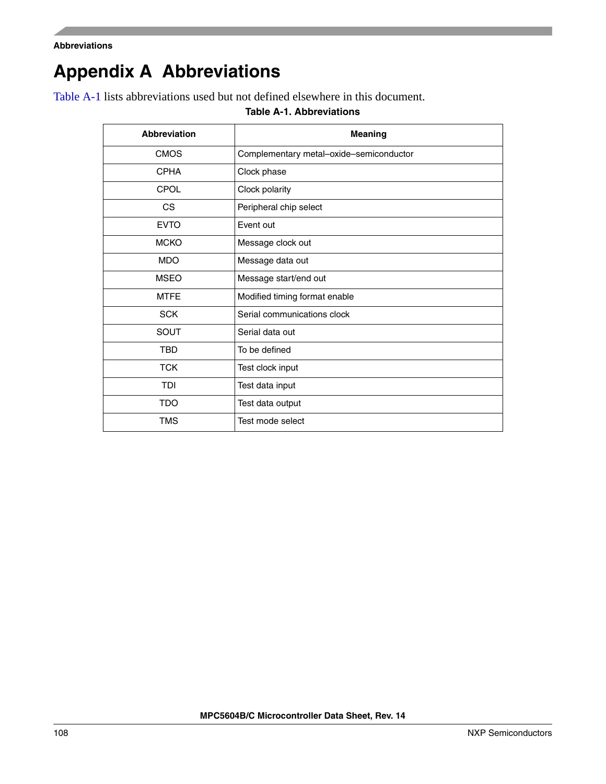```
Abbreviations
```
# <span id="page-107-0"></span>**Appendix A Abbreviations**

<span id="page-107-1"></span>[Table A-1](#page-107-1) lists abbreviations used but not defined elsewhere in this document.

#### **Table A-1. Abbreviations**

| <b>Abbreviation</b> | <b>Meaning</b>                          |
|---------------------|-----------------------------------------|
| <b>CMOS</b>         | Complementary metal-oxide-semiconductor |
| <b>CPHA</b>         | Clock phase                             |
| CPOL                | Clock polarity                          |
| CS.                 | Peripheral chip select                  |
| <b>EVTO</b>         | Event out                               |
| <b>MCKO</b>         | Message clock out                       |
| <b>MDO</b>          | Message data out                        |
| <b>MSEO</b>         | Message start/end out                   |
| <b>MTFE</b>         | Modified timing format enable           |
| <b>SCK</b>          | Serial communications clock             |
| SOUT                | Serial data out                         |
| <b>TBD</b>          | To be defined                           |
| <b>TCK</b>          | Test clock input                        |
| <b>TDI</b>          | Test data input                         |
| <b>TDO</b>          | Test data output                        |
| <b>TMS</b>          | Test mode select                        |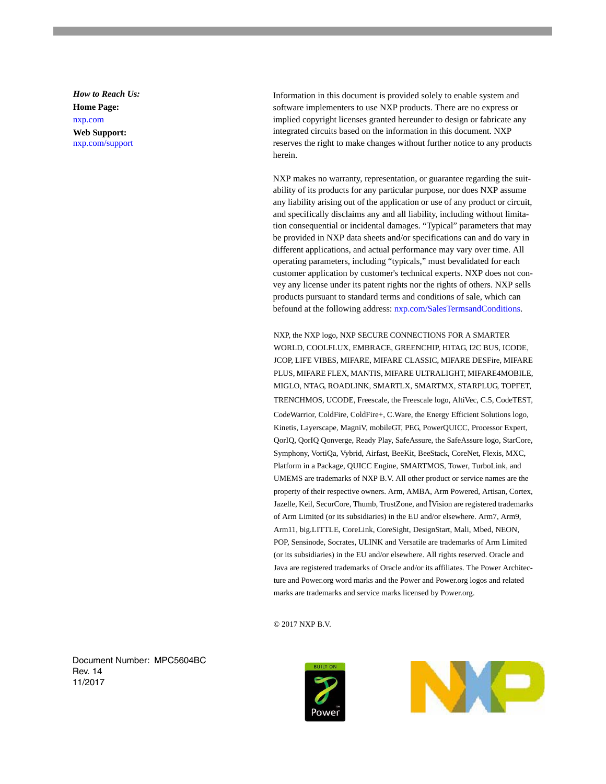*How to Reach Us:* **Home Page:** nxp.com **Web Support:** nxp.com/support

Information in this document is provided solely to enable system and software implementers to use NXP products. There are no express or implied copyright licenses granted hereunder to design or fabricate any integrated circuits based on the information in this document. NXP reserves the right to make changes without further notice to any products herein.

NXP makes no warranty, representation, or guarantee regarding the suitability of its products for any particular purpose, nor does NXP assume any liability arising out of the application or use of any product or circuit, and specifically disclaims any and all liability, including without limitation consequential or incidental damages. "Typical" parameters that may be provided in NXP data sheets and/or specifications can and do vary in different applications, and actual performance may vary over time. All operating parameters, including "typicals," must bevalidated for each customer application by customer's technical experts. NXP does not convey any license under its patent rights nor the rights of others. NXP sells products pursuant to standard terms and conditions of sale, which can befound at the following address: nxp.com/SalesTermsandConditions.

NXP, the NXP logo, NXP SECURE CONNECTIONS FOR A SMARTER WORLD, COOLFLUX, EMBRACE, GREENCHIP, HITAG, I2C BUS, ICODE, JCOP, LIFE VIBES, MIFARE, MIFARE CLASSIC, MIFARE DESFire, MIFARE PLUS, MIFARE FLEX, MANTIS, MIFARE ULTRALIGHT, MIFARE4MOBILE, MIGLO, NTAG, ROADLINK, SMARTLX, SMARTMX, STARPLUG, TOPFET, TRENCHMOS, UCODE, Freescale, the Freescale logo, AltiVec, C.5, CodeTEST, CodeWarrior, ColdFire, ColdFire+, C.Ware, the Energy Efficient Solutions logo, Kinetis, Layerscape, MagniV, mobileGT, PEG, PowerQUICC, Processor Expert, QorIQ, QorIQ Qonverge, Ready Play, SafeAssure, the SafeAssure logo, StarCore, Symphony, VortiQa, Vybrid, Airfast, BeeKit, BeeStack, CoreNet, Flexis, MXC, Platform in a Package, QUICC Engine, SMARTMOS, Tower, TurboLink, and UMEMS are trademarks of NXP B.V. All other product or service names are the property of their respective owners. Arm, AMBA, Arm Powered, Artisan, Cortex, Jazelle, Keil, SecurCore, Thumb, TrustZone, and ÏVision are registered trademarks of Arm Limited (or its subsidiaries) in the EU and/or elsewhere. Arm7, Arm9, Arm11, big.LITTLE, CoreLink, CoreSight, DesignStart, Mali, Mbed, NEON, POP, Sensinode, Socrates, ULINK and Versatile are trademarks of Arm Limited (or its subsidiaries) in the EU and/or elsewhere. All rights reserved. Oracle and Java are registered trademarks of Oracle and/or its affiliates. The Power Architecture and Power.org word marks and the Power and Power.org logos and related marks are trademarks and service marks licensed by Power.org.

© 2017 NXP B.V.

Document Number: MPC5604BC Rev. 14 11/2017